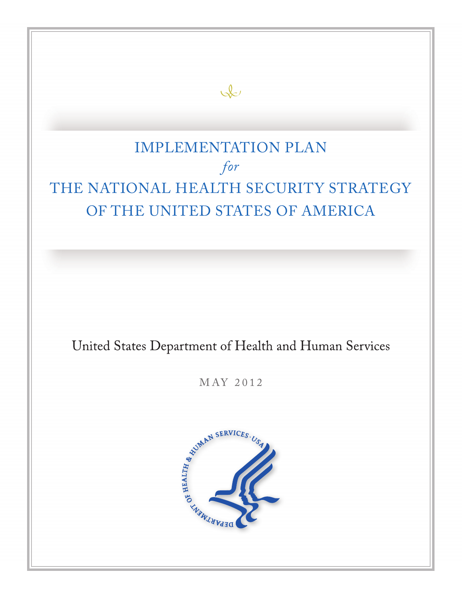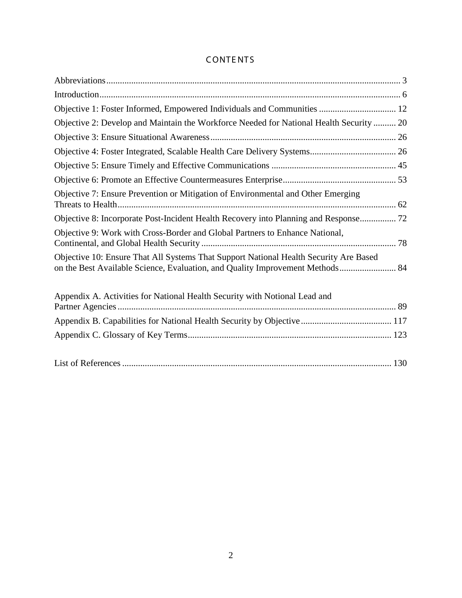# CONTE NTS

| Objective 1: Foster Informed, Empowered Individuals and Communities  12                                                                                                |  |
|------------------------------------------------------------------------------------------------------------------------------------------------------------------------|--|
| Objective 2: Develop and Maintain the Workforce Needed for National Health Security  20                                                                                |  |
|                                                                                                                                                                        |  |
|                                                                                                                                                                        |  |
|                                                                                                                                                                        |  |
|                                                                                                                                                                        |  |
| Objective 7: Ensure Prevention or Mitigation of Environmental and Other Emerging                                                                                       |  |
| Objective 8: Incorporate Post-Incident Health Recovery into Planning and Response 72                                                                                   |  |
| Objective 9: Work with Cross-Border and Global Partners to Enhance National,                                                                                           |  |
| Objective 10: Ensure That All Systems That Support National Health Security Are Based<br>on the Best Available Science, Evaluation, and Quality Improvement Methods 84 |  |
| Appendix A. Activities for National Health Security with Notional Lead and                                                                                             |  |
|                                                                                                                                                                        |  |
|                                                                                                                                                                        |  |
|                                                                                                                                                                        |  |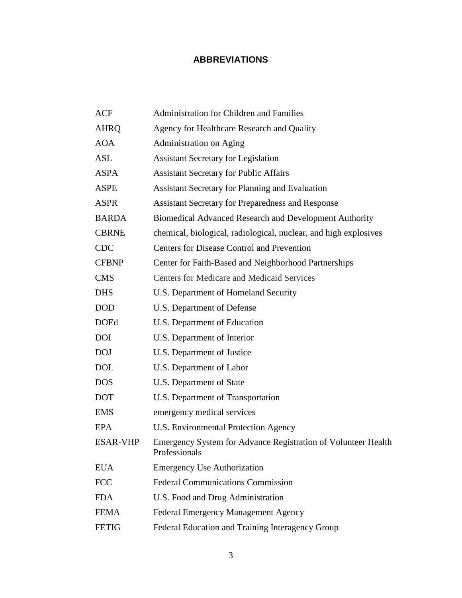# **ABBREVIATIONS**

| <b>ACF</b>      | Administration for Children and Families                                       |
|-----------------|--------------------------------------------------------------------------------|
| <b>AHRQ</b>     | Agency for Healthcare Research and Quality                                     |
| <b>AOA</b>      | Administration on Aging                                                        |
| <b>ASL</b>      | <b>Assistant Secretary for Legislation</b>                                     |
| <b>ASPA</b>     | <b>Assistant Secretary for Public Affairs</b>                                  |
| <b>ASPE</b>     | <b>Assistant Secretary for Planning and Evaluation</b>                         |
| <b>ASPR</b>     | <b>Assistant Secretary for Preparedness and Response</b>                       |
| <b>BARDA</b>    | <b>Biomedical Advanced Research and Development Authority</b>                  |
| <b>CBRNE</b>    | chemical, biological, radiological, nuclear, and high explosives               |
| <b>CDC</b>      | <b>Centers for Disease Control and Prevention</b>                              |
| <b>CFBNP</b>    | Center for Faith-Based and Neighborhood Partnerships                           |
| <b>CMS</b>      | <b>Centers for Medicare and Medicaid Services</b>                              |
| <b>DHS</b>      | U.S. Department of Homeland Security                                           |
| <b>DOD</b>      | U.S. Department of Defense                                                     |
| <b>DOEd</b>     | U.S. Department of Education                                                   |
| <b>DOI</b>      | U.S. Department of Interior                                                    |
| <b>DOJ</b>      | U.S. Department of Justice                                                     |
| <b>DOL</b>      | U.S. Department of Labor                                                       |
| <b>DOS</b>      | U.S. Department of State                                                       |
| <b>DOT</b>      | U.S. Department of Transportation                                              |
| <b>EMS</b>      | emergency medical services                                                     |
| EPA             | <b>U.S. Environmental Protection Agency</b>                                    |
| <b>ESAR-VHP</b> | Emergency System for Advance Registration of Volunteer Health<br>Professionals |
| <b>EUA</b>      | <b>Emergency Use Authorization</b>                                             |
| <b>FCC</b>      | <b>Federal Communications Commission</b>                                       |
| <b>FDA</b>      | U.S. Food and Drug Administration                                              |
| <b>FEMA</b>     | <b>Federal Emergency Management Agency</b>                                     |
| <b>FETIG</b>    | Federal Education and Training Interagency Group                               |
|                 |                                                                                |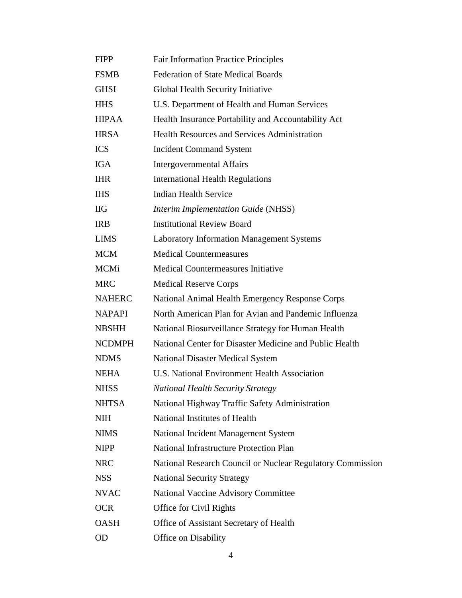| <b>FIPP</b>   | <b>Fair Information Practice Principles</b>                |
|---------------|------------------------------------------------------------|
| <b>FSMB</b>   | <b>Federation of State Medical Boards</b>                  |
| <b>GHSI</b>   | Global Health Security Initiative                          |
| <b>HHS</b>    | U.S. Department of Health and Human Services               |
| <b>HIPAA</b>  | Health Insurance Portability and Accountability Act        |
| <b>HRSA</b>   | <b>Health Resources and Services Administration</b>        |
| <b>ICS</b>    | <b>Incident Command System</b>                             |
| <b>IGA</b>    | <b>Intergovernmental Affairs</b>                           |
| <b>IHR</b>    | <b>International Health Regulations</b>                    |
| <b>IHS</b>    | <b>Indian Health Service</b>                               |
| <b>IIG</b>    | <b>Interim Implementation Guide (NHSS)</b>                 |
| <b>IRB</b>    | <b>Institutional Review Board</b>                          |
| <b>LIMS</b>   | <b>Laboratory Information Management Systems</b>           |
| <b>MCM</b>    | <b>Medical Countermeasures</b>                             |
| <b>MCMi</b>   | Medical Countermeasures Initiative                         |
| <b>MRC</b>    | <b>Medical Reserve Corps</b>                               |
| <b>NAHERC</b> | National Animal Health Emergency Response Corps            |
| <b>NAPAPI</b> | North American Plan for Avian and Pandemic Influenza       |
| <b>NBSHH</b>  | National Biosurveillance Strategy for Human Health         |
| <b>NCDMPH</b> | National Center for Disaster Medicine and Public Health    |
| <b>NDMS</b>   | <b>National Disaster Medical System</b>                    |
| <b>NEHA</b>   | U.S. National Environment Health Association               |
| <b>NHSS</b>   | <b>National Health Security Strategy</b>                   |
| <b>NHTSA</b>  | National Highway Traffic Safety Administration             |
| <b>NIH</b>    | National Institutes of Health                              |
| <b>NIMS</b>   | National Incident Management System                        |
| <b>NIPP</b>   | <b>National Infrastructure Protection Plan</b>             |
| <b>NRC</b>    | National Research Council or Nuclear Regulatory Commission |
| <b>NSS</b>    | <b>National Security Strategy</b>                          |
| <b>NVAC</b>   | <b>National Vaccine Advisory Committee</b>                 |
| <b>OCR</b>    | Office for Civil Rights                                    |
| <b>OASH</b>   | Office of Assistant Secretary of Health                    |
| <b>OD</b>     | Office on Disability                                       |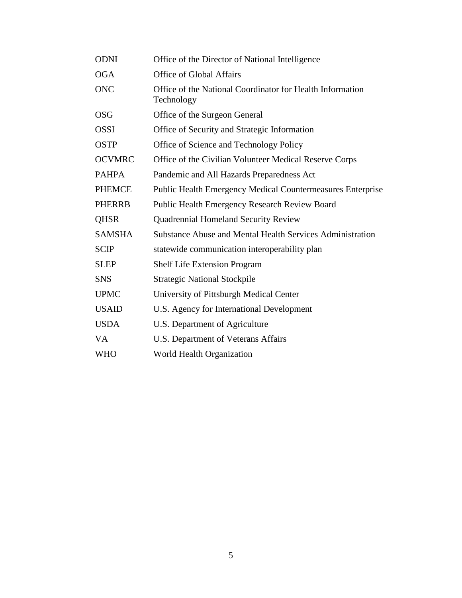| <b>ODNI</b>   | Office of the Director of National Intelligence                         |
|---------------|-------------------------------------------------------------------------|
| <b>OGA</b>    | Office of Global Affairs                                                |
| <b>ONC</b>    | Office of the National Coordinator for Health Information<br>Technology |
| <b>OSG</b>    | Office of the Surgeon General                                           |
| <b>OSSI</b>   | Office of Security and Strategic Information                            |
| <b>OSTP</b>   | Office of Science and Technology Policy                                 |
| <b>OCVMRC</b> | Office of the Civilian Volunteer Medical Reserve Corps                  |
| <b>PAHPA</b>  | Pandemic and All Hazards Preparedness Act                               |
| <b>PHEMCE</b> | <b>Public Health Emergency Medical Countermeasures Enterprise</b>       |
| <b>PHERRB</b> | <b>Public Health Emergency Research Review Board</b>                    |
| <b>QHSR</b>   | <b>Quadrennial Homeland Security Review</b>                             |
| <b>SAMSHA</b> | Substance Abuse and Mental Health Services Administration               |
| <b>SCIP</b>   | statewide communication interoperability plan                           |
| <b>SLEP</b>   | <b>Shelf Life Extension Program</b>                                     |
| <b>SNS</b>    | <b>Strategic National Stockpile</b>                                     |
| <b>UPMC</b>   | University of Pittsburgh Medical Center                                 |
| <b>USAID</b>  | U.S. Agency for International Development                               |
| <b>USDA</b>   | U.S. Department of Agriculture                                          |
| <b>VA</b>     | U.S. Department of Veterans Affairs                                     |
| <b>WHO</b>    | World Health Organization                                               |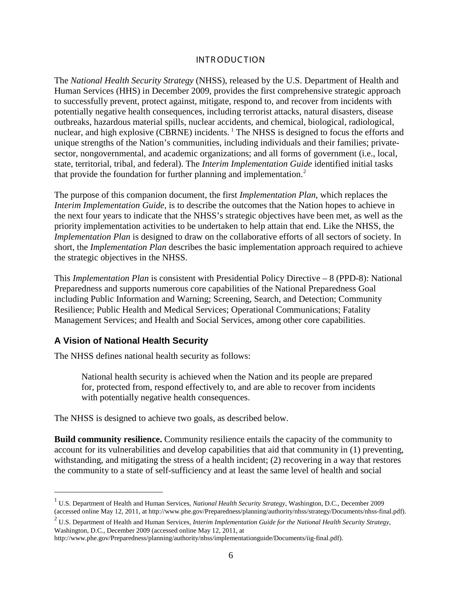#### INTR ODUCTION

The *National Health Security Strategy* (NHSS), released by the U.S. Department of Health and Human Services (HHS) in December 2009, provides the first comprehensive strategic approach to successfully prevent, protect against, mitigate, respond to, and recover from incidents with potentially negative health consequences, including terrorist attacks, natural disasters, disease outbreaks, hazardous material spills, nuclear accidents, and chemical, biological, radiological, nuclear, and high explosive (CBRNE) incidents. <sup>[1](#page-5-0)</sup> The NHSS is designed to focus the efforts and unique strengths of the Nation's communities, including individuals and their families; privatesector, nongovernmental, and academic organizations; and all forms of government (i.e., local, state, territorial, tribal, and federal). The *Interim Implementation Guide* identified initial tasks that provide the foundation for further planning and implementation.<sup>[2](#page-5-1)</sup>

The purpose of this companion document, the first *Implementation Plan*, which replaces the *Interim Implementation Guide*, is to describe the outcomes that the Nation hopes to achieve in the next four years to indicate that the NHSS's strategic objectives have been met, as well as the priority implementation activities to be undertaken to help attain that end. Like the NHSS, the *Implementation Plan* is designed to draw on the collaborative efforts of all sectors of society. In short, the *Implementation Plan* describes the basic implementation approach required to achieve the strategic objectives in the NHSS.

This *Implementation Plan* is consistent with Presidential Policy Directive – 8 (PPD-8): National Preparedness and supports numerous core capabilities of the National Preparedness Goal including Public Information and Warning; Screening, Search, and Detection; Community Resilience; Public Health and Medical Services; Operational Communications; Fatality Management Services; and Health and Social Services, among other core capabilities.

#### **A Vision of National Health Security**

The NHSS defines national health security as follows:

National health security is achieved when the Nation and its people are prepared for, protected from, respond effectively to, and are able to recover from incidents with potentially negative health consequences.

The NHSS is designed to achieve two goals, as described below.

**Build community resilience.** Community resilience entails the capacity of the community to account for its vulnerabilities and develop capabilities that aid that community in (1) preventing, withstanding, and mitigating the stress of a health incident; (2) recovering in a way that restores the community to a state of self-sufficiency and at least the same level of health and social

<span id="page-5-0"></span> <sup>1</sup> U.S. Department of Health and Human Services, *National Health Security Strategy*, Washington, D.C., December 2009 (accessed online May 12, 2011, at http://www.phe.gov/Preparedness/planning/authority/nhss/strategy/Documents/nhss-final.pdf).

<span id="page-5-1"></span><sup>2</sup> U.S. Department of Health and Human Services, *Interim Implementation Guide for the National Health Security Strategy*, Washington, D.C., December 2009 (accessed online May 12, 2011, at

http://www.phe.gov/Preparedness/planning/authority/nhss/implementationguide/Documents/iig-final.pdf).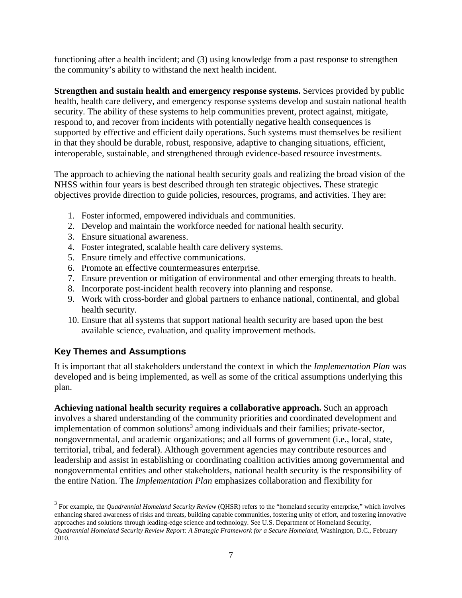functioning after a health incident; and (3) using knowledge from a past response to strengthen the community's ability to withstand the next health incident.

**Strengthen and sustain health and emergency response systems.** Services provided by public health, health care delivery, and emergency response systems develop and sustain national health security. The ability of these systems to help communities prevent, protect against, mitigate, respond to, and recover from incidents with potentially negative health consequences is supported by effective and efficient daily operations. Such systems must themselves be resilient in that they should be durable, robust, responsive, adaptive to changing situations, efficient, interoperable, sustainable, and strengthened through evidence-based resource investments.

The approach to achieving the national health security goals and realizing the broad vision of the NHSS within four years is best described through ten strategic objectives**.** These strategic objectives provide direction to guide policies, resources, programs, and activities. They are:

- 1. Foster informed, empowered individuals and communities.
- 2. Develop and maintain the workforce needed for national health security.
- 3. Ensure situational awareness.
- 4. Foster integrated, scalable health care delivery systems.
- 5. Ensure timely and effective communications.
- 6. Promote an effective countermeasures enterprise.
- 7. Ensure prevention or mitigation of environmental and other emerging threats to health.
- 8. Incorporate post-incident health recovery into planning and response.
- 9. Work with cross-border and global partners to enhance national, continental, and global health security.
- 10. Ensure that all systems that support national health security are based upon the best available science, evaluation, and quality improvement methods.

#### **Key Themes and Assumptions**

It is important that all stakeholders understand the context in which the *Implementation Plan* was developed and is being implemented, as well as some of the critical assumptions underlying this plan.

**Achieving national health security requires a collaborative approach.** Such an approach involves a shared understanding of the community priorities and coordinated development and implementation of common solutions<sup>[3](#page-6-0)</sup> among individuals and their families; private-sector, nongovernmental, and academic organizations; and all forms of government (i.e., local, state, territorial, tribal, and federal). Although government agencies may contribute resources and leadership and assist in establishing or coordinating coalition activities among governmental and nongovernmental entities and other stakeholders, national health security is the responsibility of the entire Nation. The *Implementation Plan* emphasizes collaboration and flexibility for

<span id="page-6-0"></span><sup>&</sup>lt;sup>3</sup> For example, the *Quadrennial Homeland Security Review* (QHSR) refers to the "homeland security enterprise," which involves enhancing shared awareness of risks and threats, building capable communities, fostering unity of effort, and fostering innovative approaches and solutions through leading-edge science and technology. See U.S. Department of Homeland Security, *Quadrennial Homeland Security Review Report: A Strategic Framework for a Secure Homeland*, Washington, D.C., February 2010.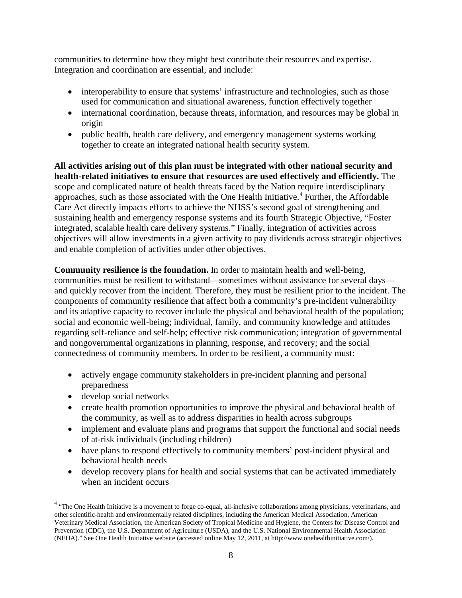communities to determine how they might best contribute their resources and expertise. Integration and coordination are essential, and include:

- interoperability to ensure that systems' infrastructure and technologies, such as those used for communication and situational awareness, function effectively together
- international coordination, because threats, information, and resources may be global in origin
- public health, health care delivery, and emergency management systems working together to create an integrated national health security system.

**All activities arising out of this plan must be integrated with other national security and health-related initiatives to ensure that resources are used effectively and efficiently.** The scope and complicated nature of health threats faced by the Nation require interdisciplinary approaches, such as those associated with the One Health Initiative. [4](#page-7-0) Further, the Affordable Care Act directly impacts efforts to achieve the NHSS's second goal of strengthening and sustaining health and emergency response systems and its fourth Strategic Objective, "Foster integrated, scalable health care delivery systems." Finally, integration of activities across objectives will allow investments in a given activity to pay dividends across strategic objectives and enable completion of activities under other objectives.

**Community resilience is the foundation.** In order to maintain health and well-being, communities must be resilient to withstand—sometimes without assistance for several days and quickly recover from the incident. Therefore, they must be resilient prior to the incident. The components of community resilience that affect both a community's pre-incident vulnerability and its adaptive capacity to recover include the physical and behavioral health of the population; social and economic well-being; individual, family, and community knowledge and attitudes regarding self-reliance and self-help; effective risk communication; integration of governmental and nongovernmental organizations in planning, response, and recovery; and the social connectedness of community members. In order to be resilient, a community must:

- actively engage community stakeholders in pre-incident planning and personal preparedness
- develop social networks
- create health promotion opportunities to improve the physical and behavioral health of the community, as well as to address disparities in health across subgroups
- implement and evaluate plans and programs that support the functional and social needs of at-risk individuals (including children)
- have plans to respond effectively to community members' post-incident physical and behavioral health needs
- develop recovery plans for health and social systems that can be activated immediately when an incident occurs

<span id="page-7-0"></span><sup>&</sup>lt;sup>4</sup> "The One Health Initiative is a movement to forge co-equal, all-inclusive collaborations among physicians, veterinarians, and other scientific-health and environmentally related disciplines, including the American Medical Association, American Veterinary Medical Association, the American Society of Tropical Medicine and Hygiene, the Centers for Disease Control and Prevention (CDC), the U.S. Department of Agriculture (USDA), and the U.S. National Environmental Health Association (NEHA)." See One Health Initiative website (accessed online May 12, 2011, a[t http://www.onehealthinitiative.com/\)](http://www.onehealthinitiative.com/).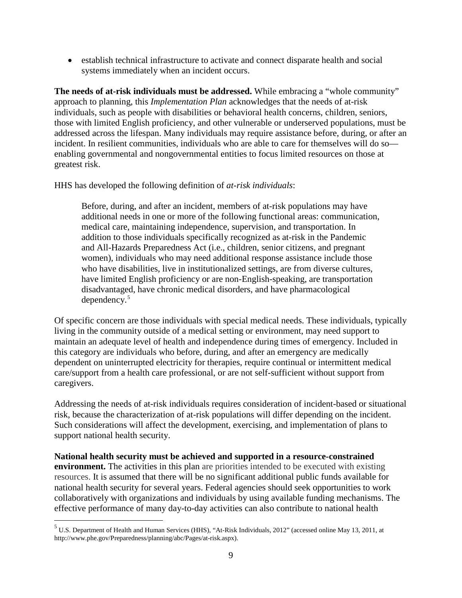• establish technical infrastructure to activate and connect disparate health and social systems immediately when an incident occurs.

**The needs of at-risk individuals must be addressed.** While embracing a "whole community" approach to planning, this *Implementation Plan* acknowledges that the needs of at-risk individuals, such as people with disabilities or behavioral health concerns, children, seniors, those with limited English proficiency, and other vulnerable or underserved populations, must be addressed across the lifespan. Many individuals may require assistance before, during, or after an incident. In resilient communities, individuals who are able to care for themselves will do so enabling governmental and nongovernmental entities to focus limited resources on those at greatest risk.

HHS has developed the following definition of *at-risk individuals*:

Before, during, and after an incident, members of at-risk populations may have additional needs in one or more of the following functional areas: communication, medical care, maintaining independence, supervision, and transportation. In addition to those individuals specifically recognized as at-risk in the Pandemic and All-Hazards Preparedness Act (i.e., children, senior citizens, and pregnant women), individuals who may need additional response assistance include those who have disabilities, live in institutionalized settings, are from diverse cultures, have limited English proficiency or are non-English-speaking, are transportation disadvantaged, have chronic medical disorders, and have pharmacological dependency.[5](#page-8-0)

Of specific concern are those individuals with special medical needs. These individuals, typically living in the community outside of a medical setting or environment, may need support to maintain an adequate level of health and independence during times of emergency. Included in this category are individuals who before, during, and after an emergency are medically dependent on uninterrupted electricity for therapies, require continual or intermittent medical care/support from a health care professional, or are not self-sufficient without support from caregivers.

Addressing the needs of at-risk individuals requires consideration of incident-based or situational risk, because the characterization of at-risk populations will differ depending on the incident. Such considerations will affect the development, exercising, and implementation of plans to support national health security.

**National health security must be achieved and supported in a resource-constrained environment.** The activities in this plan are priorities intended to be executed with existing resources. It is assumed that there will be no significant additional public funds available for national health security for several years. Federal agencies should seek opportunities to work collaboratively with organizations and individuals by using available funding mechanisms. The effective performance of many day-to-day activities can also contribute to national health

<span id="page-8-0"></span> <sup>5</sup> U.S. Department of Health and Human Services (HHS), "At-Risk Individuals, 2012" (accessed online May 13, 2011, at http://www.phe.gov/Preparedness/planning/abc/Pages/at-risk.aspx).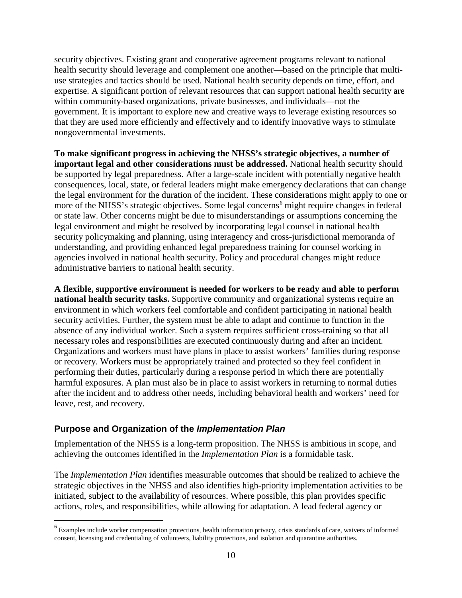security objectives. Existing grant and cooperative agreement programs relevant to national health security should leverage and complement one another—based on the principle that multiuse strategies and tactics should be used. National health security depends on time, effort, and expertise. A significant portion of relevant resources that can support national health security are within community-based organizations, private businesses, and individuals—not the government. It is important to explore new and creative ways to leverage existing resources so that they are used more efficiently and effectively and to identify innovative ways to stimulate nongovernmental investments.

**To make significant progress in achieving the NHSS's strategic objectives, a number of important legal and other considerations must be addressed.** National health security should be supported by legal preparedness. After a large-scale incident with potentially negative health consequences, local, state, or federal leaders might make emergency declarations that can change the legal environment for the duration of the incident. These considerations might apply to one or more of the NHSS's strategic objectives. Some legal concerns<sup>[6](#page-9-0)</sup> might require changes in federal or state law. Other concerns might be due to misunderstandings or assumptions concerning the legal environment and might be resolved by incorporating legal counsel in national health security policymaking and planning, using interagency and cross-jurisdictional memoranda of understanding, and providing enhanced legal preparedness training for counsel working in agencies involved in national health security. Policy and procedural changes might reduce administrative barriers to national health security.

**A flexible, supportive environment is needed for workers to be ready and able to perform national health security tasks.** Supportive community and organizational systems require an environment in which workers feel comfortable and confident participating in national health security activities. Further, the system must be able to adapt and continue to function in the absence of any individual worker. Such a system requires sufficient cross-training so that all necessary roles and responsibilities are executed continuously during and after an incident. Organizations and workers must have plans in place to assist workers' families during response or recovery. Workers must be appropriately trained and protected so they feel confident in performing their duties, particularly during a response period in which there are potentially harmful exposures. A plan must also be in place to assist workers in returning to normal duties after the incident and to address other needs, including behavioral health and workers' need for leave, rest, and recovery.

#### **Purpose and Organization of the** *Implementation Plan*

Implementation of the NHSS is a long-term proposition. The NHSS is ambitious in scope, and achieving the outcomes identified in the *Implementation Plan* is a formidable task.

The *Implementation Plan* identifies measurable outcomes that should be realized to achieve the strategic objectives in the NHSS and also identifies high-priority implementation activities to be initiated, subject to the availability of resources. Where possible, this plan provides specific actions, roles, and responsibilities, while allowing for adaptation. A lead federal agency or

<span id="page-9-0"></span><sup>&</sup>lt;sup>6</sup> Examples include worker compensation protections, health information privacy, crisis standards of care, waivers of informed consent, licensing and credentialing of volunteers, liability protections, and isolation and quarantine authorities.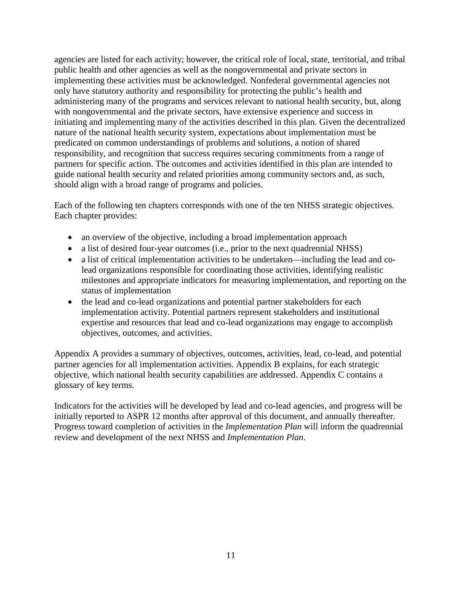agencies are listed for each activity; however, the critical role of local, state, territorial, and tribal public health and other agencies as well as the nongovernmental and private sectors in implementing these activities must be acknowledged. Nonfederal governmental agencies not only have statutory authority and responsibility for protecting the public's health and administering many of the programs and services relevant to national health security, but, along with nongovernmental and the private sectors, have extensive experience and success in initiating and implementing many of the activities described in this plan. Given the decentralized nature of the national health security system, expectations about implementation must be predicated on common understandings of problems and solutions, a notion of shared responsibility, and recognition that success requires securing commitments from a range of partners for specific action. The outcomes and activities identified in this plan are intended to guide national health security and related priorities among community sectors and, as such, should align with a broad range of programs and policies.

Each of the following ten chapters corresponds with one of the ten NHSS strategic objectives. Each chapter provides:

- an overview of the objective, including a broad implementation approach
- a list of desired four-year outcomes (i.e., prior to the next quadrennial NHSS)
- a list of critical implementation activities to be undertaken—including the lead and colead organizations responsible for coordinating those activities, identifying realistic milestones and appropriate indicators for measuring implementation, and reporting on the status of implementation
- the lead and co-lead organizations and potential partner stakeholders for each implementation activity. Potential partners represent stakeholders and institutional expertise and resources that lead and co-lead organizations may engage to accomplish objectives, outcomes, and activities.

Appendix A provides a summary of objectives, outcomes, activities, lead, co-lead, and potential partner agencies for all implementation activities. Appendix B explains, for each strategic objective, which national health security capabilities are addressed. Appendix C contains a glossary of key terms.

Indicators for the activities will be developed by lead and co-lead agencies, and progress will be initially reported to ASPR 12 months after approval of this document, and annually thereafter. Progress toward completion of activities in the *Implementation Plan* will inform the quadrennial review and development of the next NHSS and *Implementation Plan*.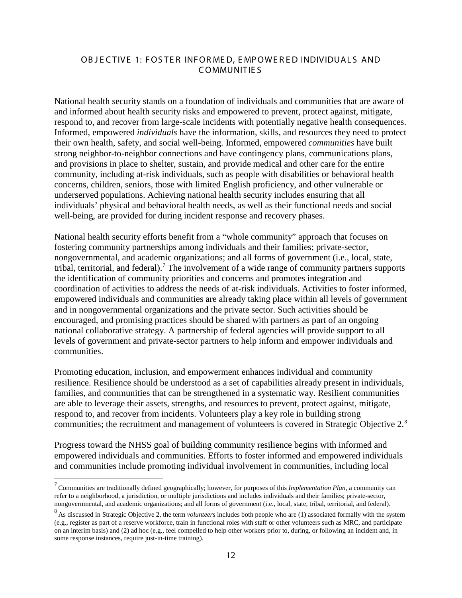#### OBJECTIVE 1: FOSTER INFORMED, EMPOWERED INDIVIDUALS AND C OMMUNITIE S

National health security stands on a foundation of individuals and communities that are aware of and informed about health security risks and empowered to prevent, protect against, mitigate, respond to, and recover from large-scale incidents with potentially negative health consequences. Informed, empowered *individuals* have the information, skills, and resources they need to protect their own health, safety, and social well-being. Informed, empowered *communities* have built strong neighbor-to-neighbor connections and have contingency plans, communications plans, and provisions in place to shelter, sustain, and provide medical and other care for the entire community, including at-risk individuals, such as people with disabilities or behavioral health concerns, children, seniors, those with limited English proficiency, and other vulnerable or underserved populations. Achieving national health security includes ensuring that all individuals' physical and behavioral health needs, as well as their functional needs and social well-being, are provided for during incident response and recovery phases.

National health security efforts benefit from a "whole community" approach that focuses on fostering community partnerships among individuals and their families; private-sector, nongovernmental, and academic organizations; and all forms of government (i.e., local, state, tribal, territorial, and federal).<sup>[7](#page-11-0)</sup> The involvement of a wide range of community partners supports the identification of community priorities and concerns and promotes integration and coordination of activities to address the needs of at-risk individuals. Activities to foster informed, empowered individuals and communities are already taking place within all levels of government and in nongovernmental organizations and the private sector. Such activities should be encouraged, and promising practices should be shared with partners as part of an ongoing national collaborative strategy. A partnership of federal agencies will provide support to all levels of government and private-sector partners to help inform and empower individuals and communities.

Promoting education, inclusion, and empowerment enhances individual and community resilience. Resilience should be understood as a set of capabilities already present in individuals, families, and communities that can be strengthened in a systematic way. Resilient communities are able to leverage their assets, strengths, and resources to prevent, protect against, mitigate, respond to, and recover from incidents. Volunteers play a key role in building strong communities; the recruitment and management of volunteers is covered in Strategic Objective 2.<sup>[8](#page-11-1)</sup>

Progress toward the NHSS goal of building community resilience begins with informed and empowered individuals and communities. Efforts to foster informed and empowered individuals and communities include promoting individual involvement in communities, including local

<span id="page-11-0"></span> <sup>7</sup> Communities are traditionally defined geographically; however, for purposes of this *Implementation Plan*, a community can refer to a neighborhood, a jurisdiction, or multiple jurisdictions and includes individuals and their families; private-sector, nongovernmental, and academic organizations; and all forms of government (i.e., local, state, tribal, territorial, and federal).

<span id="page-11-1"></span><sup>&</sup>lt;sup>8</sup> As discussed in Strategic Objective 2, the term *volunteers* includes both people who are (1) associated formally with the system (e.g., register as part of a reserve workforce, train in functional roles with staff or other volunteers such as MRC, and participate on an interim basis) and (2) ad hoc (e.g., feel compelled to help other workers prior to, during, or following an incident and, in some response instances, require just-in-time training).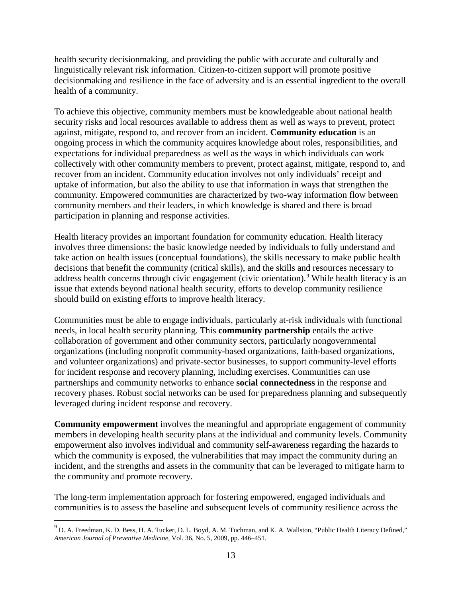health security decisionmaking, and providing the public with accurate and culturally and linguistically relevant risk information. Citizen-to-citizen support will promote positive decisionmaking and resilience in the face of adversity and is an essential ingredient to the overall health of a community.

To achieve this objective, community members must be knowledgeable about national health security risks and local resources available to address them as well as ways to prevent, protect against, mitigate, respond to, and recover from an incident. **Community education** is an ongoing process in which the community acquires knowledge about roles, responsibilities, and expectations for individual preparedness as well as the ways in which individuals can work collectively with other community members to prevent, protect against, mitigate, respond to, and recover from an incident. Community education involves not only individuals' receipt and uptake of information, but also the ability to use that information in ways that strengthen the community. Empowered communities are characterized by two-way information flow between community members and their leaders, in which knowledge is shared and there is broad participation in planning and response activities.

Health literacy provides an important foundation for community education. Health literacy involves three dimensions: the basic knowledge needed by individuals to fully understand and take action on health issues (conceptual foundations), the skills necessary to make public health decisions that benefit the community (critical skills), and the skills and resources necessary to address health concerns through civic engagement (civic orientation).<sup>[9](#page-12-0)</sup> While health literacy is an issue that extends beyond national health security, efforts to develop community resilience should build on existing efforts to improve health literacy.

Communities must be able to engage individuals, particularly at-risk individuals with functional needs, in local health security planning. This **community partnership** entails the active collaboration of government and other community sectors, particularly nongovernmental organizations (including nonprofit community-based organizations, faith-based organizations, and volunteer organizations) and private-sector businesses, to support community-level efforts for incident response and recovery planning, including exercises. Communities can use partnerships and community networks to enhance **social connectedness** in the response and recovery phases. Robust social networks can be used for preparedness planning and subsequently leveraged during incident response and recovery.

**Community empowerment** involves the meaningful and appropriate engagement of community members in developing health security plans at the individual and community levels. Community empowerment also involves individual and community self-awareness regarding the hazards to which the community is exposed, the vulnerabilities that may impact the community during an incident, and the strengths and assets in the community that can be leveraged to mitigate harm to the community and promote recovery.

The long-term implementation approach for fostering empowered, engaged individuals and communities is to assess the baseline and subsequent levels of community resilience across the

<span id="page-12-0"></span><sup>&</sup>lt;sup>9</sup> D. A. Freedman, K. D. Bess, H. A. Tucker, D. L. Boyd, A. M. Tuchman, and K. A. Wallston, "Public Health Literacy Defined," *American Journal of Preventive Medicine*, Vol. 36, No. 5, 2009, pp. 446–451.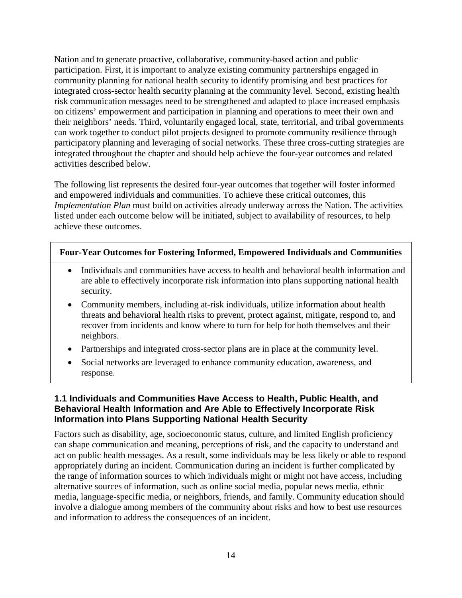Nation and to generate proactive, collaborative, community-based action and public participation. First, it is important to analyze existing community partnerships engaged in community planning for national health security to identify promising and best practices for integrated cross-sector health security planning at the community level. Second, existing health risk communication messages need to be strengthened and adapted to place increased emphasis on citizens' empowerment and participation in planning and operations to meet their own and their neighbors' needs. Third, voluntarily engaged local, state, territorial, and tribal governments can work together to conduct pilot projects designed to promote community resilience through participatory planning and leveraging of social networks. These three cross-cutting strategies are integrated throughout the chapter and should help achieve the four-year outcomes and related activities described below.

The following list represents the desired four-year outcomes that together will foster informed and empowered individuals and communities. To achieve these critical outcomes, this *Implementation Plan* must build on activities already underway across the Nation. The activities listed under each outcome below will be initiated, subject to availability of resources, to help achieve these outcomes.

#### **Four-Year Outcomes for Fostering Informed, Empowered Individuals and Communities**

- Individuals and communities have access to health and behavioral health information and are able to effectively incorporate risk information into plans supporting national health security.
- Community members, including at-risk individuals, utilize information about health threats and behavioral health risks to prevent, protect against, mitigate, respond to, and recover from incidents and know where to turn for help for both themselves and their neighbors.
- Partnerships and integrated cross-sector plans are in place at the community level.
- Social networks are leveraged to enhance community education, awareness, and response.

### **1.1 Individuals and Communities Have Access to Health, Public Health, and Behavioral Health Information and Are Able to Effectively Incorporate Risk Information into Plans Supporting National Health Security**

Factors such as disability, age, socioeconomic status, culture, and limited English proficiency can shape communication and meaning, perceptions of risk, and the capacity to understand and act on public health messages. As a result, some individuals may be less likely or able to respond appropriately during an incident. Communication during an incident is further complicated by the range of information sources to which individuals might or might not have access, including alternative sources of information, such as online social media, popular news media, ethnic media, language-specific media, or neighbors, friends, and family. Community education should involve a dialogue among members of the community about risks and how to best use resources and information to address the consequences of an incident.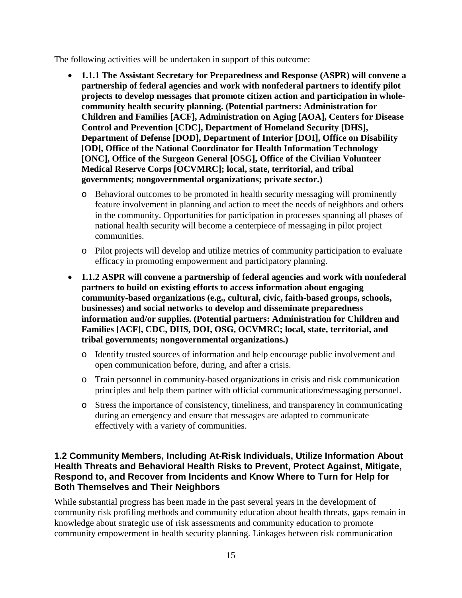The following activities will be undertaken in support of this outcome:

- **1.1.1 The Assistant Secretary for Preparedness and Response (ASPR) will convene a partnership of federal agencies and work with nonfederal partners to identify pilot projects to develop messages that promote citizen action and participation in wholecommunity health security planning. (Potential partners: Administration for Children and Families [ACF], Administration on Aging [AOA], Centers for Disease Control and Prevention [CDC], Department of Homeland Security [DHS], Department of Defense [DOD], Department of Interior [DOI], Office on Disability [OD], Office of the National Coordinator for Health Information Technology [ONC], Office of the Surgeon General [OSG], Office of the Civilian Volunteer Medical Reserve Corps [OCVMRC]; local, state, territorial, and tribal governments; nongovernmental organizations; private sector.)**
	- o Behavioral outcomes to be promoted in health security messaging will prominently feature involvement in planning and action to meet the needs of neighbors and others in the community. Opportunities for participation in processes spanning all phases of national health security will become a centerpiece of messaging in pilot project communities.
	- o Pilot projects will develop and utilize metrics of community participation to evaluate efficacy in promoting empowerment and participatory planning.
- **1.1.2 ASPR will convene a partnership of federal agencies and work with nonfederal partners to build on existing efforts to access information about engaging community-based organizations (e.g., cultural, civic, faith-based groups, schools, businesses) and social networks to develop and disseminate preparedness information and/or supplies. (Potential partners: Administration for Children and Families [ACF], CDC, DHS, DOI, OSG, OCVMRC; local, state, territorial, and tribal governments; nongovernmental organizations.)**
	- o Identify trusted sources of information and help encourage public involvement and open communication before, during, and after a crisis.
	- o Train personnel in community-based organizations in crisis and risk communication principles and help them partner with official communications/messaging personnel.
	- o Stress the importance of consistency, timeliness, and transparency in communicating during an emergency and ensure that messages are adapted to communicate effectively with a variety of communities.

### **1.2 Community Members, Including At-Risk Individuals, Utilize Information About Health Threats and Behavioral Health Risks to Prevent, Protect Against, Mitigate, Respond to, and Recover from Incidents and Know Where to Turn for Help for Both Themselves and Their Neighbors**

While substantial progress has been made in the past several years in the development of community risk profiling methods and community education about health threats, gaps remain in knowledge about strategic use of risk assessments and community education to promote community empowerment in health security planning. Linkages between risk communication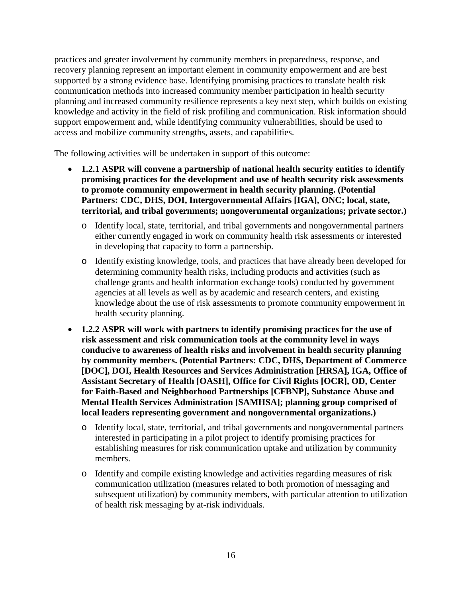practices and greater involvement by community members in preparedness, response, and recovery planning represent an important element in community empowerment and are best supported by a strong evidence base. Identifying promising practices to translate health risk communication methods into increased community member participation in health security planning and increased community resilience represents a key next step, which builds on existing knowledge and activity in the field of risk profiling and communication. Risk information should support empowerment and, while identifying community vulnerabilities, should be used to access and mobilize community strengths, assets, and capabilities.

The following activities will be undertaken in support of this outcome:

- **1.2.1 ASPR will convene a partnership of national health security entities to identify promising practices for the development and use of health security risk assessments to promote community empowerment in health security planning. (Potential Partners: CDC, DHS, DOI, Intergovernmental Affairs [IGA], ONC; local, state, territorial, and tribal governments; nongovernmental organizations; private sector.)**
	- o Identify local, state, territorial, and tribal governments and nongovernmental partners either currently engaged in work on community health risk assessments or interested in developing that capacity to form a partnership.
	- o Identify existing knowledge, tools, and practices that have already been developed for determining community health risks, including products and activities (such as challenge grants and health information exchange tools) conducted by government agencies at all levels as well as by academic and research centers, and existing knowledge about the use of risk assessments to promote community empowerment in health security planning.
- **1.2.2 ASPR will work with partners to identify promising practices for the use of risk assessment and risk communication tools at the community level in ways conducive to awareness of health risks and involvement in health security planning by community members. (Potential Partners: CDC, DHS, Department of Commerce [DOC], DOI, Health Resources and Services Administration [HRSA], IGA, Office of Assistant Secretary of Health [OASH], Office for Civil Rights [OCR], OD, Center for Faith-Based and Neighborhood Partnerships [CFBNP], Substance Abuse and Mental Health Services Administration [SAMHSA]; planning group comprised of local leaders representing government and nongovernmental organizations.)**
	- o Identify local, state, territorial, and tribal governments and nongovernmental partners interested in participating in a pilot project to identify promising practices for establishing measures for risk communication uptake and utilization by community members.
	- o Identify and compile existing knowledge and activities regarding measures of risk communication utilization (measures related to both promotion of messaging and subsequent utilization) by community members, with particular attention to utilization of health risk messaging by at-risk individuals.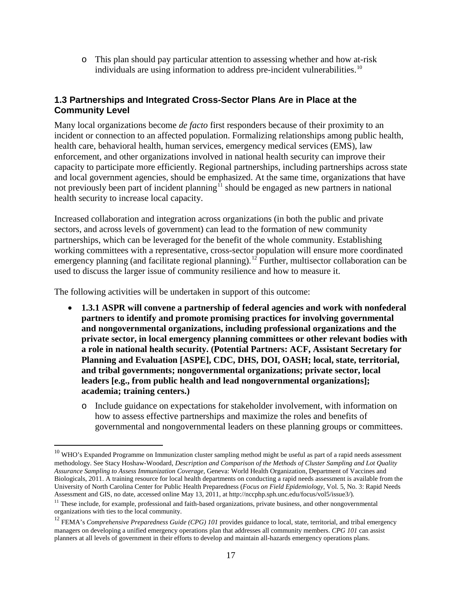o This plan should pay particular attention to assessing whether and how at-risk individuals are using information to address pre-incident vulnerabilities.<sup>[10](#page-16-0)</sup>

### **1.3 Partnerships and Integrated Cross-Sector Plans Are in Place at the Community Level**

Many local organizations become *de facto* first responders because of their proximity to an incident or connection to an affected population. Formalizing relationships among public health, health care, behavioral health, human services, emergency medical services (EMS), law enforcement, and other organizations involved in national health security can improve their capacity to participate more efficiently. Regional partnerships, including partnerships across state and local government agencies, should be emphasized. At the same time, organizations that have not previously been part of incident planning<sup> $\hat{I}$ </sup> should be engaged as new partners in national health security to increase local capacity.

Increased collaboration and integration across organizations (in both the public and private sectors, and across levels of government) can lead to the formation of new community partnerships, which can be leveraged for the benefit of the whole community. Establishing working committees with a representative, cross-sector population will ensure more coordinated emergency planning (and facilitate regional planning).<sup>[12](#page-16-2)</sup> Further, multisector collaboration can be used to discuss the larger issue of community resilience and how to measure it.

The following activities will be undertaken in support of this outcome:

- **1.3.1 ASPR will convene a partnership of federal agencies and work with nonfederal partners to identify and promote promising practices for involving governmental and nongovernmental organizations, including professional organizations and the private sector, in local emergency planning committees or other relevant bodies with a role in national health security. (Potential Partners: ACF, Assistant Secretary for Planning and Evaluation [ASPE], CDC, DHS, DOI, OASH; local, state, territorial, and tribal governments; nongovernmental organizations; private sector, local leaders [e.g., from public health and lead nongovernmental organizations]; academia; training centers.)**
	- o Include guidance on expectations for stakeholder involvement, with information on how to assess effective partnerships and maximize the roles and benefits of governmental and nongovernmental leaders on these planning groups or committees.

<span id="page-16-0"></span> $10$  WHO's Expanded Programme on Immunization cluster sampling method might be useful as part of a rapid needs assessment methodology. See Stacy Hoshaw-Woodard, *Description and Comparison of the Methods of Cluster Sampling and Lot Quality Assurance Sampling to Assess Immunization Coverage*, Geneva: World Health Organization, Department of Vaccines and Biologicals, 2011. A training resource for local health departments on conducting a rapid needs assessment is available from the University of North Carolina Center for Public Health Preparedness (*Focus on Field Epidemiology*, Vol. 5, No. 3: Rapid Needs Assessment and GIS, no date, accessed online May 13, 2011, a[t http://nccphp.sph.unc.edu/focus/vol5/issue3/\)](http://nccphp.sph.unc.edu/focus/vol5/issue3/).

<span id="page-16-1"></span> $11$  These include, for example, professional and faith-based organizations, private business, and other nongovernmental organizations with ties to the local community.

<span id="page-16-2"></span><sup>&</sup>lt;sup>12</sup> FEMA's *Comprehensive Preparedness Guide (CPG) 101* provides guidance to local, state, territorial, and tribal emergency managers on developing a unified emergency operations plan that addresses all community members. *CPG 101* can assist planners at all levels of government in their efforts to develop and maintain all-hazards emergency operations plans.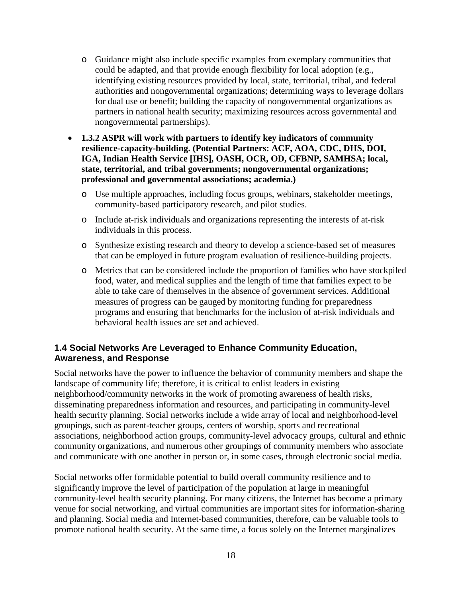- o Guidance might also include specific examples from exemplary communities that could be adapted, and that provide enough flexibility for local adoption (e.g., identifying existing resources provided by local, state, territorial, tribal, and federal authorities and nongovernmental organizations; determining ways to leverage dollars for dual use or benefit; building the capacity of nongovernmental organizations as partners in national health security; maximizing resources across governmental and nongovernmental partnerships).
- **1.3.2 ASPR will work with partners to identify key indicators of community resilience-capacity-building. (Potential Partners: ACF, AOA, CDC, DHS, DOI, IGA, Indian Health Service [IHS], OASH, OCR, OD, CFBNP, SAMHSA; local, state, territorial, and tribal governments; nongovernmental organizations; professional and governmental associations; academia.)**
	- o Use multiple approaches, including focus groups, webinars, stakeholder meetings, community-based participatory research, and pilot studies.
	- o Include at-risk individuals and organizations representing the interests of at-risk individuals in this process.
	- o Synthesize existing research and theory to develop a science-based set of measures that can be employed in future program evaluation of resilience-building projects.
	- o Metrics that can be considered include the proportion of families who have stockpiled food, water, and medical supplies and the length of time that families expect to be able to take care of themselves in the absence of government services. Additional measures of progress can be gauged by monitoring funding for preparedness programs and ensuring that benchmarks for the inclusion of at-risk individuals and behavioral health issues are set and achieved.

#### **1.4 Social Networks Are Leveraged to Enhance Community Education, Awareness, and Response**

Social networks have the power to influence the behavior of community members and shape the landscape of community life; therefore, it is critical to enlist leaders in existing neighborhood/community networks in the work of promoting awareness of health risks, disseminating preparedness information and resources, and participating in community-level health security planning. Social networks include a wide array of local and neighborhood-level groupings, such as parent-teacher groups, centers of worship, sports and recreational associations, neighborhood action groups, community-level advocacy groups, cultural and ethnic community organizations, and numerous other groupings of community members who associate and communicate with one another in person or, in some cases, through electronic social media.

Social networks offer formidable potential to build overall community resilience and to significantly improve the level of participation of the population at large in meaningful community-level health security planning. For many citizens, the Internet has become a primary venue for social networking, and virtual communities are important sites for information-sharing and planning. Social media and Internet-based communities, therefore, can be valuable tools to promote national health security. At the same time, a focus solely on the Internet marginalizes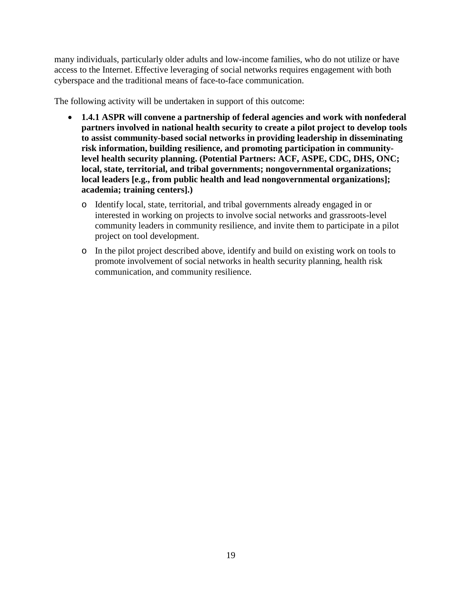many individuals, particularly older adults and low-income families, who do not utilize or have access to the Internet. Effective leveraging of social networks requires engagement with both cyberspace and the traditional means of face-to-face communication.

The following activity will be undertaken in support of this outcome:

- **1.4.1 ASPR will convene a partnership of federal agencies and work with nonfederal partners involved in national health security to create a pilot project to develop tools to assist community-based social networks in providing leadership in disseminating risk information, building resilience, and promoting participation in communitylevel health security planning. (Potential Partners: ACF, ASPE, CDC, DHS, ONC; local, state, territorial, and tribal governments; nongovernmental organizations; local leaders [e.g., from public health and lead nongovernmental organizations]; academia; training centers].)**
	- o Identify local, state, territorial, and tribal governments already engaged in or interested in working on projects to involve social networks and grassroots-level community leaders in community resilience, and invite them to participate in a pilot project on tool development.
	- o In the pilot project described above, identify and build on existing work on tools to promote involvement of social networks in health security planning, health risk communication, and community resilience.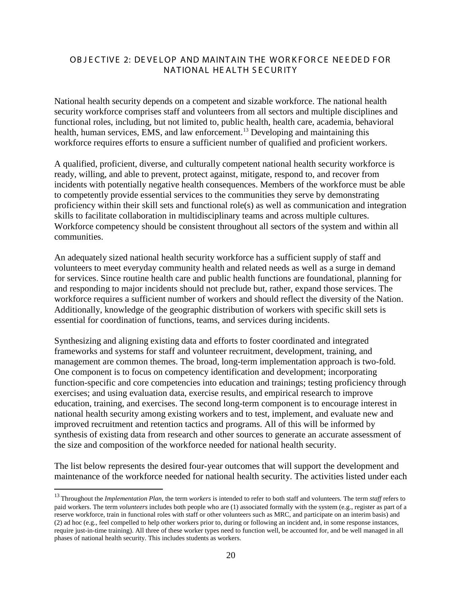#### OB JECTIVE 2: DEVELOP AND MAINTAIN THE WORKFORCE NEEDED FOR NATIONAL HE ALTH SECURITY

National health security depends on a competent and sizable workforce. The national health security workforce comprises staff and volunteers from all sectors and multiple disciplines and functional roles, including, but not limited to, public health, health care, academia, behavioral health, human services, EMS, and law enforcement.<sup>[13](#page-19-0)</sup> Developing and maintaining this workforce requires efforts to ensure a sufficient number of qualified and proficient workers.

A qualified, proficient, diverse, and culturally competent national health security workforce is ready, willing, and able to prevent, protect against, mitigate, respond to, and recover from incidents with potentially negative health consequences. Members of the workforce must be able to competently provide essential services to the communities they serve by demonstrating proficiency within their skill sets and functional role(s) as well as communication and integration skills to facilitate collaboration in multidisciplinary teams and across multiple cultures. Workforce competency should be consistent throughout all sectors of the system and within all communities.

An adequately sized national health security workforce has a sufficient supply of staff and volunteers to meet everyday community health and related needs as well as a surge in demand for services. Since routine health care and public health functions are foundational, planning for and responding to major incidents should not preclude but, rather, expand those services. The workforce requires a sufficient number of workers and should reflect the diversity of the Nation. Additionally, knowledge of the geographic distribution of workers with specific skill sets is essential for coordination of functions, teams, and services during incidents.

Synthesizing and aligning existing data and efforts to foster coordinated and integrated frameworks and systems for staff and volunteer recruitment, development, training, and management are common themes. The broad, long-term implementation approach is two-fold. One component is to focus on competency identification and development; incorporating function-specific and core competencies into education and trainings; testing proficiency through exercises; and using evaluation data, exercise results, and empirical research to improve education, training, and exercises. The second long-term component is to encourage interest in national health security among existing workers and to test, implement, and evaluate new and improved recruitment and retention tactics and programs. All of this will be informed by synthesis of existing data from research and other sources to generate an accurate assessment of the size and composition of the workforce needed for national health security.

The list below represents the desired four-year outcomes that will support the development and maintenance of the workforce needed for national health security. The activities listed under each

<span id="page-19-0"></span> <sup>13</sup> Throughout the *Implementation Plan*, the term *workers* is intended to refer to both staff and volunteers. The term *staff* refers to paid workers. The term *volunteers* includes both people who are (1) associated formally with the system (e.g., register as part of a reserve workforce, train in functional roles with staff or other volunteers such as MRC, and participate on an interim basis) and (2) ad hoc (e.g., feel compelled to help other workers prior to, during or following an incident and, in some response instances, require just-in-time training). All three of these worker types need to function well, be accounted for, and be well managed in all phases of national health security. This includes students as workers.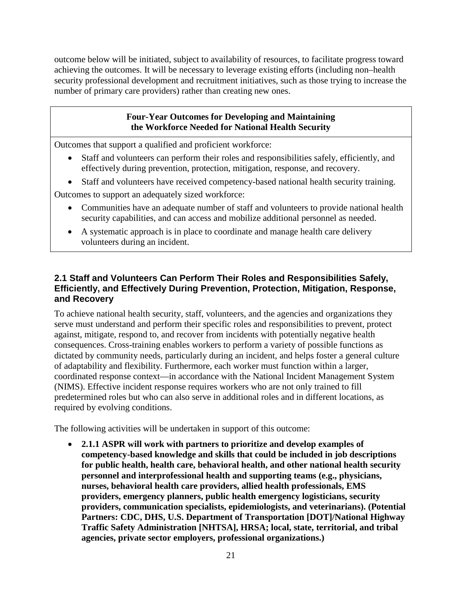outcome below will be initiated, subject to availability of resources, to facilitate progress toward achieving the outcomes. It will be necessary to leverage existing efforts (including non–health security professional development and recruitment initiatives, such as those trying to increase the number of primary care providers) rather than creating new ones.

### **Four-Year Outcomes for Developing and Maintaining the Workforce Needed for National Health Security**

Outcomes that support a qualified and proficient workforce:

- Staff and volunteers can perform their roles and responsibilities safely, efficiently, and effectively during prevention, protection, mitigation, response, and recovery.
- Staff and volunteers have received competency-based national health security training.

Outcomes to support an adequately sized workforce:

- Communities have an adequate number of staff and volunteers to provide national health security capabilities, and can access and mobilize additional personnel as needed.
- A systematic approach is in place to coordinate and manage health care delivery volunteers during an incident.

## **2.1 Staff and Volunteers Can Perform Their Roles and Responsibilities Safely, Efficiently, and Effectively During Prevention, Protection, Mitigation, Response, and Recovery**

To achieve national health security, staff, volunteers, and the agencies and organizations they serve must understand and perform their specific roles and responsibilities to prevent, protect against, mitigate, respond to, and recover from incidents with potentially negative health consequences. Cross-training enables workers to perform a variety of possible functions as dictated by community needs, particularly during an incident, and helps foster a general culture of adaptability and flexibility. Furthermore, each worker must function within a larger, coordinated response context—in accordance with the National Incident Management System (NIMS). Effective incident response requires workers who are not only trained to fill predetermined roles but who can also serve in additional roles and in different locations, as required by evolving conditions.

The following activities will be undertaken in support of this outcome:

• **2.1.1 ASPR will work with partners to prioritize and develop examples of competency-based knowledge and skills that could be included in job descriptions for public health, health care, behavioral health, and other national health security personnel and interprofessional health and supporting teams (e.g., physicians, nurses, behavioral health care providers, allied health professionals, EMS providers, emergency planners, public health emergency logisticians, security providers, communication specialists, epidemiologists, and veterinarians). (Potential Partners: CDC, DHS, U.S. Department of Transportation [DOT]/National Highway Traffic Safety Administration [NHTSA], HRSA; local, state, territorial, and tribal agencies, private sector employers, professional organizations.)**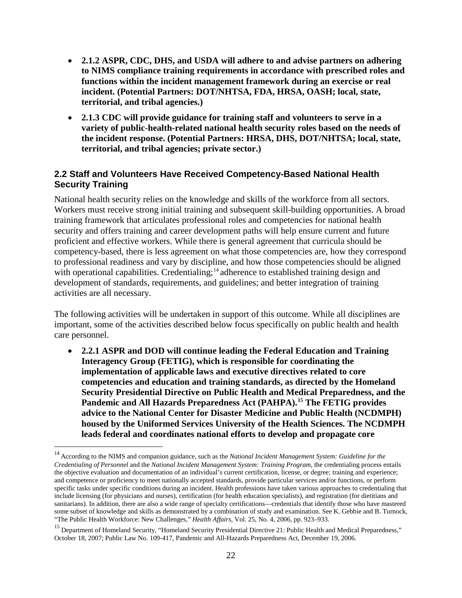- **2.1.2 ASPR, CDC, DHS, and USDA will adhere to and advise partners on adhering to NIMS compliance training requirements in accordance with prescribed roles and functions within the incident management framework during an exercise or real incident. (Potential Partners: DOT/NHTSA, FDA, HRSA, OASH; local, state, territorial, and tribal agencies.)**
- **2.1.3 CDC will provide guidance for training staff and volunteers to serve in a variety of public-health-related national health security roles based on the needs of the incident response. (Potential Partners: HRSA, DHS, DOT/NHTSA; local, state, territorial, and tribal agencies; private sector.)**

#### **2.2 Staff and Volunteers Have Received Competency-Based National Health Security Training**

National health security relies on the knowledge and skills of the workforce from all sectors. Workers must receive strong initial training and subsequent skill-building opportunities. A broad training framework that articulates professional roles and competencies for national health security and offers training and career development paths will help ensure current and future proficient and effective workers. While there is general agreement that curricula should be competency-based, there is less agreement on what those competencies are, how they correspond to professional readiness and vary by discipline, and how those competencies should be aligned with operational capabilities. Credentialing;<sup>[14](#page-21-0)</sup> adherence to established training design and development of standards, requirements, and guidelines; and better integration of training activities are all necessary.

The following activities will be undertaken in support of this outcome. While all disciplines are important, some of the activities described below focus specifically on public health and health care personnel.

• **2.2.1 ASPR and DOD will continue leading the Federal Education and Training Interagency Group (FETIG), which is responsible for coordinating the implementation of applicable laws and executive directives related to core competencies and education and training standards, as directed by the Homeland Security Presidential Directive on Public Health and Medical Preparedness, and the Pandemic and All Hazards Preparedness Act (PAHPA).[15](#page-21-1) The FETIG provides advice to the National Center for Disaster Medicine and Public Health (NCDMPH) housed by the Uniformed Services University of the Health Sciences. The NCDMPH leads federal and coordinates national efforts to develop and propagate core** 

<span id="page-21-0"></span> <sup>14</sup> According to the NIMS and companion guidance, such as the *National Incident Management System: Guideline for the Credentialing of Personnel* and the *National Incident Management System: Training Program*, the credentialing process entails the objective evaluation and documentation of an individual's current certification, license, or degree; training and experience; and competence or proficiency to meet nationally accepted standards, provide particular services and/or functions, or perform specific tasks under specific conditions during an incident. Health professions have taken various approaches to credentialing that include licensing (for physicians and nurses), certification (for health education specialists), and registration (for dietitians and sanitarians). In addition, there are also a wide range of specialty certifications—credentials that identify those who have mastered some subset of knowledge and skills as demonstrated by a combination of study and examination. See K. Gebbie and B. Turnock, "The Public Health Workforce: New Challenges," *Health Affairs*, Vol. 25, No. 4, 2006, pp. 923–933.

<span id="page-21-1"></span><sup>&</sup>lt;sup>15</sup> Department of Homeland Security, "Homeland Security Presidential Directive 21: Public Health and Medical Preparedness," October 18, 2007; Public Law No. 109-417, Pandemic and All-Hazards Preparedness Act, December 19, 2006.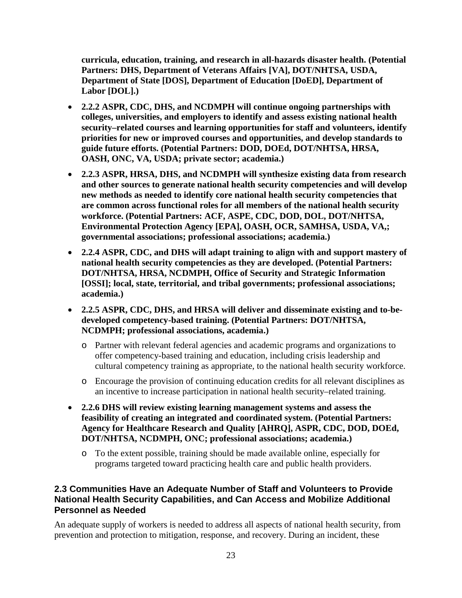**curricula, education, training, and research in all-hazards disaster health. (Potential Partners: DHS, Department of Veterans Affairs [VA], DOT/NHTSA, USDA, Department of State [DOS], Department of Education [DoED], Department of Labor [DOL].)** 

- **2.2.2 ASPR, CDC, DHS, and NCDMPH will continue ongoing partnerships with colleges, universities, and employers to identify and assess existing national health security–related courses and learning opportunities for staff and volunteers, identify priorities for new or improved courses and opportunities, and develop standards to guide future efforts. (Potential Partners: DOD, DOEd, DOT/NHTSA, HRSA, OASH, ONC, VA, USDA; private sector; academia.)**
- **2.2.3 ASPR, HRSA, DHS, and NCDMPH will synthesize existing data from research and other sources to generate national health security competencies and will develop new methods as needed to identify core national health security competencies that are common across functional roles for all members of the national health security workforce. (Potential Partners: ACF, ASPE, CDC, DOD, DOL, DOT/NHTSA, Environmental Protection Agency [EPA], OASH, OCR, SAMHSA, USDA, VA,; governmental associations; professional associations; academia.)**
- **2.2.4 ASPR, CDC, and DHS will adapt training to align with and support mastery of national health security competencies as they are developed. (Potential Partners: DOT/NHTSA, HRSA, NCDMPH, Office of Security and Strategic Information [OSSI]; local, state, territorial, and tribal governments; professional associations; academia.)**
- **2.2.5 ASPR, CDC, DHS, and HRSA will deliver and disseminate existing and to-bedeveloped competency-based training. (Potential Partners: DOT/NHTSA, NCDMPH; professional associations, academia.)**
	- o Partner with relevant federal agencies and academic programs and organizations to offer competency-based training and education, including crisis leadership and cultural competency training as appropriate, to the national health security workforce.
	- o Encourage the provision of continuing education credits for all relevant disciplines as an incentive to increase participation in national health security–related training.
- **2.2.6 DHS will review existing learning management systems and assess the feasibility of creating an integrated and coordinated system. (Potential Partners: Agency for Healthcare Research and Quality [AHRQ], ASPR, CDC, DOD, DOEd, DOT/NHTSA, NCDMPH, ONC; professional associations; academia.)**
	- o To the extent possible, training should be made available online, especially for programs targeted toward practicing health care and public health providers.

### **2.3 Communities Have an Adequate Number of Staff and Volunteers to Provide National Health Security Capabilities, and Can Access and Mobilize Additional Personnel as Needed**

An adequate supply of workers is needed to address all aspects of national health security, from prevention and protection to mitigation, response, and recovery. During an incident, these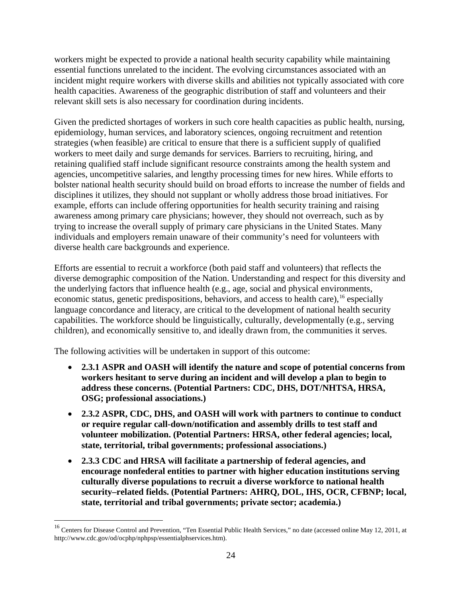workers might be expected to provide a national health security capability while maintaining essential functions unrelated to the incident. The evolving circumstances associated with an incident might require workers with diverse skills and abilities not typically associated with core health capacities. Awareness of the geographic distribution of staff and volunteers and their relevant skill sets is also necessary for coordination during incidents.

Given the predicted shortages of workers in such core health capacities as public health, nursing, epidemiology, human services, and laboratory sciences, ongoing recruitment and retention strategies (when feasible) are critical to ensure that there is a sufficient supply of qualified workers to meet daily and surge demands for services. Barriers to recruiting, hiring, and retaining qualified staff include significant resource constraints among the health system and agencies, uncompetitive salaries, and lengthy processing times for new hires. While efforts to bolster national health security should build on broad efforts to increase the number of fields and disciplines it utilizes, they should not supplant or wholly address those broad initiatives. For example, efforts can include offering opportunities for health security training and raising awareness among primary care physicians; however, they should not overreach, such as by trying to increase the overall supply of primary care physicians in the United States. Many individuals and employers remain unaware of their community's need for volunteers with diverse health care backgrounds and experience.

Efforts are essential to recruit a workforce (both paid staff and volunteers) that reflects the diverse demographic composition of the Nation. Understanding and respect for this diversity and the underlying factors that influence health (e.g., age, social and physical environments, economic status, genetic predispositions, behaviors, and access to health care), <sup>[16](#page-23-0)</sup> especially language concordance and literacy, are critical to the development of national health security capabilities. The workforce should be linguistically, culturally, developmentally (e.g., serving children), and economically sensitive to, and ideally drawn from, the communities it serves.

The following activities will be undertaken in support of this outcome:

- **2.3.1 ASPR and OASH will identify the nature and scope of potential concerns from workers hesitant to serve during an incident and will develop a plan to begin to address these concerns. (Potential Partners: CDC, DHS, DOT/NHTSA, HRSA, OSG; professional associations.)**
- **2.3.2 ASPR, CDC, DHS, and OASH will work with partners to continue to conduct or require regular call-down/notification and assembly drills to test staff and volunteer mobilization. (Potential Partners: HRSA, other federal agencies; local, state, territorial, tribal governments; professional associations.)**
- **2.3.3 CDC and HRSA will facilitate a partnership of federal agencies, and encourage nonfederal entities to partner with higher education institutions serving culturally diverse populations to recruit a diverse workforce to national health security–related fields. (Potential Partners: AHRQ, DOL, IHS, OCR, CFBNP; local, state, territorial and tribal governments; private sector; academia.)**

<span id="page-23-0"></span><sup>&</sup>lt;sup>16</sup> Centers for Disease Control and Prevention, "Ten Essential Public Health Services," no date (accessed online May 12, 2011, at [http://www.cdc.gov/od/ocphp/nphpsp/essentialphservices.htm\)](http://www.cdc.gov/od/ocphp/nphpsp/essentialphservices.htm).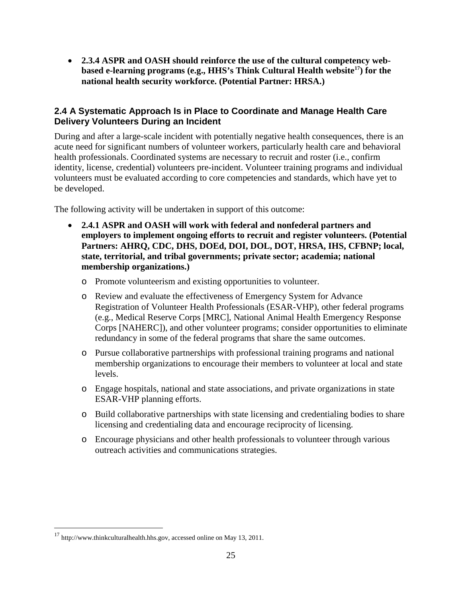• **2.3.4 ASPR and OASH should reinforce the use of the cultural competency webbased e-learning programs (e.g., HHS's Think Cultural Health website[17](#page-24-0)) for the national health security workforce. (Potential Partner: HRSA.)**

### **2.4 A Systematic Approach Is in Place to Coordinate and Manage Health Care Delivery Volunteers During an Incident**

During and after a large-scale incident with potentially negative health consequences, there is an acute need for significant numbers of volunteer workers, particularly health care and behavioral health professionals. Coordinated systems are necessary to recruit and roster (i.e., confirm identity, license, credential) volunteers pre-incident. Volunteer training programs and individual volunteers must be evaluated according to core competencies and standards, which have yet to be developed.

The following activity will be undertaken in support of this outcome:

- **2.4.1 ASPR and OASH will work with federal and nonfederal partners and employers to implement ongoing efforts to recruit and register volunteers. (Potential Partners: AHRQ, CDC, DHS, DOEd, DOI, DOL, DOT, HRSA, IHS, CFBNP; local, state, territorial, and tribal governments; private sector; academia; national membership organizations.)**
	- o Promote volunteerism and existing opportunities to volunteer.
	- o Review and evaluate the effectiveness of Emergency System for Advance Registration of Volunteer Health Professionals (ESAR-VHP), other federal programs (e.g., Medical Reserve Corps [MRC], National Animal Health Emergency Response Corps [NAHERC]), and other volunteer programs; consider opportunities to eliminate redundancy in some of the federal programs that share the same outcomes.
	- o Pursue collaborative partnerships with professional training programs and national membership organizations to encourage their members to volunteer at local and state levels.
	- o Engage hospitals, national and state associations, and private organizations in state ESAR-VHP planning efforts.
	- o Build collaborative partnerships with state licensing and credentialing bodies to share licensing and credentialing data and encourage reciprocity of licensing.
	- o Encourage physicians and other health professionals to volunteer through various outreach activities and communications strategies.

<span id="page-24-0"></span><sup>&</sup>lt;sup>17</sup> http://www.thinkculturalhealth.hhs.gov, accessed online on May 13, 2011.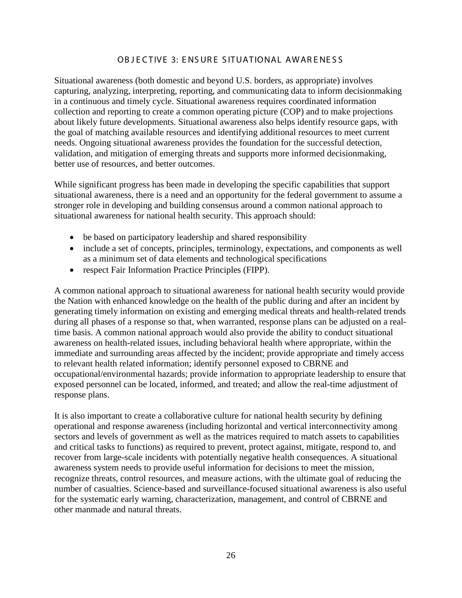#### OB JECTIVE 3: ENSURE SITUATIONAL AWARENESS

Situational awareness (both domestic and beyond U.S. borders, as appropriate) involves capturing, analyzing, interpreting, reporting, and communicating data to inform decisionmaking in a continuous and timely cycle. Situational awareness requires coordinated information collection and reporting to create a common operating picture (COP) and to make projections about likely future developments. Situational awareness also helps identify resource gaps, with the goal of matching available resources and identifying additional resources to meet current needs. Ongoing situational awareness provides the foundation for the successful detection, validation, and mitigation of emerging threats and supports more informed decisionmaking, better use of resources, and better outcomes.

While significant progress has been made in developing the specific capabilities that support situational awareness, there is a need and an opportunity for the federal government to assume a stronger role in developing and building consensus around a common national approach to situational awareness for national health security. This approach should:

- be based on participatory leadership and shared responsibility
- include a set of concepts, principles, terminology, expectations, and components as well as a minimum set of data elements and technological specifications
- respect Fair Information Practice Principles (FIPP).

A common national approach to situational awareness for national health security would provide the Nation with enhanced knowledge on the health of the public during and after an incident by generating timely information on existing and emerging medical threats and health-related trends during all phases of a response so that, when warranted, response plans can be adjusted on a realtime basis. A common national approach would also provide the ability to conduct situational awareness on health-related issues, including behavioral health where appropriate, within the immediate and surrounding areas affected by the incident; provide appropriate and timely access to relevant health related information; identify personnel exposed to CBRNE and occupational/environmental hazards; provide information to appropriate leadership to ensure that exposed personnel can be located, informed, and treated; and allow the real-time adjustment of response plans.

It is also important to create a collaborative culture for national health security by defining operational and response awareness (including horizontal and vertical interconnectivity among sectors and levels of government as well as the matrices required to match assets to capabilities and critical tasks to functions) as required to prevent, protect against, mitigate, respond to, and recover from large-scale incidents with potentially negative health consequences. A situational awareness system needs to provide useful information for decisions to meet the mission, recognize threats, control resources, and measure actions, with the ultimate goal of reducing the number of casualties. Science-based and surveillance-focused situational awareness is also useful for the systematic early warning, characterization, management, and control of CBRNE and other manmade and natural threats.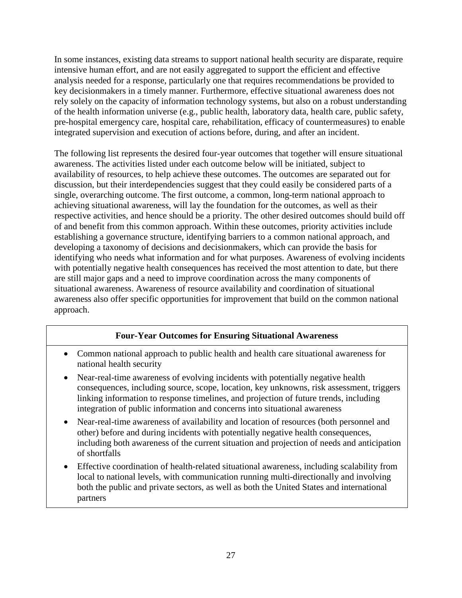In some instances, existing data streams to support national health security are disparate, require intensive human effort, and are not easily aggregated to support the efficient and effective analysis needed for a response, particularly one that requires recommendations be provided to key decisionmakers in a timely manner. Furthermore, effective situational awareness does not rely solely on the capacity of information technology systems, but also on a robust understanding of the health information universe (e.g., public health, laboratory data, health care, public safety, pre-hospital emergency care, hospital care, rehabilitation, efficacy of countermeasures) to enable integrated supervision and execution of actions before, during, and after an incident.

The following list represents the desired four-year outcomes that together will ensure situational awareness. The activities listed under each outcome below will be initiated, subject to availability of resources, to help achieve these outcomes. The outcomes are separated out for discussion, but their interdependencies suggest that they could easily be considered parts of a single, overarching outcome. The first outcome, a common, long-term national approach to achieving situational awareness, will lay the foundation for the outcomes, as well as their respective activities, and hence should be a priority. The other desired outcomes should build off of and benefit from this common approach. Within these outcomes, priority activities include establishing a governance structure, identifying barriers to a common national approach, and developing a taxonomy of decisions and decisionmakers, which can provide the basis for identifying who needs what information and for what purposes. Awareness of evolving incidents with potentially negative health consequences has received the most attention to date, but there are still major gaps and a need to improve coordination across the many components of situational awareness. Awareness of resource availability and coordination of situational awareness also offer specific opportunities for improvement that build on the common national approach.

#### **Four-Year Outcomes for Ensuring Situational Awareness**

- Common national approach to public health and health care situational awareness for national health security
- Near-real-time awareness of evolving incidents with potentially negative health consequences, including source, scope, location, key unknowns, risk assessment, triggers linking information to response timelines, and projection of future trends, including integration of public information and concerns into situational awareness
- Near-real-time awareness of availability and location of resources (both personnel and other) before and during incidents with potentially negative health consequences, including both awareness of the current situation and projection of needs and anticipation of shortfalls
- Effective coordination of health-related situational awareness, including scalability from local to national levels, with communication running multi-directionally and involving both the public and private sectors, as well as both the United States and international partners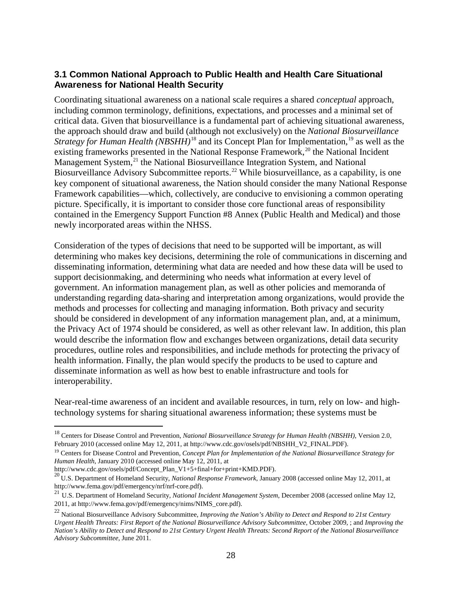### **3.1 Common National Approach to Public Health and Health Care Situational Awareness for National Health Security**

Coordinating situational awareness on a national scale requires a shared *conceptual* approach, including common terminology, definitions, expectations, and processes and a minimal set of critical data. Given that biosurveillance is a fundamental part of achieving situational awareness, the approach should draw and build (although not exclusively) on the *National Biosurveillance Strategy for Human Health (NBSHH)*<sup>[18](#page-27-0)</sup> and its Concept Plan for Implementation,<sup>[19](#page-27-1)</sup> as well as the existing frameworks presented in the National Response Framework,<sup>[20](#page-27-2)</sup> the National Incident Management System,<sup>[21](#page-27-3)</sup> the National Biosurveillance Integration System, and National Biosurveillance Advisory Subcommittee reports.<sup>[22](#page-27-4)</sup> While biosurveillance, as a capability, is one key component of situational awareness, the Nation should consider the many National Response Framework capabilities—which, collectively, are conducive to envisioning a common operating picture. Specifically, it is important to consider those core functional areas of responsibility contained in the Emergency Support Function #8 Annex (Public Health and Medical) and those newly incorporated areas within the NHSS.

Consideration of the types of decisions that need to be supported will be important, as will determining who makes key decisions, determining the role of communications in discerning and disseminating information, determining what data are needed and how these data will be used to support decisionmaking, and determining who needs what information at every level of government. An information management plan, as well as other policies and memoranda of understanding regarding data-sharing and interpretation among organizations, would provide the methods and processes for collecting and managing information. Both privacy and security should be considered in development of any information management plan, and, at a minimum, the Privacy Act of 1974 should be considered, as well as other relevant law. In addition, this plan would describe the information flow and exchanges between organizations, detail data security procedures, outline roles and responsibilities, and include methods for protecting the privacy of health information. Finally, the plan would specify the products to be used to capture and disseminate information as well as how best to enable infrastructure and tools for interoperability.

Near-real-time awareness of an incident and available resources, in turn, rely on low- and hightechnology systems for sharing situational awareness information; these systems must be

[http://www.cdc.gov/osels/pdf/Concept\\_Plan\\_V1+5+final+for+print+KMD.PDF\)](http://www.cdc.gov/osels/pdf/Concept_Plan_V1+5+final+for+print+KMD.PDF).

<span id="page-27-0"></span> <sup>18</sup> Centers for Disease Control and Prevention, *National Biosurveillance Strategy for Human Health (NBSHH)*, Version 2.0, February 2010 (accessed online May 12, 2011, at [http://www.cdc.gov/osels/pdf/NBSHH\\_V2\\_FINAL.PDF\)](http://www.cdc.gov/osels/pdf/NBSHH_V2_FINAL.PDF).

<span id="page-27-1"></span><sup>19</sup> Centers for Disease Control and Prevention, *Concept Plan for Implementation of the National Biosurveillance Strategy for Human Health*, January 2010 (accessed online May 12, 2011, at

<span id="page-27-2"></span><sup>20</sup> U.S. Department of Homeland Security, *National Response Framework*, January 2008 (accessed online May 12, 2011, at [http://www.fema.gov/pdf/emergency/nrf/nrf-core.pdf\)](http://www.fema.gov/pdf/emergency/nrf/nrf-core.pdf).

<span id="page-27-3"></span><sup>21</sup> U.S. Department of Homeland Security, *National Incident Management System*, December 2008 (accessed online May 12, 2011, a[t http://www.fema.gov/pdf/emergency/nims/NIMS\\_core.pdf\)](http://www.fema.gov/pdf/emergency/nims/NIMS_core.pdf).

<span id="page-27-4"></span><sup>22</sup> National Biosurveillance Advisory Subcommittee, *Improving the Nation's Ability to Detect and Respond to 21st Century Urgent Health Threats: First Report of the National Biosurveillance Advisory Subcommittee,* October 2009, ; and *Improving the Nation's Ability to Detect and Respond to 21st Century Urgent Health Threats: Second Report of the National Biosurveillance Advisory Subcommittee*, June 2011.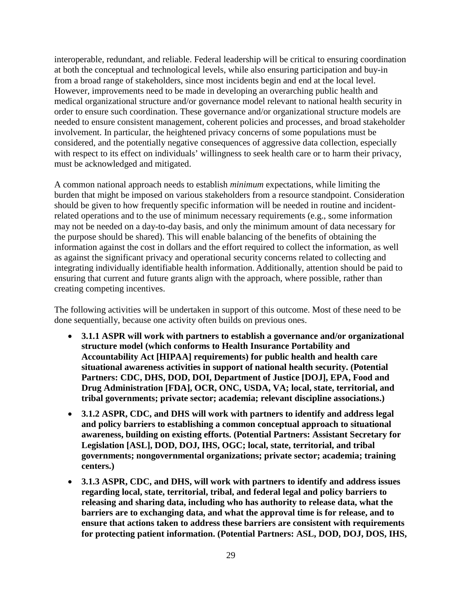interoperable, redundant, and reliable. Federal leadership will be critical to ensuring coordination at both the conceptual and technological levels, while also ensuring participation and buy-in from a broad range of stakeholders, since most incidents begin and end at the local level. However, improvements need to be made in developing an overarching public health and medical organizational structure and/or governance model relevant to national health security in order to ensure such coordination. These governance and/or organizational structure models are needed to ensure consistent management, coherent policies and processes, and broad stakeholder involvement. In particular, the heightened privacy concerns of some populations must be considered, and the potentially negative consequences of aggressive data collection, especially with respect to its effect on individuals' willingness to seek health care or to harm their privacy, must be acknowledged and mitigated.

A common national approach needs to establish *minimum* expectations, while limiting the burden that might be imposed on various stakeholders from a resource standpoint. Consideration should be given to how frequently specific information will be needed in routine and incidentrelated operations and to the use of minimum necessary requirements (e.g., some information may not be needed on a day-to-day basis, and only the minimum amount of data necessary for the purpose should be shared). This will enable balancing of the benefits of obtaining the information against the cost in dollars and the effort required to collect the information, as well as against the significant privacy and operational security concerns related to collecting and integrating individually identifiable health information. Additionally, attention should be paid to ensuring that current and future grants align with the approach, where possible, rather than creating competing incentives.

The following activities will be undertaken in support of this outcome. Most of these need to be done sequentially, because one activity often builds on previous ones.

- **3.1.1 ASPR will work with partners to establish a governance and/or organizational structure model (which conforms to Health Insurance Portability and Accountability Act [HIPAA] requirements) for public health and health care situational awareness activities in support of national health security. (Potential Partners: CDC, DHS, DOD, DOI, Department of Justice [DOJ], EPA, Food and Drug Administration [FDA], OCR, ONC, USDA, VA; local, state, territorial, and tribal governments; private sector; academia; relevant discipline associations.)**
- **3.1.2 ASPR, CDC, and DHS will work with partners to identify and address legal and policy barriers to establishing a common conceptual approach to situational awareness, building on existing efforts. (Potential Partners: Assistant Secretary for Legislation [ASL], DOD, DOJ, IHS, OGC; local, state, territorial, and tribal governments; nongovernmental organizations; private sector; academia; training centers.)**
- **3.1.3 ASPR, CDC, and DHS, will work with partners to identify and address issues regarding local, state, territorial, tribal, and federal legal and policy barriers to releasing and sharing data, including who has authority to release data, what the barriers are to exchanging data, and what the approval time is for release, and to ensure that actions taken to address these barriers are consistent with requirements for protecting patient information. (Potential Partners: ASL, DOD, DOJ, DOS, IHS,**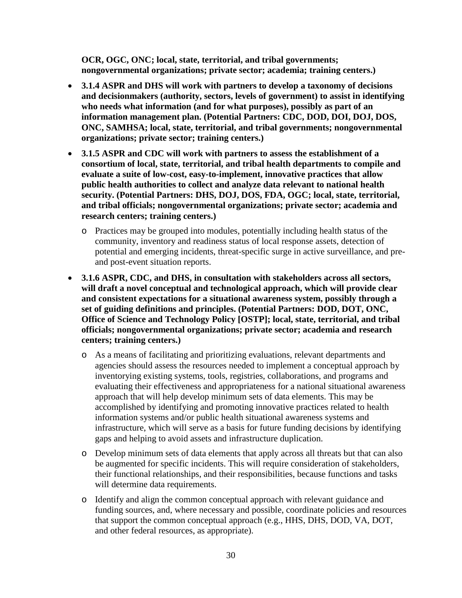**OCR, OGC, ONC; local, state, territorial, and tribal governments; nongovernmental organizations; private sector; academia; training centers.)**

- **3.1.4 ASPR and DHS will work with partners to develop a taxonomy of decisions and decisionmakers (authority, sectors, levels of government) to assist in identifying who needs what information (and for what purposes), possibly as part of an information management plan. (Potential Partners: CDC, DOD, DOI, DOJ, DOS, ONC, SAMHSA; local, state, territorial, and tribal governments; nongovernmental organizations; private sector; training centers.)**
- **3.1.5 ASPR and CDC will work with partners to assess the establishment of a consortium of local, state, territorial, and tribal health departments to compile and evaluate a suite of low-cost, easy-to-implement, innovative practices that allow public health authorities to collect and analyze data relevant to national health security. (Potential Partners: DHS, DOJ, DOS, FDA, OGC; local, state, territorial, and tribal officials; nongovernmental organizations; private sector; academia and research centers; training centers.)**
	- o Practices may be grouped into modules, potentially including health status of the community, inventory and readiness status of local response assets, detection of potential and emerging incidents, threat-specific surge in active surveillance, and preand post-event situation reports.
- **3.1.6 ASPR, CDC, and DHS, in consultation with stakeholders across all sectors, will draft a novel conceptual and technological approach, which will provide clear and consistent expectations for a situational awareness system, possibly through a set of guiding definitions and principles. (Potential Partners: DOD, DOT, ONC, Office of Science and Technology Policy [OSTP]; local, state, territorial, and tribal officials; nongovernmental organizations; private sector; academia and research centers; training centers.)**
	- o As a means of facilitating and prioritizing evaluations, relevant departments and agencies should assess the resources needed to implement a conceptual approach by inventorying existing systems, tools, registries, collaborations, and programs and evaluating their effectiveness and appropriateness for a national situational awareness approach that will help develop minimum sets of data elements. This may be accomplished by identifying and promoting innovative practices related to health information systems and/or public health situational awareness systems and infrastructure, which will serve as a basis for future funding decisions by identifying gaps and helping to avoid assets and infrastructure duplication.
	- o Develop minimum sets of data elements that apply across all threats but that can also be augmented for specific incidents. This will require consideration of stakeholders, their functional relationships, and their responsibilities, because functions and tasks will determine data requirements.
	- o Identify and align the common conceptual approach with relevant guidance and funding sources, and, where necessary and possible, coordinate policies and resources that support the common conceptual approach (e.g., HHS, DHS, DOD, VA, DOT, and other federal resources, as appropriate).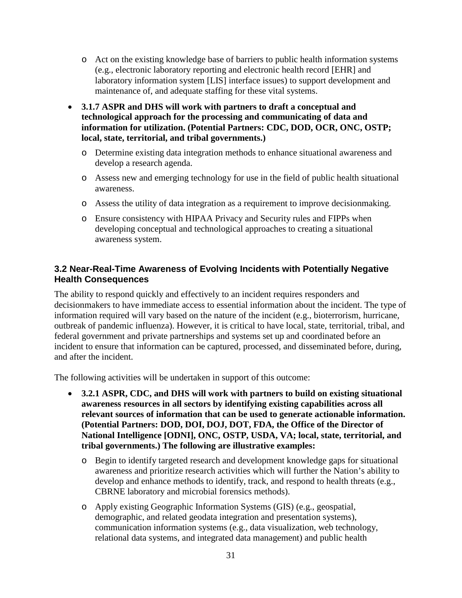- o Act on the existing knowledge base of barriers to public health information systems (e.g., electronic laboratory reporting and electronic health record [EHR] and laboratory information system [LIS] interface issues) to support development and maintenance of, and adequate staffing for these vital systems.
- **3.1.7 ASPR and DHS will work with partners to draft a conceptual and technological approach for the processing and communicating of data and information for utilization. (Potential Partners: CDC, DOD, OCR, ONC, OSTP; local, state, territorial, and tribal governments.)** 
	- o Determine existing data integration methods to enhance situational awareness and develop a research agenda.
	- o Assess new and emerging technology for use in the field of public health situational awareness.
	- o Assess the utility of data integration as a requirement to improve decisionmaking.
	- o Ensure consistency with HIPAA Privacy and Security rules and FIPPs when developing conceptual and technological approaches to creating a situational awareness system.

### **3.2 Near-Real-Time Awareness of Evolving Incidents with Potentially Negative Health Consequences**

The ability to respond quickly and effectively to an incident requires responders and decisionmakers to have immediate access to essential information about the incident. The type of information required will vary based on the nature of the incident (e.g., bioterrorism, hurricane, outbreak of pandemic influenza). However, it is critical to have local, state, territorial, tribal, and federal government and private partnerships and systems set up and coordinated before an incident to ensure that information can be captured, processed, and disseminated before, during, and after the incident.

The following activities will be undertaken in support of this outcome:

- **3.2.1 ASPR, CDC, and DHS will work with partners to build on existing situational awareness resources in all sectors by identifying existing capabilities across all relevant sources of information that can be used to generate actionable information. (Potential Partners: DOD, DOI, DOJ, DOT, FDA, the Office of the Director of National Intelligence [ODNI], ONC, OSTP, USDA, VA; local, state, territorial, and tribal governments.) The following are illustrative examples:**
	- o Begin to identify targeted research and development knowledge gaps for situational awareness and prioritize research activities which will further the Nation's ability to develop and enhance methods to identify, track, and respond to health threats (e.g., CBRNE laboratory and microbial forensics methods).
	- o Apply existing Geographic Information Systems (GIS) (e.g., geospatial, demographic, and related geodata integration and presentation systems), communication information systems (e.g., data visualization, web technology, relational data systems, and integrated data management) and public health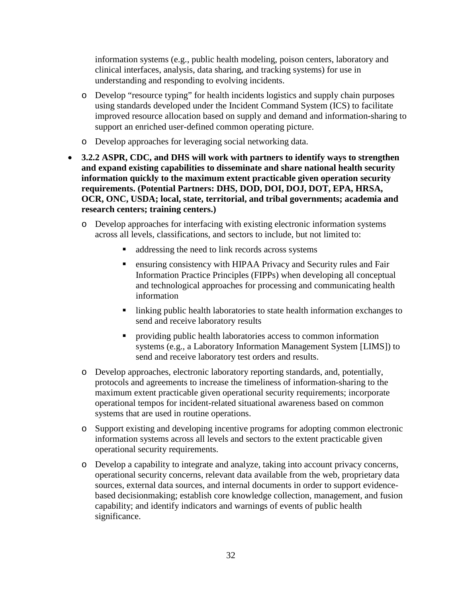information systems (e.g., public health modeling, poison centers, laboratory and clinical interfaces, analysis, data sharing, and tracking systems) for use in understanding and responding to evolving incidents.

- o Develop "resource typing" for health incidents logistics and supply chain purposes using standards developed under the Incident Command System (ICS) to facilitate improved resource allocation based on supply and demand and information-sharing to support an enriched user-defined common operating picture.
- o Develop approaches for leveraging social networking data.
- **3.2.2 ASPR, CDC, and DHS will work with partners to identify ways to strengthen and expand existing capabilities to disseminate and share national health security information quickly to the maximum extent practicable given operation security requirements. (Potential Partners: DHS, DOD, DOI, DOJ, DOT, EPA, HRSA, OCR, ONC, USDA; local, state, territorial, and tribal governments; academia and research centers; training centers.)**
	- o Develop approaches for interfacing with existing electronic information systems across all levels, classifications, and sectors to include, but not limited to:
		- addressing the need to link records across systems
		- ensuring consistency with HIPAA Privacy and Security rules and Fair Information Practice Principles (FIPPs) when developing all conceptual and technological approaches for processing and communicating health information
		- **I** linking public health laboratories to state health information exchanges to send and receive laboratory results
		- providing public health laboratories access to common information systems (e.g., a Laboratory Information Management System [LIMS]) to send and receive laboratory test orders and results.
	- o Develop approaches, electronic laboratory reporting standards, and, potentially, protocols and agreements to increase the timeliness of information-sharing to the maximum extent practicable given operational security requirements; incorporate operational tempos for incident-related situational awareness based on common systems that are used in routine operations.
	- o Support existing and developing incentive programs for adopting common electronic information systems across all levels and sectors to the extent practicable given operational security requirements.
	- o Develop a capability to integrate and analyze, taking into account privacy concerns, operational security concerns, relevant data available from the web, proprietary data sources, external data sources, and internal documents in order to support evidencebased decisionmaking; establish core knowledge collection, management, and fusion capability; and identify indicators and warnings of events of public health significance.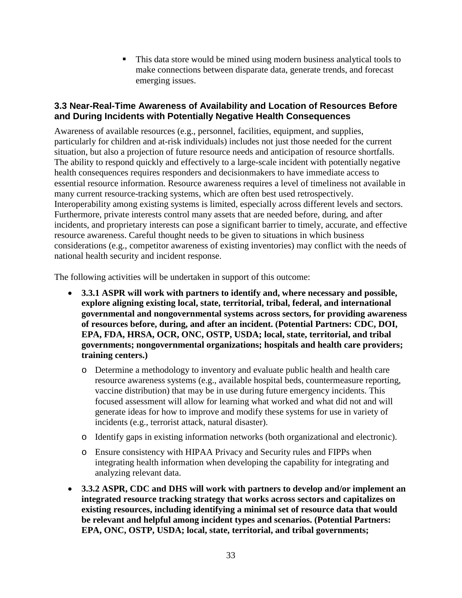This data store would be mined using modern business analytical tools to make connections between disparate data, generate trends, and forecast emerging issues.

### **3.3 Near-Real-Time Awareness of Availability and Location of Resources Before and During Incidents with Potentially Negative Health Consequences**

Awareness of available resources (e.g., personnel, facilities, equipment, and supplies, particularly for children and at-risk individuals) includes not just those needed for the current situation, but also a projection of future resource needs and anticipation of resource shortfalls. The ability to respond quickly and effectively to a large-scale incident with potentially negative health consequences requires responders and decisionmakers to have immediate access to essential resource information. Resource awareness requires a level of timeliness not available in many current resource-tracking systems, which are often best used retrospectively. Interoperability among existing systems is limited, especially across different levels and sectors. Furthermore, private interests control many assets that are needed before, during, and after incidents, and proprietary interests can pose a significant barrier to timely, accurate, and effective resource awareness. Careful thought needs to be given to situations in which business considerations (e.g., competitor awareness of existing inventories) may conflict with the needs of national health security and incident response.

The following activities will be undertaken in support of this outcome:

- **3.3.1 ASPR will work with partners to identify and, where necessary and possible, explore aligning existing local, state, territorial, tribal, federal, and international governmental and nongovernmental systems across sectors, for providing awareness of resources before, during, and after an incident. (Potential Partners: CDC, DOI, EPA, FDA, HRSA, OCR, ONC, OSTP, USDA; local, state, territorial, and tribal governments; nongovernmental organizations; hospitals and health care providers; training centers.)**
	- o Determine a methodology to inventory and evaluate public health and health care resource awareness systems (e.g., available hospital beds, countermeasure reporting, vaccine distribution) that may be in use during future emergency incidents. This focused assessment will allow for learning what worked and what did not and will generate ideas for how to improve and modify these systems for use in variety of incidents (e.g., terrorist attack, natural disaster).
	- o Identify gaps in existing information networks (both organizational and electronic).
	- o Ensure consistency with HIPAA Privacy and Security rules and FIPPs when integrating health information when developing the capability for integrating and analyzing relevant data.
- **3.3.2 ASPR, CDC and DHS will work with partners to develop and/or implement an integrated resource tracking strategy that works across sectors and capitalizes on existing resources, including identifying a minimal set of resource data that would be relevant and helpful among incident types and scenarios. (Potential Partners: EPA, ONC, OSTP, USDA; local, state, territorial, and tribal governments;**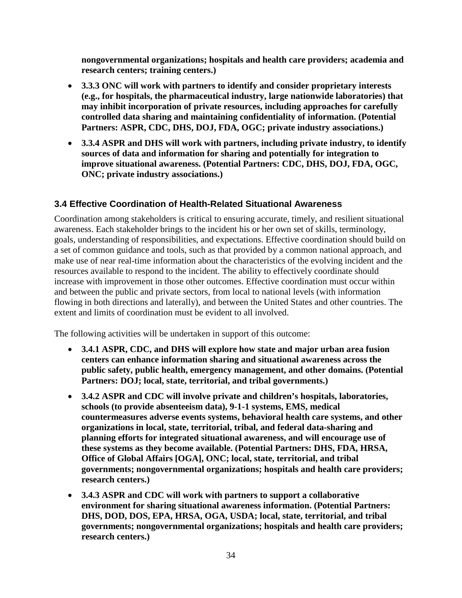**nongovernmental organizations; hospitals and health care providers; academia and research centers; training centers.)**

- **3.3.3 ONC will work with partners to identify and consider proprietary interests (e.g., for hospitals, the pharmaceutical industry, large nationwide laboratories) that may inhibit incorporation of private resources, including approaches for carefully controlled data sharing and maintaining confidentiality of information. (Potential Partners: ASPR, CDC, DHS, DOJ, FDA, OGC; private industry associations.)**
- **3.3.4 ASPR and DHS will work with partners, including private industry, to identify sources of data and information for sharing and potentially for integration to improve situational awareness. (Potential Partners: CDC, DHS, DOJ, FDA, OGC, ONC; private industry associations.)**

### **3.4 Effective Coordination of Health-Related Situational Awareness**

Coordination among stakeholders is critical to ensuring accurate, timely, and resilient situational awareness. Each stakeholder brings to the incident his or her own set of skills, terminology, goals, understanding of responsibilities, and expectations. Effective coordination should build on a set of common guidance and tools, such as that provided by a common national approach, and make use of near real-time information about the characteristics of the evolving incident and the resources available to respond to the incident. The ability to effectively coordinate should increase with improvement in those other outcomes. Effective coordination must occur within and between the public and private sectors, from local to national levels (with information flowing in both directions and laterally), and between the United States and other countries. The extent and limits of coordination must be evident to all involved.

The following activities will be undertaken in support of this outcome:

- **3.4.1 ASPR, CDC, and DHS will explore how state and major urban area fusion centers can enhance information sharing and situational awareness across the public safety, public health, emergency management, and other domains. (Potential Partners: DOJ; local, state, territorial, and tribal governments.)**
- **3.4.2 ASPR and CDC will involve private and children's hospitals, laboratories, schools (to provide absenteeism data), 9-1-1 systems, EMS, medical countermeasures adverse events systems, behavioral health care systems, and other organizations in local, state, territorial, tribal, and federal data-sharing and planning efforts for integrated situational awareness, and will encourage use of these systems as they become available. (Potential Partners: DHS, FDA, HRSA, Office of Global Affairs [OGA], ONC; local, state, territorial, and tribal governments; nongovernmental organizations; hospitals and health care providers; research centers.)**
- **3.4.3 ASPR and CDC will work with partners to support a collaborative environment for sharing situational awareness information. (Potential Partners: DHS, DOD, DOS, EPA, HRSA, OGA, USDA; local, state, territorial, and tribal governments; nongovernmental organizations; hospitals and health care providers; research centers.)**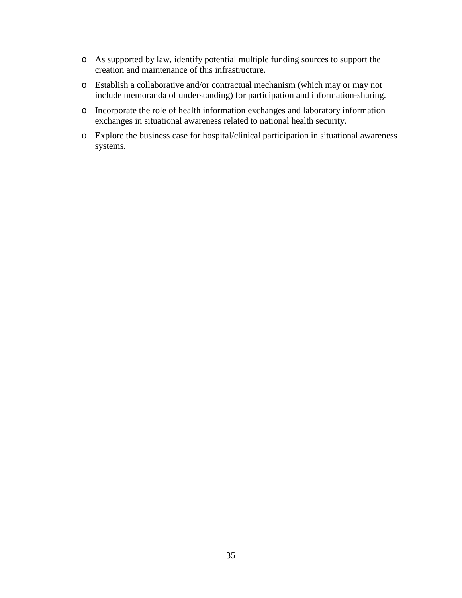- o As supported by law, identify potential multiple funding sources to support the creation and maintenance of this infrastructure.
- o Establish a collaborative and/or contractual mechanism (which may or may not include memoranda of understanding) for participation and information-sharing.
- o Incorporate the role of health information exchanges and laboratory information exchanges in situational awareness related to national health security.
- o Explore the business case for hospital/clinical participation in situational awareness systems.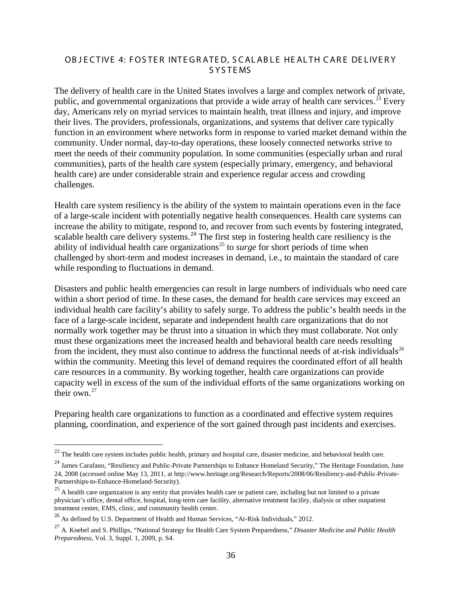#### OBJECTIVE 4: FOSTER INTEGRATED, SCALABLE HEALTH CARE DELIVERY S YS TE MS

The delivery of health care in the United States involves a large and complex network of private, public, and governmental organizations that provide a wide array of health care services.<sup>[23](#page-35-0)</sup> Every day, Americans rely on myriad services to maintain health, treat illness and injury, and improve their lives. The providers, professionals, organizations, and systems that deliver care typically function in an environment where networks form in response to varied market demand within the community. Under normal, day-to-day operations, these loosely connected networks strive to meet the needs of their community population. In some communities (especially urban and rural communities), parts of the health care system (especially primary, emergency, and behavioral health care) are under considerable strain and experience regular access and crowding challenges.

Health care system resiliency is the ability of the system to maintain operations even in the face of a large-scale incident with potentially negative health consequences. Health care systems can increase the ability to mitigate, respond to, and recover from such events by fostering integrated, scalable health care delivery systems.<sup>[24](#page-35-1)</sup> The first step in fostering health care resiliency is the ability of individual health care organizations<sup>[25](#page-35-2)</sup> to *surge* for short periods of time when challenged by short-term and modest increases in demand, i.e., to maintain the standard of care while responding to fluctuations in demand.

Disasters and public health emergencies can result in large numbers of individuals who need care within a short period of time. In these cases, the demand for health care services may exceed an individual health care facility's ability to safely surge. To address the public's health needs in the face of a large-scale incident, separate and independent health care organizations that do not normally work together may be thrust into a situation in which they must collaborate. Not only must these organizations meet the increased health and behavioral health care needs resulting from the incident, they must also continue to address the functional needs of at-risk individuals<sup>[26](#page-35-3)</sup> within the community. Meeting this level of demand requires the coordinated effort of all health care resources in a community. By working together, health care organizations can provide capacity well in excess of the sum of the individual efforts of the same organizations working on their own.<sup>[27](#page-35-4)</sup>

Preparing health care organizations to function as a coordinated and effective system requires planning, coordination, and experience of the sort gained through past incidents and exercises.

<span id="page-35-0"></span><sup>&</sup>lt;sup>23</sup> The health care system includes public health, primary and hospital care, disaster medicine, and behavioral health care.

<span id="page-35-1"></span><sup>&</sup>lt;sup>24</sup> James Carafano, "Resiliency and Public-Private Partnerships to Enhance Homeland Security," The Heritage Foundation, June 24, 2008 (accessed online May 13, 2011, at http://www.heritage.org/Research/Reports/2008/06/Resiliency-and-Public-Private-Partnerships-to-Enhance-Homeland-Security).

<span id="page-35-2"></span> $25$  A health care organization is any entity that provides health care or patient care, including but not limited to a private physician's office, dental office, hospital, long-term care facility, alternative treatment facility, dialysis or other outpatient treatment center, EMS, clinic, and community health center.

<span id="page-35-3"></span><sup>&</sup>lt;sup>26</sup> As defined by U.S. Department of Health and Human Services, "At-Risk Individuals," 2012.

<span id="page-35-4"></span><sup>27</sup> A. Knebel and S. Phillips, "National Strategy for Health Care System Preparedness," *Disaster Medicine and Public Health Preparedness*, Vol. 3, Suppl. 1, 2009, p. S4.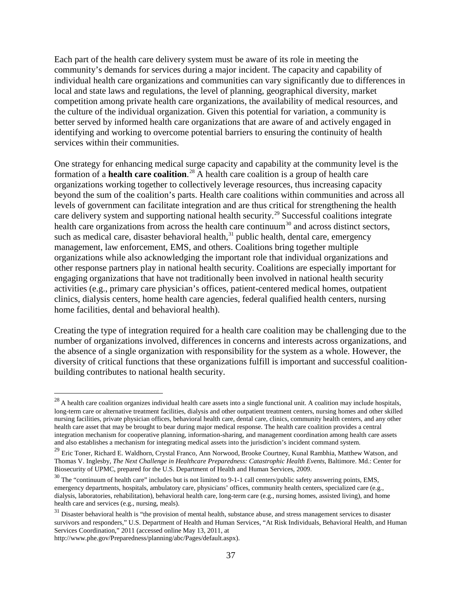Each part of the health care delivery system must be aware of its role in meeting the community's demands for services during a major incident. The capacity and capability of individual health care organizations and communities can vary significantly due to differences in local and state laws and regulations, the level of planning, geographical diversity, market competition among private health care organizations, the availability of medical resources, and the culture of the individual organization. Given this potential for variation, a community is better served by informed health care organizations that are aware of and actively engaged in identifying and working to overcome potential barriers to ensuring the continuity of health services within their communities.

One strategy for enhancing medical surge capacity and capability at the community level is the formation of a **health care coalition**.<sup>[28](#page-36-0)</sup> A health care coalition is a group of health care organizations working together to collectively leverage resources, thus increasing capacity beyond the sum of the coalition's parts. Health care coalitions within communities and across all levels of government can facilitate integration and are thus critical for strengthening the health care delivery system and supporting national health security.<sup>[29](#page-36-1)</sup> Successful coalitions integrate health care organizations from across the health care continuum<sup>[30](#page-36-2)</sup> and across distinct sectors, such as medical care, disaster behavioral health,<sup>[31](#page-36-3)</sup> public health, dental care, emergency management, law enforcement, EMS, and others. Coalitions bring together multiple organizations while also acknowledging the important role that individual organizations and other response partners play in national health security. Coalitions are especially important for engaging organizations that have not traditionally been involved in national health security activities (e.g., primary care physician's offices, patient-centered medical homes, outpatient clinics, dialysis centers, home health care agencies, federal qualified health centers, nursing home facilities, dental and behavioral health).

Creating the type of integration required for a health care coalition may be challenging due to the number of organizations involved, differences in concerns and interests across organizations, and the absence of a single organization with responsibility for the system as a whole. However, the diversity of critical functions that these organizations fulfill is important and successful coalitionbuilding contributes to national health security.

37

<span id="page-36-0"></span> $^{28}$  A health care coalition organizes individual health care assets into a single functional unit. A coalition may include hospitals, long-term care or alternative treatment facilities, dialysis and other outpatient treatment centers, nursing homes and other skilled nursing facilities, private physician offices, behavioral health care, dental care, clinics, community health centers, and any other health care asset that may be brought to bear during major medical response. The health care coalition provides a central integration mechanism for cooperative planning, information-sharing, and management coordination among health care assets and also establishes a mechanism for integrating medical assets into the jurisdiction's incident command system.

<span id="page-36-1"></span><sup>&</sup>lt;sup>29</sup> Eric Toner, Richard E. Waldhorn, Crystal Franco, Ann Norwood, Brooke Courtney, Kunal Rambhia, Matthew Watson, and Thomas V. Inglesby, *The Next Challenge in Healthcare Preparedness: Catastrophic Health Events*, Baltimore. Md.: Center for Biosecurity of UPMC, prepared for the U.S. Department of Health and Human Services, 2009.

<span id="page-36-2"></span> $30$  The "continuum of health care" includes but is not limited to 9-1-1 call centers/public safety answering points, EMS, emergency departments, hospitals, ambulatory care, physicians' offices, community health centers, specialized care (e.g., dialysis, laboratories, rehabilitation), behavioral health care, long-term care (e.g., nursing homes, assisted living), and home health care and services (e.g., nursing, meals).

<span id="page-36-3"></span> $31$  Disaster behavioral health is "the provision of mental health, substance abuse, and stress management services to disaster survivors and responders," U.S. Department of Health and Human Services, "At Risk Individuals, Behavioral Health, and Human Services Coordination," 2011 (accessed online May 13, 2011, at [http://www.phe.gov/Preparedness/planning/abc/Pages/default.aspx\)](http://www.phe.gov/Preparedness/planning/abc/Pages/default.aspx).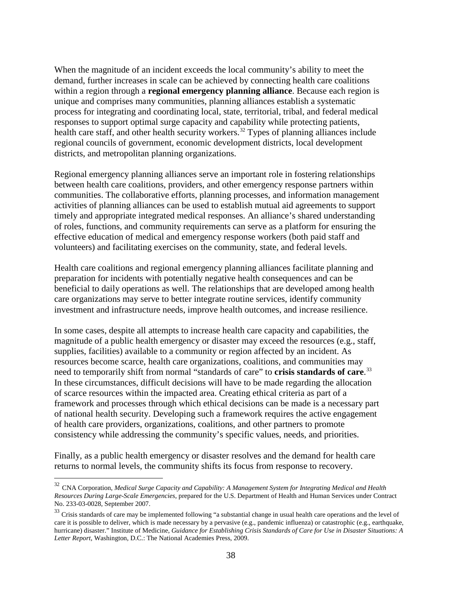When the magnitude of an incident exceeds the local community's ability to meet the demand, further increases in scale can be achieved by connecting health care coalitions within a region through a **regional emergency planning alliance**. Because each region is unique and comprises many communities, planning alliances establish a systematic process for integrating and coordinating local, state, territorial, tribal, and federal medical responses to support optimal surge capacity and capability while protecting patients, health care staff, and other health security workers.<sup>[32](#page-37-0)</sup> Types of planning alliances include regional councils of government, economic development districts, local development districts, and metropolitan planning organizations.

Regional emergency planning alliances serve an important role in fostering relationships between health care coalitions, providers, and other emergency response partners within communities. The collaborative efforts, planning processes, and information management activities of planning alliances can be used to establish mutual aid agreements to support timely and appropriate integrated medical responses. An alliance's shared understanding of roles, functions, and community requirements can serve as a platform for ensuring the effective education of medical and emergency response workers (both paid staff and volunteers) and facilitating exercises on the community, state, and federal levels.

Health care coalitions and regional emergency planning alliances facilitate planning and preparation for incidents with potentially negative health consequences and can be beneficial to daily operations as well. The relationships that are developed among health care organizations may serve to better integrate routine services, identify community investment and infrastructure needs, improve health outcomes, and increase resilience.

In some cases, despite all attempts to increase health care capacity and capabilities, the magnitude of a public health emergency or disaster may exceed the resources (e.g., staff, supplies, facilities) available to a community or region affected by an incident. As resources become scarce, health care organizations, coalitions, and communities may need to temporarily shift from normal "standards of care" to **crisis standards of care**. [33](#page-37-1) In these circumstances, difficult decisions will have to be made regarding the allocation of scarce resources within the impacted area. Creating ethical criteria as part of a framework and processes through which ethical decisions can be made is a necessary part of national health security. Developing such a framework requires the active engagement of health care providers, organizations, coalitions, and other partners to promote consistency while addressing the community's specific values, needs, and priorities.

Finally, as a public health emergency or disaster resolves and the demand for health care returns to normal levels, the community shifts its focus from response to recovery.

<span id="page-37-0"></span> <sup>32</sup> CNA Corporation, *Medical Surge Capacity and Capability: A Management System for Integrating Medical and Health Resources During Large-Scale Emergencies*, prepared for the U.S. Department of Health and Human Services under Contract No. 233-03-0028, September 2007.

<span id="page-37-1"></span><sup>&</sup>lt;sup>33</sup> Crisis standards of care may be implemented following "a substantial change in usual health care operations and the level of care it is possible to deliver, which is made necessary by a pervasive (e.g., pandemic influenza) or catastrophic (e.g., earthquake, hurricane) disaster." Institute of Medicine, *Guidance for Establishing Crisis Standards of Care for Use in Disaster Situations: A Letter Report*, Washington, D.C.: The National Academies Press, 2009.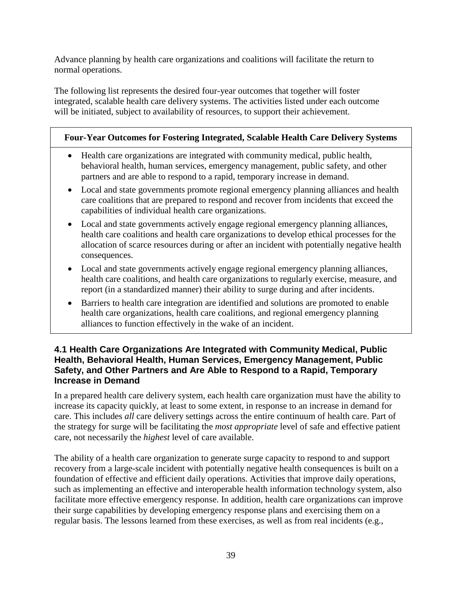Advance planning by health care organizations and coalitions will facilitate the return to normal operations.

The following list represents the desired four-year outcomes that together will foster integrated, scalable health care delivery systems. The activities listed under each outcome will be initiated, subject to availability of resources, to support their achievement.

### **Four-Year Outcomes for Fostering Integrated, Scalable Health Care Delivery Systems**

- Health care organizations are integrated with community medical, public health, behavioral health, human services, emergency management, public safety, and other partners and are able to respond to a rapid, temporary increase in demand.
- Local and state governments promote regional emergency planning alliances and health care coalitions that are prepared to respond and recover from incidents that exceed the capabilities of individual health care organizations.
- Local and state governments actively engage regional emergency planning alliances, health care coalitions and health care organizations to develop ethical processes for the allocation of scarce resources during or after an incident with potentially negative health consequences.
- Local and state governments actively engage regional emergency planning alliances, health care coalitions, and health care organizations to regularly exercise, measure, and report (in a standardized manner) their ability to surge during and after incidents.
- Barriers to health care integration are identified and solutions are promoted to enable health care organizations, health care coalitions, and regional emergency planning alliances to function effectively in the wake of an incident.

#### **4.1 Health Care Organizations Are Integrated with Community Medical, Public Health, Behavioral Health, Human Services, Emergency Management, Public Safety, and Other Partners and Are Able to Respond to a Rapid, Temporary Increase in Demand**

In a prepared health care delivery system, each health care organization must have the ability to increase its capacity quickly, at least to some extent, in response to an increase in demand for care. This includes *all* care delivery settings across the entire continuum of health care. Part of the strategy for surge will be facilitating the *most appropriate* level of safe and effective patient care, not necessarily the *highest* level of care available.

The ability of a health care organization to generate surge capacity to respond to and support recovery from a large-scale incident with potentially negative health consequences is built on a foundation of effective and efficient daily operations. Activities that improve daily operations, such as implementing an effective and interoperable health information technology system, also facilitate more effective emergency response. In addition, health care organizations can improve their surge capabilities by developing emergency response plans and exercising them on a regular basis. The lessons learned from these exercises, as well as from real incidents (e.g.,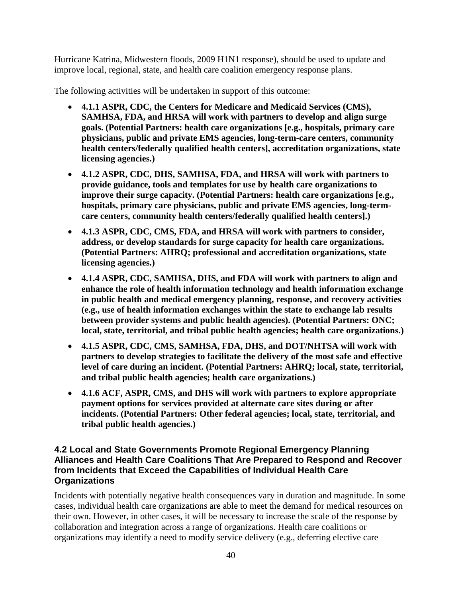Hurricane Katrina, Midwestern floods, 2009 H1N1 response), should be used to update and improve local, regional, state, and health care coalition emergency response plans.

The following activities will be undertaken in support of this outcome:

- **4.1.1 ASPR, CDC, the Centers for Medicare and Medicaid Services (CMS), SAMHSA, FDA, and HRSA will work with partners to develop and align surge goals. (Potential Partners: health care organizations [e.g., hospitals, primary care physicians, public and private EMS agencies, long-term-care centers, community health centers/federally qualified health centers], accreditation organizations, state licensing agencies.)**
- **4.1.2 ASPR, CDC, DHS, SAMHSA, FDA, and HRSA will work with partners to provide guidance, tools and templates for use by health care organizations to improve their surge capacity. (Potential Partners: health care organizations [e.g., hospitals, primary care physicians, public and private EMS agencies, long-termcare centers, community health centers/federally qualified health centers].)**
- **4.1.3 ASPR, CDC, CMS, FDA, and HRSA will work with partners to consider, address, or develop standards for surge capacity for health care organizations. (Potential Partners: AHRQ; professional and accreditation organizations, state licensing agencies.)**
- **4.1.4 ASPR, CDC, SAMHSA, DHS, and FDA will work with partners to align and enhance the role of health information technology and health information exchange in public health and medical emergency planning, response, and recovery activities (e.g., use of health information exchanges within the state to exchange lab results between provider systems and public health agencies). (Potential Partners: ONC; local, state, territorial, and tribal public health agencies; health care organizations.)**
- **4.1.5 ASPR, CDC, CMS, SAMHSA, FDA, DHS, and DOT/NHTSA will work with partners to develop strategies to facilitate the delivery of the most safe and effective level of care during an incident. (Potential Partners: AHRQ; local, state, territorial, and tribal public health agencies; health care organizations.)**
- **4.1.6 ACF, ASPR, CMS, and DHS will work with partners to explore appropriate payment options for services provided at alternate care sites during or after incidents. (Potential Partners: Other federal agencies; local, state, territorial, and tribal public health agencies.)**

#### **4.2 Local and State Governments Promote Regional Emergency Planning Alliances and Health Care Coalitions That Are Prepared to Respond and Recover from Incidents that Exceed the Capabilities of Individual Health Care Organizations**

Incidents with potentially negative health consequences vary in duration and magnitude. In some cases, individual health care organizations are able to meet the demand for medical resources on their own. However, in other cases, it will be necessary to increase the scale of the response by collaboration and integration across a range of organizations. Health care coalitions or organizations may identify a need to modify service delivery (e.g., deferring elective care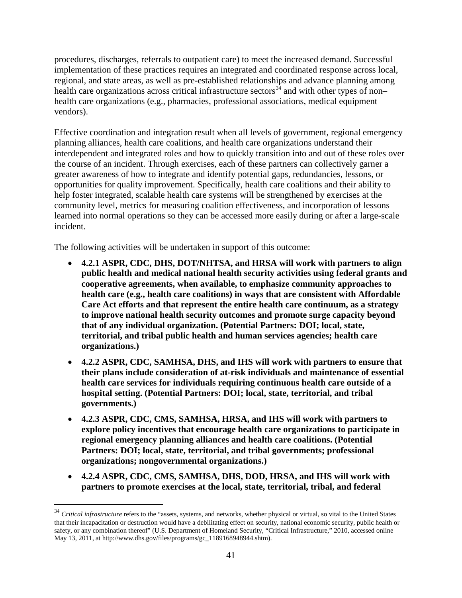procedures, discharges, referrals to outpatient care) to meet the increased demand. Successful implementation of these practices requires an integrated and coordinated response across local, regional, and state areas, as well as pre-established relationships and advance planning among health care organizations across critical infrastructure sectors<sup>[34](#page-40-0)</sup> and with other types of non– health care organizations (e.g., pharmacies, professional associations, medical equipment vendors).

Effective coordination and integration result when all levels of government, regional emergency planning alliances, health care coalitions, and health care organizations understand their interdependent and integrated roles and how to quickly transition into and out of these roles over the course of an incident. Through exercises, each of these partners can collectively garner a greater awareness of how to integrate and identify potential gaps, redundancies, lessons, or opportunities for quality improvement. Specifically, health care coalitions and their ability to help foster integrated, scalable health care systems will be strengthened by exercises at the community level, metrics for measuring coalition effectiveness, and incorporation of lessons learned into normal operations so they can be accessed more easily during or after a large-scale incident.

- **4.2.1 ASPR, CDC, DHS, DOT/NHTSA, and HRSA will work with partners to align public health and medical national health security activities using federal grants and cooperative agreements, when available, to emphasize community approaches to health care (e.g., health care coalitions) in ways that are consistent with Affordable Care Act efforts and that represent the entire health care continuum, as a strategy to improve national health security outcomes and promote surge capacity beyond that of any individual organization. (Potential Partners: DOI; local, state, territorial, and tribal public health and human services agencies; health care organizations.)**
- **4.2.2 ASPR, CDC, SAMHSA, DHS, and IHS will work with partners to ensure that their plans include consideration of at-risk individuals and maintenance of essential health care services for individuals requiring continuous health care outside of a hospital setting. (Potential Partners: DOI; local, state, territorial, and tribal governments.)**
- **4.2.3 ASPR, CDC, CMS, SAMHSA, HRSA, and IHS will work with partners to explore policy incentives that encourage health care organizations to participate in regional emergency planning alliances and health care coalitions. (Potential Partners: DOI; local, state, territorial, and tribal governments; professional organizations; nongovernmental organizations.)**
- **4.2.4 ASPR, CDC, CMS, SAMHSA, DHS, DOD, HRSA, and IHS will work with partners to promote exercises at the local, state, territorial, tribal, and federal**

<span id="page-40-0"></span><sup>&</sup>lt;sup>34</sup> Critical infrastructure refers to the "assets, systems, and networks, whether physical or virtual, so vital to the United States that their incapacitation or destruction would have a debilitating effect on security, national economic security, public health or safety, or any combination thereof" (U.S. Department of Homeland Security, "Critical Infrastructure," 2010, accessed online May 13, 2011, at http://www.dhs.gov/files/programs/gc\_1189168948944.shtm).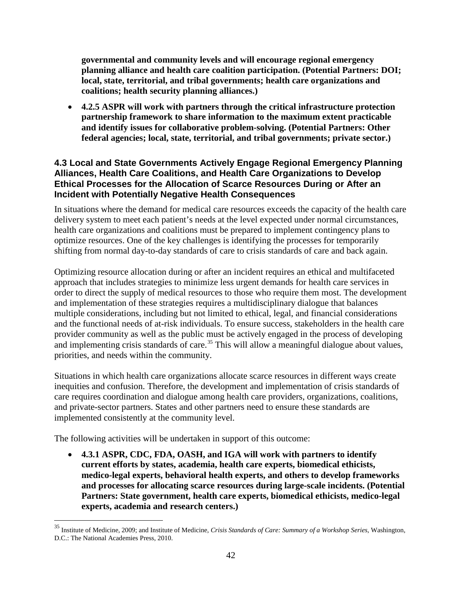**governmental and community levels and will encourage regional emergency planning alliance and health care coalition participation. (Potential Partners: DOI; local, state, territorial, and tribal governments; health care organizations and coalitions; health security planning alliances.)**

• **4.2.5 ASPR will work with partners through the critical infrastructure protection partnership framework to share information to the maximum extent practicable and identify issues for collaborative problem-solving. (Potential Partners: Other federal agencies; local, state, territorial, and tribal governments; private sector.)**

### **4.3 Local and State Governments Actively Engage Regional Emergency Planning Alliances, Health Care Coalitions, and Health Care Organizations to Develop Ethical Processes for the Allocation of Scarce Resources During or After an Incident with Potentially Negative Health Consequences**

In situations where the demand for medical care resources exceeds the capacity of the health care delivery system to meet each patient's needs at the level expected under normal circumstances, health care organizations and coalitions must be prepared to implement contingency plans to optimize resources. One of the key challenges is identifying the processes for temporarily shifting from normal day-to-day standards of care to crisis standards of care and back again.

Optimizing resource allocation during or after an incident requires an ethical and multifaceted approach that includes strategies to minimize less urgent demands for health care services in order to direct the supply of medical resources to those who require them most. The development and implementation of these strategies requires a multidisciplinary dialogue that balances multiple considerations, including but not limited to ethical, legal, and financial considerations and the functional needs of at-risk individuals. To ensure success, stakeholders in the health care provider community as well as the public must be actively engaged in the process of developing and implementing crisis standards of care.<sup>[35](#page-41-0)</sup> This will allow a meaningful dialogue about values, priorities, and needs within the community.

Situations in which health care organizations allocate scarce resources in different ways create inequities and confusion. Therefore, the development and implementation of crisis standards of care requires coordination and dialogue among health care providers, organizations, coalitions, and private-sector partners. States and other partners need to ensure these standards are implemented consistently at the community level.

The following activities will be undertaken in support of this outcome:

• **4.3.1 ASPR, CDC, FDA, OASH, and IGA will work with partners to identify current efforts by states, academia, health care experts, biomedical ethicists, medico-legal experts, behavioral health experts, and others to develop frameworks and processes for allocating scarce resources during large-scale incidents. (Potential Partners: State government, health care experts, biomedical ethicists, medico-legal experts, academia and research centers.)**

<span id="page-41-0"></span> <sup>35</sup> Institute of Medicine, 2009; and Institute of Medicine, *Crisis Standards of Care: Summary of a Workshop Series*, Washington, D.C.: The National Academies Press, 2010.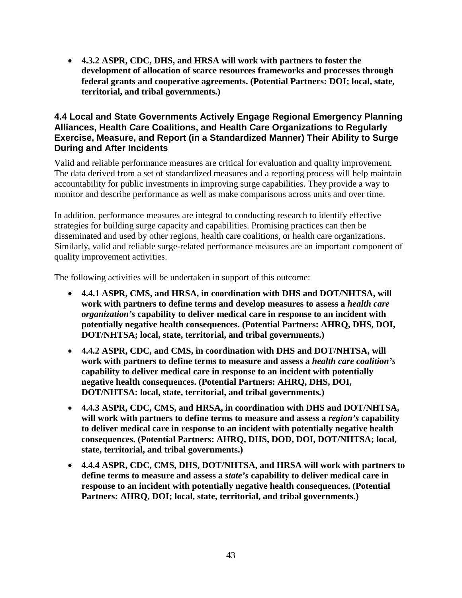• **4.3.2 ASPR, CDC, DHS, and HRSA will work with partners to foster the development of allocation of scarce resources frameworks and processes through federal grants and cooperative agreements. (Potential Partners: DOI; local, state, territorial, and tribal governments.)**

#### **4.4 Local and State Governments Actively Engage Regional Emergency Planning Alliances, Health Care Coalitions, and Health Care Organizations to Regularly Exercise, Measure, and Report (in a Standardized Manner) Their Ability to Surge During and After Incidents**

Valid and reliable performance measures are critical for evaluation and quality improvement. The data derived from a set of standardized measures and a reporting process will help maintain accountability for public investments in improving surge capabilities. They provide a way to monitor and describe performance as well as make comparisons across units and over time.

In addition, performance measures are integral to conducting research to identify effective strategies for building surge capacity and capabilities. Promising practices can then be disseminated and used by other regions, health care coalitions, or health care organizations. Similarly, valid and reliable surge-related performance measures are an important component of quality improvement activities.

- **4.4.1 ASPR, CMS, and HRSA, in coordination with DHS and DOT/NHTSA, will work with partners to define terms and develop measures to assess a** *health care organization's* **capability to deliver medical care in response to an incident with potentially negative health consequences. (Potential Partners: AHRQ, DHS, DOI, DOT/NHTSA; local, state, territorial, and tribal governments.)**
- **4.4.2 ASPR, CDC, and CMS, in coordination with DHS and DOT/NHTSA, will work with partners to define terms to measure and assess a** *health care coalition's* **capability to deliver medical care in response to an incident with potentially negative health consequences. (Potential Partners: AHRQ, DHS, DOI, DOT/NHTSA: local, state, territorial, and tribal governments.)**
- **4.4.3 ASPR, CDC, CMS, and HRSA, in coordination with DHS and DOT/NHTSA, will work with partners to define terms to measure and assess a** *region's* **capability to deliver medical care in response to an incident with potentially negative health consequences. (Potential Partners: AHRQ, DHS, DOD, DOI, DOT/NHTSA; local, state, territorial, and tribal governments.)**
- **4.4.4 ASPR, CDC, CMS, DHS, DOT/NHTSA, and HRSA will work with partners to define terms to measure and assess a** *state's* **capability to deliver medical care in response to an incident with potentially negative health consequences. (Potential Partners: AHRQ, DOI; local, state, territorial, and tribal governments.)**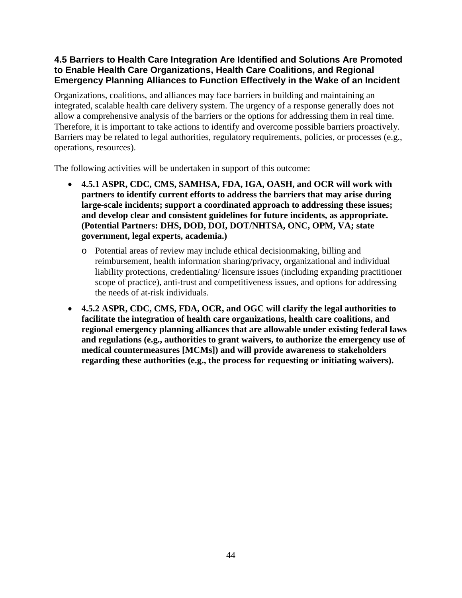## **4.5 Barriers to Health Care Integration Are Identified and Solutions Are Promoted to Enable Health Care Organizations, Health Care Coalitions, and Regional Emergency Planning Alliances to Function Effectively in the Wake of an Incident**

Organizations, coalitions, and alliances may face barriers in building and maintaining an integrated, scalable health care delivery system. The urgency of a response generally does not allow a comprehensive analysis of the barriers or the options for addressing them in real time. Therefore, it is important to take actions to identify and overcome possible barriers proactively. Barriers may be related to legal authorities, regulatory requirements, policies, or processes (e.g., operations, resources).

- **4.5.1 ASPR, CDC, CMS, SAMHSA, FDA, IGA, OASH, and OCR will work with partners to identify current efforts to address the barriers that may arise during large-scale incidents; support a coordinated approach to addressing these issues; and develop clear and consistent guidelines for future incidents, as appropriate. (Potential Partners: DHS, DOD, DOI, DOT/NHTSA, ONC, OPM, VA; state government, legal experts, academia.)** 
	- o Potential areas of review may include ethical decisionmaking, billing and reimbursement, health information sharing/privacy, organizational and individual liability protections, credentialing/ licensure issues (including expanding practitioner scope of practice), anti-trust and competitiveness issues, and options for addressing the needs of at-risk individuals.
- **4.5.2 ASPR, CDC, CMS, FDA, OCR, and OGC will clarify the legal authorities to facilitate the integration of health care organizations, health care coalitions, and regional emergency planning alliances that are allowable under existing federal laws and regulations (e.g., authorities to grant waivers, to authorize the emergency use of medical countermeasures [MCMs]) and will provide awareness to stakeholders regarding these authorities (e.g., the process for requesting or initiating waivers).**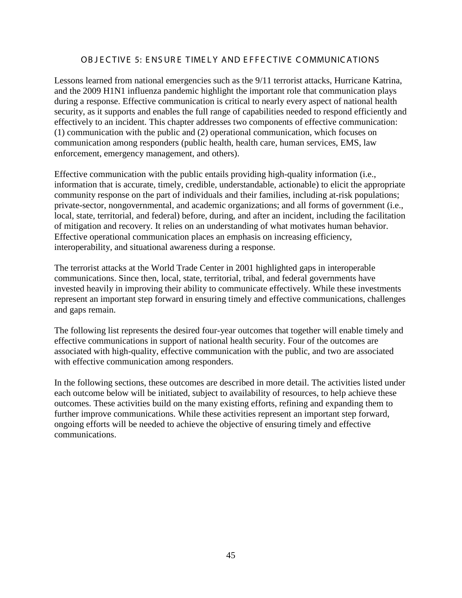#### OB JECTIVE 5: ENSURE TIMELY AND EFFECTIVE COMMUNICATIONS

Lessons learned from national emergencies such as the 9/11 terrorist attacks, Hurricane Katrina, and the 2009 H1N1 influenza pandemic highlight the important role that communication plays during a response. Effective communication is critical to nearly every aspect of national health security, as it supports and enables the full range of capabilities needed to respond efficiently and effectively to an incident. This chapter addresses two components of effective communication: (1) communication with the public and (2) operational communication, which focuses on communication among responders (public health, health care, human services, EMS, law enforcement, emergency management, and others).

Effective communication with the public entails providing high-quality information (i.e., information that is accurate, timely, credible, understandable, actionable) to elicit the appropriate community response on the part of individuals and their families, including at-risk populations; private-sector, nongovernmental, and academic organizations; and all forms of government (i.e., local, state, territorial, and federal) before, during, and after an incident, including the facilitation of mitigation and recovery. It relies on an understanding of what motivates human behavior. Effective operational communication places an emphasis on increasing efficiency, interoperability, and situational awareness during a response.

The terrorist attacks at the World Trade Center in 2001 highlighted gaps in interoperable communications. Since then, local, state, territorial, tribal, and federal governments have invested heavily in improving their ability to communicate effectively. While these investments represent an important step forward in ensuring timely and effective communications, challenges and gaps remain.

The following list represents the desired four-year outcomes that together will enable timely and effective communications in support of national health security. Four of the outcomes are associated with high-quality, effective communication with the public, and two are associated with effective communication among responders.

In the following sections, these outcomes are described in more detail. The activities listed under each outcome below will be initiated, subject to availability of resources, to help achieve these outcomes. These activities build on the many existing efforts, refining and expanding them to further improve communications. While these activities represent an important step forward, ongoing efforts will be needed to achieve the objective of ensuring timely and effective communications.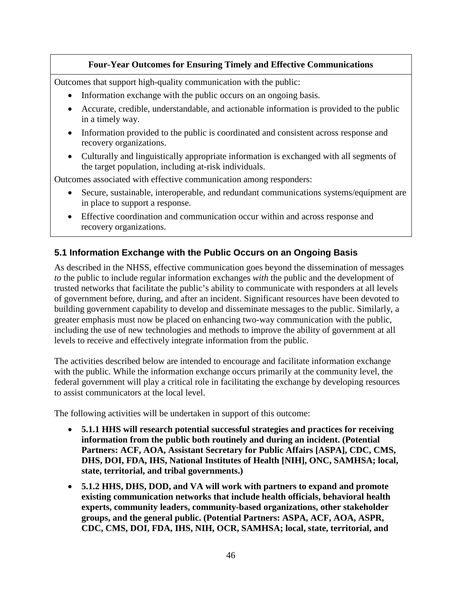## **Four-Year Outcomes for Ensuring Timely and Effective Communications**

Outcomes that support high-quality communication with the public:

- Information exchange with the public occurs on an ongoing basis.
- Accurate, credible, understandable, and actionable information is provided to the public in a timely way.
- Information provided to the public is coordinated and consistent across response and recovery organizations.
- Culturally and linguistically appropriate information is exchanged with all segments of the target population, including at-risk individuals.

Outcomes associated with effective communication among responders:

- Secure, sustainable, interoperable, and redundant communications systems/equipment are in place to support a response.
- Effective coordination and communication occur within and across response and recovery organizations.

## **5.1 Information Exchange with the Public Occurs on an Ongoing Basis**

As described in the NHSS, effective communication goes beyond the dissemination of messages *to* the public to include regular information exchanges *with* the public and the development of trusted networks that facilitate the public's ability to communicate with responders at all levels of government before, during, and after an incident. Significant resources have been devoted to building government capability to develop and disseminate messages to the public. Similarly, a greater emphasis must now be placed on enhancing two-way communication with the public, including the use of new technologies and methods to improve the ability of government at all levels to receive and effectively integrate information from the public.

The activities described below are intended to encourage and facilitate information exchange with the public. While the information exchange occurs primarily at the community level, the federal government will play a critical role in facilitating the exchange by developing resources to assist communicators at the local level.

- **5.1.1 HHS will research potential successful strategies and practices for receiving information from the public both routinely and during an incident. (Potential Partners: ACF, AOA, Assistant Secretary for Public Affairs [ASPA], CDC, CMS, DHS, DOI, FDA, IHS, National Institutes of Health [NIH], ONC, SAMHSA; local, state, territorial, and tribal governments.)**
- **5.1.2 HHS, DHS, DOD, and VA will work with partners to expand and promote existing communication networks that include health officials, behavioral health experts, community leaders, community-based organizations, other stakeholder groups, and the general public. (Potential Partners: ASPA, ACF, AOA, ASPR, CDC, CMS, DOI, FDA, IHS, NIH, OCR, SAMHSA; local, state, territorial, and**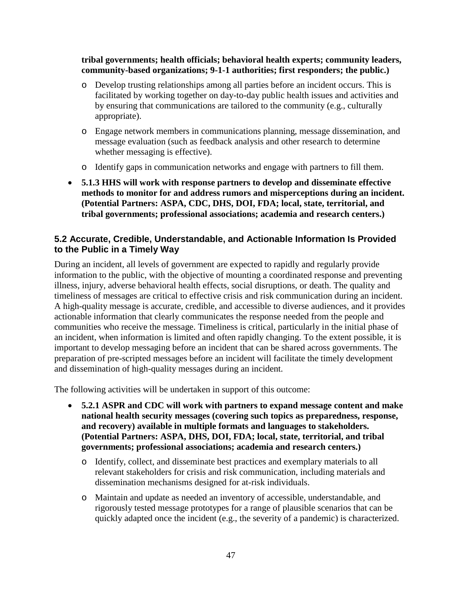#### **tribal governments; health officials; behavioral health experts; community leaders, community-based organizations; 9-1-1 authorities; first responders; the public.)**

- o Develop trusting relationships among all parties before an incident occurs. This is facilitated by working together on day-to-day public health issues and activities and by ensuring that communications are tailored to the community (e.g., culturally appropriate).
- o Engage network members in communications planning, message dissemination, and message evaluation (such as feedback analysis and other research to determine whether messaging is effective).
- o Identify gaps in communication networks and engage with partners to fill them.
- **5.1.3 HHS will work with response partners to develop and disseminate effective methods to monitor for and address rumors and misperceptions during an incident. (Potential Partners: ASPA, CDC, DHS, DOI, FDA; local, state, territorial, and tribal governments; professional associations; academia and research centers.)**

#### **5.2 Accurate, Credible, Understandable, and Actionable Information Is Provided to the Public in a Timely Way**

During an incident, all levels of government are expected to rapidly and regularly provide information to the public, with the objective of mounting a coordinated response and preventing illness, injury, adverse behavioral health effects, social disruptions, or death. The quality and timeliness of messages are critical to effective crisis and risk communication during an incident. A high-quality message is accurate, credible, and accessible to diverse audiences, and it provides actionable information that clearly communicates the response needed from the people and communities who receive the message. Timeliness is critical, particularly in the initial phase of an incident, when information is limited and often rapidly changing. To the extent possible, it is important to develop messaging before an incident that can be shared across governments. The preparation of pre-scripted messages before an incident will facilitate the timely development and dissemination of high-quality messages during an incident.

- **5.2.1 ASPR and CDC will work with partners to expand message content and make national health security messages (covering such topics as preparedness, response, and recovery) available in multiple formats and languages to stakeholders. (Potential Partners: ASPA, DHS, DOI, FDA; local, state, territorial, and tribal governments; professional associations; academia and research centers.)**
	- o Identify, collect, and disseminate best practices and exemplary materials to all relevant stakeholders for crisis and risk communication, including materials and dissemination mechanisms designed for at-risk individuals.
	- o Maintain and update as needed an inventory of accessible, understandable, and rigorously tested message prototypes for a range of plausible scenarios that can be quickly adapted once the incident (e.g., the severity of a pandemic) is characterized.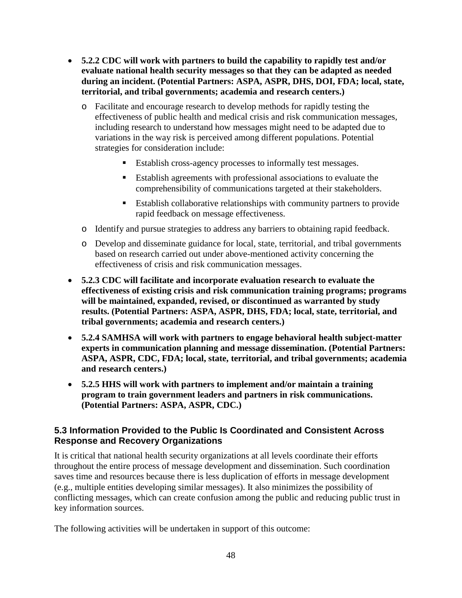- **5.2.2 CDC will work with partners to build the capability to rapidly test and/or evaluate national health security messages so that they can be adapted as needed during an incident. (Potential Partners: ASPA, ASPR, DHS, DOI, FDA; local, state, territorial, and tribal governments; academia and research centers.)**
	- o Facilitate and encourage research to develop methods for rapidly testing the effectiveness of public health and medical crisis and risk communication messages, including research to understand how messages might need to be adapted due to variations in the way risk is perceived among different populations. Potential strategies for consideration include:
		- Establish cross-agency processes to informally test messages.
		- Establish agreements with professional associations to evaluate the comprehensibility of communications targeted at their stakeholders.
		- Establish collaborative relationships with community partners to provide rapid feedback on message effectiveness.
	- o Identify and pursue strategies to address any barriers to obtaining rapid feedback.
	- o Develop and disseminate guidance for local, state, territorial, and tribal governments based on research carried out under above-mentioned activity concerning the effectiveness of crisis and risk communication messages.
- **5.2.3 CDC will facilitate and incorporate evaluation research to evaluate the effectiveness of existing crisis and risk communication training programs; programs will be maintained, expanded, revised, or discontinued as warranted by study results. (Potential Partners: ASPA, ASPR, DHS, FDA; local, state, territorial, and tribal governments; academia and research centers.)**
- **5.2.4 SAMHSA will work with partners to engage behavioral health subject-matter experts in communication planning and message dissemination. (Potential Partners: ASPA, ASPR, CDC, FDA; local, state, territorial, and tribal governments; academia and research centers.)**
- **5.2.5 HHS will work with partners to implement and/or maintain a training program to train government leaders and partners in risk communications. (Potential Partners: ASPA, ASPR, CDC.)**

#### **5.3 Information Provided to the Public Is Coordinated and Consistent Across Response and Recovery Organizations**

It is critical that national health security organizations at all levels coordinate their efforts throughout the entire process of message development and dissemination. Such coordination saves time and resources because there is less duplication of efforts in message development (e.g., multiple entities developing similar messages). It also minimizes the possibility of conflicting messages, which can create confusion among the public and reducing public trust in key information sources.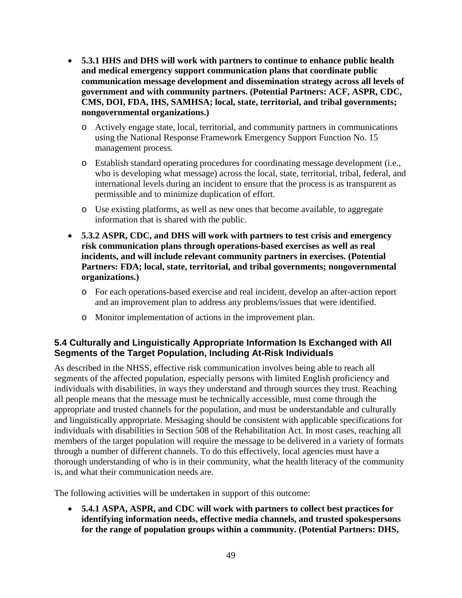- **5.3.1 HHS and DHS will work with partners to continue to enhance public health and medical emergency support communication plans that coordinate public communication message development and dissemination strategy across all levels of government and with community partners. (Potential Partners: ACF, ASPR, CDC, CMS, DOI, FDA, IHS, SAMHSA; local, state, territorial, and tribal governments; nongovernmental organizations.)**
	- o Actively engage state, local, territorial, and community partners in communications using the National Response Framework Emergency Support Function No. 15 management process.
	- o Establish standard operating procedures for coordinating message development (i.e., who is developing what message) across the local, state, territorial, tribal, federal, and international levels during an incident to ensure that the process is as transparent as permissible and to minimize duplication of effort.
	- o Use existing platforms, as well as new ones that become available, to aggregate information that is shared with the public.
- **5.3.2 ASPR, CDC, and DHS will work with partners to test crisis and emergency risk communication plans through operations-based exercises as well as real incidents, and will include relevant community partners in exercises. (Potential Partners: FDA; local, state, territorial, and tribal governments; nongovernmental organizations.)**
	- o For each operations-based exercise and real incident, develop an after-action report and an improvement plan to address any problems/issues that were identified.
	- o Monitor implementation of actions in the improvement plan.

### **5.4 Culturally and Linguistically Appropriate Information Is Exchanged with All Segments of the Target Population, Including At-Risk Individuals**

As described in the NHSS, effective risk communication involves being able to reach all segments of the affected population, especially persons with limited English proficiency and individuals with disabilities, in ways they understand and through sources they trust. Reaching all people means that the message must be technically accessible, must come through the appropriate and trusted channels for the population, and must be understandable and culturally and linguistically appropriate. Messaging should be consistent with applicable specifications for individuals with disabilities in Section 508 of the Rehabilitation Act. In most cases, reaching all members of the target population will require the message to be delivered in a variety of formats through a number of different channels. To do this effectively, local agencies must have a thorough understanding of who is in their community, what the health literacy of the community is, and what their communication needs are.

The following activities will be undertaken in support of this outcome:

• **5.4.1 ASPA, ASPR, and CDC will work with partners to collect best practices for identifying information needs, effective media channels, and trusted spokespersons for the range of population groups within a community. (Potential Partners: DHS,**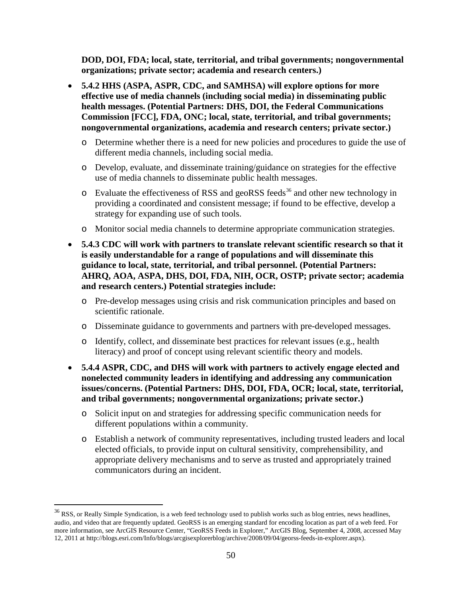**DOD, DOI, FDA; local, state, territorial, and tribal governments; nongovernmental organizations; private sector; academia and research centers.)**

- **5.4.2 HHS (ASPA, ASPR, CDC, and SAMHSA) will explore options for more effective use of media channels (including social media) in disseminating public health messages. (Potential Partners: DHS, DOI, the Federal Communications Commission [FCC], FDA, ONC; local, state, territorial, and tribal governments; nongovernmental organizations, academia and research centers; private sector.)**
	- o Determine whether there is a need for new policies and procedures to guide the use of different media channels, including social media.
	- o Develop, evaluate, and disseminate training/guidance on strategies for the effective use of media channels to disseminate public health messages.
	- $\circ$  Evaluate the effectiveness of RSS and geoRSS feeds<sup>[36](#page-49-0)</sup> and other new technology in providing a coordinated and consistent message; if found to be effective, develop a strategy for expanding use of such tools.
	- o Monitor social media channels to determine appropriate communication strategies.
- **5.4.3 CDC will work with partners to translate relevant scientific research so that it is easily understandable for a range of populations and will disseminate this guidance to local, state, territorial, and tribal personnel. (Potential Partners: AHRQ, AOA, ASPA, DHS, DOI, FDA, NIH, OCR, OSTP; private sector; academia and research centers.) Potential strategies include:**
	- o Pre-develop messages using crisis and risk communication principles and based on scientific rationale.
	- o Disseminate guidance to governments and partners with pre-developed messages.
	- o Identify, collect, and disseminate best practices for relevant issues (e.g., health literacy) and proof of concept using relevant scientific theory and models.
- **5.4.4 ASPR, CDC, and DHS will work with partners to actively engage elected and nonelected community leaders in identifying and addressing any communication issues/concerns. (Potential Partners: DHS, DOI, FDA, OCR; local, state, territorial, and tribal governments; nongovernmental organizations; private sector.)**
	- o Solicit input on and strategies for addressing specific communication needs for different populations within a community.
	- o Establish a network of community representatives, including trusted leaders and local elected officials, to provide input on cultural sensitivity, comprehensibility, and appropriate delivery mechanisms and to serve as trusted and appropriately trained communicators during an incident.

<span id="page-49-0"></span><sup>&</sup>lt;sup>36</sup> RSS, or Really Simple Syndication, is a web feed technology used to publish works such a[s blog](http://en.wikipedia.org/wiki/Blog) entries, news headlines, audio, and video that are frequently updated. GeoRSS is an emerging standard for encoding location as part of a web feed. For more information, see ArcGIS Resource Center, "GeoRSS Feeds in Explorer," ArcGIS Blog, September 4, 2008, accessed May 12, 2011 a[t http://blogs.esri.com/Info/blogs/arcgisexplorerblog/archive/2008/09/04/georss-feeds-in-explorer.aspx\)](http://blogs.esri.com/Info/blogs/arcgisexplorerblog/archive/2008/09/04/georss-feeds-in-explorer.aspx).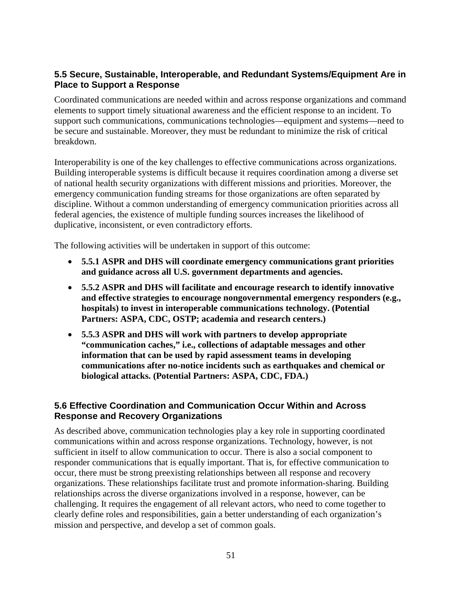## **5.5 Secure, Sustainable, Interoperable, and Redundant Systems/Equipment Are in Place to Support a Response**

Coordinated communications are needed within and across response organizations and command elements to support timely situational awareness and the efficient response to an incident. To support such communications, communications technologies—equipment and systems—need to be secure and sustainable. Moreover, they must be redundant to minimize the risk of critical breakdown.

Interoperability is one of the key challenges to effective communications across organizations. Building interoperable systems is difficult because it requires coordination among a diverse set of national health security organizations with different missions and priorities. Moreover, the emergency communication funding streams for those organizations are often separated by discipline. Without a common understanding of emergency communication priorities across all federal agencies, the existence of multiple funding sources increases the likelihood of duplicative, inconsistent, or even contradictory efforts.

The following activities will be undertaken in support of this outcome:

- **5.5.1 ASPR and DHS will coordinate emergency communications grant priorities and guidance across all U.S. government departments and agencies.**
- **5.5.2 ASPR and DHS will facilitate and encourage research to identify innovative and effective strategies to encourage nongovernmental emergency responders (e.g., hospitals) to invest in interoperable communications technology. (Potential Partners: ASPA, CDC, OSTP; academia and research centers.)**
- **5.5.3 ASPR and DHS will work with partners to develop appropriate "communication caches," i.e., collections of adaptable messages and other information that can be used by rapid assessment teams in developing communications after no-notice incidents such as earthquakes and chemical or biological attacks. (Potential Partners: ASPA, CDC, FDA.)**

### **5.6 Effective Coordination and Communication Occur Within and Across Response and Recovery Organizations**

As described above, communication technologies play a key role in supporting coordinated communications within and across response organizations. Technology, however, is not sufficient in itself to allow communication to occur. There is also a social component to responder communications that is equally important. That is, for effective communication to occur, there must be strong preexisting relationships between all response and recovery organizations. These relationships facilitate trust and promote information-sharing. Building relationships across the diverse organizations involved in a response, however, can be challenging. It requires the engagement of all relevant actors, who need to come together to clearly define roles and responsibilities, gain a better understanding of each organization's mission and perspective, and develop a set of common goals.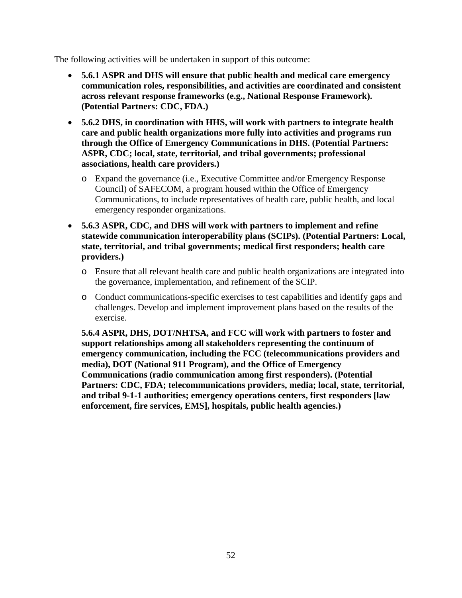The following activities will be undertaken in support of this outcome:

- **5.6.1 ASPR and DHS will ensure that public health and medical care emergency communication roles, responsibilities, and activities are coordinated and consistent across relevant response frameworks (e.g., National Response Framework). (Potential Partners: CDC, FDA.)**
- **5.6.2 DHS, in coordination with HHS, will work with partners to integrate health care and public health organizations more fully into activities and programs run through the Office of Emergency Communications in DHS. (Potential Partners: ASPR, CDC; local, state, territorial, and tribal governments; professional associations, health care providers.)**
	- o Expand the governance (i.e., Executive Committee and/or Emergency Response Council) of SAFECOM, a program housed within the Office of Emergency Communications, to include representatives of health care, public health, and local emergency responder organizations.
- **5.6.3 ASPR, CDC, and DHS will work with partners to implement and refine statewide communication interoperability plans (SCIPs). (Potential Partners: Local, state, territorial, and tribal governments; medical first responders; health care providers.)**
	- o Ensure that all relevant health care and public health organizations are integrated into the governance, implementation, and refinement of the SCIP.
	- o Conduct communications-specific exercises to test capabilities and identify gaps and challenges. Develop and implement improvement plans based on the results of the exercise.

**5.6.4 ASPR, DHS, DOT/NHTSA, and FCC will work with partners to foster and support relationships among all stakeholders representing the continuum of emergency communication, including the FCC (telecommunications providers and media), DOT (National 911 Program), and the Office of Emergency Communications (radio communication among first responders). (Potential Partners: CDC, FDA; telecommunications providers, media; local, state, territorial, and tribal 9-1-1 authorities; emergency operations centers, first responders [law enforcement, fire services, EMS], hospitals, public health agencies.)**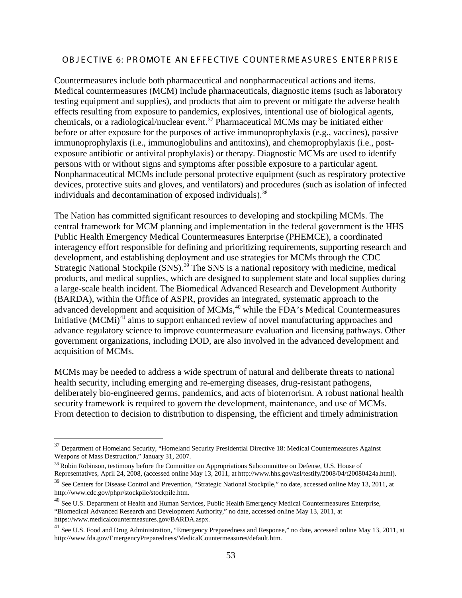#### OB JECTIVE 6: PROMOTE AN EFFECTIVE COUNTERMEASURES ENTERPRISE

Countermeasures include both pharmaceutical and nonpharmaceutical actions and items. Medical countermeasures (MCM) include pharmaceuticals, diagnostic items (such as laboratory testing equipment and supplies), and products that aim to prevent or mitigate the adverse health effects resulting from exposure to pandemics, explosives, intentional use of biological agents, chemicals, or a radiological/nuclear event.[37](#page-52-0) Pharmaceutical MCMs may be initiated either before or after exposure for the purposes of active immunoprophylaxis (e.g., vaccines), passive immunoprophylaxis (i.e., immunoglobulins and antitoxins), and chemoprophylaxis (i.e., postexposure antibiotic or antiviral prophylaxis) or therapy. Diagnostic MCMs are used to identify persons with or without signs and symptoms after possible exposure to a particular agent. Nonpharmaceutical MCMs include personal protective equipment (such as respiratory protective devices, protective suits and gloves, and ventilators) and procedures (such as isolation of infected individuals and decontamination of exposed individuals).<sup>[38](#page-52-1)</sup>

The Nation has committed significant resources to developing and stockpiling MCMs. The central framework for MCM planning and implementation in the federal government is the HHS Public Health Emergency Medical Countermeasures Enterprise (PHEMCE), a coordinated interagency effort responsible for defining and prioritizing requirements, supporting research and development, and establishing deployment and use strategies for MCMs through the CDC Strategic National Stockpile  $(SNS)$ .<sup>[39](#page-52-2)</sup> The SNS is a national repository with medicine, medical products, and medical supplies, which are designed to supplement state and local supplies during a large-scale health incident. The Biomedical Advanced Research and Development Authority (BARDA), within the Office of ASPR, provides an integrated, systematic approach to the advanced development and acquisition of MCMs, [40](#page-52-3) while the FDA's Medical Countermeasures Initiative  $(MCMi)^{41}$  $(MCMi)^{41}$  $(MCMi)^{41}$  aims to support enhanced review of novel manufacturing approaches and advance regulatory science to improve countermeasure evaluation and licensing pathways. Other government organizations, including DOD, are also involved in the advanced development and acquisition of MCMs.

MCMs may be needed to address a wide spectrum of natural and deliberate threats to national health security, including emerging and re-emerging diseases, drug-resistant pathogens, deliberately bio-engineered germs, pandemics, and acts of bioterrorism. A robust national health security framework is required to govern the development, maintenance, and use of MCMs. From detection to decision to distribution to dispensing, the efficient and timely administration

<span id="page-52-0"></span> $37$  Department of Homeland Security, "Homeland Security Presidential Directive 18: Medical Countermeasures Against Weapons of Mass Destruction," January 31, 2007.

<span id="page-52-1"></span> $38$  Robin Robinson, testimony before the Committee on Appropriations Subcommittee on Defense, U.S. House of Representatives, April 24, 2008, (accessed online May 13, 2011, at http://www.hhs.gov/asl/testify/2008/04/t20080424a.html).

<span id="page-52-2"></span><sup>&</sup>lt;sup>39</sup> See Centers for Disease Control and Prevention, "Strategic National Stockpile," no date, accessed online May 13, 2011, at http://www.cdc.gov/phpr/stockpile/stockpile.htm.

<span id="page-52-3"></span><sup>&</sup>lt;sup>40</sup> See U.S. Department of Health and Human Services, Public Health Emergency Medical Countermeasures Enterprise, "Biomedical Advanced Research and Development Authority," no date, accessed online May 13, 2011, at https://www.medicalcountermeasures.gov/BARDA.aspx.

<span id="page-52-4"></span><sup>&</sup>lt;sup>41</sup> See U.S. Food and Drug Administration, "Emergency Preparedness and Response," no date, accessed online May 13, 2011, at http://www.fda.gov/EmergencyPreparedness/MedicalCountermeasures/default.htm.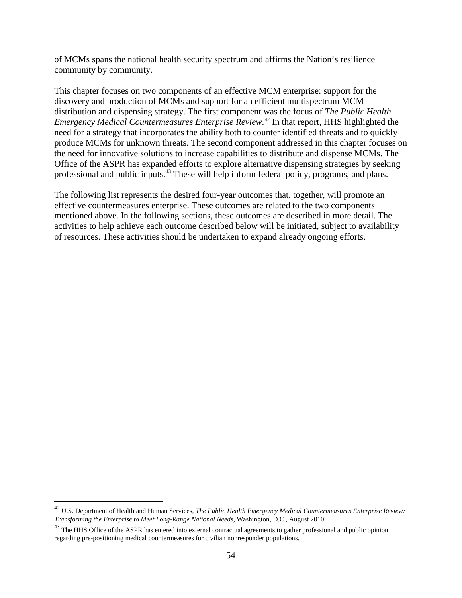of MCMs spans the national health security spectrum and affirms the Nation's resilience community by community.

This chapter focuses on two components of an effective MCM enterprise: support for the discovery and production of MCMs and support for an efficient multispectrum MCM distribution and dispensing strategy. The first component was the focus of *The Public Health Emergency Medical Countermeasures Enterprise Review*. [42](#page-53-0) In that report, HHS highlighted the need for a strategy that incorporates the ability both to counter identified threats and to quickly produce MCMs for unknown threats. The second component addressed in this chapter focuses on the need for innovative solutions to increase capabilities to distribute and dispense MCMs. The Office of the ASPR has expanded efforts to explore alternative dispensing strategies by seeking professional and public inputs.[43](#page-53-1) These will help inform federal policy, programs, and plans.

The following list represents the desired four-year outcomes that, together, will promote an effective countermeasures enterprise. These outcomes are related to the two components mentioned above. In the following sections, these outcomes are described in more detail. The activities to help achieve each outcome described below will be initiated, subject to availability of resources. These activities should be undertaken to expand already ongoing efforts.

<span id="page-53-0"></span> <sup>42</sup> U.S. Department of Health and Human Services, *The Public Health Emergency Medical Countermeasures Enterprise Review: Transforming the Enterprise to Meet Long-Range National Needs*, Washington, D.C., August 2010.

<span id="page-53-1"></span><sup>&</sup>lt;sup>43</sup> The HHS Office of the ASPR has entered into external contractual agreements to gather professional and public opinion regarding pre-positioning medical countermeasures for civilian nonresponder populations.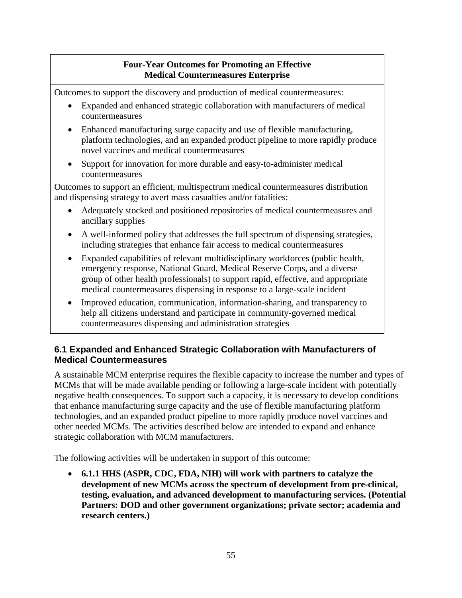## **Four-Year Outcomes for Promoting an Effective Medical Countermeasures Enterprise**

Outcomes to support the discovery and production of medical countermeasures:

- Expanded and enhanced strategic collaboration with manufacturers of medical countermeasures
- Enhanced manufacturing surge capacity and use of flexible manufacturing, platform technologies, and an expanded product pipeline to more rapidly produce novel vaccines and medical countermeasures
- Support for innovation for more durable and easy-to-administer medical countermeasures

Outcomes to support an efficient, multispectrum medical countermeasures distribution and dispensing strategy to avert mass casualties and/or fatalities:

- Adequately stocked and positioned repositories of medical countermeasures and ancillary supplies
- A well-informed policy that addresses the full spectrum of dispensing strategies, including strategies that enhance fair access to medical countermeasures
- Expanded capabilities of relevant multidisciplinary workforces (public health, emergency response, National Guard, Medical Reserve Corps, and a diverse group of other health professionals) to support rapid, effective, and appropriate medical countermeasures dispensing in response to a large-scale incident
- Improved education, communication, information-sharing, and transparency to help all citizens understand and participate in community-governed medical countermeasures dispensing and administration strategies

## **6.1 Expanded and Enhanced Strategic Collaboration with Manufacturers of Medical Countermeasures**

A sustainable MCM enterprise requires the flexible capacity to increase the number and types of MCMs that will be made available pending or following a large-scale incident with potentially negative health consequences. To support such a capacity, it is necessary to develop conditions that enhance manufacturing surge capacity and the use of flexible manufacturing platform technologies, and an expanded product pipeline to more rapidly produce novel vaccines and other needed MCMs. The activities described below are intended to expand and enhance strategic collaboration with MCM manufacturers.

The following activities will be undertaken in support of this outcome:

• **6.1.1 HHS (ASPR, CDC, FDA, NIH) will work with partners to catalyze the development of new MCMs across the spectrum of development from pre-clinical, testing, evaluation, and advanced development to manufacturing services. (Potential Partners: DOD and other government organizations; private sector; academia and research centers.)**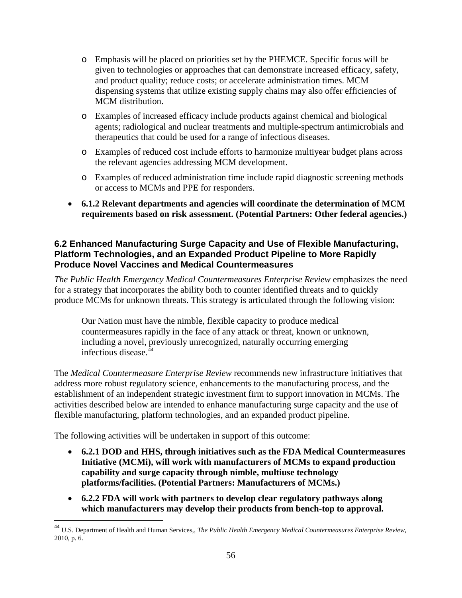- o Emphasis will be placed on priorities set by the PHEMCE. Specific focus will be given to technologies or approaches that can demonstrate increased efficacy, safety, and product quality; reduce costs; or accelerate administration times. MCM dispensing systems that utilize existing supply chains may also offer efficiencies of MCM distribution.
- o Examples of increased efficacy include products against chemical and biological agents; radiological and nuclear treatments and multiple-spectrum antimicrobials and therapeutics that could be used for a range of infectious diseases.
- o Examples of reduced cost include efforts to harmonize multiyear budget plans across the relevant agencies addressing MCM development.
- o Examples of reduced administration time include rapid diagnostic screening methods or access to MCMs and PPE for responders.
- **6.1.2 Relevant departments and agencies will coordinate the determination of MCM requirements based on risk assessment. (Potential Partners: Other federal agencies.)**

### **6.2 Enhanced Manufacturing Surge Capacity and Use of Flexible Manufacturing, Platform Technologies, and an Expanded Product Pipeline to More Rapidly Produce Novel Vaccines and Medical Countermeasures**

*The Public Health Emergency Medical Countermeasures Enterprise Review* emphasizes the need for a strategy that incorporates the ability both to counter identified threats and to quickly produce MCMs for unknown threats. This strategy is articulated through the following vision:

Our Nation must have the nimble, flexible capacity to produce medical countermeasures rapidly in the face of any attack or threat, known or unknown, including a novel, previously unrecognized, naturally occurring emerging infectious disease.<sup>[44](#page-55-0)</sup>

The *Medical Countermeasure Enterprise Review* recommends new infrastructure initiatives that address more robust regulatory science, enhancements to the manufacturing process, and the establishment of an independent strategic investment firm to support innovation in MCMs. The activities described below are intended to enhance manufacturing surge capacity and the use of flexible manufacturing, platform technologies, and an expanded product pipeline.

- **6.2.1 DOD and HHS, through initiatives such as the FDA Medical Countermeasures Initiative (MCMi), will work with manufacturers of MCMs to expand production capability and surge capacity through nimble, multiuse technology platforms/facilities. (Potential Partners: Manufacturers of MCMs.)**
- **6.2.2 FDA will work with partners to develop clear regulatory pathways along which manufacturers may develop their products from bench-top to approval.**

<span id="page-55-0"></span> <sup>44</sup> U.S. Department of Health and Human Services,, *The Public Health Emergency Medical Countermeasures Enterprise Review*, 2010, p. 6.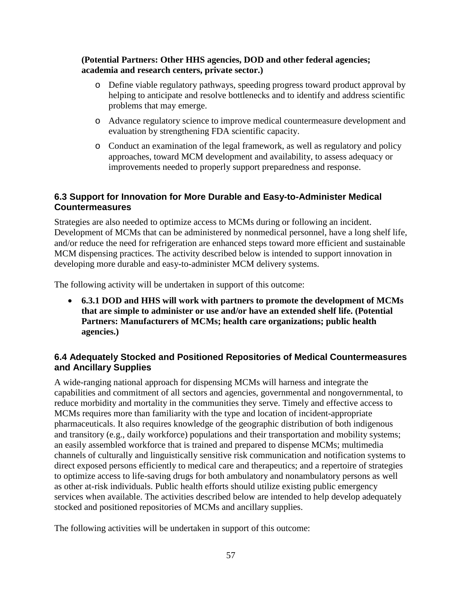#### **(Potential Partners: Other HHS agencies, DOD and other federal agencies; academia and research centers, private sector.)**

- o Define viable regulatory pathways, speeding progress toward product approval by helping to anticipate and resolve bottlenecks and to identify and address scientific problems that may emerge.
- o Advance regulatory science to improve medical countermeasure development and evaluation by strengthening FDA scientific capacity.
- o Conduct an examination of the legal framework, as well as regulatory and policy approaches, toward MCM development and availability, to assess adequacy or improvements needed to properly support preparedness and response.

## **6.3 Support for Innovation for More Durable and Easy-to-Administer Medical Countermeasures**

Strategies are also needed to optimize access to MCMs during or following an incident. Development of MCMs that can be administered by nonmedical personnel, have a long shelf life, and/or reduce the need for refrigeration are enhanced steps toward more efficient and sustainable MCM dispensing practices. The activity described below is intended to support innovation in developing more durable and easy-to-administer MCM delivery systems.

The following activity will be undertaken in support of this outcome:

• **6.3.1 DOD and HHS will work with partners to promote the development of MCMs that are simple to administer or use and/or have an extended shelf life. (Potential Partners: Manufacturers of MCMs; health care organizations; public health agencies.)**

### **6.4 Adequately Stocked and Positioned Repositories of Medical Countermeasures and Ancillary Supplies**

A wide-ranging national approach for dispensing MCMs will harness and integrate the capabilities and commitment of all sectors and agencies, governmental and nongovernmental, to reduce morbidity and mortality in the communities they serve. Timely and effective access to MCMs requires more than familiarity with the type and location of incident-appropriate pharmaceuticals. It also requires knowledge of the geographic distribution of both indigenous and transitory (e.g., daily workforce) populations and their transportation and mobility systems; an easily assembled workforce that is trained and prepared to dispense MCMs; multimedia channels of culturally and linguistically sensitive risk communication and notification systems to direct exposed persons efficiently to medical care and therapeutics; and a repertoire of strategies to optimize access to life-saving drugs for both ambulatory and nonambulatory persons as well as other at-risk individuals. Public health efforts should utilize existing public emergency services when available. The activities described below are intended to help develop adequately stocked and positioned repositories of MCMs and ancillary supplies.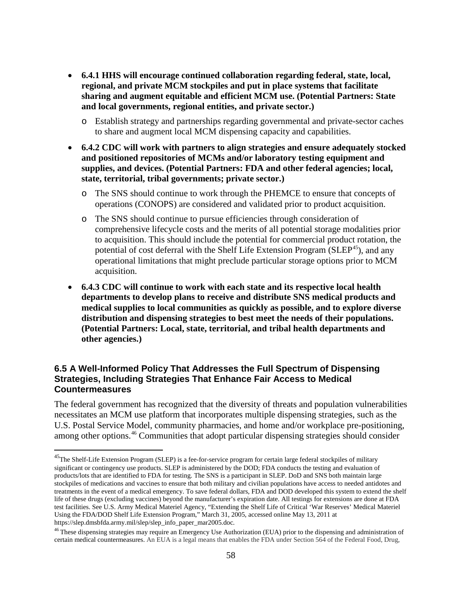- **6.4.1 HHS will encourage continued collaboration regarding federal, state, local, regional, and private MCM stockpiles and put in place systems that facilitate sharing and augment equitable and efficient MCM use. (Potential Partners: State and local governments, regional entities, and private sector.)**
	- o Establish strategy and partnerships regarding governmental and private-sector caches to share and augment local MCM dispensing capacity and capabilities.
- **6.4.2 CDC will work with partners to align strategies and ensure adequately stocked and positioned repositories of MCMs and/or laboratory testing equipment and supplies, and devices. (Potential Partners: FDA and other federal agencies; local, state, territorial, tribal governments; private sector.)**
	- o The SNS should continue to work through the PHEMCE to ensure that concepts of operations (CONOPS) are considered and validated prior to product acquisition.
	- o The SNS should continue to pursue efficiencies through consideration of comprehensive lifecycle costs and the merits of all potential storage modalities prior to acquisition. This should include the potential for commercial product rotation, the potential of cost deferral with the Shelf Life Extension Program (SLEP<sup>[45](#page-57-0)</sup>), and any operational limitations that might preclude particular storage options prior to MCM acquisition.
- **6.4.3 CDC will continue to work with each state and its respective local health departments to develop plans to receive and distribute SNS medical products and medical supplies to local communities as quickly as possible, and to explore diverse distribution and dispensing strategies to best meet the needs of their populations. (Potential Partners: Local, state, territorial, and tribal health departments and other agencies.)**

### **6.5 A Well-Informed Policy That Addresses the Full Spectrum of Dispensing Strategies, Including Strategies That Enhance Fair Access to Medical Countermeasures**

The federal government has recognized that the diversity of threats and population vulnerabilities necessitates an MCM use platform that incorporates multiple dispensing strategies, such as the U.S. Postal Service Model, community pharmacies, and home and/or workplace pre-positioning, among other options.<sup>[46](#page-57-1)</sup> Communities that adopt particular dispensing strategies should consider

<span id="page-57-0"></span><sup>&</sup>lt;sup>45</sup>The Shelf-Life Extension Program (SLEP) is a fee-for-service program for certain large federal stockpiles of military significant or contingency use products. SLEP is administered by the DOD; FDA conducts the testing and evaluation of products/lots that are identified to FDA for testing. The SNS is a participant in SLEP. DoD and SNS both maintain large stockpiles of medications and vaccines to ensure that both military and civilian populations have access to needed antidotes and treatments in the event of a medical emergency. To save federal dollars, FDA and DOD developed this system to extend the shelf life of these drugs (excluding vaccines) beyond the manufacturer's expiration date. All testings for extensions are done at FDA test facilities. See U.S. Army Medical Materiel Agency, "Extending the Shelf Life of Critical 'War Reserves' Medical Materiel Using the FDA/DOD Shelf Life Extension Program," March 31, 2005, accessed online May 13, 2011 at https://slep.dmsbfda.army.mil/slep/slep\_info\_paper\_mar2005.doc.

<span id="page-57-1"></span><sup>&</sup>lt;sup>46</sup> These dispensing strategies may require an Emergency Use Authorization (EUA) prior to the dispensing and administration of certain medical countermeasures. An EUA is a legal means that enables the FDA under Section 564 of the Federal Food, Drug,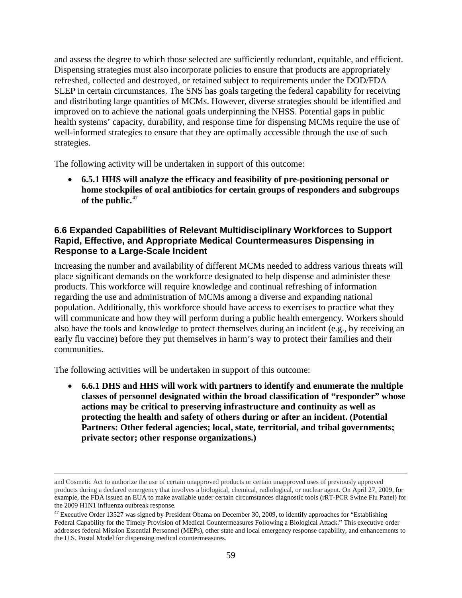and assess the degree to which those selected are sufficiently redundant, equitable, and efficient. Dispensing strategies must also incorporate policies to ensure that products are appropriately refreshed, collected and destroyed, or retained subject to requirements under the DOD/FDA SLEP in certain circumstances. The SNS has goals targeting the federal capability for receiving and distributing large quantities of MCMs. However, diverse strategies should be identified and improved on to achieve the national goals underpinning the NHSS. Potential gaps in public health systems' capacity, durability, and response time for dispensing MCMs require the use of well-informed strategies to ensure that they are optimally accessible through the use of such strategies.

The following activity will be undertaken in support of this outcome:

• **6.5.1 HHS will analyze the efficacy and feasibility of pre-positioning personal or home stockpiles of oral antibiotics for certain groups of responders and subgroups of the public.** [47](#page-58-0)

#### **6.6 Expanded Capabilities of Relevant Multidisciplinary Workforces to Support Rapid, Effective, and Appropriate Medical Countermeasures Dispensing in Response to a Large-Scale Incident**

Increasing the number and availability of different MCMs needed to address various threats will place significant demands on the workforce designated to help dispense and administer these products. This workforce will require knowledge and continual refreshing of information regarding the use and administration of MCMs among a diverse and expanding national population. Additionally, this workforce should have access to exercises to practice what they will communicate and how they will perform during a public health emergency. Workers should also have the tools and knowledge to protect themselves during an incident (e.g., by receiving an early flu vaccine) before they put themselves in harm's way to protect their families and their communities.

The following activities will be undertaken in support of this outcome:

• **6.6.1 DHS and HHS will work with partners to identify and enumerate the multiple classes of personnel designated within the broad classification of "responder" whose actions may be critical to preserving infrastructure and continuity as well as protecting the health and safety of others during or after an incident. (Potential Partners: Other federal agencies; local, state, territorial, and tribal governments; private sector; other response organizations.)**

and Cosmetic Act to authorize the use of certain unapproved products or certain unapproved uses of previously approved products during a declared emergency that involves a biological, chemical, radiological, or nuclear agent. On April 27, 2009, for example, the FDA issued an EUA to make available under certain circumstances diagnostic tools (rRT-PCR Swine Flu Panel) for the 2009 H1N1 influenza outbreak response.

<span id="page-58-0"></span> $^{47}$  Executive Order 13527 was signed by President Obama on December 30, 2009, to identify approaches for "Establishing" Federal Capability for the Timely Provision of Medical Countermeasures Following a Biological Attack." This executive order addresses federal Mission Essential Personnel (MEPs), other state and local emergency response capability, and enhancements to the U.S. Postal Model for dispensing medical countermeasures.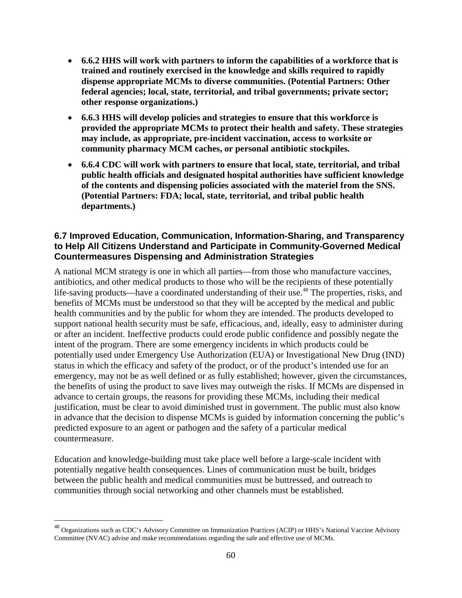- **6.6.2 HHS will work with partners to inform the capabilities of a workforce that is trained and routinely exercised in the knowledge and skills required to rapidly dispense appropriate MCMs to diverse communities. (Potential Partners: Other federal agencies; local, state, territorial, and tribal governments; private sector; other response organizations.)**
- **6.6.3 HHS will develop policies and strategies to ensure that this workforce is provided the appropriate MCMs to protect their health and safety. These strategies may include, as appropriate, pre-incident vaccination, access to worksite or community pharmacy MCM caches, or personal antibiotic stockpiles.**
- **6.6.4 CDC will work with partners to ensure that local, state, territorial, and tribal public health officials and designated hospital authorities have sufficient knowledge of the contents and dispensing policies associated with the materiel from the SNS. (Potential Partners: FDA; local, state, territorial, and tribal public health departments.)**

#### **6.7 Improved Education, Communication, Information-Sharing, and Transparency to Help All Citizens Understand and Participate in Community-Governed Medical Countermeasures Dispensing and Administration Strategies**

A national MCM strategy is one in which all parties—from those who manufacture vaccines, antibiotics, and other medical products to those who will be the recipients of these potentially life-saving products—have a coordinated understanding of their use.<sup>[48](#page-59-0)</sup> The properties, risks, and benefits of MCMs must be understood so that they will be accepted by the medical and public health communities and by the public for whom they are intended. The products developed to support national health security must be safe, efficacious, and, ideally, easy to administer during or after an incident. Ineffective products could erode public confidence and possibly negate the intent of the program. There are some emergency incidents in which products could be potentially used under Emergency Use Authorization (EUA) or Investigational New Drug (IND) status in which the efficacy and safety of the product, or of the product's intended use for an emergency, may not be as well defined or as fully established; however, given the circumstances, the benefits of using the product to save lives may outweigh the risks. If MCMs are dispensed in advance to certain groups, the reasons for providing these MCMs, including their medical justification, must be clear to avoid diminished trust in government. The public must also know in advance that the decision to dispense MCMs is guided by information concerning the public's predicted exposure to an agent or pathogen and the safety of a particular medical countermeasure.

Education and knowledge-building must take place well before a large-scale incident with potentially negative health consequences. Lines of communication must be built, bridges between the public health and medical communities must be buttressed, and outreach to communities through social networking and other channels must be established.

<span id="page-59-0"></span> <sup>48</sup> Organizations such as CDC's Advisory Committee on Immunization Practices (ACIP) or HHS's National Vaccine Advisory Committee (NVAC) advise and make recommendations regarding the safe and effective use of MCMs.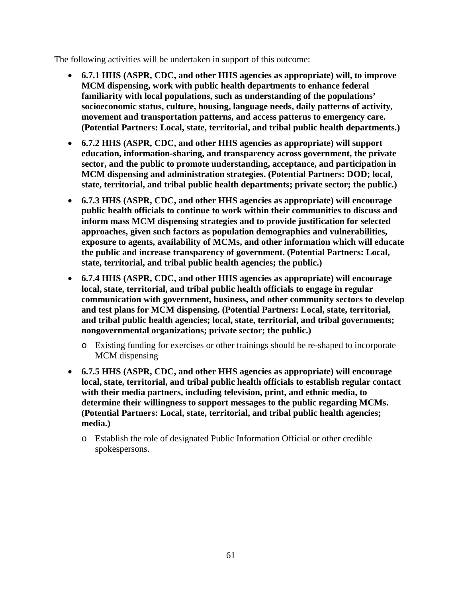- **6.7.1 HHS (ASPR, CDC, and other HHS agencies as appropriate) will, to improve MCM dispensing, work with public health departments to enhance federal familiarity with local populations, such as understanding of the populations' socioeconomic status, culture, housing, language needs, daily patterns of activity, movement and transportation patterns, and access patterns to emergency care. (Potential Partners: Local, state, territorial, and tribal public health departments.)**
- **6.7.2 HHS (ASPR, CDC, and other HHS agencies as appropriate) will support education, information-sharing, and transparency across government, the private sector, and the public to promote understanding, acceptance, and participation in MCM dispensing and administration strategies. (Potential Partners: DOD; local, state, territorial, and tribal public health departments; private sector; the public.)**
- **6.7.3 HHS (ASPR, CDC, and other HHS agencies as appropriate) will encourage public health officials to continue to work within their communities to discuss and inform mass MCM dispensing strategies and to provide justification for selected approaches, given such factors as population demographics and vulnerabilities, exposure to agents, availability of MCMs, and other information which will educate the public and increase transparency of government. (Potential Partners: Local, state, territorial, and tribal public health agencies; the public.)**
- **6.7.4 HHS (ASPR, CDC, and other HHS agencies as appropriate) will encourage local, state, territorial, and tribal public health officials to engage in regular communication with government, business, and other community sectors to develop and test plans for MCM dispensing. (Potential Partners: Local, state, territorial, and tribal public health agencies; local, state, territorial, and tribal governments; nongovernmental organizations; private sector; the public.)**
	- o Existing funding for exercises or other trainings should be re-shaped to incorporate MCM dispensing
- **6.7.5 HHS (ASPR, CDC, and other HHS agencies as appropriate) will encourage local, state, territorial, and tribal public health officials to establish regular contact with their media partners, including television, print, and ethnic media, to determine their willingness to support messages to the public regarding MCMs. (Potential Partners: Local, state, territorial, and tribal public health agencies; media.)**
	- o Establish the role of designated Public Information Official or other credible spokespersons.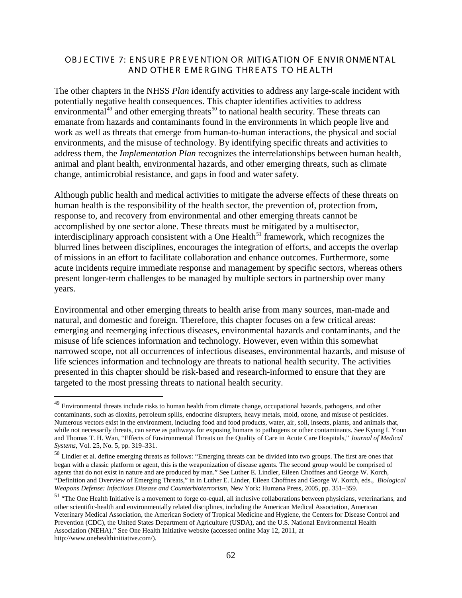#### OB JECTIVE 7: ENSURE PREVENTION OR MITIGATION OF ENVIRONMENTAL AND OTHER EMERGING THREATS TO HEALTH

The other chapters in the NHSS *Plan* identify activities to address any large-scale incident with potentially negative health consequences. This chapter identifies activities to address environmental<sup>[49](#page-61-0)</sup> and other emerging threats<sup>[50](#page-61-1)</sup> to national health security. These threats can emanate from hazards and contaminants found in the environments in which people live and work as well as threats that emerge from human-to-human interactions, the physical and social environments, and the misuse of technology. By identifying specific threats and activities to address them, the *Implementation Plan* recognizes the interrelationships between human health, animal and plant health, environmental hazards, and other emerging threats, such as climate change, antimicrobial resistance, and gaps in food and water safety.

Although public health and medical activities to mitigate the adverse effects of these threats on human health is the responsibility of the health sector, the prevention of, protection from, response to, and recovery from environmental and other emerging threats cannot be accomplished by one sector alone. These threats must be mitigated by a multisector, interdisciplinary approach consistent with a One Health<sup>[51](#page-61-2)</sup> framework, which recognizes the blurred lines between disciplines, encourages the integration of efforts, and accepts the overlap of missions in an effort to facilitate collaboration and enhance outcomes. Furthermore, some acute incidents require immediate response and management by specific sectors, whereas others present longer-term challenges to be managed by multiple sectors in partnership over many years.

Environmental and other emerging threats to health arise from many sources, man-made and natural, and domestic and foreign. Therefore, this chapter focuses on a few critical areas: emerging and reemerging infectious diseases, environmental hazards and contaminants, and the misuse of life sciences information and technology. However, even within this somewhat narrowed scope, not all occurrences of infectious diseases, environmental hazards, and misuse of life sciences information and technology are threats to national health security. The activities presented in this chapter should be risk-based and research-informed to ensure that they are targeted to the most pressing threats to national health security.

<span id="page-61-0"></span><sup>&</sup>lt;sup>49</sup> Environmental threats include risks to human health from climate change, occupational hazards, pathogens, and other contaminants, such as dioxins, petroleum spills, endocrine disrupters, heavy metals, mold, ozone, and misuse of pesticides. Numerous vectors exist in the environment, including food and food products, water, air, soil, insects, plants, and animals that, while not necessarily threats, can serve as pathways for exposing humans to pathogens or other contaminants. See Kyung I. Youn and Thomas T. H. Wan, "Effects of Environmental Threats on the Quality of Care in Acute Care Hospitals," *Journal of Medical Systems*, Vol. 25, No. 5, pp. 319–331.

<span id="page-61-1"></span><sup>&</sup>lt;sup>50</sup> Lindler et al. define emerging threats as follows: "Emerging threats can be divided into two groups. The first are ones that began with a classic platform or agent, this is the weaponization of disease agents. The second group would be comprised of agents that do not exist in nature and are produced by man." See Luther E. Lindler, Eileen Choffnes and George W. Korch, "Definition and Overview of Emerging Threats," in in Luther E. Linder, Eileen Choffnes and George W. Korch, eds., *Biological Weapons Defense: Infectious Disease and Counterbioterrorism*, New York: Humana Press, 2005, pp. 351–359.

<span id="page-61-2"></span><sup>&</sup>lt;sup>51</sup> "The One Health Initiative is a movement to forge co-equal, all inclusive collaborations between physicians, veterinarians, and other scientific-health and environmentally related disciplines, including the American Medical Association, American Veterinary Medical Association, the American Society of Tropical Medicine and Hygiene, the Centers for Disease Control and Prevention (CDC), the United States Department of Agriculture (USDA), and the U.S. National Environmental Health Association (NEHA)." See One Health Initiative website (accessed online May 12, 2011, at [http://www.onehealthinitiative.com/\)](http://www.onehealthinitiative.com/).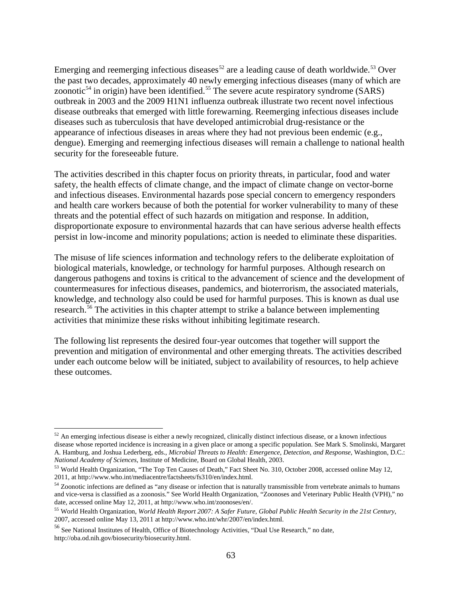Emerging and reemerging infectious diseases<sup>[52](#page-62-0)</sup> are a leading cause of death worldwide.<sup>[53](#page-62-1)</sup> Over the past two decades, approximately 40 newly emerging infectious diseases (many of which are zoonotic<sup>[54](#page-62-2)</sup> in origin) have been identified.<sup>[55](#page-62-3)</sup> The severe acute respiratory syndrome (SARS) outbreak in 2003 and the 2009 H1N1 influenza outbreak illustrate two recent novel infectious disease outbreaks that emerged with little forewarning. Reemerging infectious diseases include diseases such as tuberculosis that have developed antimicrobial drug-resistance or the appearance of infectious diseases in areas where they had not previous been endemic (e.g., dengue). Emerging and reemerging infectious diseases will remain a challenge to national health security for the foreseeable future.

The activities described in this chapter focus on priority threats, in particular, food and water safety, the health effects of climate change, and the impact of climate change on vector-borne and infectious diseases. Environmental hazards pose special concern to emergency responders and health care workers because of both the potential for worker vulnerability to many of these threats and the potential effect of such hazards on mitigation and response. In addition, disproportionate exposure to environmental hazards that can have serious adverse health effects persist in low-income and minority populations; action is needed to eliminate these disparities.

The misuse of life sciences information and technology refers to the deliberate exploitation of biological materials, knowledge, or technology for harmful purposes. Although research on dangerous pathogens and toxins is critical to the advancement of science and the development of countermeasures for infectious diseases, pandemics, and bioterrorism, the associated materials, knowledge, and technology also could be used for harmful purposes. This is known as dual use research.<sup>[56](#page-62-4)</sup> The activities in this chapter attempt to strike a balance between implementing activities that minimize these risks without inhibiting legitimate research.

The following list represents the desired four-year outcomes that together will support the prevention and mitigation of environmental and other emerging threats. The activities described under each outcome below will be initiated, subject to availability of resources, to help achieve these outcomes.

<span id="page-62-0"></span> $52$  An emerging infectious disease is either a newly recognized, clinically distinct infectious disease, or a known infectious disease whose reported incidence is increasing in a given place or among a specific population. See Mark S. Smolinski, Margaret A. Hamburg, and Joshua Lederberg, eds., *Microbial Threats to Health: Emergence, Detection, and Response*, Washington, D.C.: *National Academy of Sciences*, Institute of Medicine, Board on Global Health, 2003.

<span id="page-62-1"></span><sup>53</sup> World Health Organization, "The Top Ten Causes of Death," Fact Sheet No. 310, October 2008, accessed online May 12, 2011, a[t http://www.who.int/mediacentre/factsheets/fs310/en/index.html.](http://www.who.int/mediacentre/factsheets/fs310/en/index.html)

<span id="page-62-2"></span><sup>&</sup>lt;sup>54</sup> Zoonotic infections are defined as "any disease or infection that is naturally transmissible from vertebrate animals to humans and vice-versa is classified as a zoonosis." See World Health Organization, "Zoonoses and Veterinary Public Health (VPH)," no date, accessed online May 12, 2011, a[t http://www.who.int/zoonoses/en/.](http://www.who.int/zoonoses/en/)

<span id="page-62-3"></span><sup>55</sup> World Health Organization, *World Health Report 2007: A Safer Future, Global Public Health Security in the 21st Century*, 2007, accessed online May 13, 2011 at http://www.who.int/whr/2007/en/index.html.

<span id="page-62-4"></span><sup>56</sup> See National Institutes of Health, Office of Biotechnology Activities, "Dual Use Research," no date, http://oba.od.nih.gov/biosecurity/biosecurity.html.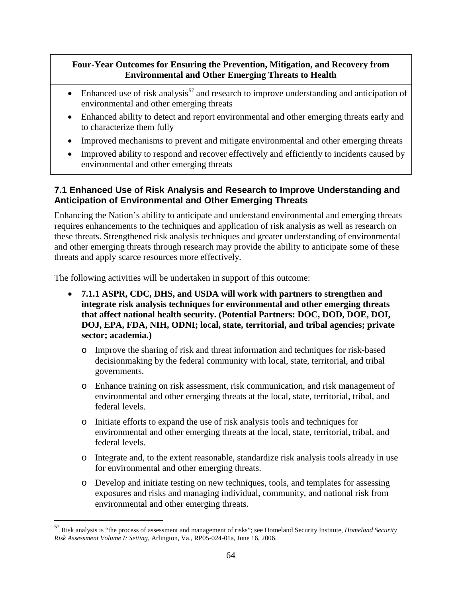## **Four-Year Outcomes for Ensuring the Prevention, Mitigation, and Recovery from Environmental and Other Emerging Threats to Health**

- Enhanced use of risk analysis<sup>[57](#page-63-0)</sup> and research to improve understanding and anticipation of environmental and other emerging threats
- Enhanced ability to detect and report environmental and other emerging threats early and to characterize them fully
- Improved mechanisms to prevent and mitigate environmental and other emerging threats
- Improved ability to respond and recover effectively and efficiently to incidents caused by environmental and other emerging threats

# **7.1 Enhanced Use of Risk Analysis and Research to Improve Understanding and Anticipation of Environmental and Other Emerging Threats**

Enhancing the Nation's ability to anticipate and understand environmental and emerging threats requires enhancements to the techniques and application of risk analysis as well as research on these threats. Strengthened risk analysis techniques and greater understanding of environmental and other emerging threats through research may provide the ability to anticipate some of these threats and apply scarce resources more effectively.

- **7.1.1 ASPR, CDC, DHS, and USDA will work with partners to strengthen and integrate risk analysis techniques for environmental and other emerging threats that affect national health security. (Potential Partners: DOC, DOD, DOE, DOI, DOJ, EPA, FDA, NIH, ODNI; local, state, territorial, and tribal agencies; private sector; academia.)**
	- o Improve the sharing of risk and threat information and techniques for risk-based decisionmaking by the federal community with local, state, territorial, and tribal governments.
	- o Enhance training on risk assessment, risk communication, and risk management of environmental and other emerging threats at the local, state, territorial, tribal, and federal levels.
	- o Initiate efforts to expand the use of risk analysis tools and techniques for environmental and other emerging threats at the local, state, territorial, tribal, and federal levels.
	- o Integrate and, to the extent reasonable, standardize risk analysis tools already in use for environmental and other emerging threats.
	- o Develop and initiate testing on new techniques, tools, and templates for assessing exposures and risks and managing individual, community, and national risk from environmental and other emerging threats.

<span id="page-63-0"></span> <sup>57</sup> Risk analysis is "the process of assessment and management of risks"; see Homeland Security Institute, *Homeland Security Risk Assessment Volume I: Setting*, Arlington, Va., RP05-024-01a, June 16, 2006.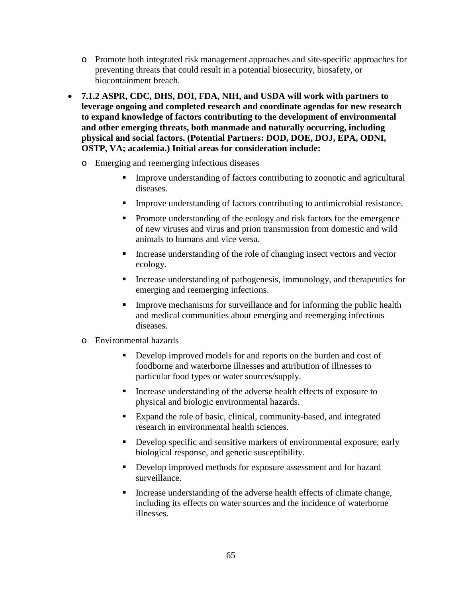- o Promote both integrated risk management approaches and site-specific approaches for preventing threats that could result in a potential biosecurity, biosafety, or biocontainment breach.
- **7.1.2 ASPR, CDC, DHS, DOI, FDA, NIH, and USDA will work with partners to leverage ongoing and completed research and coordinate agendas for new research to expand knowledge of factors contributing to the development of environmental and other emerging threats, both manmade and naturally occurring, including physical and social factors. (Potential Partners: DOD, DOE, DOJ, EPA, ODNI, OSTP, VA; academia.) Initial areas for consideration include:**
	- o Emerging and reemerging infectious diseases
		- Improve understanding of factors contributing to zoonotic and agricultural diseases.
		- Improve understanding of factors contributing to antimicrobial resistance.
		- Promote understanding of the ecology and risk factors for the emergence of new viruses and virus and prion transmission from domestic and wild animals to humans and vice versa.
		- Increase understanding of the role of changing insect vectors and vector ecology.
		- Increase understanding of pathogenesis, immunology, and therapeutics for emerging and reemerging infections.
		- Improve mechanisms for surveillance and for informing the public health and medical communities about emerging and reemerging infectious diseases.
	- o Environmental hazards
		- Develop improved models for and reports on the burden and cost of foodborne and waterborne illnesses and attribution of illnesses to particular food types or water sources/supply.
		- Increase understanding of the adverse health effects of exposure to physical and biologic environmental hazards.
		- Expand the role of basic, clinical, community-based, and integrated research in environmental health sciences.
		- Develop specific and sensitive markers of environmental exposure, early biological response, and genetic susceptibility.
		- Develop improved methods for exposure assessment and for hazard surveillance.
		- Increase understanding of the adverse health effects of climate change, including its effects on water sources and the incidence of waterborne illnesses.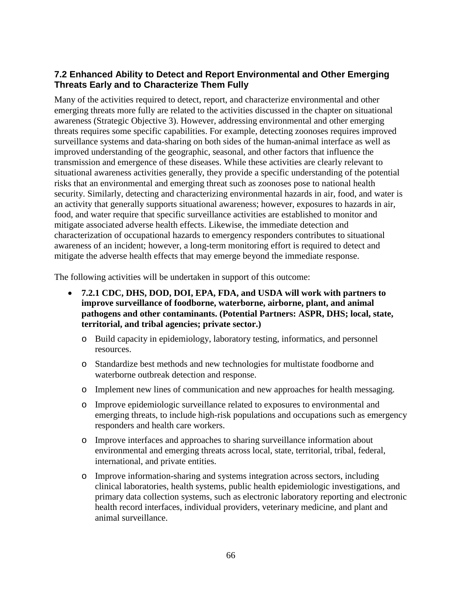## **7.2 Enhanced Ability to Detect and Report Environmental and Other Emerging Threats Early and to Characterize Them Fully**

Many of the activities required to detect, report, and characterize environmental and other emerging threats more fully are related to the activities discussed in the chapter on situational awareness (Strategic Objective 3). However, addressing environmental and other emerging threats requires some specific capabilities. For example, detecting zoonoses requires improved surveillance systems and data-sharing on both sides of the human-animal interface as well as improved understanding of the geographic, seasonal, and other factors that influence the transmission and emergence of these diseases. While these activities are clearly relevant to situational awareness activities generally, they provide a specific understanding of the potential risks that an environmental and emerging threat such as zoonoses pose to national health security. Similarly, detecting and characterizing environmental hazards in air, food, and water is an activity that generally supports situational awareness; however, exposures to hazards in air, food, and water require that specific surveillance activities are established to monitor and mitigate associated adverse health effects. Likewise, the immediate detection and characterization of occupational hazards to emergency responders contributes to situational awareness of an incident; however, a long-term monitoring effort is required to detect and mitigate the adverse health effects that may emerge beyond the immediate response.

- **7.2.1 CDC, DHS, DOD, DOI, EPA, FDA, and USDA will work with partners to improve surveillance of foodborne, waterborne, airborne, plant, and animal pathogens and other contaminants. (Potential Partners: ASPR, DHS; local, state, territorial, and tribal agencies; private sector.)**
	- o Build capacity in epidemiology, laboratory testing, informatics, and personnel resources.
	- o Standardize best methods and new technologies for multistate foodborne and waterborne outbreak detection and response.
	- o Implement new lines of communication and new approaches for health messaging.
	- o Improve epidemiologic surveillance related to exposures to environmental and emerging threats, to include high-risk populations and occupations such as emergency responders and health care workers.
	- o Improve interfaces and approaches to sharing surveillance information about environmental and emerging threats across local, state, territorial, tribal, federal, international, and private entities.
	- o Improve information-sharing and systems integration across sectors, including clinical laboratories, health systems, public health epidemiologic investigations, and primary data collection systems, such as electronic laboratory reporting and electronic health record interfaces, individual providers, veterinary medicine, and plant and animal surveillance.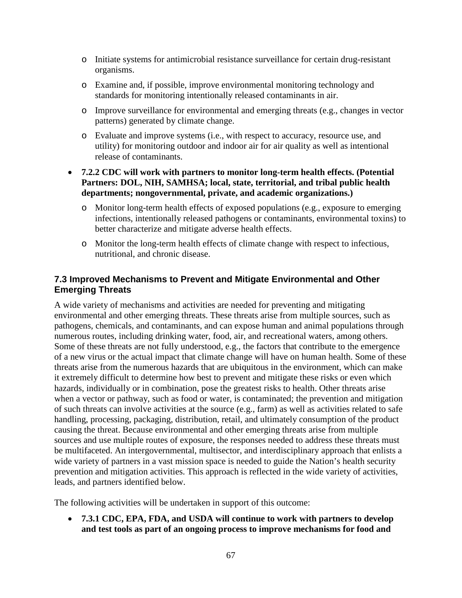- o Initiate systems for antimicrobial resistance surveillance for certain drug-resistant organisms.
- o Examine and, if possible, improve environmental monitoring technology and standards for monitoring intentionally released contaminants in air.
- o Improve surveillance for environmental and emerging threats (e.g., changes in vector patterns) generated by climate change.
- o Evaluate and improve systems (i.e., with respect to accuracy, resource use, and utility) for monitoring outdoor and indoor air for air quality as well as intentional release of contaminants.
- **7.2.2 CDC will work with partners to monitor long-term health effects. (Potential Partners: DOL, NIH, SAMHSA; local, state, territorial, and tribal public health departments; nongovernmental, private, and academic organizations.)**
	- o Monitor long-term health effects of exposed populations (e.g., exposure to emerging infections, intentionally released pathogens or contaminants, environmental toxins) to better characterize and mitigate adverse health effects.
	- o Monitor the long-term health effects of climate change with respect to infectious, nutritional, and chronic disease.

### **7.3 Improved Mechanisms to Prevent and Mitigate Environmental and Other Emerging Threats**

A wide variety of mechanisms and activities are needed for preventing and mitigating environmental and other emerging threats. These threats arise from multiple sources, such as pathogens, chemicals, and contaminants, and can expose human and animal populations through numerous routes, including drinking water, food, air, and recreational waters, among others. Some of these threats are not fully understood, e.g., the factors that contribute to the emergence of a new virus or the actual impact that climate change will have on human health. Some of these threats arise from the numerous hazards that are ubiquitous in the environment, which can make it extremely difficult to determine how best to prevent and mitigate these risks or even which hazards, individually or in combination, pose the greatest risks to health. Other threats arise when a vector or pathway, such as food or water, is contaminated; the prevention and mitigation of such threats can involve activities at the source (e.g., farm) as well as activities related to safe handling, processing, packaging, distribution, retail, and ultimately consumption of the product causing the threat. Because environmental and other emerging threats arise from multiple sources and use multiple routes of exposure, the responses needed to address these threats must be multifaceted. An intergovernmental, multisector, and interdisciplinary approach that enlists a wide variety of partners in a vast mission space is needed to guide the Nation's health security prevention and mitigation activities. This approach is reflected in the wide variety of activities, leads, and partners identified below.

The following activities will be undertaken in support of this outcome:

• **7.3.1 CDC, EPA, FDA, and USDA will continue to work with partners to develop and test tools as part of an ongoing process to improve mechanisms for food and**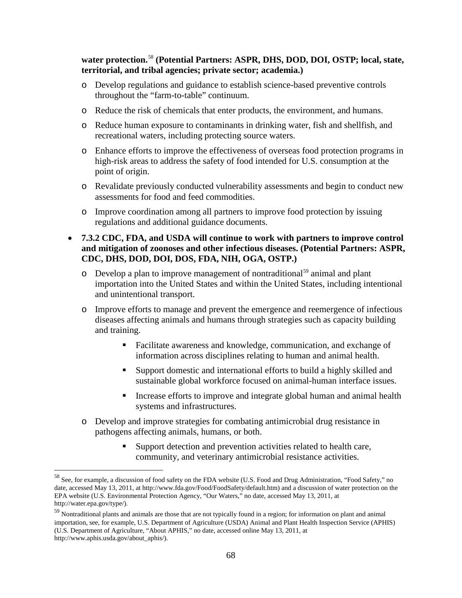#### **water protection.** [58](#page-67-0) **(Potential Partners: ASPR, DHS, DOD, DOI, OSTP; local, state, territorial, and tribal agencies; private sector; academia.)**

- o Develop regulations and guidance to establish science-based preventive controls throughout the "farm-to-table" continuum.
- o Reduce the risk of chemicals that enter products, the environment, and humans.
- o Reduce human exposure to contaminants in drinking water, fish and shellfish, and recreational waters, including protecting source waters.
- o Enhance efforts to improve the effectiveness of overseas food protection programs in high-risk areas to address the safety of food intended for U.S. consumption at the point of origin.
- o Revalidate previously conducted vulnerability assessments and begin to conduct new assessments for food and feed commodities.
- o Improve coordination among all partners to improve food protection by issuing regulations and additional guidance documents.
- **7.3.2 CDC, FDA, and USDA will continue to work with partners to improve control and mitigation of zoonoses and other infectious diseases. (Potential Partners: ASPR, CDC, DHS, DOD, DOI, DOS, FDA, NIH, OGA, OSTP.)**
	- o Develop a plan to improve management of nontraditional<sup>[59](#page-67-1)</sup> animal and plant importation into the United States and within the United States, including intentional and unintentional transport.
	- o Improve efforts to manage and prevent the emergence and reemergence of infectious diseases affecting animals and humans through strategies such as capacity building and training.
		- Facilitate awareness and knowledge, communication, and exchange of information across disciplines relating to human and animal health.
		- Support domestic and international efforts to build a highly skilled and sustainable global workforce focused on animal-human interface issues.
		- Increase efforts to improve and integrate global human and animal health systems and infrastructures.
	- o Develop and improve strategies for combating antimicrobial drug resistance in pathogens affecting animals, humans, or both.
		- Support detection and prevention activities related to health care, community, and veterinary antimicrobial resistance activities.

<span id="page-67-0"></span> <sup>58</sup> See, for example, a discussion of food safety on the FDA website (U.S. Food and Drug Administration, "Food Safety," no date, accessed May 13, 2011, a[t http://www.fda.gov/Food/FoodSafety/default.htm\)](http://www.fda.gov/Food/FoodSafety/default.htm) and a discussion of water protection on the EPA website (U.S. Environmental Protection Agency, "Our Waters," no date, accessed May 13, 2011, at [http://water.epa.gov/type/\)](http://water.epa.gov/type/).

<span id="page-67-1"></span><sup>&</sup>lt;sup>59</sup> Nontraditional plants and animals are those that are not typically found in a region; for information on plant and animal importation, see, for example, U.S. Department of Agriculture (USDA) Animal and Plant Health Inspection Service (APHIS) (U.S. Department of Agriculture, "About APHIS," no date, accessed online May 13, 2011, at http://www.aphis.usda.gov/about\_aphis/).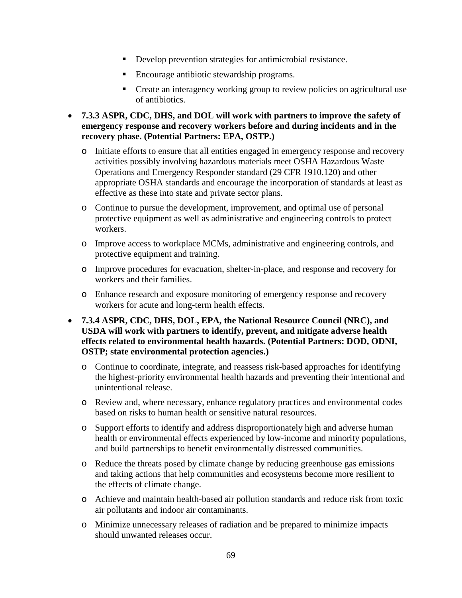- Develop prevention strategies for antimicrobial resistance.
- Encourage antibiotic stewardship programs.
- Create an interagency working group to review policies on agricultural use of antibiotics.
- **7.3.3 ASPR, CDC, DHS, and DOL will work with partners to improve the safety of emergency response and recovery workers before and during incidents and in the recovery phase. (Potential Partners: EPA, OSTP.)**
	- o Initiate efforts to ensure that all entities engaged in emergency response and recovery activities possibly involving hazardous materials meet OSHA Hazardous Waste Operations and Emergency Responder standard (29 CFR 1910.120) and other appropriate OSHA standards and encourage the incorporation of standards at least as effective as these into state and private sector plans.
	- o Continue to pursue the development, improvement, and optimal use of personal protective equipment as well as administrative and engineering controls to protect workers.
	- o Improve access to workplace MCMs, administrative and engineering controls, and protective equipment and training.
	- o Improve procedures for evacuation, shelter-in-place, and response and recovery for workers and their families.
	- o Enhance research and exposure monitoring of emergency response and recovery workers for acute and long-term health effects.
- **7.3.4 ASPR, CDC, DHS, DOL, EPA, the National Resource Council (NRC), and USDA will work with partners to identify, prevent, and mitigate adverse health effects related to environmental health hazards. (Potential Partners: DOD, ODNI, OSTP; state environmental protection agencies.)**
	- o Continue to coordinate, integrate, and reassess risk-based approaches for identifying the highest-priority environmental health hazards and preventing their intentional and unintentional release.
	- o Review and, where necessary, enhance regulatory practices and environmental codes based on risks to human health or sensitive natural resources.
	- o Support efforts to identify and address disproportionately high and adverse human health or environmental effects experienced by low-income and minority populations, and build partnerships to benefit environmentally distressed communities.
	- o Reduce the threats posed by climate change by reducing greenhouse gas emissions and taking actions that help communities and ecosystems become more resilient to the effects of climate change.
	- o Achieve and maintain health-based air pollution standards and reduce risk from toxic air pollutants and indoor air contaminants.
	- o Minimize unnecessary releases of radiation and be prepared to minimize impacts should unwanted releases occur.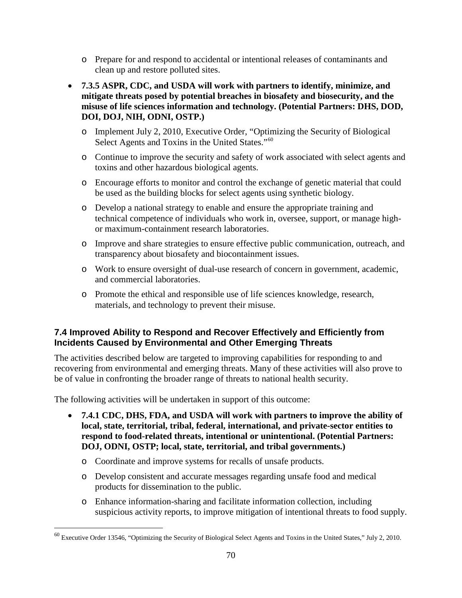- o Prepare for and respond to accidental or intentional releases of contaminants and clean up and restore polluted sites.
- **7.3.5 ASPR, CDC, and USDA will work with partners to identify, minimize, and mitigate threats posed by potential breaches in biosafety and biosecurity, and the misuse of life sciences information and technology. (Potential Partners: DHS, DOD, DOI, DOJ, NIH, ODNI, OSTP.)**
	- o Implement July 2, 2010, Executive Order, "Optimizing the Security of Biological Select Agents and Toxins in the United States."<sup>[60](#page-69-0)</sup>
	- o Continue to improve the security and safety of work associated with select agents and toxins and other hazardous biological agents.
	- o Encourage efforts to monitor and control the exchange of genetic material that could be used as the building blocks for select agents using synthetic biology.
	- o Develop a national strategy to enable and ensure the appropriate training and technical competence of individuals who work in, oversee, support, or manage highor maximum-containment research laboratories.
	- o Improve and share strategies to ensure effective public communication, outreach, and transparency about biosafety and biocontainment issues.
	- o Work to ensure oversight of dual-use research of concern in government, academic, and commercial laboratories.
	- o Promote the ethical and responsible use of life sciences knowledge, research, materials, and technology to prevent their misuse.

## **7.4 Improved Ability to Respond and Recover Effectively and Efficiently from Incidents Caused by Environmental and Other Emerging Threats**

The activities described below are targeted to improving capabilities for responding to and recovering from environmental and emerging threats. Many of these activities will also prove to be of value in confronting the broader range of threats to national health security.

- **7.4.1 CDC, DHS, FDA, and USDA will work with partners to improve the ability of local, state, territorial, tribal, federal, international, and private-sector entities to respond to food-related threats, intentional or unintentional. (Potential Partners: DOJ, ODNI, OSTP; local, state, territorial, and tribal governments.)**
	- o Coordinate and improve systems for recalls of unsafe products.
	- o Develop consistent and accurate messages regarding unsafe food and medical products for dissemination to the public.
	- o Enhance information-sharing and facilitate information collection, including suspicious activity reports, to improve mitigation of intentional threats to food supply.

<span id="page-69-0"></span> <sup>60</sup> Executive Order 13546, "Optimizing the Security of Biological Select Agents and Toxins in the United States," July 2, 2010.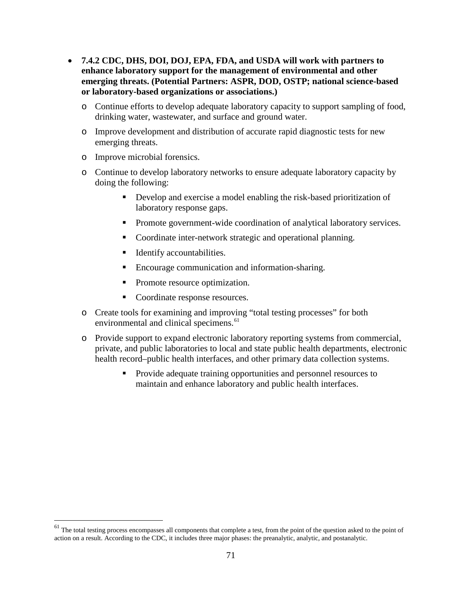- **7.4.2 CDC, DHS, DOI, DOJ, EPA, FDA, and USDA will work with partners to enhance laboratory support for the management of environmental and other emerging threats. (Potential Partners: ASPR, DOD, OSTP; national science-based or laboratory-based organizations or associations.)**
	- o Continue efforts to develop adequate laboratory capacity to support sampling of food, drinking water, wastewater, and surface and ground water.
	- o Improve development and distribution of accurate rapid diagnostic tests for new emerging threats.
	- o Improve microbial forensics.
	- o Continue to develop laboratory networks to ensure adequate laboratory capacity by doing the following:
		- Develop and exercise a model enabling the risk-based prioritization of laboratory response gaps.
		- **Promote government-wide coordination of analytical laboratory services.**
		- Coordinate inter-network strategic and operational planning.
		- Identify accountabilities.
		- Encourage communication and information-sharing.
		- Promote resource optimization.
		- Coordinate response resources.
	- o Create tools for examining and improving "total testing processes" for both environmental and clinical specimens.<sup>[61](#page-70-0)</sup>
	- o Provide support to expand electronic laboratory reporting systems from commercial, private, and public laboratories to local and state public health departments, electronic health record–public health interfaces, and other primary data collection systems.
		- **Provide adequate training opportunities and personnel resources to** maintain and enhance laboratory and public health interfaces.

<span id="page-70-0"></span> $61$  The total testing process encompasses all components that complete a test, from the point of the question asked to the point of action on a result. According to the CDC, it includes three major phases: the preanalytic, analytic, and postanalytic.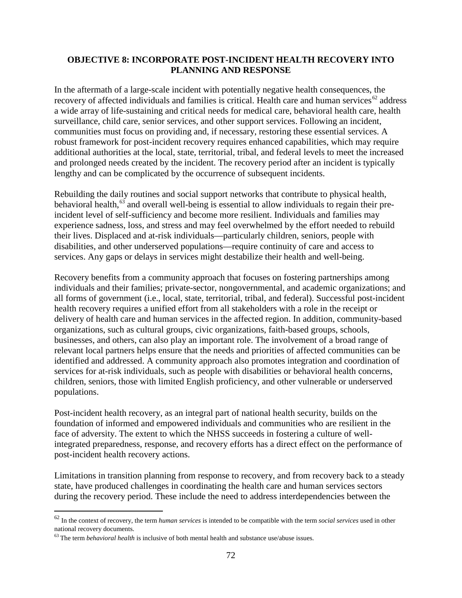#### **OBJECTIVE 8: INCORPORATE POST-INCIDENT HEALTH RECOVERY INTO PLANNING AND RESPONSE**

In the aftermath of a large-scale incident with potentially negative health consequences, the recovery of affected individuals and families is critical. Health care and human services<sup>[62](#page-71-0)</sup> address a wide array of life-sustaining and critical needs for medical care, behavioral health care, health surveillance, child care, senior services, and other support services. Following an incident, communities must focus on providing and, if necessary, restoring these essential services. A robust framework for post-incident recovery requires enhanced capabilities, which may require additional authorities at the local, state, territorial, tribal, and federal levels to meet the increased and prolonged needs created by the incident. The recovery period after an incident is typically lengthy and can be complicated by the occurrence of subsequent incidents.

Rebuilding the daily routines and social support networks that contribute to physical health, behavioral health, $^{63}$  $^{63}$  $^{63}$  and overall well-being is essential to allow individuals to regain their preincident level of self-sufficiency and become more resilient. Individuals and families may experience sadness, loss, and stress and may feel overwhelmed by the effort needed to rebuild their lives. Displaced and at-risk individuals—particularly children, seniors, people with disabilities, and other underserved populations—require continuity of care and access to services. Any gaps or delays in services might destabilize their health and well-being.

Recovery benefits from a community approach that focuses on fostering partnerships among individuals and their families; private-sector, nongovernmental, and academic organizations; and all forms of government (i.e., local, state, territorial, tribal, and federal). Successful post-incident health recovery requires a unified effort from all stakeholders with a role in the receipt or delivery of health care and human services in the affected region. In addition, community-based organizations, such as cultural groups, civic organizations, faith-based groups, schools, businesses, and others, can also play an important role. The involvement of a broad range of relevant local partners helps ensure that the needs and priorities of affected communities can be identified and addressed. A community approach also promotes integration and coordination of services for at-risk individuals, such as people with disabilities or behavioral health concerns, children, seniors, those with limited English proficiency, and other vulnerable or underserved populations.

Post-incident health recovery, as an integral part of national health security, builds on the foundation of informed and empowered individuals and communities who are resilient in the face of adversity. The extent to which the NHSS succeeds in fostering a culture of wellintegrated preparedness, response, and recovery efforts has a direct effect on the performance of post-incident health recovery actions.

Limitations in transition planning from response to recovery, and from recovery back to a steady state, have produced challenges in coordinating the health care and human services sectors during the recovery period. These include the need to address interdependencies between the

<span id="page-71-0"></span> <sup>62</sup> In the context of recovery, the term *human services* is intended to be compatible with the term *social services* used in other national recovery documents.

<span id="page-71-1"></span><sup>&</sup>lt;sup>63</sup> The term *behavioral health* is inclusive of both mental health and substance use/abuse issues.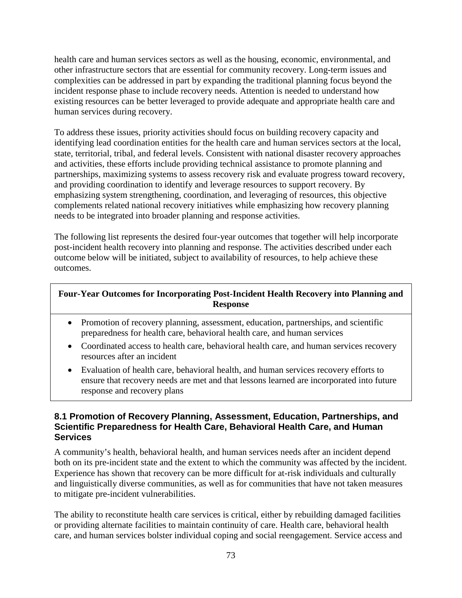health care and human services sectors as well as the housing, economic, environmental, and other infrastructure sectors that are essential for community recovery. Long-term issues and complexities can be addressed in part by expanding the traditional planning focus beyond the incident response phase to include recovery needs. Attention is needed to understand how existing resources can be better leveraged to provide adequate and appropriate health care and human services during recovery.

To address these issues, priority activities should focus on building recovery capacity and identifying lead coordination entities for the health care and human services sectors at the local, state, territorial, tribal, and federal levels. Consistent with national disaster recovery approaches and activities, these efforts include providing technical assistance to promote planning and partnerships, maximizing systems to assess recovery risk and evaluate progress toward recovery, and providing coordination to identify and leverage resources to support recovery. By emphasizing system strengthening, coordination, and leveraging of resources, this objective complements related national recovery initiatives while emphasizing how recovery planning needs to be integrated into broader planning and response activities.

The following list represents the desired four-year outcomes that together will help incorporate post-incident health recovery into planning and response. The activities described under each outcome below will be initiated, subject to availability of resources, to help achieve these outcomes.

# **Four-Year Outcomes for Incorporating Post-Incident Health Recovery into Planning and Response**

- Promotion of recovery planning, assessment, education, partnerships, and scientific preparedness for health care, behavioral health care, and human services
- Coordinated access to health care, behavioral health care, and human services recovery resources after an incident
- Evaluation of health care, behavioral health, and human services recovery efforts to ensure that recovery needs are met and that lessons learned are incorporated into future response and recovery plans

# **8.1 Promotion of Recovery Planning, Assessment, Education, Partnerships, and Scientific Preparedness for Health Care, Behavioral Health Care, and Human Services**

A community's health, behavioral health, and human services needs after an incident depend both on its pre-incident state and the extent to which the community was affected by the incident. Experience has shown that recovery can be more difficult for at-risk individuals and culturally and linguistically diverse communities, as well as for communities that have not taken measures to mitigate pre-incident vulnerabilities.

The ability to reconstitute health care services is critical, either by rebuilding damaged facilities or providing alternate facilities to maintain continuity of care. Health care, behavioral health care, and human services bolster individual coping and social reengagement. Service access and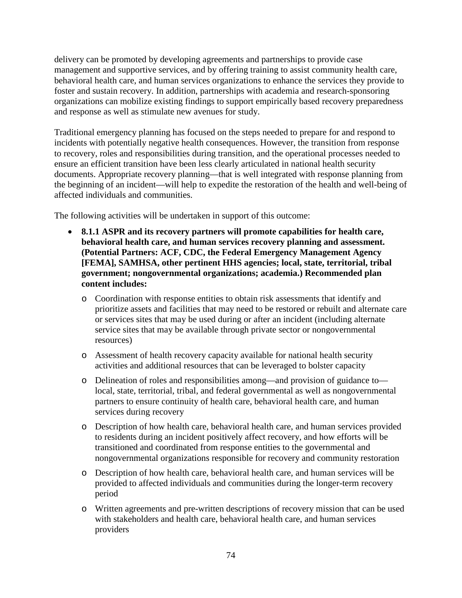delivery can be promoted by developing agreements and partnerships to provide case management and supportive services, and by offering training to assist community health care, behavioral health care, and human services organizations to enhance the services they provide to foster and sustain recovery. In addition, partnerships with academia and research-sponsoring organizations can mobilize existing findings to support empirically based recovery preparedness and response as well as stimulate new avenues for study.

Traditional emergency planning has focused on the steps needed to prepare for and respond to incidents with potentially negative health consequences. However, the transition from response to recovery, roles and responsibilities during transition, and the operational processes needed to ensure an efficient transition have been less clearly articulated in national health security documents. Appropriate recovery planning—that is well integrated with response planning from the beginning of an incident—will help to expedite the restoration of the health and well-being of affected individuals and communities.

- **8.1.1 ASPR and its recovery partners will promote capabilities for health care, behavioral health care, and human services recovery planning and assessment. (Potential Partners: ACF, CDC, the Federal Emergency Management Agency [FEMA], SAMHSA, other pertinent HHS agencies; local, state, territorial, tribal government; nongovernmental organizations; academia.) Recommended plan content includes:**
	- o Coordination with response entities to obtain risk assessments that identify and prioritize assets and facilities that may need to be restored or rebuilt and alternate care or services sites that may be used during or after an incident (including alternate service sites that may be available through private sector or nongovernmental resources)
	- o Assessment of health recovery capacity available for national health security activities and additional resources that can be leveraged to bolster capacity
	- o Delineation of roles and responsibilities among—and provision of guidance to local, state, territorial, tribal, and federal governmental as well as nongovernmental partners to ensure continuity of health care, behavioral health care, and human services during recovery
	- o Description of how health care, behavioral health care, and human services provided to residents during an incident positively affect recovery, and how efforts will be transitioned and coordinated from response entities to the governmental and nongovernmental organizations responsible for recovery and community restoration
	- o Description of how health care, behavioral health care, and human services will be provided to affected individuals and communities during the longer-term recovery period
	- o Written agreements and pre-written descriptions of recovery mission that can be used with stakeholders and health care, behavioral health care, and human services providers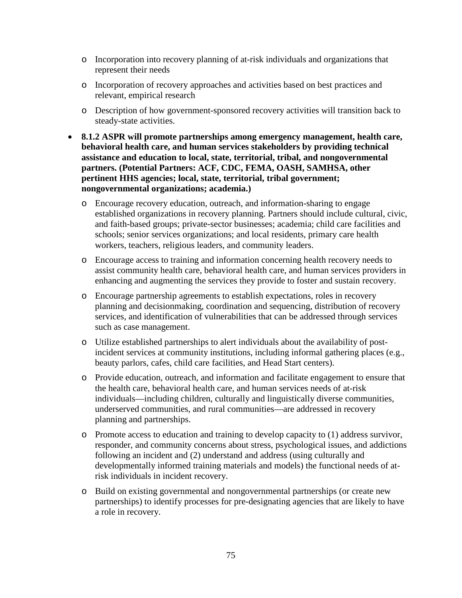- o Incorporation into recovery planning of at-risk individuals and organizations that represent their needs
- o Incorporation of recovery approaches and activities based on best practices and relevant, empirical research
- o Description of how government-sponsored recovery activities will transition back to steady-state activities.
- **8.1.2 ASPR will promote partnerships among emergency management, health care, behavioral health care, and human services stakeholders by providing technical assistance and education to local, state, territorial, tribal, and nongovernmental partners. (Potential Partners: ACF, CDC, FEMA, OASH, SAMHSA, other pertinent HHS agencies; local, state, territorial, tribal government; nongovernmental organizations; academia.)**
	- o Encourage recovery education, outreach, and information-sharing to engage established organizations in recovery planning. Partners should include cultural, civic, and faith-based groups; private-sector businesses; academia; child care facilities and schools; senior services organizations; and local residents, primary care health workers, teachers, religious leaders, and community leaders.
	- o Encourage access to training and information concerning health recovery needs to assist community health care, behavioral health care, and human services providers in enhancing and augmenting the services they provide to foster and sustain recovery.
	- o Encourage partnership agreements to establish expectations, roles in recovery planning and decisionmaking, coordination and sequencing, distribution of recovery services, and identification of vulnerabilities that can be addressed through services such as case management.
	- o Utilize established partnerships to alert individuals about the availability of postincident services at community institutions, including informal gathering places (e.g., beauty parlors, cafes, child care facilities, and Head Start centers).
	- o Provide education, outreach, and information and facilitate engagement to ensure that the health care, behavioral health care, and human services needs of at-risk individuals—including children, culturally and linguistically diverse communities, underserved communities, and rural communities—are addressed in recovery planning and partnerships.
	- o Promote access to education and training to develop capacity to (1) address survivor, responder, and community concerns about stress, psychological issues, and addictions following an incident and (2) understand and address (using culturally and developmentally informed training materials and models) the functional needs of atrisk individuals in incident recovery.
	- o Build on existing governmental and nongovernmental partnerships (or create new partnerships) to identify processes for pre-designating agencies that are likely to have a role in recovery.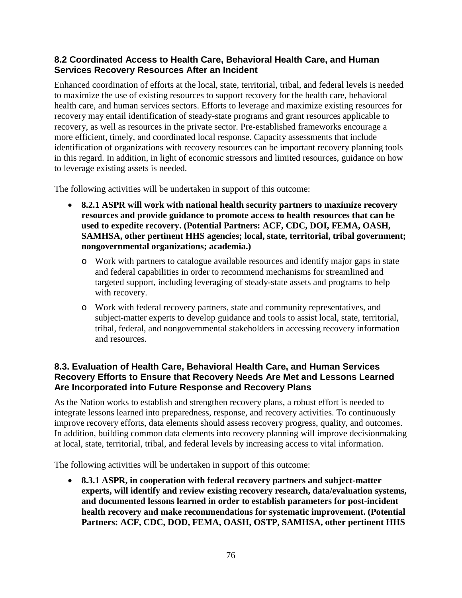### **8.2 Coordinated Access to Health Care, Behavioral Health Care, and Human Services Recovery Resources After an Incident**

Enhanced coordination of efforts at the local, state, territorial, tribal, and federal levels is needed to maximize the use of existing resources to support recovery for the health care, behavioral health care, and human services sectors. Efforts to leverage and maximize existing resources for recovery may entail identification of steady-state programs and grant resources applicable to recovery, as well as resources in the private sector. Pre-established frameworks encourage a more efficient, timely, and coordinated local response. Capacity assessments that include identification of organizations with recovery resources can be important recovery planning tools in this regard. In addition, in light of economic stressors and limited resources, guidance on how to leverage existing assets is needed.

The following activities will be undertaken in support of this outcome:

- **8.2.1 ASPR will work with national health security partners to maximize recovery resources and provide guidance to promote access to health resources that can be used to expedite recovery. (Potential Partners: ACF, CDC, DOI, FEMA, OASH, SAMHSA, other pertinent HHS agencies; local, state, territorial, tribal government; nongovernmental organizations; academia.)**
	- o Work with partners to catalogue available resources and identify major gaps in state and federal capabilities in order to recommend mechanisms for streamlined and targeted support, including leveraging of steady-state assets and programs to help with recovery.
	- o Work with federal recovery partners, state and community representatives, and subject-matter experts to develop guidance and tools to assist local, state, territorial, tribal, federal, and nongovernmental stakeholders in accessing recovery information and resources.

# **8.3. Evaluation of Health Care, Behavioral Health Care, and Human Services Recovery Efforts to Ensure that Recovery Needs Are Met and Lessons Learned Are Incorporated into Future Response and Recovery Plans**

As the Nation works to establish and strengthen recovery plans, a robust effort is needed to integrate lessons learned into preparedness, response, and recovery activities. To continuously improve recovery efforts, data elements should assess recovery progress, quality, and outcomes. In addition, building common data elements into recovery planning will improve decisionmaking at local, state, territorial, tribal, and federal levels by increasing access to vital information.

The following activities will be undertaken in support of this outcome:

• **8.3.1 ASPR, in cooperation with federal recovery partners and subject-matter experts, will identify and review existing recovery research, data/evaluation systems, and documented lessons learned in order to establish parameters for post-incident health recovery and make recommendations for systematic improvement. (Potential Partners: ACF, CDC, DOD, FEMA, OASH, OSTP, SAMHSA, other pertinent HHS**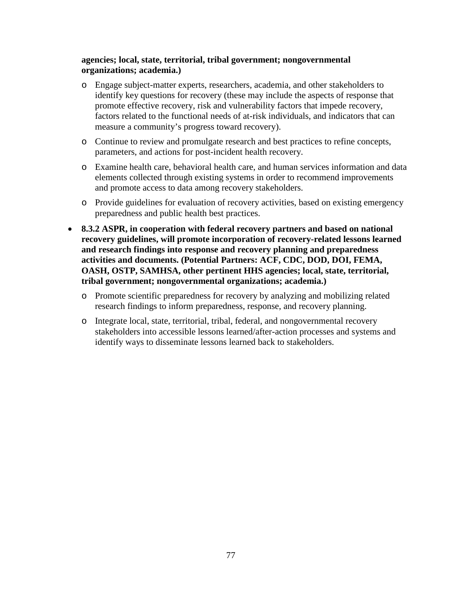#### **agencies; local, state, territorial, tribal government; nongovernmental organizations; academia.)**

- o Engage subject-matter experts, researchers, academia, and other stakeholders to identify key questions for recovery (these may include the aspects of response that promote effective recovery, risk and vulnerability factors that impede recovery, factors related to the functional needs of at-risk individuals, and indicators that can measure a community's progress toward recovery).
- o Continue to review and promulgate research and best practices to refine concepts, parameters, and actions for post-incident health recovery.
- o Examine health care, behavioral health care, and human services information and data elements collected through existing systems in order to recommend improvements and promote access to data among recovery stakeholders.
- o Provide guidelines for evaluation of recovery activities, based on existing emergency preparedness and public health best practices.
- **8.3.2 ASPR, in cooperation with federal recovery partners and based on national recovery guidelines, will promote incorporation of recovery-related lessons learned and research findings into response and recovery planning and preparedness activities and documents. (Potential Partners: ACF, CDC, DOD, DOI, FEMA, OASH, OSTP, SAMHSA, other pertinent HHS agencies; local, state, territorial, tribal government; nongovernmental organizations; academia.)**
	- o Promote scientific preparedness for recovery by analyzing and mobilizing related research findings to inform preparedness, response, and recovery planning.
	- o Integrate local, state, territorial, tribal, federal, and nongovernmental recovery stakeholders into accessible lessons learned/after-action processes and systems and identify ways to disseminate lessons learned back to stakeholders.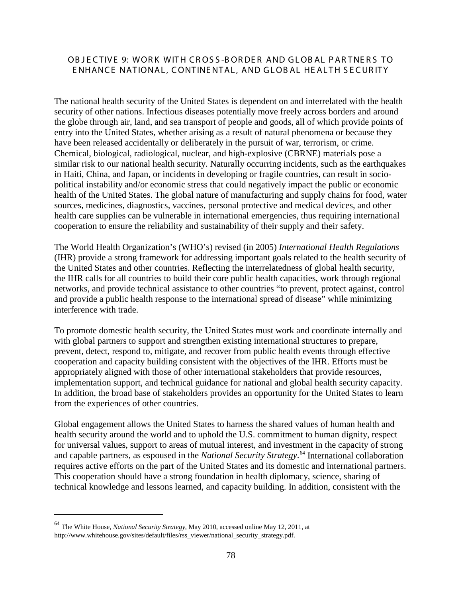### OBJECTIVE 9: WORK WITH CROSS-BORDER AND GLOBAL PARTNERS TO E NHANCE NATIONAL, CONTINE NTAL, AND GLOB AL HE AL TH S E CUR ITY

The national health security of the United States is dependent on and interrelated with the health security of other nations. Infectious diseases potentially move freely across borders and around the globe through air, land, and sea transport of people and goods, all of which provide points of entry into the United States, whether arising as a result of natural phenomena or because they have been released accidentally or deliberately in the pursuit of war, terrorism, or crime. Chemical, biological, radiological, nuclear, and high-explosive (CBRNE) materials pose a similar risk to our national health security. Naturally occurring incidents, such as the earthquakes in Haiti, China, and Japan, or incidents in developing or fragile countries, can result in sociopolitical instability and/or economic stress that could negatively impact the public or economic health of the United States. The global nature of manufacturing and supply chains for food, water sources, medicines, diagnostics, vaccines, personal protective and medical devices, and other health care supplies can be vulnerable in international emergencies, thus requiring international cooperation to ensure the reliability and sustainability of their supply and their safety.

The World Health Organization's (WHO's) revised (in 2005) *International Health Regulations* (IHR) provide a strong framework for addressing important goals related to the health security of the United States and other countries. Reflecting the interrelatedness of global health security, the IHR calls for all countries to build their core public health capacities, work through regional networks, and provide technical assistance to other countries "to prevent, protect against, control and provide a public health response to the international spread of disease" while minimizing interference with trade.

To promote domestic health security, the United States must work and coordinate internally and with global partners to support and strengthen existing international structures to prepare, prevent, detect, respond to, mitigate, and recover from public health events through effective cooperation and capacity building consistent with the objectives of the IHR. Efforts must be appropriately aligned with those of other international stakeholders that provide resources, implementation support, and technical guidance for national and global health security capacity. In addition, the broad base of stakeholders provides an opportunity for the United States to learn from the experiences of other countries.

Global engagement allows the United States to harness the shared values of human health and health security around the world and to uphold the U.S. commitment to human dignity, respect for universal values, support to areas of mutual interest, and investment in the capacity of strong and capable partners, as espoused in the *National Security Strategy*. [64](#page-77-0) International collaboration requires active efforts on the part of the United States and its domestic and international partners. This cooperation should have a strong foundation in health diplomacy, science, sharing of technical knowledge and lessons learned, and capacity building. In addition, consistent with the

<span id="page-77-0"></span> <sup>64</sup> The White House, *National Security Strategy*, May 2010, accessed online May 12, 2011, at [http://www.whitehouse.gov/sites/default/files/rss\\_viewer/national\\_security\\_strategy.pdf.](http://www.whitehouse.gov/sites/default/files/rss_viewer/national_security_strategy.pdf)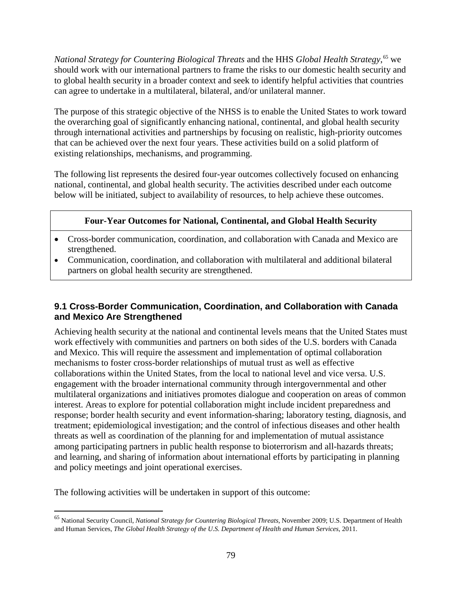*National Strategy for Countering Biological Threats* and the HHS *Global Health Strategy*, [65](#page-78-0) we should work with our international partners to frame the risks to our domestic health security and to global health security in a broader context and seek to identify helpful activities that countries can agree to undertake in a multilateral, bilateral, and/or unilateral manner.

The purpose of this strategic objective of the NHSS is to enable the United States to work toward the overarching goal of significantly enhancing national, continental, and global health security through international activities and partnerships by focusing on realistic, high-priority outcomes that can be achieved over the next four years. These activities build on a solid platform of existing relationships, mechanisms, and programming.

The following list represents the desired four-year outcomes collectively focused on enhancing national, continental, and global health security. The activities described under each outcome below will be initiated, subject to availability of resources, to help achieve these outcomes.

# **Four-Year Outcomes for National, Continental, and Global Health Security**

- Cross-border communication, coordination, and collaboration with Canada and Mexico are strengthened.
- Communication, coordination, and collaboration with multilateral and additional bilateral partners on global health security are strengthened.

# **9.1 Cross-Border Communication, Coordination, and Collaboration with Canada and Mexico Are Strengthened**

Achieving health security at the national and continental levels means that the United States must work effectively with communities and partners on both sides of the U.S. borders with Canada and Mexico. This will require the assessment and implementation of optimal collaboration mechanisms to foster cross-border relationships of mutual trust as well as effective collaborations within the United States, from the local to national level and vice versa. U.S. engagement with the broader international community through intergovernmental and other multilateral organizations and initiatives promotes dialogue and cooperation on areas of common interest. Areas to explore for potential collaboration might include incident preparedness and response; border health security and event information-sharing; laboratory testing, diagnosis, and treatment; epidemiological investigation; and the control of infectious diseases and other health threats as well as coordination of the planning for and implementation of mutual assistance among participating partners in public health response to bioterrorism and all-hazards threats; and learning, and sharing of information about international efforts by participating in planning and policy meetings and joint operational exercises.

<span id="page-78-0"></span> <sup>65</sup> National Security Council, *National Strategy for Countering Biological Threats*, November 2009; U.S. Department of Health and Human Services, *The Global Health Strategy of the U.S. Department of Health and Human Services*, 2011.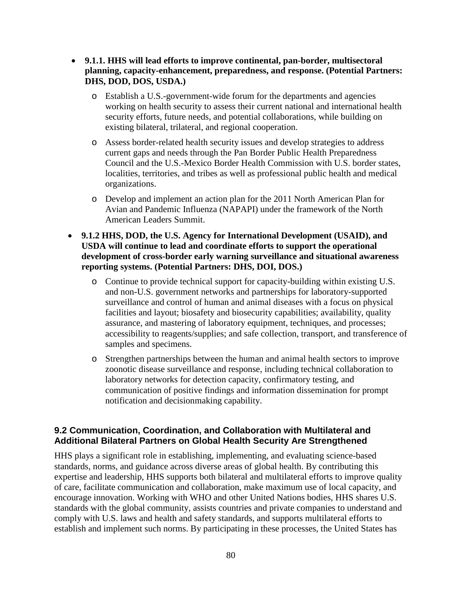- **9.1.1. HHS will lead efforts to improve continental, pan-border, multisectoral planning, capacity-enhancement, preparedness, and response. (Potential Partners: DHS, DOD, DOS, USDA.)**
	- o Establish a U.S.-government-wide forum for the departments and agencies working on health security to assess their current national and international health security efforts, future needs, and potential collaborations, while building on existing bilateral, trilateral, and regional cooperation.
	- o Assess border-related health security issues and develop strategies to address current gaps and needs through the Pan Border Public Health Preparedness Council and the U.S.-Mexico Border Health Commission with U.S. border states, localities, territories, and tribes as well as professional public health and medical organizations.
	- o Develop and implement an action plan for the 2011 North American Plan for Avian and Pandemic Influenza (NAPAPI) under the framework of the North American Leaders Summit.
- **9.1.2 HHS, DOD, the U.S. Agency for International Development (USAID), and USDA will continue to lead and coordinate efforts to support the operational development of cross-border early warning surveillance and situational awareness reporting systems. (Potential Partners: DHS, DOI, DOS.)**
	- o Continue to provide technical support for capacity-building within existing U.S. and non-U.S. government networks and partnerships for laboratory-supported surveillance and control of human and animal diseases with a focus on physical facilities and layout; biosafety and biosecurity capabilities; availability, quality assurance, and mastering of laboratory equipment, techniques, and processes; accessibility to reagents/supplies; and safe collection, transport, and transference of samples and specimens.
	- o Strengthen partnerships between the human and animal health sectors to improve zoonotic disease surveillance and response, including technical collaboration to laboratory networks for detection capacity, confirmatory testing, and communication of positive findings and information dissemination for prompt notification and decisionmaking capability.

#### **9.2 Communication, Coordination, and Collaboration with Multilateral and Additional Bilateral Partners on Global Health Security Are Strengthened**

HHS plays a significant role in establishing, implementing, and evaluating science-based standards, norms, and guidance across diverse areas of global health. By contributing this expertise and leadership, HHS supports both bilateral and multilateral efforts to improve quality of care, facilitate communication and collaboration, make maximum use of local capacity, and encourage innovation. Working with WHO and other United Nations bodies, HHS shares U.S. standards with the global community, assists countries and private companies to understand and comply with U.S. laws and health and safety standards, and supports multilateral efforts to establish and implement such norms. By participating in these processes, the United States has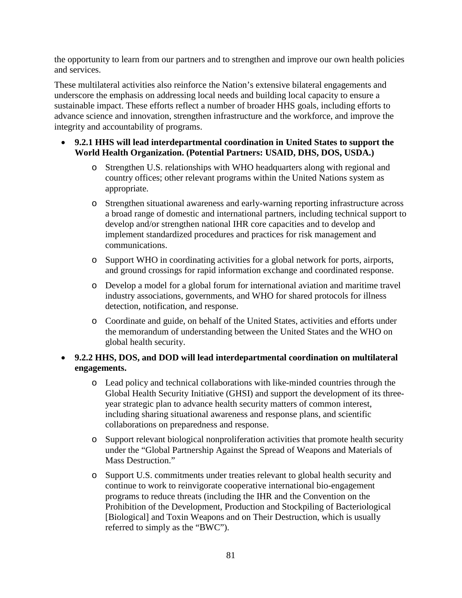the opportunity to learn from our partners and to strengthen and improve our own health policies and services.

These multilateral activities also reinforce the Nation's extensive bilateral engagements and underscore the emphasis on addressing local needs and building local capacity to ensure a sustainable impact. These efforts reflect a number of broader HHS goals, including efforts to advance science and innovation, strengthen infrastructure and the workforce, and improve the integrity and accountability of programs.

- **9.2.1 HHS will lead interdepartmental coordination in United States to support the World Health Organization. (Potential Partners: USAID, DHS, DOS, USDA.)**
	- o Strengthen U.S. relationships with WHO headquarters along with regional and country offices; other relevant programs within the United Nations system as appropriate.
	- o Strengthen situational awareness and early-warning reporting infrastructure across a broad range of domestic and international partners, including technical support to develop and/or strengthen national IHR core capacities and to develop and implement standardized procedures and practices for risk management and communications.
	- o Support WHO in coordinating activities for a global network for ports, airports, and ground crossings for rapid information exchange and coordinated response.
	- o Develop a model for a global forum for international aviation and maritime travel industry associations, governments, and WHO for shared protocols for illness detection, notification, and response.
	- o Coordinate and guide, on behalf of the United States, activities and efforts under the memorandum of understanding between the United States and the WHO on global health security.

# • **9.2.2 HHS, DOS, and DOD will lead interdepartmental coordination on multilateral engagements.**

- o Lead policy and technical collaborations with like-minded countries through the Global Health Security Initiative (GHSI) and support the development of its threeyear strategic plan to advance health security matters of common interest, including sharing situational awareness and response plans, and scientific collaborations on preparedness and response.
- o Support relevant biological nonproliferation activities that promote health security under the "Global Partnership Against the Spread of Weapons and Materials of Mass Destruction."
- o Support U.S. commitments under treaties relevant to global health security and continue to work to reinvigorate cooperative international bio-engagement programs to reduce threats (including the IHR and the Convention on the Prohibition of the Development, Production and Stockpiling of Bacteriological [Biological] and Toxin Weapons and on Their Destruction, which is usually referred to simply as the "BWC").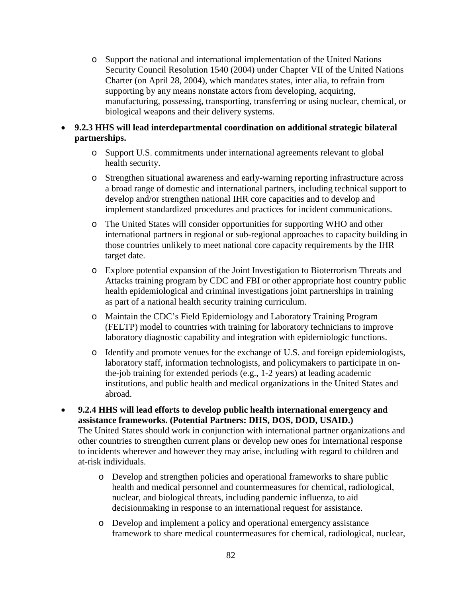- o Support the national and international implementation of the United Nations Security Council Resolution 1540 (2004) under Chapter VII of the United Nations Charter (on April 28, 2004), which mandates states, inter alia, to refrain from supporting by any means nonstate actors from developing, acquiring, manufacturing, possessing, transporting, transferring or using nuclear, chemical, or biological weapons and their delivery systems.
- **9.2.3 HHS will lead interdepartmental coordination on additional strategic bilateral partnerships.** 
	- o Support U.S. commitments under international agreements relevant to global health security.
	- o Strengthen situational awareness and early-warning reporting infrastructure across a broad range of domestic and international partners, including technical support to develop and/or strengthen national IHR core capacities and to develop and implement standardized procedures and practices for incident communications.
	- o The United States will consider opportunities for supporting WHO and other international partners in regional or sub-regional approaches to capacity building in those countries unlikely to meet national core capacity requirements by the IHR target date.
	- o Explore potential expansion of the Joint Investigation to Bioterrorism Threats and Attacks training program by CDC and FBI or other appropriate host country public health epidemiological and criminal investigations joint partnerships in training as part of a national health security training curriculum.
	- o Maintain the CDC's Field Epidemiology and Laboratory Training Program (FELTP) model to countries with training for laboratory technicians to improve laboratory diagnostic capability and integration with epidemiologic functions.
	- o Identify and promote venues for the exchange of U.S. and foreign epidemiologists, laboratory staff, information technologists, and policymakers to participate in onthe-job training for extended periods (e.g., 1-2 years) at leading academic institutions, and public health and medical organizations in the United States and abroad.
- **9.2.4 HHS will lead efforts to develop public health international emergency and assistance frameworks. (Potential Partners: DHS, DOS, DOD, USAID.)**  The United States should work in conjunction with international partner organizations and other countries to strengthen current plans or develop new ones for international response to incidents wherever and however they may arise, including with regard to children and at-risk individuals.
	- o Develop and strengthen policies and operational frameworks to share public health and medical personnel and countermeasures for chemical, radiological, nuclear, and biological threats, including pandemic influenza, to aid decisionmaking in response to an international request for assistance.
	- o Develop and implement a policy and operational emergency assistance framework to share medical countermeasures for chemical, radiological, nuclear,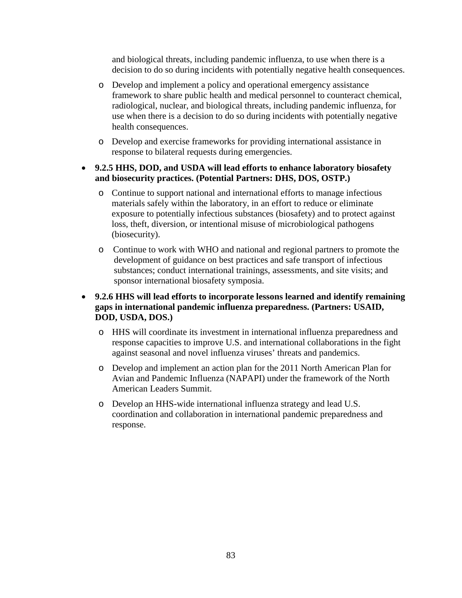and biological threats, including pandemic influenza, to use when there is a decision to do so during incidents with potentially negative health consequences.

- o Develop and implement a policy and operational emergency assistance framework to share public health and medical personnel to counteract chemical, radiological, nuclear, and biological threats, including pandemic influenza, for use when there is a decision to do so during incidents with potentially negative health consequences.
- o Develop and exercise frameworks for providing international assistance in response to bilateral requests during emergencies.

#### • **9.2.5 HHS, DOD, and USDA will lead efforts to enhance laboratory biosafety and biosecurity practices. (Potential Partners: DHS, DOS, OSTP.)**

- o Continue to support national and international efforts to manage infectious materials safely within the laboratory, in an effort to reduce or eliminate exposure to potentially infectious substances (biosafety) and to protect against loss, theft, diversion, or intentional misuse of microbiological pathogens (biosecurity).
- o Continue to work with WHO and national and regional partners to promote the development of guidance on best practices and safe transport of infectious substances; conduct international trainings, assessments, and site visits; and sponsor international biosafety symposia.

### • **9.2.6 HHS will lead efforts to incorporate lessons learned and identify remaining gaps in international pandemic influenza preparedness. (Partners: USAID, DOD, USDA, DOS.)**

- o HHS will coordinate its investment in international influenza preparedness and response capacities to improve U.S. and international collaborations in the fight against seasonal and novel influenza viruses' threats and pandemics.
- o Develop and implement an action plan for the 2011 North American Plan for Avian and Pandemic Influenza (NAPAPI) under the framework of the North American Leaders Summit.
- o Develop an HHS-wide international influenza strategy and lead U.S. coordination and collaboration in international pandemic preparedness and response.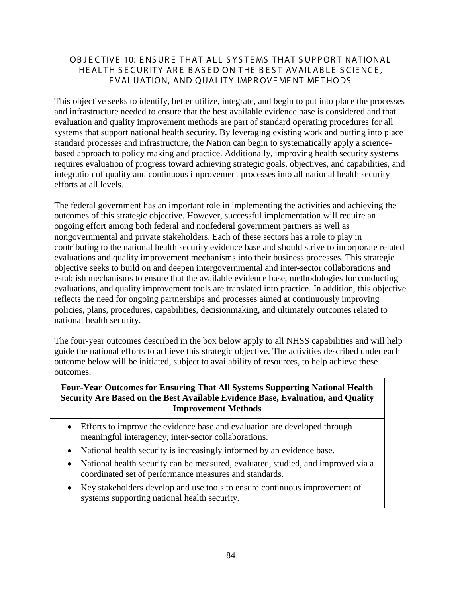## OB JECTIVE 10: ENSURE THAT ALL SYSTEMS THAT SUPPORT NATIONAL HE ALTH SECURITY ARE BASED ON THE BEST AVAILABLE SCIENCE, E VALUATION, AND QUAL ITY IMP R OVE ME NT ME THODS

This objective seeks to identify, better utilize, integrate, and begin to put into place the processes and infrastructure needed to ensure that the best available evidence base is considered and that evaluation and quality improvement methods are part of standard operating procedures for all systems that support national health security. By leveraging existing work and putting into place standard processes and infrastructure, the Nation can begin to systematically apply a sciencebased approach to policy making and practice. Additionally, improving health security systems requires evaluation of progress toward achieving strategic goals, objectives, and capabilities, and integration of quality and continuous improvement processes into all national health security efforts at all levels.

The federal government has an important role in implementing the activities and achieving the outcomes of this strategic objective. However, successful implementation will require an ongoing effort among both federal and nonfederal government partners as well as nongovernmental and private stakeholders. Each of these sectors has a role to play in contributing to the national health security evidence base and should strive to incorporate related evaluations and quality improvement mechanisms into their business processes. This strategic objective seeks to build on and deepen intergovernmental and inter-sector collaborations and establish mechanisms to ensure that the available evidence base, methodologies for conducting evaluations, and quality improvement tools are translated into practice. In addition, this objective reflects the need for ongoing partnerships and processes aimed at continuously improving policies, plans, procedures, capabilities, decisionmaking, and ultimately outcomes related to national health security.

The four-year outcomes described in the box below apply to all NHSS capabilities and will help guide the national efforts to achieve this strategic objective. The activities described under each outcome below will be initiated, subject to availability of resources, to help achieve these outcomes.

### **Four-Year Outcomes for Ensuring That All Systems Supporting National Health Security Are Based on the Best Available Evidence Base, Evaluation, and Quality Improvement Methods**

- Efforts to improve the evidence base and evaluation are developed through meaningful interagency, inter-sector collaborations.
- National health security is increasingly informed by an evidence base.
- National health security can be measured, evaluated, studied, and improved via a coordinated set of performance measures and standards.
- Key stakeholders develop and use tools to ensure continuous improvement of systems supporting national health security.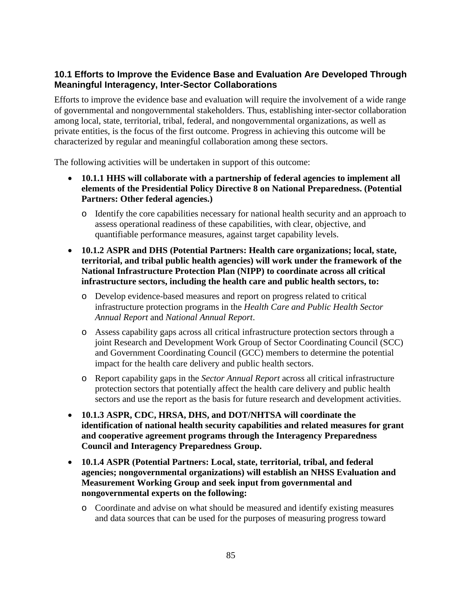# **10.1 Efforts to Improve the Evidence Base and Evaluation Are Developed Through Meaningful Interagency, Inter-Sector Collaborations**

Efforts to improve the evidence base and evaluation will require the involvement of a wide range of governmental and nongovernmental stakeholders. Thus, establishing inter-sector collaboration among local, state, territorial, tribal, federal, and nongovernmental organizations, as well as private entities, is the focus of the first outcome. Progress in achieving this outcome will be characterized by regular and meaningful collaboration among these sectors.

- **10.1.1 HHS will collaborate with a partnership of federal agencies to implement all elements of the Presidential Policy Directive 8 on National Preparedness. (Potential Partners: Other federal agencies.)**
	- o Identify the core capabilities necessary for national health security and an approach to assess operational readiness of these capabilities, with clear, objective, and quantifiable performance measures, against target capability levels.
- **10.1.2 ASPR and DHS (Potential Partners: Health care organizations; local, state, territorial, and tribal public health agencies) will work under the framework of the National Infrastructure Protection Plan (NIPP) to coordinate across all critical infrastructure sectors, including the health care and public health sectors, to:**
	- o Develop evidence-based measures and report on progress related to critical infrastructure protection programs in the *Health Care and Public Health Sector Annual Report* and *National Annual Report*.
	- o Assess capability gaps across all critical infrastructure protection sectors through a joint Research and Development Work Group of Sector Coordinating Council (SCC) and Government Coordinating Council (GCC) members to determine the potential impact for the health care delivery and public health sectors.
	- o Report capability gaps in the *Sector Annual Report* across all critical infrastructure protection sectors that potentially affect the health care delivery and public health sectors and use the report as the basis for future research and development activities.
- **10.1.3 ASPR, CDC, HRSA, DHS, and DOT/NHTSA will coordinate the identification of national health security capabilities and related measures for grant and cooperative agreement programs through the Interagency Preparedness Council and Interagency Preparedness Group.**
- **10.1.4 ASPR (Potential Partners: Local, state, territorial, tribal, and federal agencies; nongovernmental organizations) will establish an NHSS Evaluation and Measurement Working Group and seek input from governmental and nongovernmental experts on the following:**
	- o Coordinate and advise on what should be measured and identify existing measures and data sources that can be used for the purposes of measuring progress toward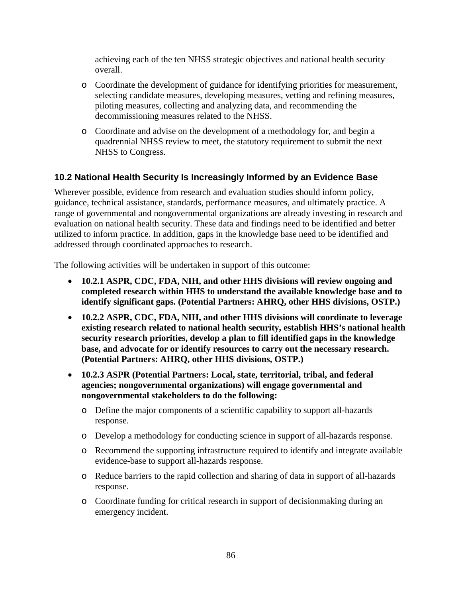achieving each of the ten NHSS strategic objectives and national health security overall.

- o Coordinate the development of guidance for identifying priorities for measurement, selecting candidate measures, developing measures, vetting and refining measures, piloting measures, collecting and analyzing data, and recommending the decommissioning measures related to the NHSS.
- o Coordinate and advise on the development of a methodology for, and begin a quadrennial NHSS review to meet, the statutory requirement to submit the next NHSS to Congress.

# **10.2 National Health Security Is Increasingly Informed by an Evidence Base**

Wherever possible, evidence from research and evaluation studies should inform policy, guidance, technical assistance, standards, performance measures, and ultimately practice. A range of governmental and nongovernmental organizations are already investing in research and evaluation on national health security. These data and findings need to be identified and better utilized to inform practice. In addition, gaps in the knowledge base need to be identified and addressed through coordinated approaches to research.

- **10.2.1 ASPR, CDC, FDA, NIH, and other HHS divisions will review ongoing and completed research within HHS to understand the available knowledge base and to identify significant gaps. (Potential Partners: AHRQ, other HHS divisions, OSTP.)**
- **10.2.2 ASPR, CDC, FDA, NIH, and other HHS divisions will coordinate to leverage existing research related to national health security, establish HHS's national health security research priorities, develop a plan to fill identified gaps in the knowledge base, and advocate for or identify resources to carry out the necessary research. (Potential Partners: AHRQ, other HHS divisions, OSTP.)**
- **10.2.3 ASPR (Potential Partners: Local, state, territorial, tribal, and federal agencies; nongovernmental organizations) will engage governmental and nongovernmental stakeholders to do the following:**
	- o Define the major components of a scientific capability to support all-hazards response.
	- o Develop a methodology for conducting science in support of all-hazards response.
	- o Recommend the supporting infrastructure required to identify and integrate available evidence-base to support all-hazards response.
	- o Reduce barriers to the rapid collection and sharing of data in support of all-hazards response.
	- o Coordinate funding for critical research in support of decisionmaking during an emergency incident.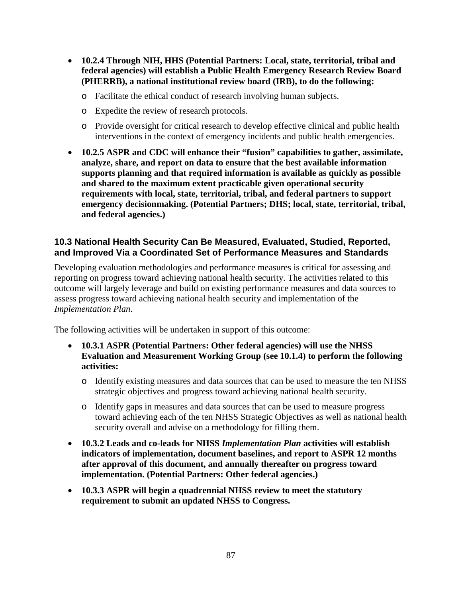- **10.2.4 Through NIH, HHS (Potential Partners: Local, state, territorial, tribal and federal agencies) will establish a Public Health Emergency Research Review Board (PHERRB), a national institutional review board (IRB), to do the following:**
	- o Facilitate the ethical conduct of research involving human subjects.
	- o Expedite the review of research protocols.
	- o Provide oversight for critical research to develop effective clinical and public health interventions in the context of emergency incidents and public health emergencies.
- **10.2.5 ASPR and CDC will enhance their "fusion" capabilities to gather, assimilate, analyze, share, and report on data to ensure that the best available information supports planning and that required information is available as quickly as possible and shared to the maximum extent practicable given operational security requirements with local, state, territorial, tribal, and federal partners to support emergency decisionmaking. (Potential Partners; DHS; local, state, territorial, tribal, and federal agencies.)**

### **10.3 National Health Security Can Be Measured, Evaluated, Studied, Reported, and Improved Via a Coordinated Set of Performance Measures and Standards**

Developing evaluation methodologies and performance measures is critical for assessing and reporting on progress toward achieving national health security. The activities related to this outcome will largely leverage and build on existing performance measures and data sources to assess progress toward achieving national health security and implementation of the *Implementation Plan*.

- **10.3.1 ASPR (Potential Partners: Other federal agencies) will use the NHSS Evaluation and Measurement Working Group (see 10.1.4) to perform the following activities:**
	- o Identify existing measures and data sources that can be used to measure the ten NHSS strategic objectives and progress toward achieving national health security.
	- o Identify gaps in measures and data sources that can be used to measure progress toward achieving each of the ten NHSS Strategic Objectives as well as national health security overall and advise on a methodology for filling them.
- **10.3.2 Leads and co-leads for NHSS** *Implementation Plan* **activities will establish indicators of implementation, document baselines, and report to ASPR 12 months after approval of this document, and annually thereafter on progress toward implementation. (Potential Partners: Other federal agencies.)**
- **10.3.3 ASPR will begin a quadrennial NHSS review to meet the statutory requirement to submit an updated NHSS to Congress.**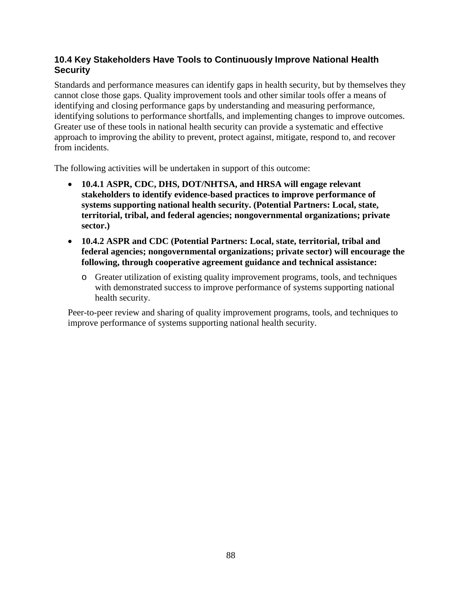# **10.4 Key Stakeholders Have Tools to Continuously Improve National Health Security**

Standards and performance measures can identify gaps in health security, but by themselves they cannot close those gaps. Quality improvement tools and other similar tools offer a means of identifying and closing performance gaps by understanding and measuring performance, identifying solutions to performance shortfalls, and implementing changes to improve outcomes. Greater use of these tools in national health security can provide a systematic and effective approach to improving the ability to prevent, protect against, mitigate, respond to, and recover from incidents.

The following activities will be undertaken in support of this outcome:

- **10.4.1 ASPR, CDC, DHS, DOT/NHTSA, and HRSA will engage relevant stakeholders to identify evidence-based practices to improve performance of systems supporting national health security. (Potential Partners: Local, state, territorial, tribal, and federal agencies; nongovernmental organizations; private sector.)**
- **10.4.2 ASPR and CDC (Potential Partners: Local, state, territorial, tribal and federal agencies; nongovernmental organizations; private sector) will encourage the following, through cooperative agreement guidance and technical assistance:**
	- o Greater utilization of existing quality improvement programs, tools, and techniques with demonstrated success to improve performance of systems supporting national health security.

Peer-to-peer review and sharing of quality improvement programs, tools, and techniques to improve performance of systems supporting national health security.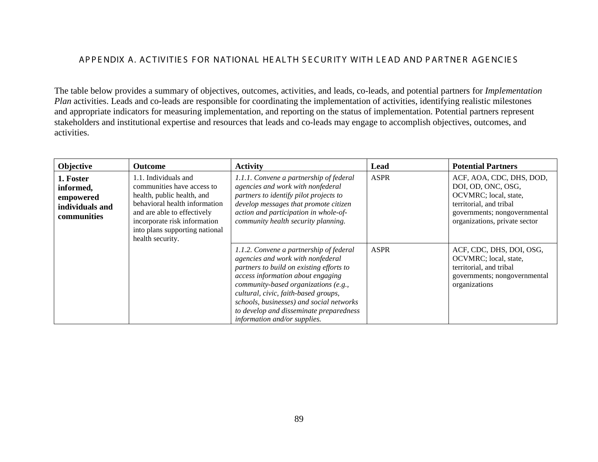#### APPENDIX A. ACTIVITIES FOR NATIONAL HEALTH SECURITY WITH LEAD AND PARTNER AGENCIES

The table below provides a summary of objectives, outcomes, activities, and leads, co-leads, and potential partners for *Implementation Plan* activities. Leads and co-leads are responsible for coordinating the implementation of activities, identifying realistic milestones and appropriate indicators for measuring implementation, and reporting on the status of implementation. Potential partners represent stakeholders and institutional expertise and resources that leads and co-leads may engage to accomplish objectives, outcomes, and activities.

| Objective                                                             | <b>Outcome</b>                                                                                                                                                                                                                         | <b>Activity</b>                                                                                                                                                                                                                                                                                                                                                      | Lead        | <b>Potential Partners</b>                                                                                                                                           |
|-----------------------------------------------------------------------|----------------------------------------------------------------------------------------------------------------------------------------------------------------------------------------------------------------------------------------|----------------------------------------------------------------------------------------------------------------------------------------------------------------------------------------------------------------------------------------------------------------------------------------------------------------------------------------------------------------------|-------------|---------------------------------------------------------------------------------------------------------------------------------------------------------------------|
| 1. Foster<br>informed,<br>empowered<br>individuals and<br>communities | 1.1. Individuals and<br>communities have access to<br>health, public health, and<br>behavioral health information<br>and are able to effectively<br>incorporate risk information<br>into plans supporting national<br>health security. | 1.1.1. Convene a partnership of federal<br>agencies and work with nonfederal<br>partners to identify pilot projects to<br>develop messages that promote citizen<br>action and participation in whole-of-<br>community health security planning.                                                                                                                      | <b>ASPR</b> | ACF, AOA, CDC, DHS, DOD,<br>DOI, OD, ONC, OSG,<br>OCVMRC; local, state,<br>territorial, and tribal<br>governments; nongovernmental<br>organizations, private sector |
|                                                                       |                                                                                                                                                                                                                                        | 1.1.2. Convene a partnership of federal<br>agencies and work with nonfederal<br>partners to build on existing efforts to<br>access information about engaging<br>community-based organizations (e.g.,<br>cultural, civic, faith-based groups,<br>schools, businesses) and social networks<br>to develop and disseminate preparedness<br>information and/or supplies. | <b>ASPR</b> | ACF, CDC, DHS, DOI, OSG,<br>OCVMRC; local, state,<br>territorial, and tribal<br>governments; nongovernmental<br>organizations                                       |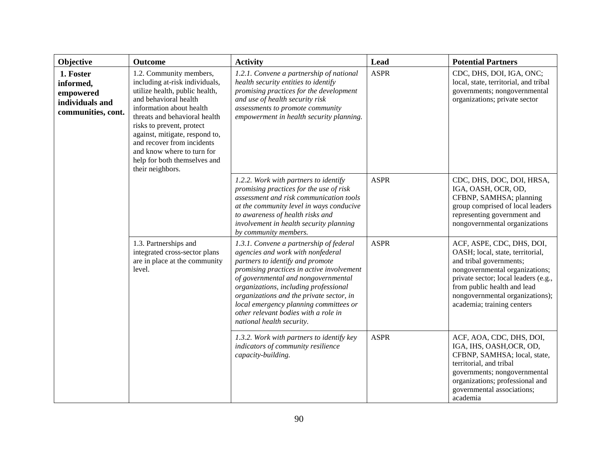| Objective                                                                    | Outcome                                                                                                                                                                                                                                                                                                                                                          | <b>Activity</b>                                                                                                                                                                                                                                                                                                                                                                                          | Lead        | <b>Potential Partners</b>                                                                                                                                                                                                                                          |
|------------------------------------------------------------------------------|------------------------------------------------------------------------------------------------------------------------------------------------------------------------------------------------------------------------------------------------------------------------------------------------------------------------------------------------------------------|----------------------------------------------------------------------------------------------------------------------------------------------------------------------------------------------------------------------------------------------------------------------------------------------------------------------------------------------------------------------------------------------------------|-------------|--------------------------------------------------------------------------------------------------------------------------------------------------------------------------------------------------------------------------------------------------------------------|
| 1. Foster<br>informed,<br>empowered<br>individuals and<br>communities, cont. | 1.2. Community members,<br>including at-risk individuals,<br>utilize health, public health,<br>and behavioral health<br>information about health<br>threats and behavioral health<br>risks to prevent, protect<br>against, mitigate, respond to,<br>and recover from incidents<br>and know where to turn for<br>help for both themselves and<br>their neighbors. | 1.2.1. Convene a partnership of national<br>health security entities to identify<br>promising practices for the development<br>and use of health security risk<br>assessments to promote community<br>empowerment in health security planning.                                                                                                                                                           | <b>ASPR</b> | CDC, DHS, DOI, IGA, ONC;<br>local, state, territorial, and tribal<br>governments; nongovernmental<br>organizations; private sector                                                                                                                                 |
|                                                                              |                                                                                                                                                                                                                                                                                                                                                                  | 1.2.2. Work with partners to identify<br>promising practices for the use of risk<br>assessment and risk communication tools<br>at the community level in ways conducive<br>to awareness of health risks and<br>involvement in health security planning<br>by community members.                                                                                                                          | <b>ASPR</b> | CDC, DHS, DOC, DOI, HRSA,<br>IGA, OASH, OCR, OD,<br>CFBNP, SAMHSA; planning<br>group comprised of local leaders<br>representing government and<br>nongovernmental organizations                                                                                    |
|                                                                              | 1.3. Partnerships and<br>integrated cross-sector plans<br>are in place at the community<br>level.                                                                                                                                                                                                                                                                | 1.3.1. Convene a partnership of federal<br>agencies and work with nonfederal<br>partners to identify and promote<br>promising practices in active involvement<br>of governmental and nongovernmental<br>organizations, including professional<br>organizations and the private sector, in<br>local emergency planning committees or<br>other relevant bodies with a role in<br>national health security. | <b>ASPR</b> | ACF, ASPE, CDC, DHS, DOI,<br>OASH; local, state, territorial,<br>and tribal governments;<br>nongovernmental organizations;<br>private sector; local leaders (e.g.,<br>from public health and lead<br>nongovernmental organizations);<br>academia; training centers |
|                                                                              |                                                                                                                                                                                                                                                                                                                                                                  | 1.3.2. Work with partners to identify key<br>indicators of community resilience<br>capacity-building.                                                                                                                                                                                                                                                                                                    | <b>ASPR</b> | ACF, AOA, CDC, DHS, DOI,<br>IGA, IHS, OASH, OCR, OD,<br>CFBNP, SAMHSA; local, state,<br>territorial, and tribal<br>governments; nongovernmental<br>organizations; professional and<br>governmental associations;<br>academia                                       |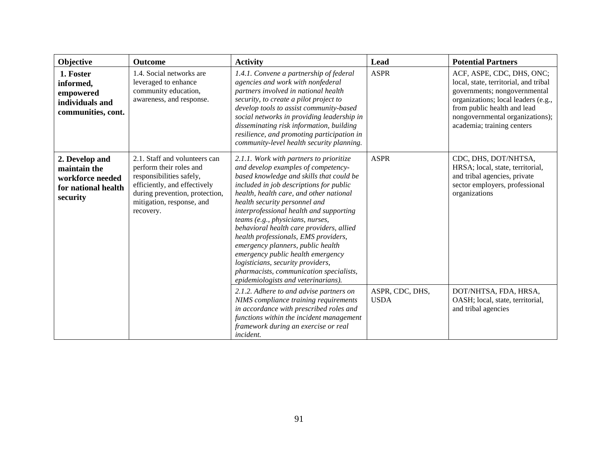| Objective                                                                             | <b>Outcome</b>                                                                                                                                                                                   | <b>Activity</b>                                                                                                                                                                                                                                                                                                                                                                                                                                                                                                                                                                                                       | Lead                           | <b>Potential Partners</b>                                                                                                                                                                                                                 |
|---------------------------------------------------------------------------------------|--------------------------------------------------------------------------------------------------------------------------------------------------------------------------------------------------|-----------------------------------------------------------------------------------------------------------------------------------------------------------------------------------------------------------------------------------------------------------------------------------------------------------------------------------------------------------------------------------------------------------------------------------------------------------------------------------------------------------------------------------------------------------------------------------------------------------------------|--------------------------------|-------------------------------------------------------------------------------------------------------------------------------------------------------------------------------------------------------------------------------------------|
| 1. Foster<br>informed,<br>empowered<br>individuals and<br>communities, cont.          | 1.4. Social networks are<br>leveraged to enhance<br>community education,<br>awareness, and response.                                                                                             | 1.4.1. Convene a partnership of federal<br>agencies and work with nonfederal<br>partners involved in national health<br>security, to create a pilot project to<br>develop tools to assist community-based<br>social networks in providing leadership in<br>disseminating risk information, building<br>resilience, and promoting participation in<br>community-level health security planning.                                                                                                                                                                                                                        | <b>ASPR</b>                    | ACF, ASPE, CDC, DHS, ONC;<br>local, state, territorial, and tribal<br>governments; nongovernmental<br>organizations; local leaders (e.g.,<br>from public health and lead<br>nongovernmental organizations);<br>academia; training centers |
| 2. Develop and<br>maintain the<br>workforce needed<br>for national health<br>security | 2.1. Staff and volunteers can<br>perform their roles and<br>responsibilities safely,<br>efficiently, and effectively<br>during prevention, protection,<br>mitigation, response, and<br>recovery. | 2.1.1. Work with partners to prioritize<br>and develop examples of competency-<br>based knowledge and skills that could be<br>included in job descriptions for public<br>health, health care, and other national<br>health security personnel and<br>interprofessional health and supporting<br>teams (e.g., physicians, nurses,<br>behavioral health care providers, allied<br>health professionals, EMS providers,<br>emergency planners, public health<br>emergency public health emergency<br>logisticians, security providers,<br>pharmacists, communication specialists,<br>epidemiologists and veterinarians). | <b>ASPR</b>                    | CDC, DHS, DOT/NHTSA,<br>HRSA; local, state, territorial,<br>and tribal agencies, private<br>sector employers, professional<br>organizations                                                                                               |
|                                                                                       |                                                                                                                                                                                                  | 2.1.2. Adhere to and advise partners on<br>NIMS compliance training requirements<br>in accordance with prescribed roles and<br>functions within the incident management<br>framework during an exercise or real<br>incident.                                                                                                                                                                                                                                                                                                                                                                                          | ASPR, CDC, DHS,<br><b>USDA</b> | DOT/NHTSA, FDA, HRSA,<br>OASH; local, state, territorial,<br>and tribal agencies                                                                                                                                                          |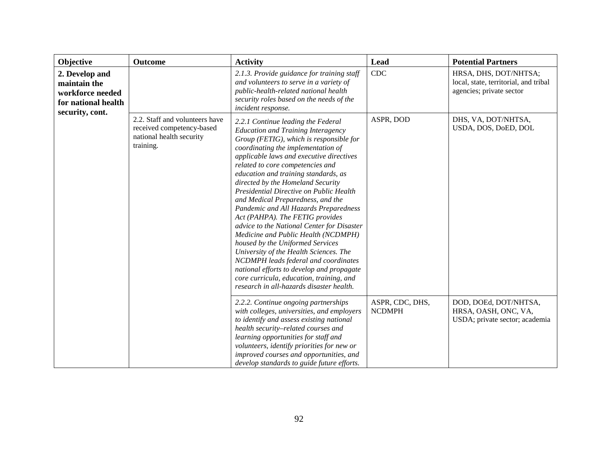| Objective                                                                                    | <b>Outcome</b>                                                                                       | <b>Activity</b>                                                                                                                                                                                                                                                                                                                                                                                                                                                                                                                                                                                                                                                                                                                                                                                                                           | Lead                             | <b>Potential Partners</b>                                                                  |
|----------------------------------------------------------------------------------------------|------------------------------------------------------------------------------------------------------|-------------------------------------------------------------------------------------------------------------------------------------------------------------------------------------------------------------------------------------------------------------------------------------------------------------------------------------------------------------------------------------------------------------------------------------------------------------------------------------------------------------------------------------------------------------------------------------------------------------------------------------------------------------------------------------------------------------------------------------------------------------------------------------------------------------------------------------------|----------------------------------|--------------------------------------------------------------------------------------------|
| 2. Develop and<br>maintain the<br>workforce needed<br>for national health<br>security, cont. |                                                                                                      | 2.1.3. Provide guidance for training staff<br>and volunteers to serve in a variety of<br>public-health-related national health<br>security roles based on the needs of the<br>incident response.                                                                                                                                                                                                                                                                                                                                                                                                                                                                                                                                                                                                                                          | <b>CDC</b>                       | HRSA, DHS, DOT/NHTSA;<br>local, state, territorial, and tribal<br>agencies; private sector |
|                                                                                              | 2.2. Staff and volunteers have<br>received competency-based<br>national health security<br>training. | 2.2.1 Continue leading the Federal<br><b>Education and Training Interagency</b><br>Group (FETIG), which is responsible for<br>coordinating the implementation of<br>applicable laws and executive directives<br>related to core competencies and<br>education and training standards, as<br>directed by the Homeland Security<br>Presidential Directive on Public Health<br>and Medical Preparedness, and the<br>Pandemic and All Hazards Preparedness<br>Act (PAHPA). The FETIG provides<br>advice to the National Center for Disaster<br>Medicine and Public Health (NCDMPH)<br>housed by the Uniformed Services<br>University of the Health Sciences. The<br>NCDMPH leads federal and coordinates<br>national efforts to develop and propagate<br>core curricula, education, training, and<br>research in all-hazards disaster health. | ASPR, DOD                        | DHS, VA, DOT/NHTSA,<br>USDA, DOS, DoED, DOL                                                |
|                                                                                              |                                                                                                      | 2.2.2. Continue ongoing partnerships<br>with colleges, universities, and employers<br>to identify and assess existing national<br>health security-related courses and<br>learning opportunities for staff and<br>volunteers, identify priorities for new or<br>improved courses and opportunities, and<br>develop standards to guide future efforts.                                                                                                                                                                                                                                                                                                                                                                                                                                                                                      | ASPR, CDC, DHS,<br><b>NCDMPH</b> | DOD, DOEd, DOT/NHTSA,<br>HRSA, OASH, ONC, VA,<br>USDA; private sector; academia            |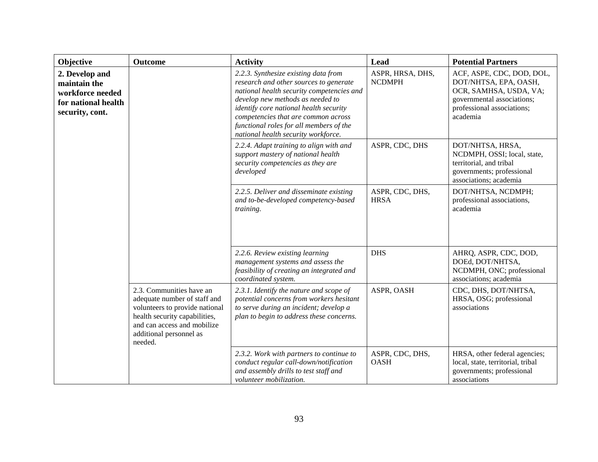| Objective                                                                                    | <b>Outcome</b>                                                                                                                                                                                   | <b>Activity</b>                                                                                                                                                                                                                                                                                                                    | Lead                              | <b>Potential Partners</b>                                                                                                                            |
|----------------------------------------------------------------------------------------------|--------------------------------------------------------------------------------------------------------------------------------------------------------------------------------------------------|------------------------------------------------------------------------------------------------------------------------------------------------------------------------------------------------------------------------------------------------------------------------------------------------------------------------------------|-----------------------------------|------------------------------------------------------------------------------------------------------------------------------------------------------|
| 2. Develop and<br>maintain the<br>workforce needed<br>for national health<br>security, cont. |                                                                                                                                                                                                  | 2.2.3. Synthesize existing data from<br>research and other sources to generate<br>national health security competencies and<br>develop new methods as needed to<br>identify core national health security<br>competencies that are common across<br>functional roles for all members of the<br>national health security workforce. | ASPR, HRSA, DHS,<br><b>NCDMPH</b> | ACF, ASPE, CDC, DOD, DOL,<br>DOT/NHTSA, EPA, OASH,<br>OCR, SAMHSA, USDA, VA;<br>governmental associations;<br>professional associations;<br>academia |
|                                                                                              |                                                                                                                                                                                                  | 2.2.4. Adapt training to align with and<br>support mastery of national health<br>security competencies as they are<br>developed                                                                                                                                                                                                    | ASPR, CDC, DHS                    | DOT/NHTSA, HRSA,<br>NCDMPH, OSSI; local, state,<br>territorial, and tribal<br>governments; professional<br>associations; academia                    |
|                                                                                              |                                                                                                                                                                                                  | 2.2.5. Deliver and disseminate existing<br>and to-be-developed competency-based<br>training.                                                                                                                                                                                                                                       | ASPR, CDC, DHS,<br><b>HRSA</b>    | DOT/NHTSA, NCDMPH;<br>professional associations,<br>academia                                                                                         |
|                                                                                              |                                                                                                                                                                                                  | 2.2.6. Review existing learning<br>management systems and assess the<br>feasibility of creating an integrated and<br>coordinated system.                                                                                                                                                                                           | <b>DHS</b>                        | AHRQ, ASPR, CDC, DOD,<br>DOEd, DOT/NHTSA,<br>NCDMPH, ONC; professional<br>associations; academia                                                     |
|                                                                                              | 2.3. Communities have an<br>adequate number of staff and<br>volunteers to provide national<br>health security capabilities,<br>and can access and mobilize<br>additional personnel as<br>needed. | 2.3.1. Identify the nature and scope of<br>potential concerns from workers hesitant<br>to serve during an incident; develop a<br>plan to begin to address these concerns.                                                                                                                                                          | ASPR, OASH                        | CDC, DHS, DOT/NHTSA,<br>HRSA, OSG; professional<br>associations                                                                                      |
|                                                                                              |                                                                                                                                                                                                  | 2.3.2. Work with partners to continue to<br>conduct regular call-down/notification<br>and assembly drills to test staff and<br>volunteer mobilization.                                                                                                                                                                             | ASPR, CDC, DHS,<br><b>OASH</b>    | HRSA, other federal agencies;<br>local, state, territorial, tribal<br>governments; professional<br>associations                                      |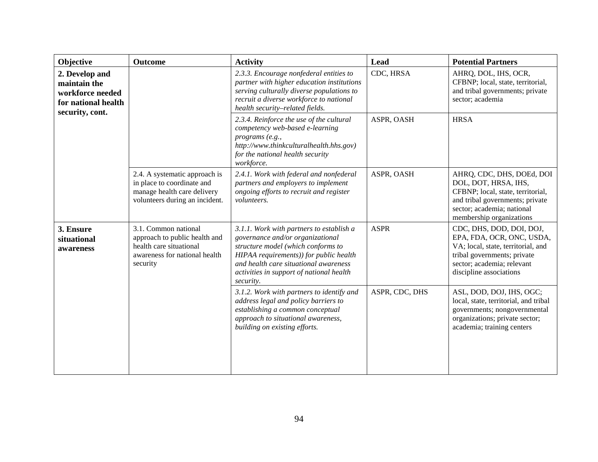| Objective                                                                                    | <b>Outcome</b>                                                                                                                | <b>Activity</b>                                                                                                                                                                                                                                                | <b>Lead</b>    | <b>Potential Partners</b>                                                                                                                                                           |
|----------------------------------------------------------------------------------------------|-------------------------------------------------------------------------------------------------------------------------------|----------------------------------------------------------------------------------------------------------------------------------------------------------------------------------------------------------------------------------------------------------------|----------------|-------------------------------------------------------------------------------------------------------------------------------------------------------------------------------------|
| 2. Develop and<br>maintain the<br>workforce needed<br>for national health<br>security, cont. |                                                                                                                               | 2.3.3. Encourage nonfederal entities to<br>partner with higher education institutions<br>serving culturally diverse populations to<br>recruit a diverse workforce to national<br>health security-related fields.                                               | CDC, HRSA      | AHRQ, DOL, IHS, OCR,<br>CFBNP; local, state, territorial,<br>and tribal governments; private<br>sector; academia                                                                    |
|                                                                                              |                                                                                                                               | 2.3.4. Reinforce the use of the cultural<br>competency web-based e-learning<br>programs (e.g.,<br>http://www.thinkculturalhealth.hhs.gov)<br>for the national health security<br>workforce.                                                                    | ASPR, OASH     | <b>HRSA</b>                                                                                                                                                                         |
|                                                                                              | 2.4. A systematic approach is<br>in place to coordinate and<br>manage health care delivery<br>volunteers during an incident.  | 2.4.1. Work with federal and nonfederal<br>partners and employers to implement<br>ongoing efforts to recruit and register<br>volunteers.                                                                                                                       | ASPR, OASH     | AHRQ, CDC, DHS, DOEd, DOI<br>DOL, DOT, HRSA, IHS,<br>CFBNP; local, state, territorial,<br>and tribal governments; private<br>sector; academia; national<br>membership organizations |
| 3. Ensure<br>situational<br>awareness                                                        | 3.1. Common national<br>approach to public health and<br>health care situational<br>awareness for national health<br>security | 3.1.1. Work with partners to establish a<br>governance and/or organizational<br>structure model (which conforms to<br>HIPAA requirements)) for public health<br>and health care situational awareness<br>activities in support of national health<br>security. | <b>ASPR</b>    | CDC, DHS, DOD, DOI, DOJ,<br>EPA, FDA, OCR, ONC, USDA,<br>VA; local, state, territorial, and<br>tribal governments; private<br>sector; academia; relevant<br>discipline associations |
|                                                                                              |                                                                                                                               | 3.1.2. Work with partners to identify and<br>address legal and policy barriers to<br>establishing a common conceptual<br>approach to situational awareness,<br>building on existing efforts.                                                                   | ASPR, CDC, DHS | ASL, DOD, DOJ, IHS, OGC;<br>local, state, territorial, and tribal<br>governments; nongovernmental<br>organizations; private sector;<br>academia; training centers                   |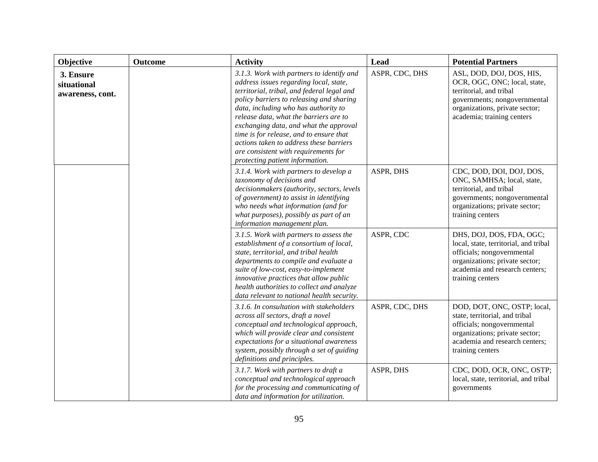| Objective                                    | Outcome | <b>Activity</b>                                                                                                                                                                                                                                                                                                                                                                                                                                                            | Lead           | <b>Potential Partners</b>                                                                                                                                                               |
|----------------------------------------------|---------|----------------------------------------------------------------------------------------------------------------------------------------------------------------------------------------------------------------------------------------------------------------------------------------------------------------------------------------------------------------------------------------------------------------------------------------------------------------------------|----------------|-----------------------------------------------------------------------------------------------------------------------------------------------------------------------------------------|
| 3. Ensure<br>situational<br>awareness, cont. |         | 3.1.3. Work with partners to identify and<br>address issues regarding local, state,<br>territorial, tribal, and federal legal and<br>policy barriers to releasing and sharing<br>data, including who has authority to<br>release data, what the barriers are to<br>exchanging data, and what the approval<br>time is for release, and to ensure that<br>actions taken to address these barriers<br>are consistent with requirements for<br>protecting patient information. | ASPR, CDC, DHS | ASL, DOD, DOJ, DOS, HIS,<br>OCR, OGC, ONC; local, state,<br>territorial, and tribal<br>governments; nongovernmental<br>organizations, private sector;<br>academia; training centers     |
|                                              |         | 3.1.4. Work with partners to develop a<br>taxonomy of decisions and<br>decisionmakers (authority, sectors, levels<br>of government) to assist in identifying<br>who needs what information (and for<br>what purposes), possibly as part of an<br>information management plan.                                                                                                                                                                                              | ASPR, DHS      | CDC, DOD, DOI, DOJ, DOS,<br>ONC, SAMHSA; local, state,<br>territorial, and tribal<br>governments; nongovernmental<br>organizations; private sector;<br>training centers                 |
|                                              |         | 3.1.5. Work with partners to assess the<br>establishment of a consortium of local,<br>state, territorial, and tribal health<br>departments to compile and evaluate a<br>suite of low-cost, easy-to-implement<br>innovative practices that allow public<br>health authorities to collect and analyze<br>data relevant to national health security.                                                                                                                          | ASPR, CDC      | DHS, DOJ, DOS, FDA, OGC;<br>local, state, territorial, and tribal<br>officials; nongovernmental<br>organizations; private sector;<br>academia and research centers;<br>training centers |
|                                              |         | 3.1.6. In consultation with stakeholders<br>across all sectors, draft a novel<br>conceptual and technological approach,<br>which will provide clear and consistent<br>expectations for a situational awareness<br>system, possibly through a set of guiding<br>definitions and principles.                                                                                                                                                                                 | ASPR, CDC, DHS | DOD, DOT, ONC, OSTP; local,<br>state, territorial, and tribal<br>officials; nongovernmental<br>organizations; private sector;<br>academia and research centers;<br>training centers     |
|                                              |         | 3.1.7. Work with partners to draft a<br>conceptual and technological approach<br>for the processing and communicating of<br>data and information for utilization.                                                                                                                                                                                                                                                                                                          | ASPR, DHS      | CDC, DOD, OCR, ONC, OSTP;<br>local, state, territorial, and tribal<br>governments                                                                                                       |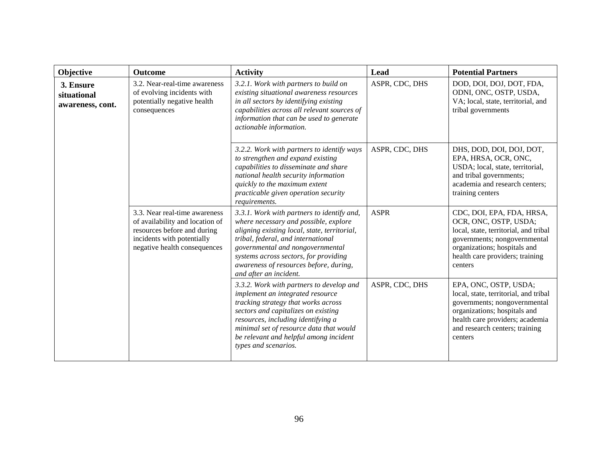| <b>Objective</b>                             | <b>Outcome</b>                                                                                                                                                | <b>Activity</b>                                                                                                                                                                                                                                                                                                            | Lead           | <b>Potential Partners</b>                                                                                                                                                                                      |
|----------------------------------------------|---------------------------------------------------------------------------------------------------------------------------------------------------------------|----------------------------------------------------------------------------------------------------------------------------------------------------------------------------------------------------------------------------------------------------------------------------------------------------------------------------|----------------|----------------------------------------------------------------------------------------------------------------------------------------------------------------------------------------------------------------|
| 3. Ensure<br>situational<br>awareness, cont. | 3.2. Near-real-time awareness<br>of evolving incidents with<br>potentially negative health<br>consequences                                                    | 3.2.1. Work with partners to build on<br>existing situational awareness resources<br>in all sectors by identifying existing<br>capabilities across all relevant sources of<br>information that can be used to generate<br>actionable information.                                                                          | ASPR, CDC, DHS | DOD, DOI, DOJ, DOT, FDA,<br>ODNI, ONC, OSTP, USDA,<br>VA; local, state, territorial, and<br>tribal governments                                                                                                 |
|                                              |                                                                                                                                                               | 3.2.2. Work with partners to identify ways<br>to strengthen and expand existing<br>capabilities to disseminate and share<br>national health security information<br>quickly to the maximum extent<br>practicable given operation security<br>requirements.                                                                 | ASPR, CDC, DHS | DHS, DOD, DOI, DOJ, DOT,<br>EPA, HRSA, OCR, ONC,<br>USDA; local, state, territorial,<br>and tribal governments;<br>academia and research centers;<br>training centers                                          |
|                                              | 3.3. Near real-time awareness<br>of availability and location of<br>resources before and during<br>incidents with potentially<br>negative health consequences | 3.3.1. Work with partners to identify and,<br>where necessary and possible, explore<br>aligning existing local, state, territorial,<br>tribal, federal, and international<br>governmental and nongovernmental<br>systems across sectors, for providing<br>awareness of resources before, during,<br>and after an incident. | <b>ASPR</b>    | CDC, DOI, EPA, FDA, HRSA,<br>OCR, ONC, OSTP, USDA;<br>local, state, territorial, and tribal<br>governments; nongovernmental<br>organizations; hospitals and<br>health care providers; training<br>centers      |
|                                              |                                                                                                                                                               | 3.3.2. Work with partners to develop and<br>implement an integrated resource<br>tracking strategy that works across<br>sectors and capitalizes on existing<br>resources, including identifying a<br>minimal set of resource data that would<br>be relevant and helpful among incident<br>types and scenarios.              | ASPR, CDC, DHS | EPA, ONC, OSTP, USDA;<br>local, state, territorial, and tribal<br>governments; nongovernmental<br>organizations; hospitals and<br>health care providers; academia<br>and research centers; training<br>centers |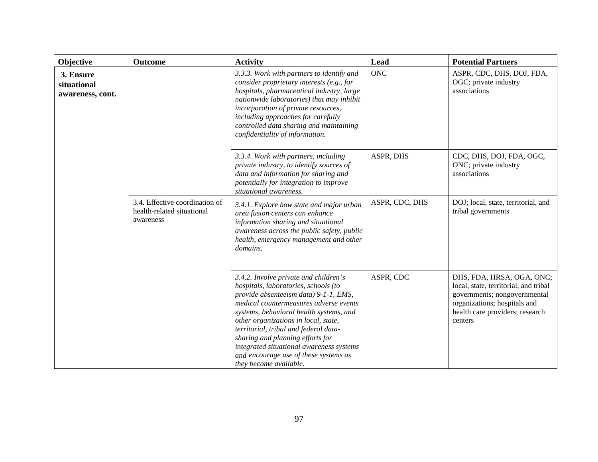| Objective                                    | <b>Outcome</b>                                                            | <b>Activity</b>                                                                                                                                                                                                                                                                                                                                                                                                                                 | Lead           | <b>Potential Partners</b>                                                                                                                                                        |
|----------------------------------------------|---------------------------------------------------------------------------|-------------------------------------------------------------------------------------------------------------------------------------------------------------------------------------------------------------------------------------------------------------------------------------------------------------------------------------------------------------------------------------------------------------------------------------------------|----------------|----------------------------------------------------------------------------------------------------------------------------------------------------------------------------------|
| 3. Ensure<br>situational<br>awareness, cont. |                                                                           | 3.3.3. Work with partners to identify and<br>consider proprietary interests (e.g., for<br>hospitals, pharmaceutical industry, large<br>nationwide laboratories) that may inhibit<br>incorporation of private resources,<br>including approaches for carefully<br>controlled data sharing and maintaining<br>confidentiality of information.                                                                                                     | <b>ONC</b>     | ASPR, CDC, DHS, DOJ, FDA,<br>OGC; private industry<br>associations                                                                                                               |
|                                              |                                                                           | 3.3.4. Work with partners, including<br>private industry, to identify sources of<br>data and information for sharing and<br>potentially for integration to improve<br>situational awareness.                                                                                                                                                                                                                                                    | ASPR, DHS      | CDC, DHS, DOJ, FDA, OGC,<br>ONC; private industry<br>associations                                                                                                                |
|                                              | 3.4. Effective coordination of<br>health-related situational<br>awareness | 3.4.1. Explore how state and major urban<br>area fusion centers can enhance<br>information sharing and situational<br>awareness across the public safety, public<br>health, emergency management and other<br>domains.                                                                                                                                                                                                                          | ASPR, CDC, DHS | DOJ; local, state, territorial, and<br>tribal governments                                                                                                                        |
|                                              |                                                                           | 3.4.2. Involve private and children's<br>hospitals, laboratories, schools (to<br>provide absenteeism data) 9-1-1, EMS,<br>medical countermeasures adverse events<br>systems, behavioral health systems, and<br>other organizations in local, state,<br>territorial, tribal and federal data-<br>sharing and planning efforts for<br>integrated situational awareness systems<br>and encourage use of these systems as<br>they become available. | ASPR, CDC      | DHS, FDA, HRSA, OGA, ONC;<br>local, state, territorial, and tribal<br>governments; nongovernmental<br>organizations; hospitals and<br>health care providers; research<br>centers |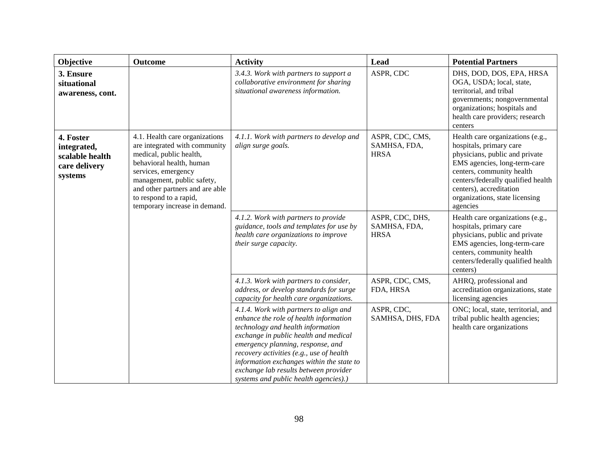| Objective                                                               | <b>Outcome</b>                                                                                                                                                                                                                                                            | <b>Activity</b>                                                                                                                                                                                                                                                                                                                                                                | Lead                                           | <b>Potential Partners</b>                                                                                                                                                                                                                                                 |
|-------------------------------------------------------------------------|---------------------------------------------------------------------------------------------------------------------------------------------------------------------------------------------------------------------------------------------------------------------------|--------------------------------------------------------------------------------------------------------------------------------------------------------------------------------------------------------------------------------------------------------------------------------------------------------------------------------------------------------------------------------|------------------------------------------------|---------------------------------------------------------------------------------------------------------------------------------------------------------------------------------------------------------------------------------------------------------------------------|
| 3. Ensure<br>situational<br>awareness, cont.                            |                                                                                                                                                                                                                                                                           | 3.4.3. Work with partners to support a<br>collaborative environment for sharing<br>situational awareness information.                                                                                                                                                                                                                                                          | ASPR, CDC                                      | DHS, DOD, DOS, EPA, HRSA<br>OGA, USDA; local, state,<br>territorial, and tribal<br>governments; nongovernmental<br>organizations; hospitals and<br>health care providers; research<br>centers                                                                             |
| 4. Foster<br>integrated,<br>scalable health<br>care delivery<br>systems | 4.1. Health care organizations<br>are integrated with community<br>medical, public health,<br>behavioral health, human<br>services, emergency<br>management, public safety,<br>and other partners and are able<br>to respond to a rapid,<br>temporary increase in demand. | 4.1.1. Work with partners to develop and<br>align surge goals.                                                                                                                                                                                                                                                                                                                 | ASPR, CDC, CMS,<br>SAMHSA, FDA,<br><b>HRSA</b> | Health care organizations (e.g.,<br>hospitals, primary care<br>physicians, public and private<br>EMS agencies, long-term-care<br>centers, community health<br>centers/federally qualified health<br>centers), accreditation<br>organizations, state licensing<br>agencies |
|                                                                         |                                                                                                                                                                                                                                                                           | 4.1.2. Work with partners to provide<br>guidance, tools and templates for use by<br>health care organizations to improve<br>their surge capacity.                                                                                                                                                                                                                              | ASPR, CDC, DHS,<br>SAMHSA, FDA,<br><b>HRSA</b> | Health care organizations (e.g.,<br>hospitals, primary care<br>physicians, public and private<br>EMS agencies, long-term-care<br>centers, community health<br>centers/federally qualified health<br>centers)                                                              |
|                                                                         |                                                                                                                                                                                                                                                                           | 4.1.3. Work with partners to consider,<br>address, or develop standards for surge<br>capacity for health care organizations.                                                                                                                                                                                                                                                   | ASPR, CDC, CMS,<br>FDA, HRSA                   | AHRQ, professional and<br>accreditation organizations, state<br>licensing agencies                                                                                                                                                                                        |
|                                                                         |                                                                                                                                                                                                                                                                           | 4.1.4. Work with partners to align and<br>enhance the role of health information<br>technology and health information<br>exchange in public health and medical<br>emergency planning, response, and<br>recovery activities (e.g., use of health<br>information exchanges within the state to<br>exchange lab results between provider<br>systems and public health agencies).) | ASPR, CDC,<br>SAMHSA, DHS, FDA                 | ONC; local, state, territorial, and<br>tribal public health agencies;<br>health care organizations                                                                                                                                                                        |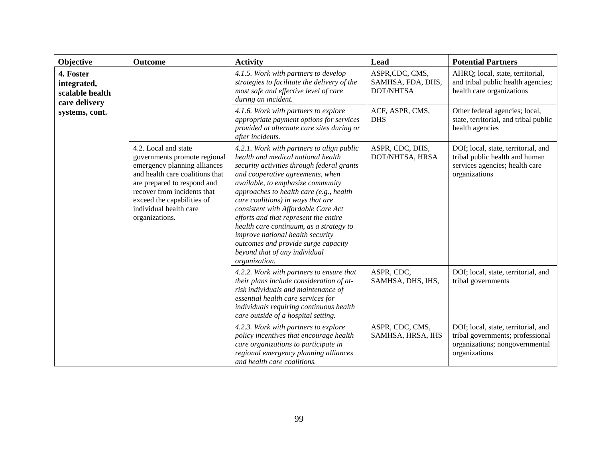| Objective                                                    | Outcome                                                                                                                                                                                                                                                         | <b>Activity</b>                                                                                                                                                                                                                                                                                                                                                                                                                                                                                                                                | Lead                                                    | <b>Potential Partners</b>                                                                                                  |
|--------------------------------------------------------------|-----------------------------------------------------------------------------------------------------------------------------------------------------------------------------------------------------------------------------------------------------------------|------------------------------------------------------------------------------------------------------------------------------------------------------------------------------------------------------------------------------------------------------------------------------------------------------------------------------------------------------------------------------------------------------------------------------------------------------------------------------------------------------------------------------------------------|---------------------------------------------------------|----------------------------------------------------------------------------------------------------------------------------|
| 4. Foster<br>integrated,<br>scalable health<br>care delivery |                                                                                                                                                                                                                                                                 | 4.1.5. Work with partners to develop<br>strategies to facilitate the delivery of the<br>most safe and effective level of care<br>during an incident.                                                                                                                                                                                                                                                                                                                                                                                           | ASPR,CDC, CMS,<br>SAMHSA, FDA, DHS,<br><b>DOT/NHTSA</b> | AHRQ; local, state, territorial,<br>and tribal public health agencies;<br>health care organizations                        |
| systems, cont.                                               |                                                                                                                                                                                                                                                                 | 4.1.6. Work with partners to explore<br>appropriate payment options for services<br>provided at alternate care sites during or<br>after incidents.                                                                                                                                                                                                                                                                                                                                                                                             | ACF, ASPR, CMS,<br><b>DHS</b>                           | Other federal agencies; local,<br>state, territorial, and tribal public<br>health agencies                                 |
|                                                              | 4.2. Local and state<br>governments promote regional<br>emergency planning alliances<br>and health care coalitions that<br>are prepared to respond and<br>recover from incidents that<br>exceed the capabilities of<br>individual health care<br>organizations. | 4.2.1. Work with partners to align public<br>health and medical national health<br>security activities through federal grants<br>and cooperative agreements, when<br>available, to emphasize community<br>approaches to health care (e.g., health<br>care coalitions) in ways that are<br>consistent with Affordable Care Act<br>efforts and that represent the entire<br>health care continuum, as a strategy to<br>improve national health security<br>outcomes and provide surge capacity<br>beyond that of any individual<br>organization. | ASPR, CDC, DHS,<br>DOT/NHTSA, HRSA                      | DOI; local, state, territorial, and<br>tribal public health and human<br>services agencies; health care<br>organizations   |
|                                                              |                                                                                                                                                                                                                                                                 | 4.2.2. Work with partners to ensure that<br>their plans include consideration of at-<br>risk individuals and maintenance of<br>essential health care services for<br>individuals requiring continuous health<br>care outside of a hospital setting.                                                                                                                                                                                                                                                                                            | ASPR, CDC,<br>SAMHSA, DHS, IHS,                         | DOI; local, state, territorial, and<br>tribal governments                                                                  |
|                                                              |                                                                                                                                                                                                                                                                 | 4.2.3. Work with partners to explore<br>policy incentives that encourage health<br>care organizations to participate in<br>regional emergency planning alliances<br>and health care coalitions.                                                                                                                                                                                                                                                                                                                                                | ASPR, CDC, CMS,<br>SAMHSA, HRSA, IHS                    | DOI; local, state, territorial, and<br>tribal governments; professional<br>organizations; nongovernmental<br>organizations |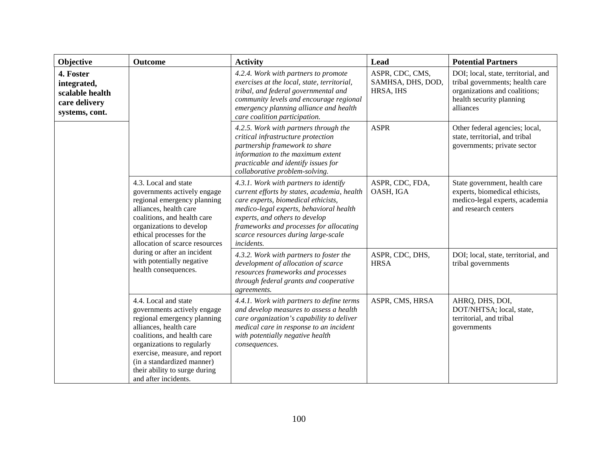| Objective                                                                                                                                                                                                                                                                                                                  | <b>Outcome</b>                                                                                                                                                                                                                                                                                           | <b>Activity</b>                                                                                                                                                                                                                                   | Lead                                                                                                                      | <b>Potential Partners</b>                                                                                                                        |
|----------------------------------------------------------------------------------------------------------------------------------------------------------------------------------------------------------------------------------------------------------------------------------------------------------------------------|----------------------------------------------------------------------------------------------------------------------------------------------------------------------------------------------------------------------------------------------------------------------------------------------------------|---------------------------------------------------------------------------------------------------------------------------------------------------------------------------------------------------------------------------------------------------|---------------------------------------------------------------------------------------------------------------------------|--------------------------------------------------------------------------------------------------------------------------------------------------|
| 4. Foster<br>integrated,<br>scalable health<br>care delivery<br>systems, cont.                                                                                                                                                                                                                                             |                                                                                                                                                                                                                                                                                                          | 4.2.4. Work with partners to promote<br>exercises at the local, state, territorial,<br>tribal, and federal governmental and<br>community levels and encourage regional<br>emergency planning alliance and health<br>care coalition participation. | ASPR, CDC, CMS,<br>SAMHSA, DHS, DOD,<br>HRSA, IHS                                                                         | DOI; local, state, territorial, and<br>tribal governments; health care<br>organizations and coalitions;<br>health security planning<br>alliances |
|                                                                                                                                                                                                                                                                                                                            |                                                                                                                                                                                                                                                                                                          | 4.2.5. Work with partners through the<br>critical infrastructure protection<br>partnership framework to share<br>information to the maximum extent<br>practicable and identify issues for<br>collaborative problem-solving.                       | <b>ASPR</b>                                                                                                               | Other federal agencies; local,<br>state, territorial, and tribal<br>governments; private sector                                                  |
| 4.3. Local and state<br>governments actively engage<br>regional emergency planning<br>alliances, health care<br>coalitions, and health care<br>organizations to develop<br>ethical processes for the<br>allocation of scarce resources<br>during or after an incident<br>with potentially negative<br>health consequences. | 4.3.1. Work with partners to identify<br>current efforts by states, academia, health<br>care experts, biomedical ethicists,<br>medico-legal experts, behavioral health<br>experts, and others to develop<br>frameworks and processes for allocating<br>scarce resources during large-scale<br>incidents. | ASPR, CDC, FDA,<br>OASH, IGA                                                                                                                                                                                                                      | State government, health care<br>experts, biomedical ethicists,<br>medico-legal experts, academia<br>and research centers |                                                                                                                                                  |
|                                                                                                                                                                                                                                                                                                                            | 4.3.2. Work with partners to foster the<br>development of allocation of scarce<br>resources frameworks and processes<br>through federal grants and cooperative<br>agreements.                                                                                                                            | ASPR, CDC, DHS,<br><b>HRSA</b>                                                                                                                                                                                                                    | DOI; local, state, territorial, and<br>tribal governments                                                                 |                                                                                                                                                  |
|                                                                                                                                                                                                                                                                                                                            | 4.4. Local and state<br>governments actively engage<br>regional emergency planning<br>alliances, health care<br>coalitions, and health care<br>organizations to regularly<br>exercise, measure, and report<br>(in a standardized manner)<br>their ability to surge during<br>and after incidents.        | 4.4.1. Work with partners to define terms<br>and develop measures to assess a health<br>care organization's capability to deliver<br>medical care in response to an incident<br>with potentially negative health<br>consequences.                 | ASPR, CMS, HRSA                                                                                                           | AHRQ, DHS, DOI,<br>DOT/NHTSA; local, state,<br>territorial, and tribal<br>governments                                                            |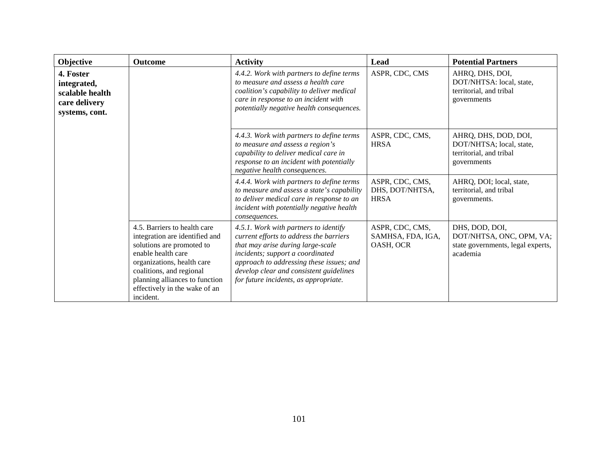| Objective                                                                      | <b>Outcome</b>                                                                                                                                                                                                                                              | <b>Activity</b>                                                                                                                                                                                                                                                                           | Lead                                              | <b>Potential Partners</b>                                                                   |
|--------------------------------------------------------------------------------|-------------------------------------------------------------------------------------------------------------------------------------------------------------------------------------------------------------------------------------------------------------|-------------------------------------------------------------------------------------------------------------------------------------------------------------------------------------------------------------------------------------------------------------------------------------------|---------------------------------------------------|---------------------------------------------------------------------------------------------|
| 4. Foster<br>integrated,<br>scalable health<br>care delivery<br>systems, cont. |                                                                                                                                                                                                                                                             | 4.4.2. Work with partners to define terms<br>to measure and assess a health care<br>coalition's capability to deliver medical<br>care in response to an incident with<br>potentially negative health consequences.                                                                        | ASPR, CDC, CMS                                    | AHRQ, DHS, DOI,<br>DOT/NHTSA: local, state,<br>territorial, and tribal<br>governments       |
|                                                                                |                                                                                                                                                                                                                                                             | 4.4.3. Work with partners to define terms<br>to measure and assess a region's<br>capability to deliver medical care in<br>response to an incident with potentially<br>negative health consequences.                                                                                       | ASPR, CDC, CMS,<br><b>HRSA</b>                    | AHRQ, DHS, DOD, DOI,<br>DOT/NHTSA; local, state,<br>territorial, and tribal<br>governments  |
|                                                                                |                                                                                                                                                                                                                                                             | 4.4.4. Work with partners to define terms<br>to measure and assess a state's capability<br>to deliver medical care in response to an<br>incident with potentially negative health<br>consequences.                                                                                        | ASPR, CDC, CMS,<br>DHS, DOT/NHTSA,<br><b>HRSA</b> | AHRQ, DOI; local, state,<br>territorial, and tribal<br>governments.                         |
|                                                                                | 4.5. Barriers to health care<br>integration are identified and<br>solutions are promoted to<br>enable health care<br>organizations, health care<br>coalitions, and regional<br>planning alliances to function<br>effectively in the wake of an<br>incident. | 4.5.1. Work with partners to identify<br>current efforts to address the barriers<br>that may arise during large-scale<br>incidents; support a coordinated<br>approach to addressing these issues; and<br>develop clear and consistent guidelines<br>for future incidents, as appropriate. | ASPR, CDC, CMS,<br>SAMHSA, FDA, IGA,<br>OASH, OCR | DHS, DOD, DOI,<br>DOT/NHTSA, ONC, OPM, VA;<br>state governments, legal experts,<br>academia |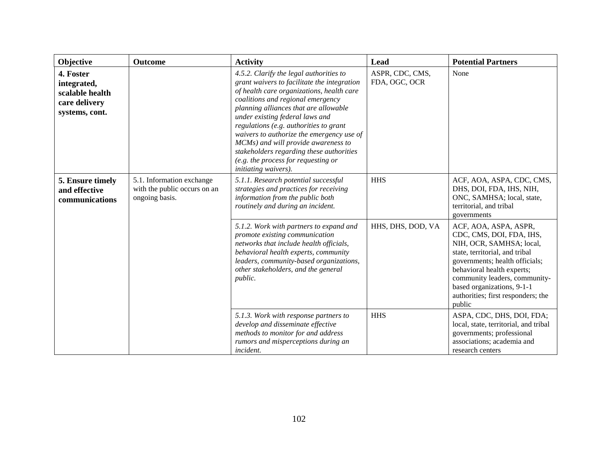| Objective                                                                      | <b>Outcome</b>                                                              | <b>Activity</b>                                                                                                                                                                                                                                                                                                                                                                                                                                                                               | Lead                             | <b>Potential Partners</b>                                                                                                                                                                                                                                                                      |
|--------------------------------------------------------------------------------|-----------------------------------------------------------------------------|-----------------------------------------------------------------------------------------------------------------------------------------------------------------------------------------------------------------------------------------------------------------------------------------------------------------------------------------------------------------------------------------------------------------------------------------------------------------------------------------------|----------------------------------|------------------------------------------------------------------------------------------------------------------------------------------------------------------------------------------------------------------------------------------------------------------------------------------------|
| 4. Foster<br>integrated,<br>scalable health<br>care delivery<br>systems, cont. |                                                                             | 4.5.2. Clarify the legal authorities to<br>grant waivers to facilitate the integration<br>of health care organizations, health care<br>coalitions and regional emergency<br>planning alliances that are allowable<br>under existing federal laws and<br>regulations (e.g. authorities to grant<br>waivers to authorize the emergency use of<br>MCMs) and will provide awareness to<br>stakeholders regarding these authorities<br>(e.g. the process for requesting or<br>initiating waivers). | ASPR, CDC, CMS,<br>FDA, OGC, OCR | None                                                                                                                                                                                                                                                                                           |
| 5. Ensure timely<br>and effective<br>communications                            | 5.1. Information exchange<br>with the public occurs on an<br>ongoing basis. | 5.1.1. Research potential successful<br>strategies and practices for receiving<br>information from the public both<br>routinely and during an incident.                                                                                                                                                                                                                                                                                                                                       | <b>HHS</b>                       | ACF, AOA, ASPA, CDC, CMS,<br>DHS, DOI, FDA, IHS, NIH,<br>ONC, SAMHSA; local, state,<br>territorial, and tribal<br>governments                                                                                                                                                                  |
|                                                                                |                                                                             | 5.1.2. Work with partners to expand and<br>promote existing communication<br>networks that include health officials,<br>behavioral health experts, community<br>leaders, community-based organizations,<br>other stakeholders, and the general<br><i>public.</i>                                                                                                                                                                                                                              | HHS, DHS, DOD, VA                | ACF, AOA, ASPA, ASPR,<br>CDC, CMS, DOI, FDA, IHS,<br>NIH, OCR, SAMHSA; local,<br>state, territorial, and tribal<br>governments; health officials;<br>behavioral health experts;<br>community leaders, community-<br>based organizations, 9-1-1<br>authorities; first responders; the<br>public |
|                                                                                |                                                                             | 5.1.3. Work with response partners to<br>develop and disseminate effective<br>methods to monitor for and address<br>rumors and misperceptions during an<br>incident.                                                                                                                                                                                                                                                                                                                          | <b>HHS</b>                       | ASPA, CDC, DHS, DOI, FDA;<br>local, state, territorial, and tribal<br>governments; professional<br>associations; academia and<br>research centers                                                                                                                                              |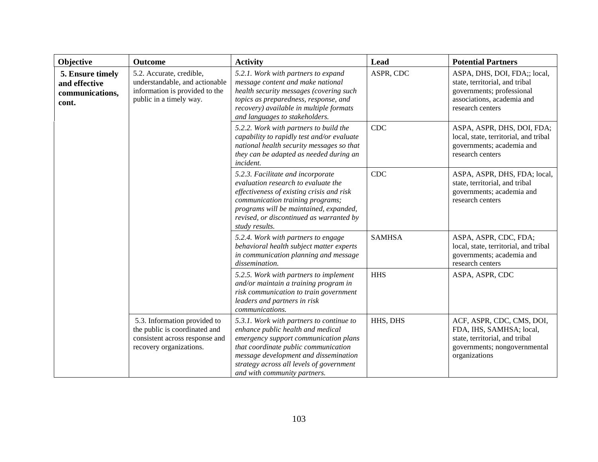| Objective                                                     | <b>Outcome</b>                                                                                                             | <b>Activity</b>                                                                                                                                                                                                                                                                     | Lead          | <b>Potential Partners</b>                                                                                                                     |
|---------------------------------------------------------------|----------------------------------------------------------------------------------------------------------------------------|-------------------------------------------------------------------------------------------------------------------------------------------------------------------------------------------------------------------------------------------------------------------------------------|---------------|-----------------------------------------------------------------------------------------------------------------------------------------------|
| 5. Ensure timely<br>and effective<br>communications,<br>cont. | 5.2. Accurate, credible,<br>understandable, and actionable<br>information is provided to the<br>public in a timely way.    | 5.2.1. Work with partners to expand<br>message content and make national<br>health security messages (covering such<br>topics as preparedness, response, and<br>recovery) available in multiple formats<br>and languages to stakeholders.                                           | ASPR, CDC     | ASPA, DHS, DOI, FDA;; local,<br>state, territorial, and tribal<br>governments; professional<br>associations, academia and<br>research centers |
|                                                               |                                                                                                                            | 5.2.2. Work with partners to build the<br>capability to rapidly test and/or evaluate<br>national health security messages so that<br>they can be adapted as needed during an<br>incident.                                                                                           | CDC           | ASPA, ASPR, DHS, DOI, FDA;<br>local, state, territorial, and tribal<br>governments; academia and<br>research centers                          |
|                                                               |                                                                                                                            | 5.2.3. Facilitate and incorporate<br>evaluation research to evaluate the<br>effectiveness of existing crisis and risk<br>communication training programs;<br>programs will be maintained, expanded,<br>revised, or discontinued as warranted by<br>study results.                   | <b>CDC</b>    | ASPA, ASPR, DHS, FDA; local,<br>state, territorial, and tribal<br>governments; academia and<br>research centers                               |
|                                                               |                                                                                                                            | 5.2.4. Work with partners to engage<br>behavioral health subject matter experts<br>in communication planning and message<br>dissemination.                                                                                                                                          | <b>SAMHSA</b> | ASPA, ASPR, CDC, FDA;<br>local, state, territorial, and tribal<br>governments; academia and<br>research centers                               |
|                                                               |                                                                                                                            | 5.2.5. Work with partners to implement<br>and/or maintain a training program in<br>risk communication to train government<br>leaders and partners in risk<br>communications.                                                                                                        | <b>HHS</b>    | ASPA, ASPR, CDC                                                                                                                               |
|                                                               | 5.3. Information provided to<br>the public is coordinated and<br>consistent across response and<br>recovery organizations. | 5.3.1. Work with partners to continue to<br>enhance public health and medical<br>emergency support communication plans<br>that coordinate public communication<br>message development and dissemination<br>strategy across all levels of government<br>and with community partners. | HHS, DHS      | ACF, ASPR, CDC, CMS, DOI,<br>FDA, IHS, SAMHSA; local,<br>state, territorial, and tribal<br>governments; nongovernmental<br>organizations      |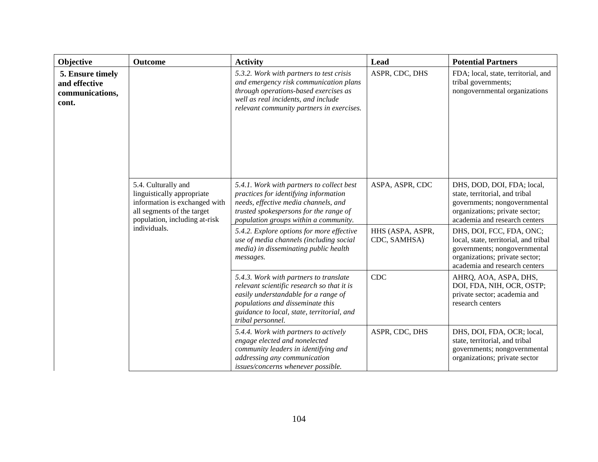| Objective                                                     | <b>Outcome</b>                                                                                                                                                    | <b>Activity</b>                                                                                                                                                                                                                     | Lead                             | <b>Potential Partners</b>                                                                                                                                            |
|---------------------------------------------------------------|-------------------------------------------------------------------------------------------------------------------------------------------------------------------|-------------------------------------------------------------------------------------------------------------------------------------------------------------------------------------------------------------------------------------|----------------------------------|----------------------------------------------------------------------------------------------------------------------------------------------------------------------|
| 5. Ensure timely<br>and effective<br>communications,<br>cont. |                                                                                                                                                                   | 5.3.2. Work with partners to test crisis<br>and emergency risk communication plans<br>through operations-based exercises as<br>well as real incidents, and include<br>relevant community partners in exercises.                     | ASPR, CDC, DHS                   | FDA; local, state, territorial, and<br>tribal governments;<br>nongovernmental organizations                                                                          |
|                                                               | 5.4. Culturally and<br>linguistically appropriate<br>information is exchanged with<br>all segments of the target<br>population, including at-risk<br>individuals. | 5.4.1. Work with partners to collect best<br>practices for identifying information<br>needs, effective media channels, and<br>trusted spokespersons for the range of<br>population groups within a community.                       | ASPA, ASPR, CDC                  | DHS, DOD, DOI, FDA; local,<br>state, territorial, and tribal<br>governments; nongovernmental<br>organizations; private sector;<br>academia and research centers      |
|                                                               |                                                                                                                                                                   | 5.4.2. Explore options for more effective<br>use of media channels (including social<br>media) in disseminating public health<br>messages.                                                                                          | HHS (ASPA, ASPR,<br>CDC, SAMHSA) | DHS, DOI, FCC, FDA, ONC;<br>local, state, territorial, and tribal<br>governments; nongovernmental<br>organizations; private sector;<br>academia and research centers |
|                                                               |                                                                                                                                                                   | 5.4.3. Work with partners to translate<br>relevant scientific research so that it is<br>easily understandable for a range of<br>populations and disseminate this<br>guidance to local, state, territorial, and<br>tribal personnel. | CDC                              | AHRQ, AOA, ASPA, DHS,<br>DOI, FDA, NIH, OCR, OSTP;<br>private sector; academia and<br>research centers                                                               |
|                                                               |                                                                                                                                                                   | 5.4.4. Work with partners to actively<br>engage elected and nonelected<br>community leaders in identifying and<br>addressing any communication<br>issues/concerns whenever possible.                                                | ASPR, CDC, DHS                   | DHS, DOI, FDA, OCR; local,<br>state, territorial, and tribal<br>governments; nongovernmental<br>organizations; private sector                                        |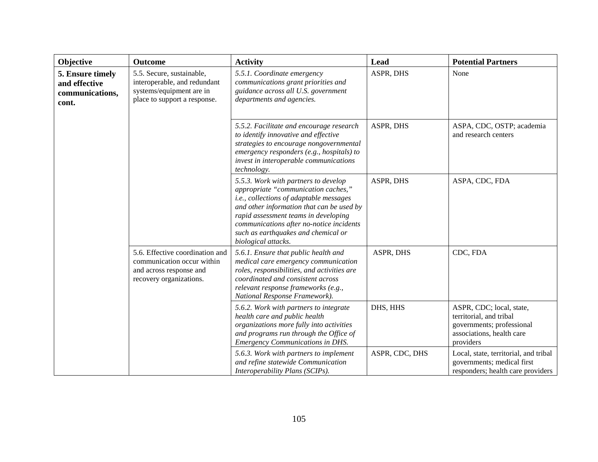| Objective                                                     | Outcome                                                                                                               | <b>Activity</b>                                                                                                                                                                                                                                                                                                              | Lead           | <b>Potential Partners</b>                                                                                                  |
|---------------------------------------------------------------|-----------------------------------------------------------------------------------------------------------------------|------------------------------------------------------------------------------------------------------------------------------------------------------------------------------------------------------------------------------------------------------------------------------------------------------------------------------|----------------|----------------------------------------------------------------------------------------------------------------------------|
| 5. Ensure timely<br>and effective<br>communications,<br>cont. | 5.5. Secure, sustainable,<br>interoperable, and redundant<br>systems/equipment are in<br>place to support a response. | 5.5.1. Coordinate emergency<br>communications grant priorities and<br>guidance across all U.S. government<br>departments and agencies.                                                                                                                                                                                       | ASPR, DHS      | None                                                                                                                       |
|                                                               |                                                                                                                       | 5.5.2. Facilitate and encourage research<br>to identify innovative and effective<br>strategies to encourage nongovernmental<br>emergency responders (e.g., hospitals) to<br>invest in interoperable communications<br>technology.                                                                                            | ASPR, DHS      | ASPA, CDC, OSTP; academia<br>and research centers                                                                          |
|                                                               |                                                                                                                       | 5.5.3. Work with partners to develop<br>appropriate "communication caches,"<br><i>i.e., collections of adaptable messages</i><br>and other information that can be used by<br>rapid assessment teams in developing<br>communications after no-notice incidents<br>such as earthquakes and chemical or<br>biological attacks. | ASPR, DHS      | ASPA, CDC, FDA                                                                                                             |
|                                                               | 5.6. Effective coordination and<br>communication occur within<br>and across response and<br>recovery organizations.   | 5.6.1. Ensure that public health and<br>medical care emergency communication<br>roles, responsibilities, and activities are<br>coordinated and consistent across<br>relevant response frameworks (e.g.,<br>National Response Framework).                                                                                     | ASPR, DHS      | CDC, FDA                                                                                                                   |
|                                                               |                                                                                                                       | 5.6.2. Work with partners to integrate<br>health care and public health<br>organizations more fully into activities<br>and programs run through the Office of<br><b>Emergency Communications in DHS.</b>                                                                                                                     | DHS, HHS       | ASPR, CDC; local, state,<br>territorial, and tribal<br>governments; professional<br>associations, health care<br>providers |
|                                                               |                                                                                                                       | 5.6.3. Work with partners to implement<br>and refine statewide Communication<br>Interoperability Plans (SCIPs).                                                                                                                                                                                                              | ASPR, CDC, DHS | Local, state, territorial, and tribal<br>governments; medical first<br>responders; health care providers                   |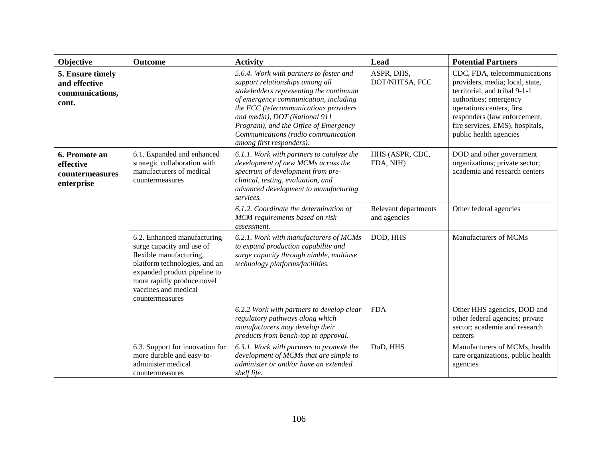| Objective                                                     | <b>Outcome</b>                                                                                                                                                                                                                | <b>Activity</b>                                                                                                                                                                                                                                                                                                                                      | Lead                                 | <b>Potential Partners</b>                                                                                                                                                                                                                            |
|---------------------------------------------------------------|-------------------------------------------------------------------------------------------------------------------------------------------------------------------------------------------------------------------------------|------------------------------------------------------------------------------------------------------------------------------------------------------------------------------------------------------------------------------------------------------------------------------------------------------------------------------------------------------|--------------------------------------|------------------------------------------------------------------------------------------------------------------------------------------------------------------------------------------------------------------------------------------------------|
| 5. Ensure timely<br>and effective<br>communications,<br>cont. |                                                                                                                                                                                                                               | 5.6.4. Work with partners to foster and<br>support relationships among all<br>stakeholders representing the continuum<br>of emergency communication, including<br>the FCC (telecommunications providers<br>and media), DOT (National 911<br>Program), and the Office of Emergency<br>Communications (radio communication<br>among first responders). | ASPR, DHS,<br>DOT/NHTSA, FCC         | CDC, FDA, telecommunications<br>providers, media; local, state,<br>territorial, and tribal 9-1-1<br>authorities; emergency<br>operations centers, first<br>responders (law enforcement,<br>fire services, EMS), hospitals,<br>public health agencies |
| 6. Promote an<br>effective<br>countermeasures<br>enterprise   | 6.1. Expanded and enhanced<br>strategic collaboration with<br>manufacturers of medical<br>countermeasures                                                                                                                     | 6.1.1. Work with partners to catalyze the<br>development of new MCMs across the<br>spectrum of development from pre-<br>clinical, testing, evaluation, and<br>advanced development to manufacturing<br>services.                                                                                                                                     | HHS (ASPR, CDC,<br>FDA, NIH)         | DOD and other government<br>organizations; private sector;<br>academia and research centers                                                                                                                                                          |
|                                                               |                                                                                                                                                                                                                               | 6.1.2. Coordinate the determination of<br>MCM requirements based on risk<br>assessment.                                                                                                                                                                                                                                                              | Relevant departments<br>and agencies | Other federal agencies                                                                                                                                                                                                                               |
|                                                               | 6.2. Enhanced manufacturing<br>surge capacity and use of<br>flexible manufacturing,<br>platform technologies, and an<br>expanded product pipeline to<br>more rapidly produce novel<br>vaccines and medical<br>countermeasures | 6.2.1. Work with manufacturers of MCMs<br>to expand production capability and<br>surge capacity through nimble, multiuse<br>technology platforms/facilities.                                                                                                                                                                                         | DOD, HHS                             | Manufacturers of MCMs                                                                                                                                                                                                                                |
|                                                               |                                                                                                                                                                                                                               | 6.2.2 Work with partners to develop clear<br>regulatory pathways along which<br>manufacturers may develop their<br>products from bench-top to approval.                                                                                                                                                                                              | <b>FDA</b>                           | Other HHS agencies, DOD and<br>other federal agencies; private<br>sector; academia and research<br>centers                                                                                                                                           |
|                                                               | 6.3. Support for innovation for<br>more durable and easy-to-<br>administer medical<br>countermeasures                                                                                                                         | 6.3.1. Work with partners to promote the<br>development of MCMs that are simple to<br>administer or and/or have an extended<br>shelf life.                                                                                                                                                                                                           | DoD, HHS                             | Manufacturers of MCMs, health<br>care organizations, public health<br>agencies                                                                                                                                                                       |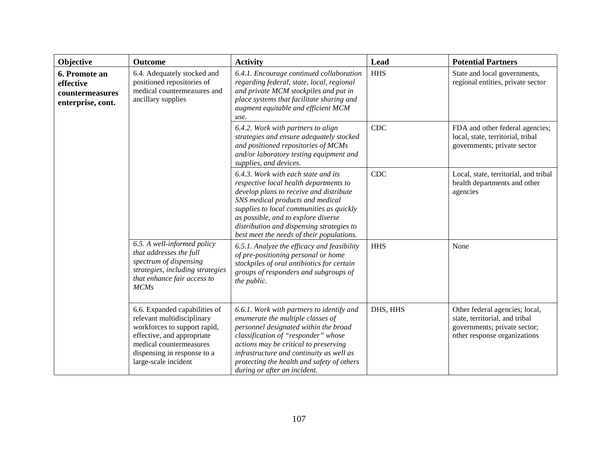| Objective                                                          | <b>Outcome</b>                                                                                                                                                                                              | <b>Activity</b>                                                                                                                                                                                                                                                                                                                           | <b>Lead</b> | <b>Potential Partners</b>                                                                                                        |
|--------------------------------------------------------------------|-------------------------------------------------------------------------------------------------------------------------------------------------------------------------------------------------------------|-------------------------------------------------------------------------------------------------------------------------------------------------------------------------------------------------------------------------------------------------------------------------------------------------------------------------------------------|-------------|----------------------------------------------------------------------------------------------------------------------------------|
| 6. Promote an<br>effective<br>countermeasures<br>enterprise, cont. | 6.4. Adequately stocked and<br>positioned repositories of<br>medical countermeasures and<br>ancillary supplies                                                                                              | 6.4.1. Encourage continued collaboration<br>regarding federal, state, local, regional<br>and private MCM stockpiles and put in<br>place systems that facilitate sharing and<br>augment equitable and efficient MCM<br>use.                                                                                                                | <b>HHS</b>  | State and local governments,<br>regional entities, private sector                                                                |
|                                                                    |                                                                                                                                                                                                             | 6.4.2. Work with partners to align<br>strategies and ensure adequately stocked<br>and positioned repositories of MCMs<br>and/or laboratory testing equipment and<br>supplies, and devices.                                                                                                                                                | <b>CDC</b>  | FDA and other federal agencies;<br>local, state, territorial, tribal<br>governments; private sector                              |
|                                                                    |                                                                                                                                                                                                             | 6.4.3. Work with each state and its<br>respective local health departments to<br>develop plans to receive and distribute<br>SNS medical products and medical<br>supplies to local communities as quickly<br>as possible, and to explore diverse<br>distribution and dispensing strategies to<br>best meet the needs of their populations. | <b>CDC</b>  | Local, state, territorial, and tribal<br>health departments and other<br>agencies                                                |
|                                                                    | 6.5. A well-informed policy<br>that addresses the full<br>spectrum of dispensing<br>strategies, including strategies<br>that enhance fair access to<br><b>MCMs</b>                                          | 6.5.1. Analyze the efficacy and feasibility<br>of pre-positioning personal or home<br>stockpiles of oral antibiotics for certain<br>groups of responders and subgroups of<br>the public.                                                                                                                                                  | <b>HHS</b>  | None                                                                                                                             |
|                                                                    | 6.6. Expanded capabilities of<br>relevant multidisciplinary<br>workforces to support rapid,<br>effective, and appropriate<br>medical countermeasures<br>dispensing in response to a<br>large-scale incident | 6.6.1. Work with partners to identify and<br>enumerate the multiple classes of<br>personnel designated within the broad<br>classification of "responder" whose<br>actions may be critical to preserving<br>infrastructure and continuity as well as<br>protecting the health and safety of others<br>during or after an incident.         | DHS, HHS    | Other federal agencies; local,<br>state, territorial, and tribal<br>governments; private sector;<br>other response organizations |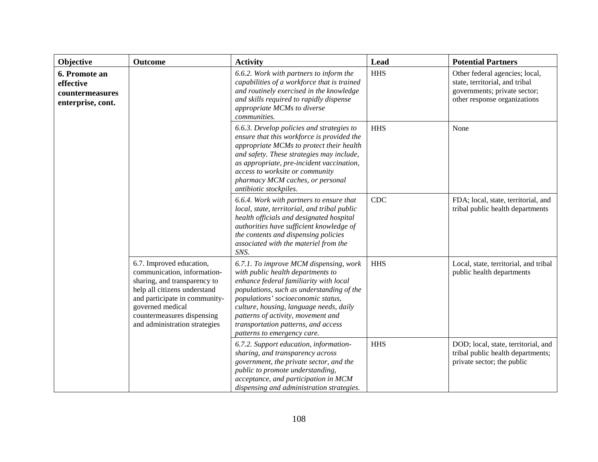| Objective                                                          | Outcome                                                                                                                                                                                                                                     | <b>Activity</b>                                                                                                                                                                                                                                                                                                                                                 | Lead       | <b>Potential Partners</b>                                                                                                        |
|--------------------------------------------------------------------|---------------------------------------------------------------------------------------------------------------------------------------------------------------------------------------------------------------------------------------------|-----------------------------------------------------------------------------------------------------------------------------------------------------------------------------------------------------------------------------------------------------------------------------------------------------------------------------------------------------------------|------------|----------------------------------------------------------------------------------------------------------------------------------|
| 6. Promote an<br>effective<br>countermeasures<br>enterprise, cont. |                                                                                                                                                                                                                                             | 6.6.2. Work with partners to inform the<br>capabilities of a workforce that is trained<br>and routinely exercised in the knowledge<br>and skills required to rapidly dispense<br>appropriate MCMs to diverse<br>communities.                                                                                                                                    | <b>HHS</b> | Other federal agencies; local,<br>state, territorial, and tribal<br>governments; private sector;<br>other response organizations |
|                                                                    |                                                                                                                                                                                                                                             | 6.6.3. Develop policies and strategies to<br>ensure that this workforce is provided the<br>appropriate MCMs to protect their health<br>and safety. These strategies may include,<br>as appropriate, pre-incident vaccination,<br>access to worksite or community<br>pharmacy MCM caches, or personal<br>antibiotic stockpiles.                                  | <b>HHS</b> | None                                                                                                                             |
|                                                                    |                                                                                                                                                                                                                                             | 6.6.4. Work with partners to ensure that<br>local, state, territorial, and tribal public<br>health officials and designated hospital<br>authorities have sufficient knowledge of<br>the contents and dispensing policies<br>associated with the materiel from the<br>SNS.                                                                                       | <b>CDC</b> | FDA; local, state, territorial, and<br>tribal public health departments                                                          |
|                                                                    | 6.7. Improved education,<br>communication, information-<br>sharing, and transparency to<br>help all citizens understand<br>and participate in community-<br>governed medical<br>countermeasures dispensing<br>and administration strategies | 6.7.1. To improve MCM dispensing, work<br>with public health departments to<br>enhance federal familiarity with local<br>populations, such as understanding of the<br>populations' socioeconomic status,<br>culture, housing, language needs, daily<br>patterns of activity, movement and<br>transportation patterns, and access<br>patterns to emergency care. | <b>HHS</b> | Local, state, territorial, and tribal<br>public health departments                                                               |
|                                                                    |                                                                                                                                                                                                                                             | 6.7.2. Support education, information-<br>sharing, and transparency across<br>government, the private sector, and the<br>public to promote understanding,<br>acceptance, and participation in MCM<br>dispensing and administration strategies.                                                                                                                  | <b>HHS</b> | DOD; local, state, territorial, and<br>tribal public health departments;<br>private sector; the public                           |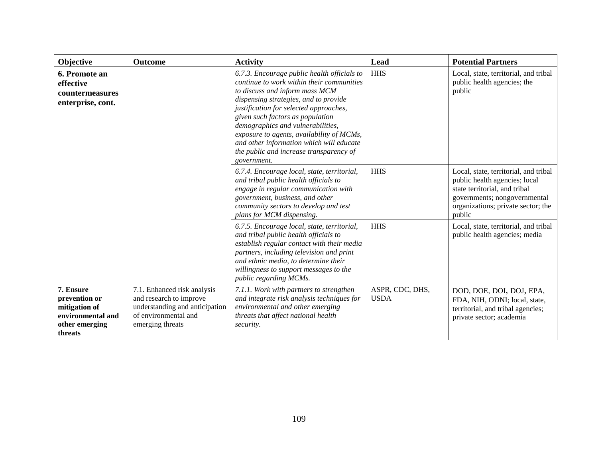| Objective                                                                                     | <b>Outcome</b>                                                                                                                       | <b>Activity</b>                                                                                                                                                                                                                                                                                                                                                                                                                           | Lead                           | <b>Potential Partners</b>                                                                                                                                                               |
|-----------------------------------------------------------------------------------------------|--------------------------------------------------------------------------------------------------------------------------------------|-------------------------------------------------------------------------------------------------------------------------------------------------------------------------------------------------------------------------------------------------------------------------------------------------------------------------------------------------------------------------------------------------------------------------------------------|--------------------------------|-----------------------------------------------------------------------------------------------------------------------------------------------------------------------------------------|
| 6. Promote an<br>effective<br><b>countermeasures</b><br>enterprise, cont.                     |                                                                                                                                      | 6.7.3. Encourage public health officials to<br>continue to work within their communities<br>to discuss and inform mass MCM<br>dispensing strategies, and to provide<br>justification for selected approaches,<br>given such factors as population<br>demographics and vulnerabilities,<br>exposure to agents, availability of MCMs,<br>and other information which will educate<br>the public and increase transparency of<br>government. | <b>HHS</b>                     | Local, state, territorial, and tribal<br>public health agencies; the<br>public                                                                                                          |
|                                                                                               |                                                                                                                                      | 6.7.4. Encourage local, state, territorial,<br>and tribal public health officials to<br>engage in regular communication with<br>government, business, and other<br>community sectors to develop and test<br>plans for MCM dispensing.                                                                                                                                                                                                     | <b>HHS</b>                     | Local, state, territorial, and tribal<br>public health agencies; local<br>state territorial, and tribal<br>governments; nongovernmental<br>organizations; private sector; the<br>public |
|                                                                                               |                                                                                                                                      | 6.7.5. Encourage local, state, territorial,<br>and tribal public health officials to<br>establish regular contact with their media<br>partners, including television and print<br>and ethnic media, to determine their<br>willingness to support messages to the<br>public regarding MCMs.                                                                                                                                                | <b>HHS</b>                     | Local, state, territorial, and tribal<br>public health agencies; media                                                                                                                  |
| 7. Ensure<br>prevention or<br>mitigation of<br>environmental and<br>other emerging<br>threats | 7.1. Enhanced risk analysis<br>and research to improve<br>understanding and anticipation<br>of environmental and<br>emerging threats | 7.1.1. Work with partners to strengthen<br>and integrate risk analysis techniques for<br>environmental and other emerging<br>threats that affect national health<br>security.                                                                                                                                                                                                                                                             | ASPR, CDC, DHS,<br><b>USDA</b> | DOD, DOE, DOI, DOJ, EPA,<br>FDA, NIH, ODNI; local, state,<br>territorial, and tribal agencies;<br>private sector; academia                                                              |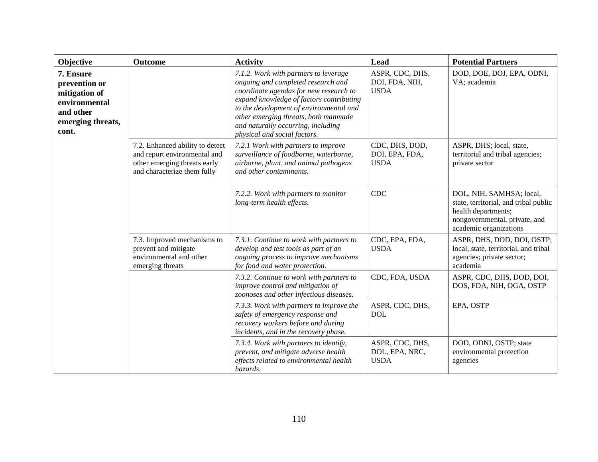| Objective                                                                                               | <b>Outcome</b>                                                                                                                 | <b>Activity</b>                                                                                                                                                                                                                                                                                                            | Lead                                             | <b>Potential Partners</b>                                                                                                                           |
|---------------------------------------------------------------------------------------------------------|--------------------------------------------------------------------------------------------------------------------------------|----------------------------------------------------------------------------------------------------------------------------------------------------------------------------------------------------------------------------------------------------------------------------------------------------------------------------|--------------------------------------------------|-----------------------------------------------------------------------------------------------------------------------------------------------------|
| 7. Ensure<br>prevention or<br>mitigation of<br>environmental<br>and other<br>emerging threats,<br>cont. |                                                                                                                                | 7.1.2. Work with partners to leverage<br>ongoing and completed research and<br>coordinate agendas for new research to<br>expand knowledge of factors contributing<br>to the development of environmental and<br>other emerging threats, both manmade<br>and naturally occurring, including<br>physical and social factors. | ASPR, CDC, DHS,<br>DOI, FDA, NIH,<br><b>USDA</b> | DOD, DOE, DOJ, EPA, ODNI,<br>VA; academia                                                                                                           |
|                                                                                                         | 7.2. Enhanced ability to detect<br>and report environmental and<br>other emerging threats early<br>and characterize them fully | 7.2.1 Work with partners to improve<br>surveillance of foodborne, waterborne,<br>airborne, plant, and animal pathogens<br>and other contaminants.                                                                                                                                                                          | CDC, DHS, DOD,<br>DOI, EPA, FDA,<br><b>USDA</b>  | ASPR, DHS; local, state,<br>territorial and tribal agencies;<br>private sector                                                                      |
|                                                                                                         |                                                                                                                                | 7.2.2. Work with partners to monitor<br>long-term health effects.                                                                                                                                                                                                                                                          | <b>CDC</b>                                       | DOL, NIH, SAMHSA; local,<br>state, territorial, and tribal public<br>health departments;<br>nongovernmental, private, and<br>academic organizations |
|                                                                                                         | 7.3. Improved mechanisms to<br>prevent and mitigate<br>environmental and other<br>emerging threats                             | 7.3.1. Continue to work with partners to<br>develop and test tools as part of an<br>ongoing process to improve mechanisms<br>for food and water protection.                                                                                                                                                                | CDC, EPA, FDA,<br><b>USDA</b>                    | ASPR, DHS, DOD, DOI, OSTP;<br>local, state, territorial, and tribal<br>agencies; private sector;<br>academia                                        |
|                                                                                                         |                                                                                                                                | 7.3.2. Continue to work with partners to<br>improve control and mitigation of<br>zoonoses and other infectious diseases.                                                                                                                                                                                                   | CDC, FDA, USDA                                   | ASPR, CDC, DHS, DOD, DOI,<br>DOS, FDA, NIH, OGA, OSTP                                                                                               |
|                                                                                                         |                                                                                                                                | 7.3.3. Work with partners to improve the<br>safety of emergency response and<br>recovery workers before and during<br>incidents, and in the recovery phase.                                                                                                                                                                | ASPR, CDC, DHS,<br><b>DOL</b>                    | EPA, OSTP                                                                                                                                           |
|                                                                                                         |                                                                                                                                | 7.3.4. Work with partners to identify,<br>prevent, and mitigate adverse health<br>effects related to environmental health<br>hazards.                                                                                                                                                                                      | ASPR, CDC, DHS,<br>DOL, EPA, NRC,<br><b>USDA</b> | DOD, ODNI, OSTP; state<br>environmental protection<br>agencies                                                                                      |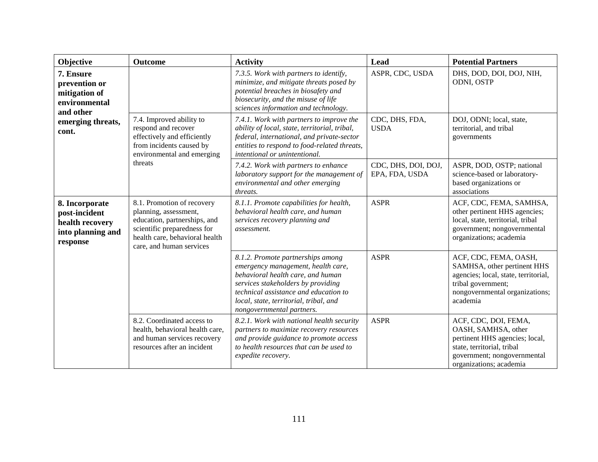| Objective                                                                                               | <b>Outcome</b>                                                                                                                                                                   | <b>Activity</b>                                                                                                                                                                                                                                                    | Lead                                  | <b>Potential Partners</b>                                                                                                                                             |
|---------------------------------------------------------------------------------------------------------|----------------------------------------------------------------------------------------------------------------------------------------------------------------------------------|--------------------------------------------------------------------------------------------------------------------------------------------------------------------------------------------------------------------------------------------------------------------|---------------------------------------|-----------------------------------------------------------------------------------------------------------------------------------------------------------------------|
| 7. Ensure<br>prevention or<br>mitigation of<br>environmental<br>and other<br>emerging threats,<br>cont. |                                                                                                                                                                                  | 7.3.5. Work with partners to identify,<br>minimize, and mitigate threats posed by<br>potential breaches in biosafety and<br>biosecurity, and the misuse of life<br>sciences information and technology.                                                            | ASPR, CDC, USDA                       | DHS, DOD, DOI, DOJ, NIH,<br>ODNI, OSTP                                                                                                                                |
|                                                                                                         | 7.4. Improved ability to<br>respond and recover<br>effectively and efficiently<br>from incidents caused by<br>environmental and emerging                                         | 7.4.1. Work with partners to improve the<br>ability of local, state, territorial, tribal,<br>federal, international, and private-sector<br>entities to respond to food-related threats,<br>intentional or unintentional.                                           | CDC, DHS, FDA,<br><b>USDA</b>         | DOJ, ODNI; local, state,<br>territorial, and tribal<br>governments                                                                                                    |
|                                                                                                         | threats                                                                                                                                                                          | 7.4.2. Work with partners to enhance<br>laboratory support for the management of<br>environmental and other emerging<br>threats.                                                                                                                                   | CDC, DHS, DOI, DOJ,<br>EPA, FDA, USDA | ASPR, DOD, OSTP; national<br>science-based or laboratory-<br>based organizations or<br>associations                                                                   |
| 8. Incorporate<br>post-incident<br>health recovery<br>into planning and<br>response                     | 8.1. Promotion of recovery<br>planning, assessment,<br>education, partnerships, and<br>scientific preparedness for<br>health care, behavioral health<br>care, and human services | 8.1.1. Promote capabilities for health,<br>behavioral health care, and human<br>services recovery planning and<br>assessment.                                                                                                                                      | <b>ASPR</b>                           | ACF, CDC, FEMA, SAMHSA,<br>other pertinent HHS agencies;<br>local, state, territorial, tribal<br>government; nongovernmental<br>organizations; academia               |
|                                                                                                         |                                                                                                                                                                                  | 8.1.2. Promote partnerships among<br>emergency management, health care,<br>behavioral health care, and human<br>services stakeholders by providing<br>technical assistance and education to<br>local, state, territorial, tribal, and<br>nongovernmental partners. | <b>ASPR</b>                           | ACF, CDC, FEMA, OASH,<br>SAMHSA, other pertinent HHS<br>agencies; local, state, territorial,<br>tribal government;<br>nongovernmental organizations;<br>academia      |
|                                                                                                         | 8.2. Coordinated access to<br>health, behavioral health care,<br>and human services recovery<br>resources after an incident                                                      | 8.2.1. Work with national health security<br>partners to maximize recovery resources<br>and provide guidance to promote access<br>to health resources that can be used to<br>expedite recovery.                                                                    | <b>ASPR</b>                           | ACF, CDC, DOI, FEMA,<br>OASH, SAMHSA, other<br>pertinent HHS agencies; local,<br>state, territorial, tribal<br>government; nongovernmental<br>organizations; academia |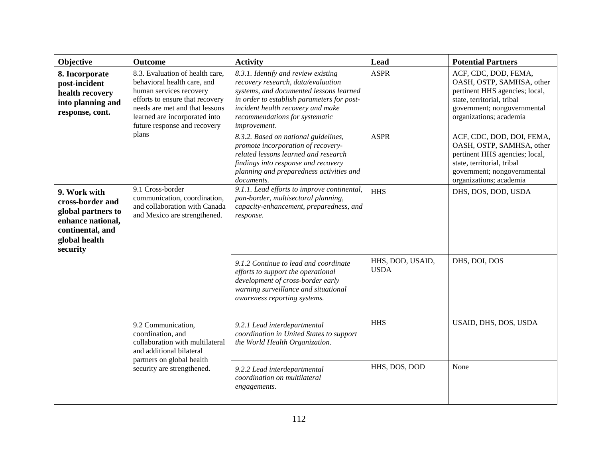| Objective                                                                                                                    | Outcome                                                                                                                                                                                                                         | <b>Activity</b>                                                                                                                                                                                                                                           | Lead                            | <b>Potential Partners</b>                                                                                                                                                        |
|------------------------------------------------------------------------------------------------------------------------------|---------------------------------------------------------------------------------------------------------------------------------------------------------------------------------------------------------------------------------|-----------------------------------------------------------------------------------------------------------------------------------------------------------------------------------------------------------------------------------------------------------|---------------------------------|----------------------------------------------------------------------------------------------------------------------------------------------------------------------------------|
| 8. Incorporate<br>post-incident<br>health recovery<br>into planning and<br>response, cont.                                   | 8.3. Evaluation of health care,<br>behavioral health care, and<br>human services recovery<br>efforts to ensure that recovery<br>needs are met and that lessons<br>learned are incorporated into<br>future response and recovery | 8.3.1. Identify and review existing<br>recovery research, data/evaluation<br>systems, and documented lessons learned<br>in order to establish parameters for post-<br>incident health recovery and make<br>recommendations for systematic<br>improvement. | <b>ASPR</b>                     | ACF, CDC, DOD, FEMA,<br>OASH, OSTP, SAMHSA, other<br>pertinent HHS agencies; local,<br>state, territorial, tribal<br>government; nongovernmental<br>organizations; academia      |
|                                                                                                                              | plans                                                                                                                                                                                                                           | 8.3.2. Based on national guidelines,<br>promote incorporation of recovery-<br>related lessons learned and research<br>findings into response and recovery<br>planning and preparedness activities and<br>documents.                                       | <b>ASPR</b>                     | ACF, CDC, DOD, DOI, FEMA,<br>OASH, OSTP, SAMHSA, other<br>pertinent HHS agencies; local,<br>state, territorial, tribal<br>government; nongovernmental<br>organizations; academia |
| 9. Work with<br>cross-border and<br>global partners to<br>enhance national,<br>continental, and<br>global health<br>security | 9.1 Cross-border<br>communication, coordination,<br>and collaboration with Canada<br>and Mexico are strengthened.                                                                                                               | 9.1.1. Lead efforts to improve continental,<br>pan-border, multisectoral planning,<br>capacity-enhancement, preparedness, and<br>response.                                                                                                                | <b>HHS</b>                      | DHS, DOS, DOD, USDA                                                                                                                                                              |
|                                                                                                                              |                                                                                                                                                                                                                                 | 9.1.2 Continue to lead and coordinate<br>efforts to support the operational<br>development of cross-border early<br>warning surveillance and situational<br>awareness reporting systems.                                                                  | HHS, DOD, USAID,<br><b>USDA</b> | DHS, DOI, DOS                                                                                                                                                                    |
|                                                                                                                              | 9.2 Communication,<br>coordination, and<br>collaboration with multilateral<br>and additional bilateral                                                                                                                          | 9.2.1 Lead interdepartmental<br>coordination in United States to support<br>the World Health Organization.                                                                                                                                                | <b>HHS</b>                      | USAID, DHS, DOS, USDA                                                                                                                                                            |
|                                                                                                                              | partners on global health<br>security are strengthened.                                                                                                                                                                         | 9.2.2 Lead interdepartmental<br>coordination on multilateral<br>engagements.                                                                                                                                                                              | HHS, DOS, DOD                   | None                                                                                                                                                                             |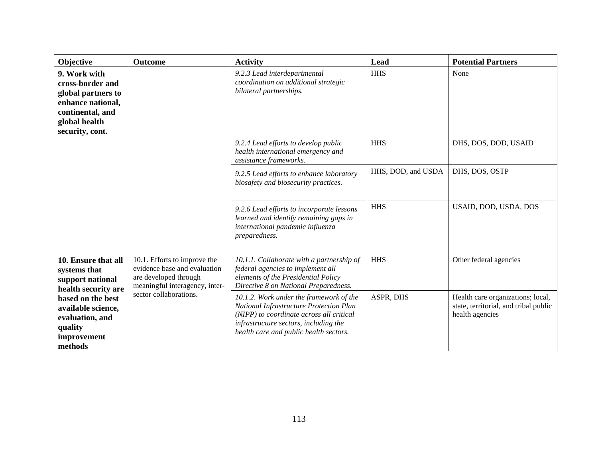| Objective                                                                                                                           | <b>Outcome</b>                                                                                                          | <b>Activity</b>                                                                                                                                                                                                   | Lead               | <b>Potential Partners</b>                                                                     |
|-------------------------------------------------------------------------------------------------------------------------------------|-------------------------------------------------------------------------------------------------------------------------|-------------------------------------------------------------------------------------------------------------------------------------------------------------------------------------------------------------------|--------------------|-----------------------------------------------------------------------------------------------|
| 9. Work with<br>cross-border and<br>global partners to<br>enhance national,<br>continental, and<br>global health<br>security, cont. |                                                                                                                         | 9.2.3 Lead interdepartmental<br>coordination on additional strategic<br>bilateral partnerships.                                                                                                                   | <b>HHS</b>         | None                                                                                          |
|                                                                                                                                     |                                                                                                                         | 9.2.4 Lead efforts to develop public<br>health international emergency and<br>assistance frameworks.                                                                                                              | <b>HHS</b>         | DHS, DOS, DOD, USAID                                                                          |
|                                                                                                                                     |                                                                                                                         | 9.2.5 Lead efforts to enhance laboratory<br>biosafety and biosecurity practices.                                                                                                                                  | HHS, DOD, and USDA | DHS, DOS, OSTP                                                                                |
|                                                                                                                                     |                                                                                                                         | 9.2.6 Lead efforts to incorporate lessons<br>learned and identify remaining gaps in<br>international pandemic influenza<br>preparedness.                                                                          | <b>HHS</b>         | USAID, DOD, USDA, DOS                                                                         |
| 10. Ensure that all<br>systems that<br>support national<br>health security are                                                      | 10.1. Efforts to improve the<br>evidence base and evaluation<br>are developed through<br>meaningful interagency, inter- | 10.1.1. Collaborate with a partnership of<br>federal agencies to implement all<br>elements of the Presidential Policy<br>Directive 8 on National Preparedness.                                                    | <b>HHS</b>         | Other federal agencies                                                                        |
| based on the best<br>available science,<br>evaluation, and<br>quality<br>improvement<br>methods                                     | sector collaborations.                                                                                                  | 10.1.2. Work under the framework of the<br>National Infrastructure Protection Plan<br>(NIPP) to coordinate across all critical<br>infrastructure sectors, including the<br>health care and public health sectors. | ASPR, DHS          | Health care organizations; local,<br>state, territorial, and tribal public<br>health agencies |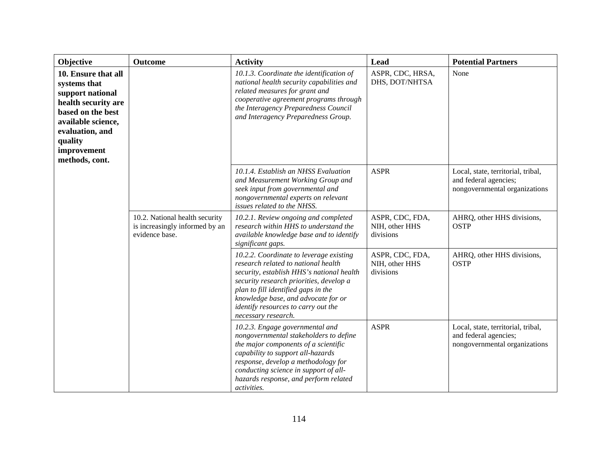| Objective                                                                                                                                                                                | <b>Outcome</b>                                                                     | <b>Activity</b>                                                                                                                                                                                                                                                                                                    | Lead                                           | <b>Potential Partners</b>                                                                    |
|------------------------------------------------------------------------------------------------------------------------------------------------------------------------------------------|------------------------------------------------------------------------------------|--------------------------------------------------------------------------------------------------------------------------------------------------------------------------------------------------------------------------------------------------------------------------------------------------------------------|------------------------------------------------|----------------------------------------------------------------------------------------------|
| 10. Ensure that all<br>systems that<br>support national<br>health security are<br>based on the best<br>available science,<br>evaluation, and<br>quality<br>improvement<br>methods, cont. |                                                                                    | 10.1.3. Coordinate the identification of<br>national health security capabilities and<br>related measures for grant and<br>cooperative agreement programs through<br>the Interagency Preparedness Council<br>and Interagency Preparedness Group.                                                                   | ASPR, CDC, HRSA,<br>DHS, DOT/NHTSA             | None                                                                                         |
|                                                                                                                                                                                          |                                                                                    | 10.1.4. Establish an NHSS Evaluation<br>and Measurement Working Group and<br>seek input from governmental and<br>nongovernmental experts on relevant<br>issues related to the NHSS.                                                                                                                                | <b>ASPR</b>                                    | Local, state, territorial, tribal,<br>and federal agencies;<br>nongovernmental organizations |
|                                                                                                                                                                                          | 10.2. National health security<br>is increasingly informed by an<br>evidence base. | 10.2.1. Review ongoing and completed<br>research within HHS to understand the<br>divisions<br>available knowledge base and to identify<br>significant gaps.                                                                                                                                                        | ASPR, CDC, FDA,<br>NIH, other HHS              | AHRQ, other HHS divisions,<br><b>OSTP</b>                                                    |
|                                                                                                                                                                                          |                                                                                    | 10.2.2. Coordinate to leverage existing<br>research related to national health<br>security, establish HHS's national health<br>security research priorities, develop a<br>plan to fill identified gaps in the<br>knowledge base, and advocate for or<br>identify resources to carry out the<br>necessary research. | ASPR, CDC, FDA,<br>NIH, other HHS<br>divisions | AHRQ, other HHS divisions,<br><b>OSTP</b>                                                    |
|                                                                                                                                                                                          |                                                                                    | 10.2.3. Engage governmental and<br>nongovernmental stakeholders to define<br>the major components of a scientific<br>capability to support all-hazards<br>response, develop a methodology for<br>conducting science in support of all-<br>hazards response, and perform related<br>activities.                     | <b>ASPR</b>                                    | Local, state, territorial, tribal,<br>and federal agencies;<br>nongovernmental organizations |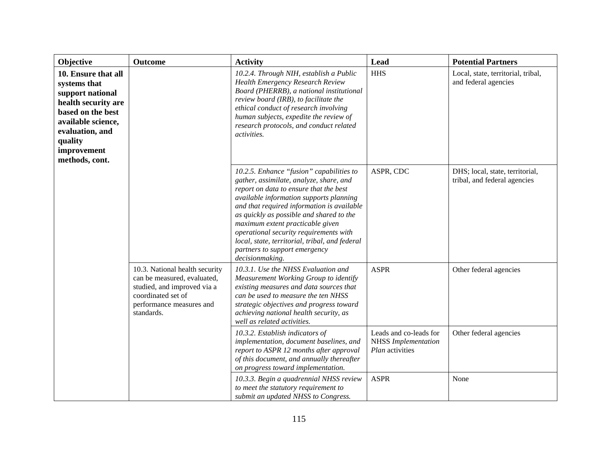| Objective                                                                                                                                                                                | Outcome                                                                                                                                                      | <b>Activity</b>                                                                                                                                                                                                                                                                                                                                                                                                                                        | Lead                                                                    | <b>Potential Partners</b>                                  |
|------------------------------------------------------------------------------------------------------------------------------------------------------------------------------------------|--------------------------------------------------------------------------------------------------------------------------------------------------------------|--------------------------------------------------------------------------------------------------------------------------------------------------------------------------------------------------------------------------------------------------------------------------------------------------------------------------------------------------------------------------------------------------------------------------------------------------------|-------------------------------------------------------------------------|------------------------------------------------------------|
| 10. Ensure that all<br>systems that<br>support national<br>health security are<br>based on the best<br>available science,<br>evaluation, and<br>quality<br>improvement<br>methods, cont. |                                                                                                                                                              | 10.2.4. Through NIH, establish a Public<br><b>Health Emergency Research Review</b><br>Board (PHERRB), a national institutional<br>review board (IRB), to facilitate the<br>ethical conduct of research involving<br>human subjects, expedite the review of<br>research protocols, and conduct related<br>activities.                                                                                                                                   | <b>HHS</b>                                                              | Local, state, territorial, tribal,<br>and federal agencies |
|                                                                                                                                                                                          |                                                                                                                                                              | 10.2.5. Enhance "fusion" capabilities to<br>gather, assimilate, analyze, share, and<br>report on data to ensure that the best<br>available information supports planning<br>and that required information is available<br>as quickly as possible and shared to the<br>maximum extent practicable given<br>operational security requirements with<br>local, state, territorial, tribal, and federal<br>partners to support emergency<br>decisionmaking. | ASPR, CDC<br>tribal, and federal agencies                               | DHS; local, state, territorial,                            |
|                                                                                                                                                                                          | 10.3. National health security<br>can be measured, evaluated,<br>studied, and improved via a<br>coordinated set of<br>performance measures and<br>standards. | 10.3.1. Use the NHSS Evaluation and<br>Measurement Working Group to identify<br>existing measures and data sources that<br>can be used to measure the ten NHSS<br>strategic objectives and progress toward<br>achieving national health security, as<br>well as related activities.                                                                                                                                                                    | <b>ASPR</b>                                                             | Other federal agencies                                     |
|                                                                                                                                                                                          |                                                                                                                                                              | 10.3.2. Establish indicators of<br>implementation, document baselines, and<br>report to ASPR 12 months after approval<br>of this document, and annually thereafter<br>on progress toward implementation.                                                                                                                                                                                                                                               | Leads and co-leads for<br><b>NHSS</b> Implementation<br>Plan activities | Other federal agencies                                     |
|                                                                                                                                                                                          |                                                                                                                                                              | 10.3.3. Begin a quadrennial NHSS review<br>to meet the statutory requirement to<br>submit an updated NHSS to Congress.                                                                                                                                                                                                                                                                                                                                 | <b>ASPR</b>                                                             | None                                                       |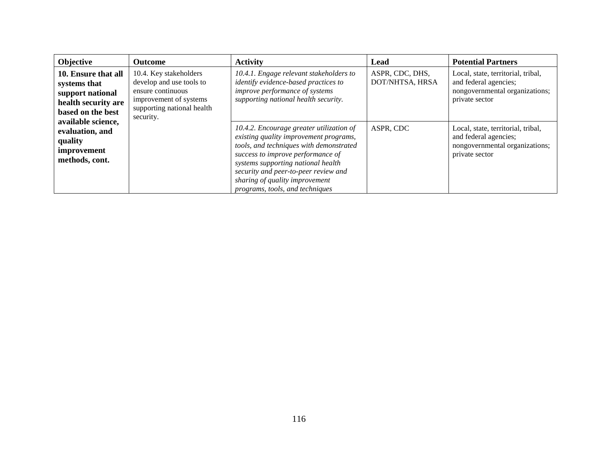| Objective                                                                                           | <b>Outcome</b>                                                                                                                               | <b>Activity</b>                                                                                                                                                                                                                                                                                                       | Lead                               | <b>Potential Partners</b>                                                                                       |
|-----------------------------------------------------------------------------------------------------|----------------------------------------------------------------------------------------------------------------------------------------------|-----------------------------------------------------------------------------------------------------------------------------------------------------------------------------------------------------------------------------------------------------------------------------------------------------------------------|------------------------------------|-----------------------------------------------------------------------------------------------------------------|
| 10. Ensure that all<br>systems that<br>support national<br>health security are<br>based on the best | 10.4. Key stakeholders<br>develop and use tools to<br>ensure continuous<br>improvement of systems<br>supporting national health<br>security. | 10.4.1. Engage relevant stakeholders to<br>identify evidence-based practices to<br>improve performance of systems<br>supporting national health security.                                                                                                                                                             | ASPR, CDC, DHS,<br>DOT/NHTSA, HRSA | Local, state, territorial, tribal,<br>and federal agencies;<br>nongovernmental organizations;<br>private sector |
| available science,<br>evaluation, and<br>quality<br>improvement<br>methods, cont.                   |                                                                                                                                              | 10.4.2. Encourage greater utilization of<br>existing quality improvement programs,<br>tools, and techniques with demonstrated<br>success to improve performance of<br>systems supporting national health<br>security and peer-to-peer review and<br>sharing of quality improvement<br>programs, tools, and techniques | ASPR, CDC                          | Local, state, territorial, tribal,<br>and federal agencies;<br>nongovernmental organizations;<br>private sector |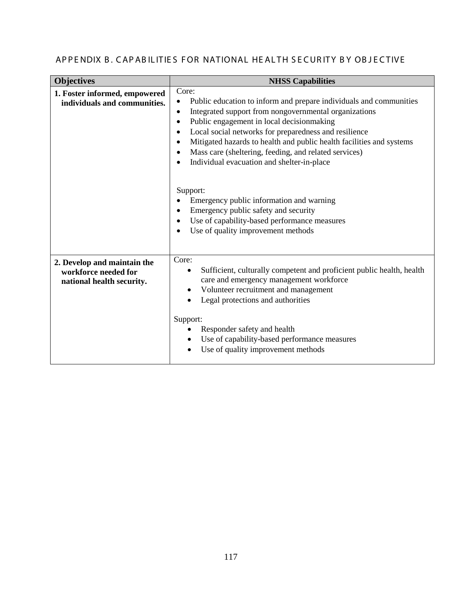# APPENDIX B. CAPABILITIES FOR NATIONAL HEALTH SECURITY BY OBJECTIVE

| <b>Objectives</b>                                                                | <b>NHSS Capabilities</b>                                                                                                                                                                                                                                                                                                                                                                                                                            |
|----------------------------------------------------------------------------------|-----------------------------------------------------------------------------------------------------------------------------------------------------------------------------------------------------------------------------------------------------------------------------------------------------------------------------------------------------------------------------------------------------------------------------------------------------|
| 1. Foster informed, empowered<br>individuals and communities.                    | Core:<br>Public education to inform and prepare individuals and communities<br>Integrated support from nongovernmental organizations<br>$\bullet$<br>Public engagement in local decisionmaking<br>Local social networks for preparedness and resilience<br>Mitigated hazards to health and public health facilities and systems<br>Mass care (sheltering, feeding, and related services)<br>Individual evacuation and shelter-in-place<br>$\bullet$ |
|                                                                                  | Support:<br>Emergency public information and warning<br>Emergency public safety and security<br>Use of capability-based performance measures<br>Use of quality improvement methods                                                                                                                                                                                                                                                                  |
| 2. Develop and maintain the<br>workforce needed for<br>national health security. | Core:<br>Sufficient, culturally competent and proficient public health, health<br>$\bullet$<br>care and emergency management workforce<br>Volunteer recruitment and management<br>Legal protections and authorities<br>Support:<br>Responder safety and health<br>Use of capability-based performance measures<br>Use of quality improvement methods                                                                                                |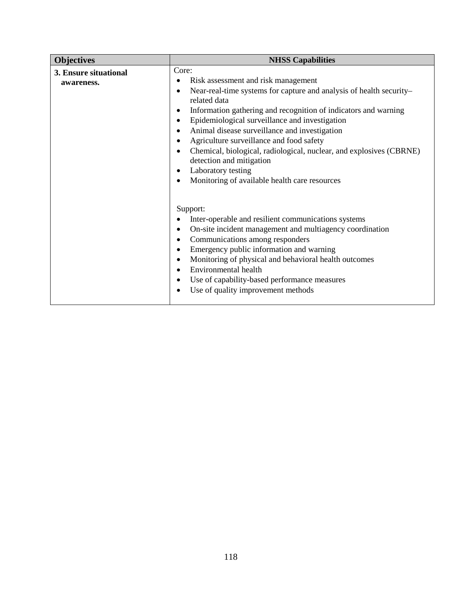| <b>Objectives</b>                   | <b>NHSS Capabilities</b>                                                                                                                                                                                                                                                                                                                                                                                                                                                                                                                                  |
|-------------------------------------|-----------------------------------------------------------------------------------------------------------------------------------------------------------------------------------------------------------------------------------------------------------------------------------------------------------------------------------------------------------------------------------------------------------------------------------------------------------------------------------------------------------------------------------------------------------|
| 3. Ensure situational<br>awareness. | Core:<br>Risk assessment and risk management<br>$\bullet$<br>Near-real-time systems for capture and analysis of health security-<br>$\bullet$<br>related data<br>Information gathering and recognition of indicators and warning<br>Epidemiological surveillance and investigation<br>Animal disease surveillance and investigation<br>Agriculture surveillance and food safety<br>Chemical, biological, radiological, nuclear, and explosives (CBRNE)<br>detection and mitigation<br>Laboratory testing<br>Monitoring of available health care resources |
|                                     | Support:<br>Inter-operable and resilient communications systems<br>On-site incident management and multiagency coordination<br>Communications among responders<br>Emergency public information and warning<br>Monitoring of physical and behavioral health outcomes<br>Environmental health<br>Use of capability-based performance measures<br>Use of quality improvement methods                                                                                                                                                                         |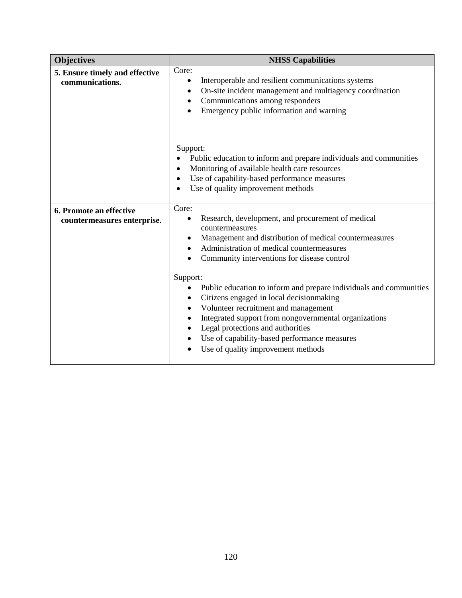| <b>Objectives</b>                                      | <b>NHSS Capabilities</b>                                                                                                                                                                                                                                                                                                                                                                                                                                                                                                                                                                       |
|--------------------------------------------------------|------------------------------------------------------------------------------------------------------------------------------------------------------------------------------------------------------------------------------------------------------------------------------------------------------------------------------------------------------------------------------------------------------------------------------------------------------------------------------------------------------------------------------------------------------------------------------------------------|
| 5. Ensure timely and effective<br>communications.      | Core:<br>Interoperable and resilient communications systems<br>$\bullet$<br>On-site incident management and multiagency coordination<br>$\bullet$<br>Communications among responders<br>$\bullet$<br>Emergency public information and warning<br>$\bullet$                                                                                                                                                                                                                                                                                                                                     |
|                                                        | Support:<br>Public education to inform and prepare individuals and communities<br>Monitoring of available health care resources<br>Use of capability-based performance measures<br>Use of quality improvement methods                                                                                                                                                                                                                                                                                                                                                                          |
| 6. Promote an effective<br>countermeasures enterprise. | Core:<br>Research, development, and procurement of medical<br>$\bullet$<br>countermeasures<br>Management and distribution of medical countermeasures<br>$\bullet$<br>Administration of medical countermeasures<br>Community interventions for disease control<br>Support:<br>Public education to inform and prepare individuals and communities<br>Citizens engaged in local decisionmaking<br>Volunteer recruitment and management<br>$\bullet$<br>Integrated support from nongovernmental organizations<br>Legal protections and authorities<br>Use of capability-based performance measures |
|                                                        | Use of quality improvement methods                                                                                                                                                                                                                                                                                                                                                                                                                                                                                                                                                             |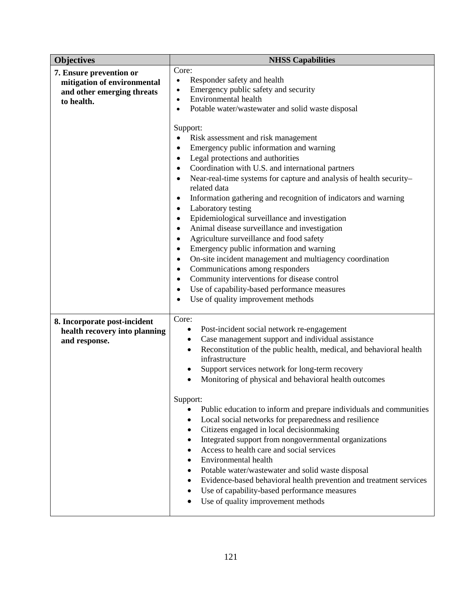| <b>Objectives</b>                                                                                  | <b>NHSS Capabilities</b>                                                                                                                                                                                                                                                                                                                                                                                                                                                                                                                                                                                                                                                                                                                                                                                                                                                                                                               |
|----------------------------------------------------------------------------------------------------|----------------------------------------------------------------------------------------------------------------------------------------------------------------------------------------------------------------------------------------------------------------------------------------------------------------------------------------------------------------------------------------------------------------------------------------------------------------------------------------------------------------------------------------------------------------------------------------------------------------------------------------------------------------------------------------------------------------------------------------------------------------------------------------------------------------------------------------------------------------------------------------------------------------------------------------|
| 7. Ensure prevention or<br>mitigation of environmental<br>and other emerging threats<br>to health. | Core:<br>Responder safety and health<br>$\bullet$<br>Emergency public safety and security<br>$\bullet$<br>Environmental health<br>$\bullet$<br>Potable water/wastewater and solid waste disposal<br>$\bullet$                                                                                                                                                                                                                                                                                                                                                                                                                                                                                                                                                                                                                                                                                                                          |
|                                                                                                    | Support:<br>Risk assessment and risk management<br>Emergency public information and warning<br>Legal protections and authorities<br>Coordination with U.S. and international partners<br>$\bullet$<br>Near-real-time systems for capture and analysis of health security-<br>$\bullet$<br>related data<br>Information gathering and recognition of indicators and warning<br>Laboratory testing<br>$\bullet$<br>Epidemiological surveillance and investigation<br>$\bullet$<br>Animal disease surveillance and investigation<br>$\bullet$<br>Agriculture surveillance and food safety<br>Emergency public information and warning<br>On-site incident management and multiagency coordination<br>$\bullet$<br>Communications among responders<br>$\bullet$<br>Community interventions for disease control<br>$\bullet$<br>Use of capability-based performance measures<br>$\bullet$<br>Use of quality improvement methods<br>$\bullet$ |
| 8. Incorporate post-incident<br>health recovery into planning<br>and response.                     | Core:<br>Post-incident social network re-engagement<br>$\bullet$<br>Case management support and individual assistance<br>$\bullet$<br>Reconstitution of the public health, medical, and behavioral health<br>$\bullet$<br>infrastructure<br>Support services network for long-term recovery<br>٠<br>Monitoring of physical and behavioral health outcomes<br>Support:<br>Public education to inform and prepare individuals and communities<br>٠<br>Local social networks for preparedness and resilience<br>$\bullet$<br>Citizens engaged in local decisionmaking<br>$\bullet$                                                                                                                                                                                                                                                                                                                                                        |
|                                                                                                    | Integrated support from nongovernmental organizations<br>٠<br>Access to health care and social services<br>$\bullet$<br>Environmental health<br>$\bullet$<br>Potable water/wastewater and solid waste disposal<br>٠<br>Evidence-based behavioral health prevention and treatment services<br>٠<br>Use of capability-based performance measures<br>$\bullet$<br>Use of quality improvement methods                                                                                                                                                                                                                                                                                                                                                                                                                                                                                                                                      |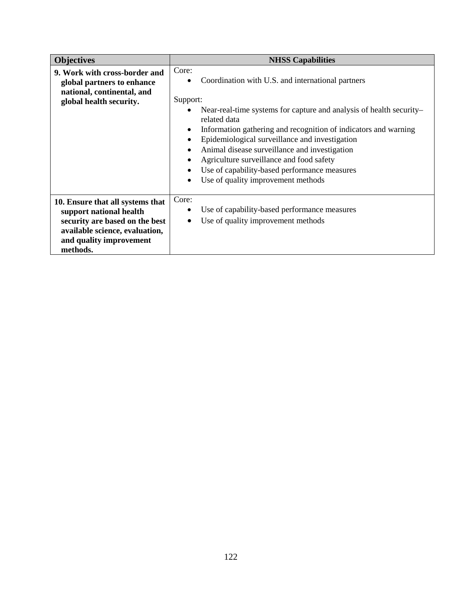| <b>Objectives</b>                                                                                                                                                      | <b>NHSS Capabilities</b>                                                                                                                                                                                                                                                                                                                                                        |
|------------------------------------------------------------------------------------------------------------------------------------------------------------------------|---------------------------------------------------------------------------------------------------------------------------------------------------------------------------------------------------------------------------------------------------------------------------------------------------------------------------------------------------------------------------------|
| 9. Work with cross-border and<br>global partners to enhance<br>national, continental, and<br>global health security.                                                   | Core:<br>Coordination with U.S. and international partners<br>Support:<br>Near-real-time systems for capture and analysis of health security-<br>related data<br>Information gathering and recognition of indicators and warning<br>Epidemiological surveillance and investigation<br>Animal disease surveillance and investigation<br>Agriculture surveillance and food safety |
|                                                                                                                                                                        | Use of capability-based performance measures<br>Use of quality improvement methods<br>$\bullet$                                                                                                                                                                                                                                                                                 |
| 10. Ensure that all systems that<br>support national health<br>security are based on the best<br>available science, evaluation,<br>and quality improvement<br>methods. | Core:<br>Use of capability-based performance measures<br>Use of quality improvement methods                                                                                                                                                                                                                                                                                     |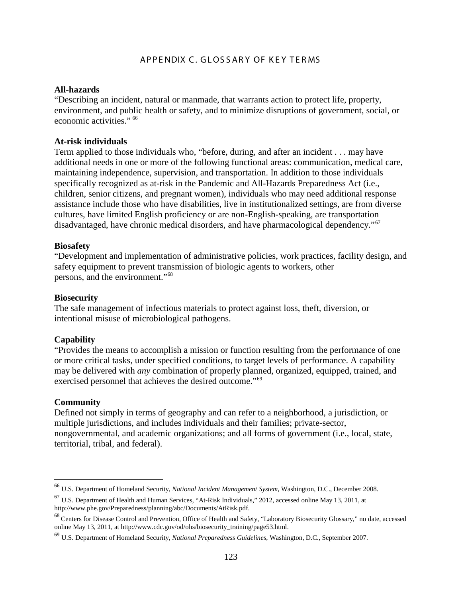# AP PE NDIX C. GLOSSARY OF KEY TERMS

#### **All-hazards**

"Describing an incident, natural or manmade, that warrants action to protect life, property, environment, and public health or safety, and to minimize disruptions of government, social, or economic activities." [66](#page-122-0)

#### **At-risk individuals**

Term applied to those individuals who, "before, during, and after an incident . . . may have additional needs in one or more of the following functional areas: communication, medical care, maintaining independence, supervision, and transportation. In addition to those individuals specifically recognized as at-risk in the Pandemic and All-Hazards Preparedness Act (i.e., children, senior citizens, and pregnant women), individuals who may need additional response assistance include those who have disabilities, live in institutionalized settings, are from diverse cultures, have limited English proficiency or are non-English-speaking, are transportation disadvantaged, have chronic medical disorders, and have pharmacological dependency."[67](#page-122-1)

### **Biosafety**

"Development and implementation of administrative policies, work practices, facility design, and safety equipment to prevent transmission of biologic agents to workers, other persons, and the environment."[68](#page-122-2)

#### **Biosecurity**

The safe management of infectious materials to protect against loss, theft, diversion, or intentional misuse of microbiological pathogens.

#### **Capability**

"Provides the means to accomplish a mission or function resulting from the performance of one or more critical tasks, under specified conditions, to target levels of performance. A capability may be delivered with *any* combination of properly planned, organized, equipped, trained, and exercised personnel that achieves the desired outcome."<sup>[69](#page-122-3)</sup>

### **Community**

Defined not simply in terms of geography and can refer to a neighborhood, a jurisdiction, or multiple jurisdictions, and includes individuals and their families; private-sector, nongovernmental, and academic organizations; and all forms of government (i.e., local, state, territorial, tribal, and federal).

<span id="page-122-0"></span> <sup>66</sup> U.S. Department of Homeland Security, *National Incident Management System*, Washington, D.C., December 2008.

<span id="page-122-1"></span><sup>67</sup> U.S. Department of Health and Human Services, "At-Risk Individuals," 2012, accessed online May 13, 2011, at http://www.phe.gov/Preparedness/planning/abc/Documents/AtRisk.pdf.

<span id="page-122-2"></span><sup>&</sup>lt;sup>68</sup> Centers for Disease Control and Prevention, Office of Health and Safety, "Laboratory Biosecurity Glossary," no date, accessed online May 13, 2011, a[t http://www.cdc.gov/od/ohs/biosecurity\\_training/page53.html.](http://www.cdc.gov/od/ohs/biosecurity_training/page53.html)

<span id="page-122-3"></span><sup>69</sup> U.S. Department of Homeland Security, *National Preparedness Guidelines*, Washington, D.C., September 2007.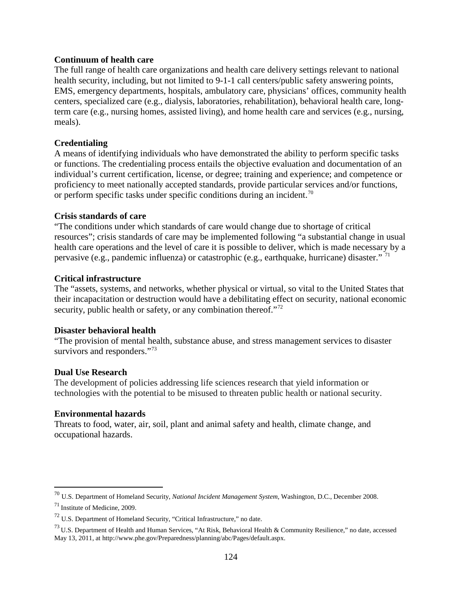# **Continuum of health care**

The full range of health care organizations and health care delivery settings relevant to national health security, including, but not limited to 9-1-1 call centers/public safety answering points, EMS, emergency departments, hospitals, ambulatory care, physicians' offices, community health centers, specialized care (e.g., dialysis, laboratories, rehabilitation), behavioral health care, longterm care (e.g., nursing homes, assisted living), and home health care and services (e.g., nursing, meals).

# **Credentialing**

A means of identifying individuals who have demonstrated the ability to perform specific tasks or functions. The credentialing process entails the objective evaluation and documentation of an individual's current certification, license, or degree; training and experience; and competence or proficiency to meet nationally accepted standards, provide particular services and/or functions, or perform specific tasks under specific conditions during an incident.<sup>[70](#page-123-0)</sup>

# **Crisis standards of care**

"The conditions under which standards of care would change due to shortage of critical resources"; crisis standards of care may be implemented following "a substantial change in usual health care operations and the level of care it is possible to deliver, which is made necessary by a pervasive (e.g., pandemic influenza) or catastrophic (e.g., earthquake, hurricane) disaster." [71](#page-123-1)

# **Critical infrastructure**

The "assets, systems, and networks, whether physical or virtual, so vital to the United States that their incapacitation or destruction would have a debilitating effect on security, national economic security, public health or safety, or any combination thereof."<sup>[72](#page-123-2)</sup>

#### **Disaster behavioral health**

"The provision of mental health, substance abuse, and stress management services to disaster survivors and responders."<sup>[73](#page-123-3)</sup>

#### **Dual Use Research**

The development of policies addressing life sciences research that yield information or technologies with the potential to be misused to threaten public health or national security.

# **Environmental hazards**

Threats to food, water, air, soil, plant and animal safety and health, climate change, and occupational hazards.

<span id="page-123-0"></span> <sup>70</sup> U.S. Department of Homeland Security, *National Incident Management System*, Washington, D.C., December 2008.

<span id="page-123-1"></span><sup>71</sup> Institute of Medicine, 2009.

<span id="page-123-2"></span><sup>72</sup> U.S. Department of Homeland Security, "Critical Infrastructure," no date.

<span id="page-123-3"></span> $^{73}$  U.S. Department of Health and Human Services, "At Risk, Behavioral Health & Community Resilience," no date, accessed May 13, 2011, at http://www.phe.gov/Preparedness/planning/abc/Pages/default.aspx.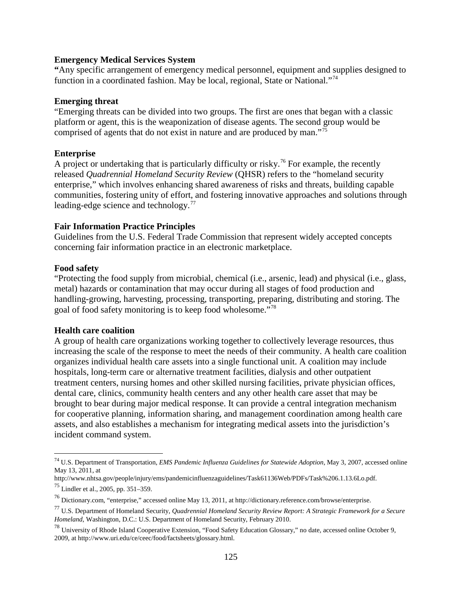### **Emergency Medical Services System**

**"**Any specific arrangement of emergency medical personnel, equipment and supplies designed to function in a coordinated fashion. May be local, regional, State or National."[74](#page-124-0)

# **Emerging threat**

"Emerging threats can be divided into two groups. The first are ones that began with a classic platform or agent, this is the weaponization of disease agents. The second group would be comprised of agents that do not exist in nature and are produced by man."[75](#page-124-1)

# **Enterprise**

A project or undertaking that is particularly difficulty or risky.<sup>[76](#page-124-2)</sup> For example, the recently released *Quadrennial Homeland Security Review* (QHSR) refers to the "homeland security enterprise," which involves enhancing shared awareness of risks and threats, building capable communities, fostering unity of effort, and fostering innovative approaches and solutions through leading-edge science and technology.[77](#page-124-3)

# **Fair Information Practice Principles**

Guidelines from the U.S. Federal Trade Commission that represent widely accepted concepts concerning fair information practice in an electronic marketplace.

# **Food safety**

"Protecting the food supply from microbial, chemical (i.e., arsenic, lead) and physical (i.e., glass, metal) hazards or contamination that may occur during all stages of food production and handling-growing, harvesting, processing, transporting, preparing, distributing and storing. The goal of food safety monitoring is to keep food wholesome."[78](#page-124-4)

#### **Health care coalition**

A group of health care organizations working together to collectively leverage resources, thus increasing the scale of the response to meet the needs of their community. A health care coalition organizes individual health care assets into a single functional unit. A coalition may include hospitals, long-term care or alternative treatment facilities, dialysis and other outpatient treatment centers, nursing homes and other skilled nursing facilities, private physician offices, dental care, clinics, community health centers and any other health care asset that may be brought to bear during major medical response. It can provide a central integration mechanism for cooperative planning, information sharing, and management coordination among health care assets, and also establishes a mechanism for integrating medical assets into the jurisdiction's incident command system.

<span id="page-124-0"></span> <sup>74</sup> U.S. Department of Transportation, *EMS Pandemic Influenza Guidelines for Statewide Adoption*, May 3, 2007, accessed online May 13, 2011, at

http://www.nhtsa.gov/people/injury/ems/pandemicinfluenzaguidelines/Task61136Web/PDFs/Task%206.1.13.6Lo.pdf.

<span id="page-124-1"></span><sup>75</sup> Lindler et al., 2005, pp. 351–359.

<span id="page-124-2"></span><sup>76</sup> Dictionary.com, "enterprise," accessed online May 13, 2011, at http://dictionary.reference.com/browse/enterprise.

<span id="page-124-3"></span><sup>77</sup> U.S. Department of Homeland Security, *Quadrennial Homeland Security Review Report: A Strategic Framework for a Secure Homeland*, Washington, D.C.: U.S. Department of Homeland Security, February 2010.

<span id="page-124-4"></span><sup>78</sup> University of Rhode Island Cooperative Extension, "Food Safety Education Glossary," no date, accessed online October 9, 2009, a[t http://www.uri.edu/ce/ceec/food/factsheets/glossary.html.](http://www.uri.edu/ce/ceec/food/factsheets/glossary.html)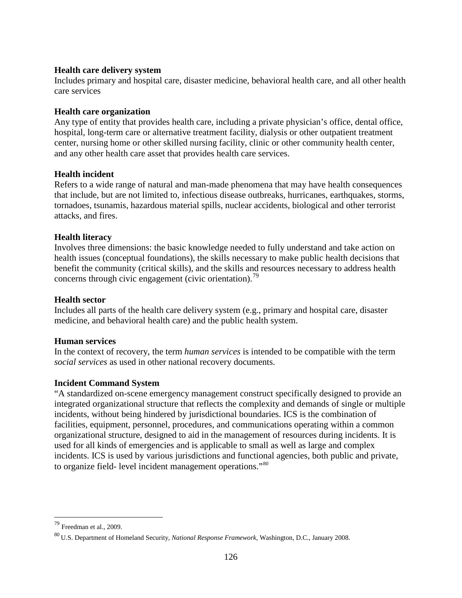# **Health care delivery system**

Includes primary and hospital care, disaster medicine, behavioral health care, and all other health care services

# **Health care organization**

Any type of entity that provides health care, including a private physician's office, dental office, hospital, long-term care or alternative treatment facility, dialysis or other outpatient treatment center, nursing home or other skilled nursing facility, clinic or other community health center, and any other health care asset that provides health care services.

# **Health incident**

Refers to a wide range of natural and man-made phenomena that may have health consequences that include, but are not limited to, infectious disease outbreaks, hurricanes, earthquakes, storms, tornadoes, tsunamis, hazardous material spills, nuclear accidents, biological and other terrorist attacks, and fires.

# **Health literacy**

Involves three dimensions: the basic knowledge needed to fully understand and take action on health issues (conceptual foundations), the skills necessary to make public health decisions that benefit the community (critical skills), and the skills and resources necessary to address health concerns through civic engagement (civic orientation).<sup>[79](#page-125-0)</sup>

#### **Health sector**

Includes all parts of the health care delivery system (e.g., primary and hospital care, disaster medicine, and behavioral health care) and the public health system.

# **Human services**

In the context of recovery, the term *human services* is intended to be compatible with the term *social services* as used in other national recovery documents.

# **Incident Command System**

"A standardized on-scene emergency management construct specifically designed to provide an integrated organizational structure that reflects the complexity and demands of single or multiple incidents, without being hindered by jurisdictional boundaries. ICS is the combination of facilities, equipment, personnel, procedures, and communications operating within a common organizational structure, designed to aid in the management of resources during incidents. It is used for all kinds of emergencies and is applicable to small as well as large and complex incidents. ICS is used by various jurisdictions and functional agencies, both public and private, to organize field- level incident management operations."[80](#page-125-1)

<span id="page-125-0"></span> $79$  Freedman et al., 2009.

<span id="page-125-1"></span><sup>80</sup> U.S. Department of Homeland Security, *National Response Framework*, Washington, D.C., January 2008.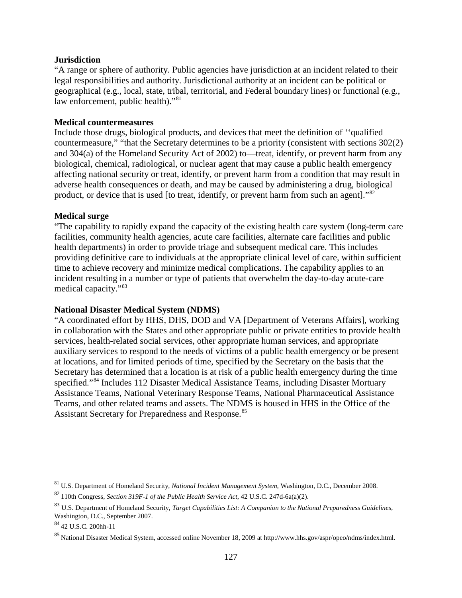### **Jurisdiction**

"A range or sphere of authority. Public agencies have jurisdiction at an incident related to their legal responsibilities and authority. Jurisdictional authority at an incident can be political or geographical (e.g., local, state, tribal, territorial, and Federal boundary lines) or functional (e.g., law enforcement, public health)."[81](#page-126-0)

# **Medical countermeasures**

Include those drugs, biological products, and devices that meet the definition of ''qualified countermeasure," "that the Secretary determines to be a priority (consistent with sections 302(2) and 304(a) of the Homeland Security Act of 2002) to—treat, identify, or prevent harm from any biological, chemical, radiological, or nuclear agent that may cause a public health emergency affecting national security or treat, identify, or prevent harm from a condition that may result in adverse health consequences or death, and may be caused by administering a drug, biological product, or device that is used [to treat, identify, or prevent harm from such an agent]."<sup>[82](#page-126-1)</sup>

# **Medical surge**

"The capability to rapidly expand the capacity of the existing health care system (long-term care facilities, community health agencies, acute care facilities, alternate care facilities and public health departments) in order to provide triage and subsequent medical care. This includes providing definitive care to individuals at the appropriate clinical level of care, within sufficient time to achieve recovery and minimize medical complications. The capability applies to an incident resulting in a number or type of patients that overwhelm the day-to-day acute-care medical capacity."[83](#page-126-2)

# **National Disaster Medical System (NDMS)**

"A coordinated effort by HHS, DHS, DOD and VA [Department of Veterans Affairs], working in collaboration with the States and other appropriate public or private entities to provide health services, health-related social services, other appropriate human services, and appropriate auxiliary services to respond to the needs of victims of a public health emergency or be present at locations, and for limited periods of time, specified by the Secretary on the basis that the Secretary has determined that a location is at risk of a public health emergency during the time specified."<sup>[84](#page-126-3)</sup> Includes 112 Disaster Medical Assistance Teams, including Disaster Mortuary Assistance Teams, National Veterinary Response Teams, National Pharmaceutical Assistance Teams, and other related teams and assets. The NDMS is housed in HHS in the Office of the Assistant Secretary for Preparedness and Response.<sup>[85](#page-126-4)</sup>

<span id="page-126-0"></span> <sup>81</sup> U.S. Department of Homeland Security, *National Incident Management System*, Washington, D.C., December 2008.

<span id="page-126-1"></span><sup>82</sup> 110th Congress, *Section 319F-1 of the Public Health Service Act*, 42 U.S.C. 247d-6a(a)(2).

<span id="page-126-2"></span><sup>83</sup> U.S. Department of Homeland Security, *Target Capabilities List: A Companion to the National Preparedness Guidelines*, Washington, D.C., September 2007.

<span id="page-126-3"></span><sup>84</sup> 42 U.S.C. 200hh-11

<span id="page-126-4"></span><sup>85</sup> National Disaster Medical System, accessed online November 18, 2009 a[t http://www.hhs.gov/aspr/opeo/ndms/index.html.](http://www.hhs.gov/aspr/opeo/ndms/index.html)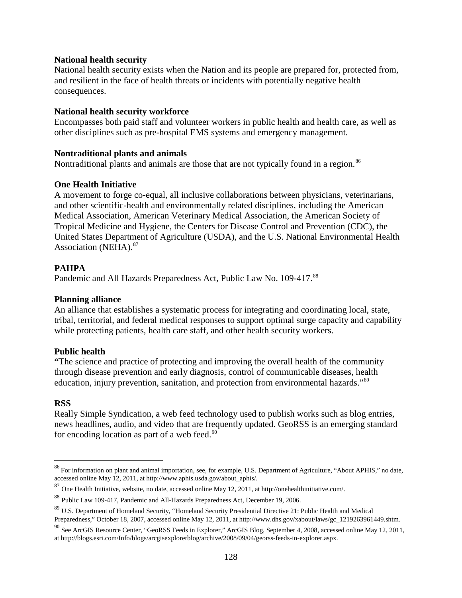# **National health security**

National health security exists when the Nation and its people are prepared for, protected from, and resilient in the face of health threats or incidents with potentially negative health consequences.

# **National health security workforce**

Encompasses both paid staff and volunteer workers in public health and health care, as well as other disciplines such as pre-hospital EMS systems and emergency management.

# **Nontraditional plants and animals**

Nontraditional plants and animals are those that are not typically found in a region.<sup>[86](#page-127-0)</sup>

# **One Health Initiative**

A movement to forge co-equal, all inclusive collaborations between physicians, veterinarians, and other scientific-health and environmentally related disciplines, including the American Medical Association, American Veterinary Medical Association, the American Society of Tropical Medicine and Hygiene, the Centers for Disease Control and Prevention (CDC), the United States Department of Agriculture (USDA), and the U.S. National Environmental Health Association (NEHA).<sup>[87](#page-127-1)</sup>

# **PAHPA**

Pandemic and All Hazards Preparedness Act, Public Law No. 109-417.<sup>[88](#page-127-2)</sup>

### **Planning alliance**

An alliance that establishes a systematic process for integrating and coordinating local, state, tribal, territorial, and federal medical responses to support optimal surge capacity and capability while protecting patients, health care staff, and other health security workers.

#### **Public health**

**"**The science and practice of protecting and improving the overall health of the community through disease prevention and early diagnosis, control of communicable diseases, health education, injury prevention, sanitation, and protection from environmental hazards."<sup>[89](#page-127-3)</sup>

# **RSS**

Really Simple Syndication, a web feed technology used to publish works such as blog entries, news headlines, audio, and video that are frequently updated. GeoRSS is an emerging standard for encoding location as part of a web feed. $90$ 

<span id="page-127-0"></span><sup>&</sup>lt;sup>86</sup> For information on plant and animal importation, see, for example, U.S. Department of Agriculture, "About APHIS," no date, accessed online May 12, 2011, at [http://www.aphis.usda.gov/about\\_aphis/.](http://www.aphis.usda.gov/about_aphis/)

<span id="page-127-1"></span><sup>87</sup> One Health Initiative, website, no date, accessed online May 12, 2011, a[t http://onehealthinitiative.com/.](http://onehealthinitiative.com/) 

<span id="page-127-2"></span><sup>88</sup> Public Law 109-417, Pandemic and All-Hazards Preparedness Act, December 19, 2006.

<span id="page-127-3"></span><sup>&</sup>lt;sup>89</sup> U.S. Department of Homeland Security, "Homeland Security Presidential Directive 21: Public Health and Medical Preparedness," October 18, 2007, accessed online May 12, 2011, at [http://www.dhs.gov/xabout/laws/gc\\_1219263961449.shtm.](http://www.dhs.gov/xabout/laws/gc_1219263961449.shtm)

<span id="page-127-4"></span><sup>90</sup> See ArcGIS Resource Center, "GeoRSS Feeds in Explorer," ArcGIS Blog, September 4, 2008, accessed online May 12, 2011, at http://blogs.esri.com/Info/blogs/arcgisexplorerblog/archive/2008/09/04/georss-feeds-in-explorer.aspx.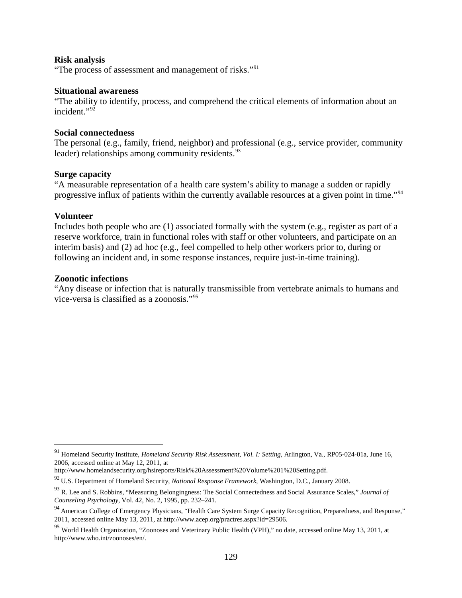#### **Risk analysis**

"The process of assessment and management of risks."<sup>[91](#page-128-0)</sup>

#### **Situational awareness**

"The ability to identify, process, and comprehend the critical elements of information about an incident."<sup>[92](#page-128-1)</sup>

# **Social connectedness**

The personal (e.g., family, friend, neighbor) and professional (e.g., service provider, community leader) relationships among community residents.<sup>[93](#page-128-2)</sup>

#### **Surge capacity**

"A measurable representation of a health care system's ability to manage a sudden or rapidly progressive influx of patients within the currently available resources at a given point in time."[94](#page-128-3)

#### **Volunteer**

Includes both people who are (1) associated formally with the system (e.g., register as part of a reserve workforce, train in functional roles with staff or other volunteers, and participate on an interim basis) and (2) ad hoc (e.g., feel compelled to help other workers prior to, during or following an incident and, in some response instances, require just-in-time training).

### **Zoonotic infections**

"Any disease or infection that is naturally transmissible from vertebrate animals to humans and vice-versa is classified as a zoonosis."[95](#page-128-4)

<span id="page-128-0"></span> <sup>91</sup> Homeland Security Institute, *Homeland Security Risk Assessment*, *Vol. I: Setting*, Arlington, Va., RP05-024-01a, June 16, 2006, accessed online at May 12, 2011, at

http://www.homelandsecurity.org/hsireports/Risk%20Assessment%20Volume%201%20Setting.pdf.

<span id="page-128-1"></span><sup>92</sup> U.S. Department of Homeland Security, *National Response Framework*, Washington, D.C., January 2008.

<span id="page-128-2"></span><sup>93</sup> R. Lee and S. Robbins, "Measuring Belongingness: The Social Connectedness and Social Assurance Scales," *Journal of Counseling Psychology*, Vol. 42, No. 2, 1995, pp. 232–241.

<span id="page-128-3"></span><sup>94</sup> American College of Emergency Physicians, "Health Care System Surge Capacity Recognition, Preparedness, and Response," 2011, accessed online May 13, 2011, a[t http://www.acep.org/practres.aspx?id=29506.](http://www.acep.org/practres.aspx?id=29506)

<span id="page-128-4"></span><sup>&</sup>lt;sup>95</sup> World Health Organization, "Zoonoses and Veterinary Public Health (VPH)," no date, accessed online May 13, 2011, at [http://www.who.int/zoonoses/en/.](http://www.who.int/zoonoses/en/)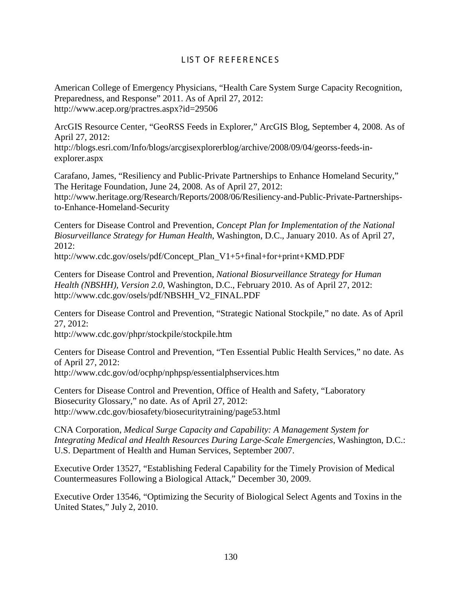# LIST OF REFERENCES

American College of Emergency Physicians, "Health Care System Surge Capacity Recognition, Preparedness, and Response" 2011. As of April 27, 2012: http://www.acep.org/practres.aspx?id=29506

ArcGIS Resource Center, "GeoRSS Feeds in Explorer," ArcGIS Blog, September 4, 2008. As of April 27, 2012:

http://blogs.esri.com/Info/blogs/arcgisexplorerblog/archive/2008/09/04/georss-feeds-inexplorer.aspx

Carafano, James, "Resiliency and Public-Private Partnerships to Enhance Homeland Security," The Heritage Foundation, June 24, 2008. As of April 27, 2012: http://www.heritage.org/Research/Reports/2008/06/Resiliency-and-Public-Private-Partnerships-

to-Enhance-Homeland-Security

Centers for Disease Control and Prevention, *Concept Plan for Implementation of the National Biosurveillance Strategy for Human Health*, Washington, D.C., January 2010. As of April 27, 2012:

http://www.cdc.gov/osels/pdf/Concept\_Plan\_V1+5+final+for+print+KMD.PDF

Centers for Disease Control and Prevention, *National Biosurveillance Strategy for Human Health (NBSHH), Version 2.0*, Washington, D.C., February 2010. As of April 27, 2012: http://www.cdc.gov/osels/pdf/NBSHH\_V2\_FINAL.PDF

Centers for Disease Control and Prevention, "Strategic National Stockpile," no date. As of April 27, 2012:

http://www.cdc.gov/phpr/stockpile/stockpile.htm

Centers for Disease Control and Prevention, "Ten Essential Public Health Services," no date. As of April 27, 2012:

http://www.cdc.gov/od/ocphp/nphpsp/essentialphservices.htm

Centers for Disease Control and Prevention, Office of Health and Safety, "Laboratory Biosecurity Glossary," no date. As of April 27, 2012: http://www.cdc.gov/biosafety/biosecuritytraining/page53.html

CNA Corporation, *Medical Surge Capacity and Capability: A Management System for Integrating Medical and Health Resources During Large-Scale Emergencies*, Washington, D.C.: U.S. Department of Health and Human Services, September 2007.

Executive Order 13527, "Establishing Federal Capability for the Timely Provision of Medical Countermeasures Following a Biological Attack," December 30, 2009.

Executive Order 13546, "Optimizing the Security of Biological Select Agents and Toxins in the United States," July 2, 2010.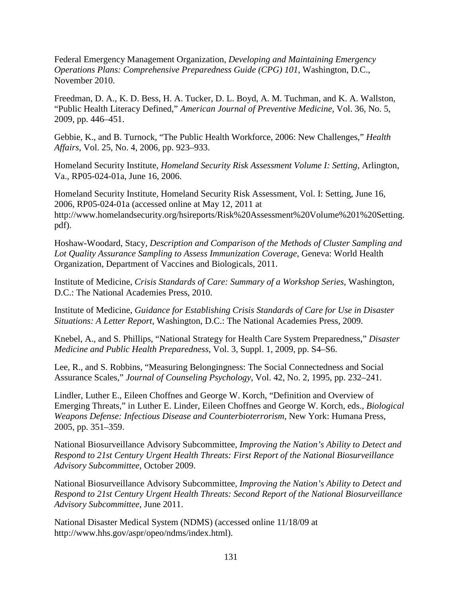Federal Emergency Management Organization, *Developing and Maintaining Emergency Operations Plans: Comprehensive Preparedness Guide (CPG) 101*, Washington, D.C., November 2010.

Freedman, D. A., K. D. Bess, H. A. Tucker, D. L. Boyd, A. M. Tuchman, and K. A. Wallston, "Public Health Literacy Defined," *American Journal of Preventive Medicine*, Vol. 36, No. 5, 2009, pp. 446–451.

Gebbie, K., and B. Turnock, "The Public Health Workforce, 2006: New Challenges," *Health Affairs*, Vol. 25, No. 4, 2006, pp. 923–933.

Homeland Security Institute, *Homeland Security Risk Assessment Volume I: Setting*, Arlington, Va., RP05-024-01a, June 16, 2006.

Homeland Security Institute, Homeland Security Risk Assessment, Vol. I: Setting, June 16, 2006, RP05-024-01a (accessed online at May 12, 2011 at http://www.homelandsecurity.org/hsireports/Risk%20Assessment%20Volume%201%20Setting. pdf).

Hoshaw-Woodard, Stacy, *Description and Comparison of the Methods of Cluster Sampling and Lot Quality Assurance Sampling to Assess Immunization Coverage*, Geneva: World Health Organization, Department of Vaccines and Biologicals, 2011.

Institute of Medicine, *Crisis Standards of Care: Summary of a Workshop Series*, Washington, D.C.: The National Academies Press, 2010.

Institute of Medicine, *Guidance for Establishing Crisis Standards of Care for Use in Disaster Situations: A Letter Report*, Washington, D.C.: The National Academies Press, 2009.

Knebel, A., and S. Phillips, "National Strategy for Health Care System Preparedness," *Disaster Medicine and Public Health Preparedness*, Vol. 3, Suppl. 1, 2009, pp. S4–S6.

Lee, R., and S. Robbins, "Measuring Belongingness: The Social Connectedness and Social Assurance Scales," *Journal of Counseling Psychology*, Vol. 42, No. 2, 1995, pp. 232–241.

Lindler, Luther E., Eileen Choffnes and George W. Korch, "Definition and Overview of Emerging Threats," in Luther E. Linder, Eileen Choffnes and George W. Korch, eds., *Biological Weapons Defense: Infectious Disease and Counterbioterrorism*, New York: Humana Press, 2005, pp. 351–359.

National Biosurveillance Advisory Subcommittee, *Improving the Nation's Ability to Detect and Respond to 21st Century Urgent Health Threats: First Report of the National Biosurveillance Advisory Subcommittee*, October 2009.

National Biosurveillance Advisory Subcommittee, *Improving the Nation's Ability to Detect and Respond to 21st Century Urgent Health Threats: Second Report of the National Biosurveillance Advisory Subcommittee,* June 2011.

National Disaster Medical System (NDMS) (accessed online 11/18/09 at http://www.hhs.gov/aspr/opeo/ndms/index.html).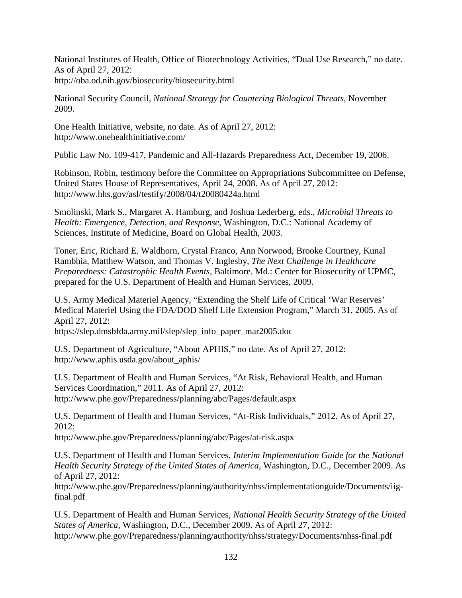National Institutes of Health, Office of Biotechnology Activities, "Dual Use Research," no date. As of April 27, 2012: http://oba.od.nih.gov/biosecurity/biosecurity.html

National Security Council, *National Strategy for Countering Biological Threats*, November 2009.

One Health Initiative, website, no date. As of April 27, 2012: http://www.onehealthinitiative.com/

Public Law No. 109-417, Pandemic and All-Hazards Preparedness Act, December 19, 2006.

Robinson, Robin, testimony before the Committee on Appropriations Subcommittee on Defense, United States House of Representatives, April 24, 2008. As of April 27, 2012: http://www.hhs.gov/asl/testify/2008/04/t20080424a.html

Smolinski, Mark S., Margaret A. Hamburg, and Joshua Lederberg, eds., *Microbial Threats to Health: Emergence, Detection, and Response*, Washington, D.C.: National Academy of Sciences, Institute of Medicine, Board on Global Health, 2003.

Toner, Eric, Richard E. Waldhorn, Crystal Franco, Ann Norwood, Brooke Courtney, Kunal Rambhia, Matthew Watson, and Thomas V. Inglesby, *The Next Challenge in Healthcare Preparedness: Catastrophic Health Events*, Baltimore. Md.: Center for Biosecurity of UPMC, prepared for the U.S. Department of Health and Human Services, 2009.

U.S. Army Medical Materiel Agency, "Extending the Shelf Life of Critical 'War Reserves' Medical Materiel Using the FDA/DOD Shelf Life Extension Program," March 31, 2005. As of April 27, 2012:

https://slep.dmsbfda.army.mil/slep/slep\_info\_paper\_mar2005.doc

U.S. Department of Agriculture, "About APHIS," no date. As of April 27, 2012: http://www.aphis.usda.gov/about\_aphis/

U.S. Department of Health and Human Services, "At Risk, Behavioral Health, and Human Services Coordination," 2011. As of April 27, 2012: http://www.phe.gov/Preparedness/planning/abc/Pages/default.aspx

U.S. Department of Health and Human Services, "At-Risk Individuals," 2012. As of April 27, 2012:

http://www.phe.gov/Preparedness/planning/abc/Pages/at-risk.aspx

U.S. Department of Health and Human Services, *Interim Implementation Guide for the National Health Security Strategy of the United States of America*, Washington, D.C., December 2009. As of April 27, 2012:

http://www.phe.gov/Preparedness/planning/authority/nhss/implementationguide/Documents/iigfinal.pdf

U.S. Department of Health and Human Services, *National Health Security Strategy of the United States of America*, Washington, D.C., December 2009. As of April 27, 2012: http://www.phe.gov/Preparedness/planning/authority/nhss/strategy/Documents/nhss-final.pdf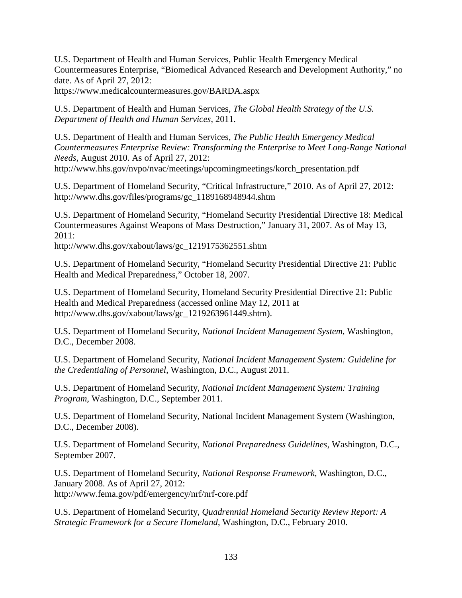U.S. Department of Health and Human Services, Public Health Emergency Medical Countermeasures Enterprise, "Biomedical Advanced Research and Development Authority," no date. As of April 27, 2012:

https://www.medicalcountermeasures.gov/BARDA.aspx

U.S. Department of Health and Human Services, *The Global Health Strategy of the U.S. Department of Health and Human Services*, 2011.

U.S. Department of Health and Human Services, *The Public Health Emergency Medical Countermeasures Enterprise Review: Transforming the Enterprise to Meet Long-Range National Needs*, August 2010. As of April 27, 2012: http://www.hhs.gov/nvpo/nvac/meetings/upcomingmeetings/korch\_presentation.pdf

U.S. Department of Homeland Security, "Critical Infrastructure," 2010. As of April 27, 2012: http://www.dhs.gov/files/programs/gc\_1189168948944.shtm

U.S. Department of Homeland Security, "Homeland Security Presidential Directive 18: Medical Countermeasures Against Weapons of Mass Destruction," January 31, 2007. As of May 13, 2011:

http://www.dhs.gov/xabout/laws/gc\_1219175362551.shtm

U.S. Department of Homeland Security, "Homeland Security Presidential Directive 21: Public Health and Medical Preparedness," October 18, 2007.

U.S. Department of Homeland Security, Homeland Security Presidential Directive 21: Public Health and Medical Preparedness (accessed online May 12, 2011 at http://www.dhs.gov/xabout/laws/gc\_1219263961449.shtm).

U.S. Department of Homeland Security, *National Incident Management System*, Washington, D.C., December 2008.

U.S. Department of Homeland Security, *National Incident Management System: Guideline for the Credentialing of Personnel*, Washington, D.C., August 2011.

U.S. Department of Homeland Security, *National Incident Management System: Training Program*, Washington, D.C., September 2011.

U.S. Department of Homeland Security, National Incident Management System (Washington, D.C., December 2008).

U.S. Department of Homeland Security, *National Preparedness Guidelines*, Washington, D.C., September 2007.

U.S. Department of Homeland Security, *National Response Framework*, Washington, D.C., January 2008. As of April 27, 2012: http://www.fema.gov/pdf/emergency/nrf/nrf-core.pdf

U.S. Department of Homeland Security, *Quadrennial Homeland Security Review Report: A Strategic Framework for a Secure Homeland*, Washington, D.C., February 2010.